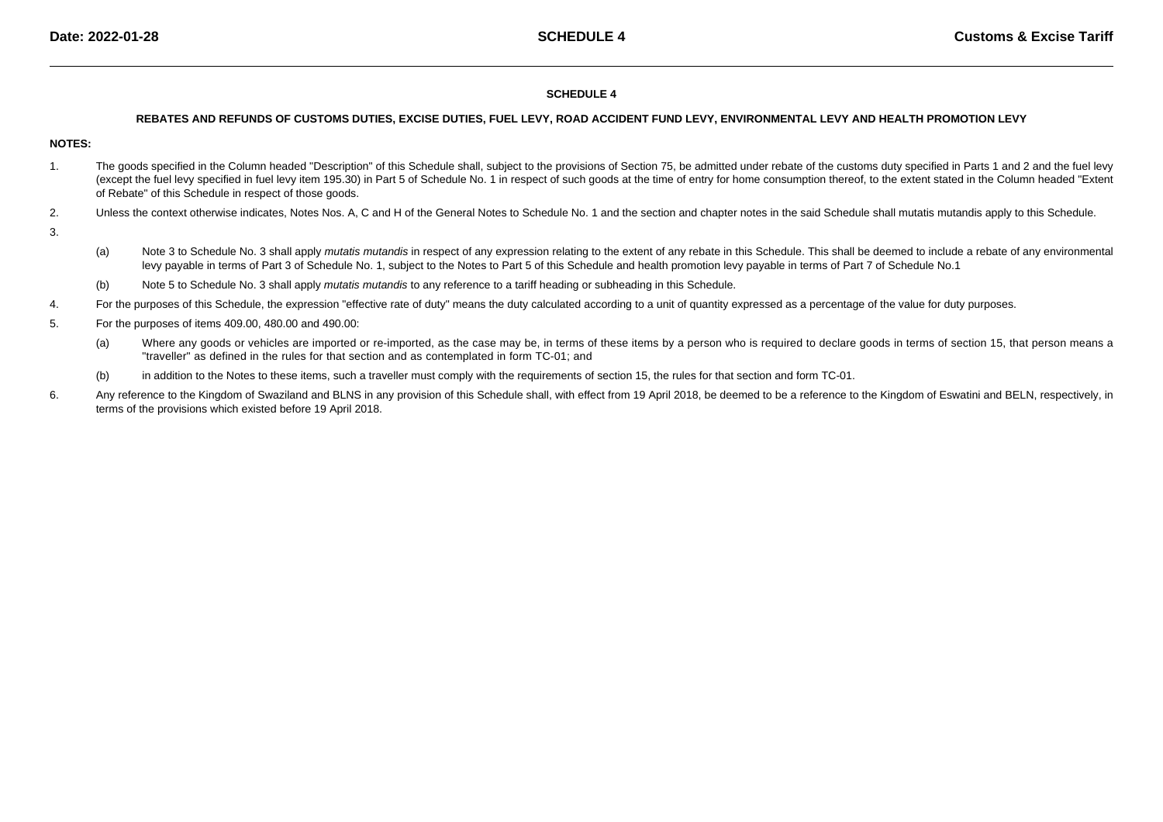## **SCHEDULE 4**

#### **REBATES AND REFUNDS OF CUSTOMS DUTIES, EXCISE DUTIES, FUEL LEVY, ROAD ACCIDENT FUND LEVY, ENVIRONMENTAL LEVY AND HEALTH PROMOTION LEVY**

# **NOTES:**

- 1.The goods specified in the Column headed "Description" of this Schedule shall, subject to the provisions of Section 75, be admitted under rebate of the customs duty specified in Parts 1 and 2 and the fuel levy (except the fuel levy specified in fuel levy item 195.30) in Part 5 of Schedule No. 1 in respect of such goods at the time of entry for home consumption thereof, to the extent stated in the Column headed "Extentof Rebate" of this Schedule in respect of those goods.
- 2.Unless the context otherwise indicates, Notes Nos. A, C and H of the General Notes to Schedule No. 1 and the section and chapter notes in the said Schedule shall mutatis mutandis apply to this Schedule.
- 3.
- (a)Note 3 to Schedule No. 3 shall apply mutatis mutandis in respect of any expression relating to the extent of any rebate in this Schedule. This shall be deemed to include a rebate of any environmental levy payable in terms of Part 3 of Schedule No. 1, subject to the Notes to Part 5 of this Schedule and health promotion levy payable in terms of Part 7 of Schedule No.1
- (b)Note 5 to Schedule No. 3 shall apply *mutatis mutandis* to any reference to a tariff heading or subheading in this Schedule.
- 4.For the purposes of this Schedule, the expression "effective rate of duty" means the duty calculated according to a unit of quantity expressed as a percentage of the value for duty purposes.
- 5. For the purposes of items 409.00, 480.00 and 490.00:
	- (a)Where any goods or vehicles are imported or re-imported, as the case may be, in terms of these items by a person who is required to declare goods in terms of section 15, that person means a "traveller" as defined in the rules for that section and as contemplated in form TC-01; and
	- (b)in addition to the Notes to these items, such a traveller must comply with the requirements of section 15, the rules for that section and form TC-01.
- 6.Any reference to the Kingdom of Swaziland and BLNS in any provision of this Schedule shall, with effect from 19 April 2018, be deemed to be a reference to the Kingdom of Eswatini and BELN, respectively, in terms of the provisions which existed before 19 April 2018.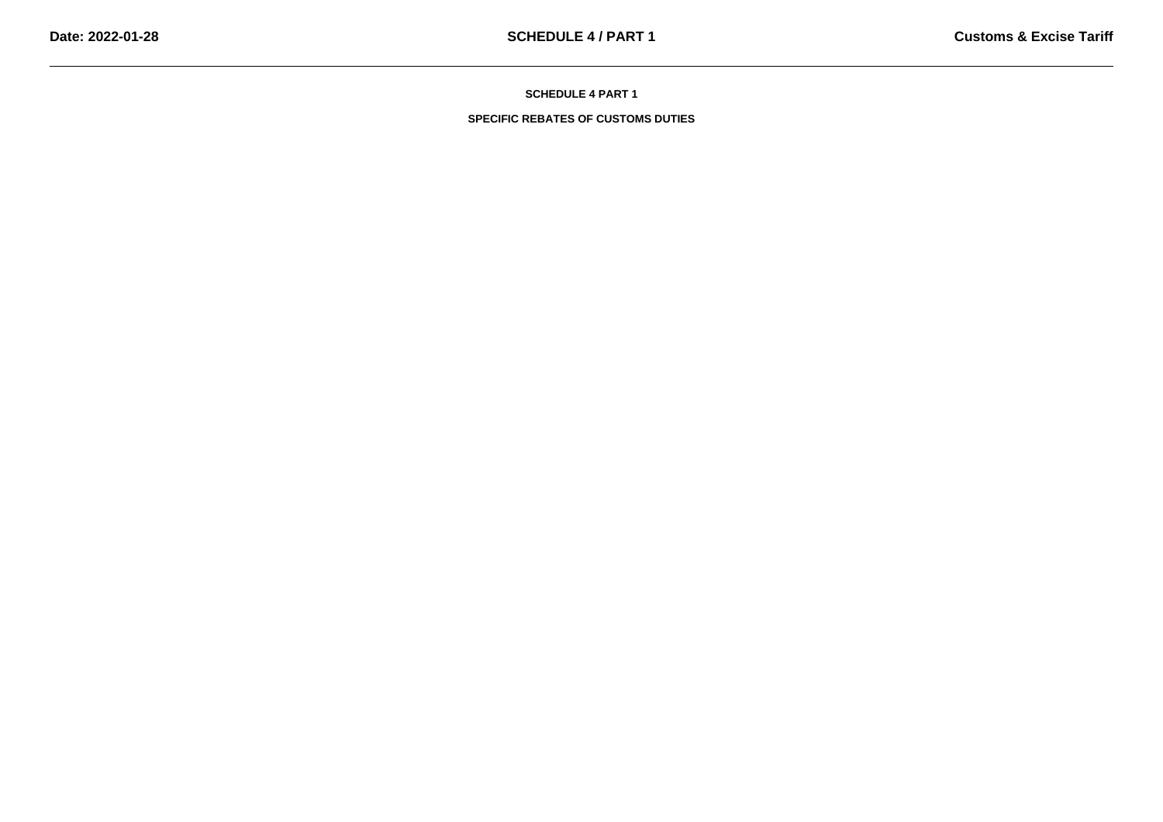**SPECIFIC REBATES OF CUSTOMS DUTIES**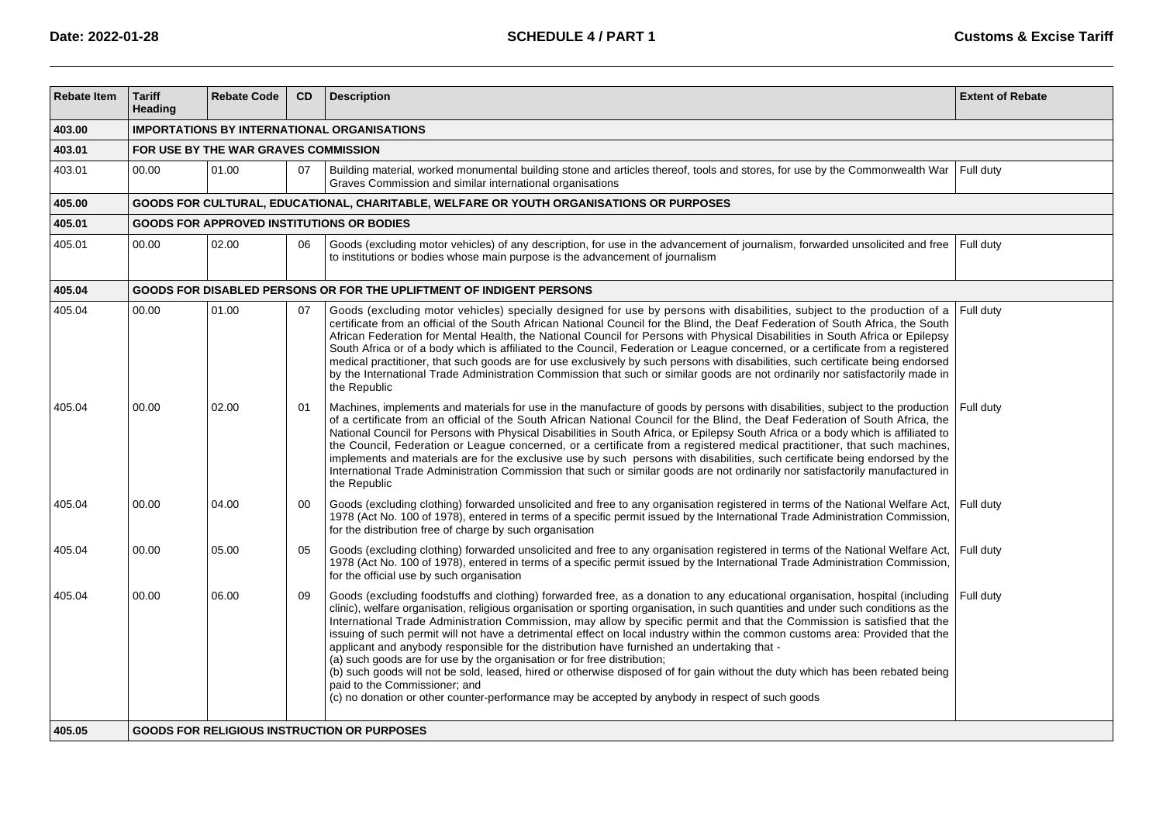| <b>Rebate Item</b> | <b>Tariff</b><br>Heading             | <b>Rebate Code</b>                                 | <b>CD</b> | <b>Description</b>                                                                                                                                                                                                                                                                                                                                                                                                                                                                                                                                                                                                                                                                                                                                                                                                                                                                                                                                                                  | <b>Extent of Rebate</b> |  |  |  |  |  |  |
|--------------------|--------------------------------------|----------------------------------------------------|-----------|-------------------------------------------------------------------------------------------------------------------------------------------------------------------------------------------------------------------------------------------------------------------------------------------------------------------------------------------------------------------------------------------------------------------------------------------------------------------------------------------------------------------------------------------------------------------------------------------------------------------------------------------------------------------------------------------------------------------------------------------------------------------------------------------------------------------------------------------------------------------------------------------------------------------------------------------------------------------------------------|-------------------------|--|--|--|--|--|--|
| 403.00             |                                      | <b>IMPORTATIONS BY INTERNATIONAL ORGANISATIONS</b> |           |                                                                                                                                                                                                                                                                                                                                                                                                                                                                                                                                                                                                                                                                                                                                                                                                                                                                                                                                                                                     |                         |  |  |  |  |  |  |
| 403.01             | FOR USE BY THE WAR GRAVES COMMISSION |                                                    |           |                                                                                                                                                                                                                                                                                                                                                                                                                                                                                                                                                                                                                                                                                                                                                                                                                                                                                                                                                                                     |                         |  |  |  |  |  |  |
| 403.01             | 00.00                                | 01.00                                              | 07        | Building material, worked monumental building stone and articles thereof, tools and stores, for use by the Commonwealth War<br>Graves Commission and similar international organisations                                                                                                                                                                                                                                                                                                                                                                                                                                                                                                                                                                                                                                                                                                                                                                                            | Full duty               |  |  |  |  |  |  |
| 405.00             |                                      |                                                    |           | GOODS FOR CULTURAL, EDUCATIONAL, CHARITABLE, WELFARE OR YOUTH ORGANISATIONS OR PURPOSES                                                                                                                                                                                                                                                                                                                                                                                                                                                                                                                                                                                                                                                                                                                                                                                                                                                                                             |                         |  |  |  |  |  |  |
| 405.01             |                                      |                                                    |           | <b>GOODS FOR APPROVED INSTITUTIONS OR BODIES</b>                                                                                                                                                                                                                                                                                                                                                                                                                                                                                                                                                                                                                                                                                                                                                                                                                                                                                                                                    |                         |  |  |  |  |  |  |
| 405.01             | 00.00                                | 02.00                                              | 06        | Goods (excluding motor vehicles) of any description, for use in the advancement of journalism, forwarded unsolicited and free<br>to institutions or bodies whose main purpose is the advancement of journalism                                                                                                                                                                                                                                                                                                                                                                                                                                                                                                                                                                                                                                                                                                                                                                      | Full duty               |  |  |  |  |  |  |
| 405.04             |                                      |                                                    |           | GOODS FOR DISABLED PERSONS OR FOR THE UPLIFTMENT OF INDIGENT PERSONS                                                                                                                                                                                                                                                                                                                                                                                                                                                                                                                                                                                                                                                                                                                                                                                                                                                                                                                |                         |  |  |  |  |  |  |
| 405.04             | 00.00                                | 01.00                                              | 07        | Goods (excluding motor vehicles) specially designed for use by persons with disabilities, subject to the production of a<br>certificate from an official of the South African National Council for the Blind, the Deaf Federation of South Africa, the South<br>African Federation for Mental Health, the National Council for Persons with Physical Disabilities in South Africa or Epilepsy<br>South Africa or of a body which is affiliated to the Council, Federation or League concerned, or a certificate from a registered<br>medical practitioner, that such goods are for use exclusively by such persons with disabilities, such certificate being endorsed<br>by the International Trade Administration Commission that such or similar goods are not ordinarily nor satisfactorily made in<br>the Republic                                                                                                                                                              | Full duty               |  |  |  |  |  |  |
| 405.04             | 00.00                                | 02.00                                              | 01        | Machines, implements and materials for use in the manufacture of goods by persons with disabilities, subject to the production<br>of a certificate from an official of the South African National Council for the Blind, the Deaf Federation of South Africa, the<br>National Council for Persons with Physical Disabilities in South Africa, or Epilepsy South Africa or a body which is affiliated to<br>the Council, Federation or League concerned, or a certificate from a registered medical practitioner, that such machines,<br>implements and materials are for the exclusive use by such persons with disabilities, such certificate being endorsed by the<br>International Trade Administration Commission that such or similar goods are not ordinarily nor satisfactorily manufactured in<br>the Republic                                                                                                                                                              | Full duty               |  |  |  |  |  |  |
| 405.04             | 00.00                                | 04.00                                              | $00\,$    | Goods (excluding clothing) forwarded unsolicited and free to any organisation registered in terms of the National Welfare Act,<br>1978 (Act No. 100 of 1978), entered in terms of a specific permit issued by the International Trade Administration Commission,<br>for the distribution free of charge by such organisation                                                                                                                                                                                                                                                                                                                                                                                                                                                                                                                                                                                                                                                        | Full duty               |  |  |  |  |  |  |
| 405.04             | 00.00                                | 05.00                                              | 05        | Goods (excluding clothing) forwarded unsolicited and free to any organisation registered in terms of the National Welfare Act,<br>1978 (Act No. 100 of 1978), entered in terms of a specific permit issued by the International Trade Administration Commission,<br>for the official use by such organisation                                                                                                                                                                                                                                                                                                                                                                                                                                                                                                                                                                                                                                                                       | Full duty               |  |  |  |  |  |  |
| 405.04             | 00.00                                | 06.00                                              | 09        | Goods (excluding foodstuffs and clothing) forwarded free, as a donation to any educational organisation, hospital (including<br>clinic), welfare organisation, religious organisation or sporting organisation, in such quantities and under such conditions as the<br>International Trade Administration Commission, may allow by specific permit and that the Commission is satisfied that the<br>issuing of such permit will not have a detrimental effect on local industry within the common customs area: Provided that the<br>applicant and anybody responsible for the distribution have furnished an undertaking that -<br>(a) such goods are for use by the organisation or for free distribution;<br>(b) such goods will not be sold, leased, hired or otherwise disposed of for gain without the duty which has been rebated being<br>paid to the Commissioner; and<br>(c) no donation or other counter-performance may be accepted by anybody in respect of such goods | Full duty               |  |  |  |  |  |  |
| 405.05             |                                      |                                                    |           | <b>GOODS FOR RELIGIOUS INSTRUCTION OR PURPOSES</b>                                                                                                                                                                                                                                                                                                                                                                                                                                                                                                                                                                                                                                                                                                                                                                                                                                                                                                                                  |                         |  |  |  |  |  |  |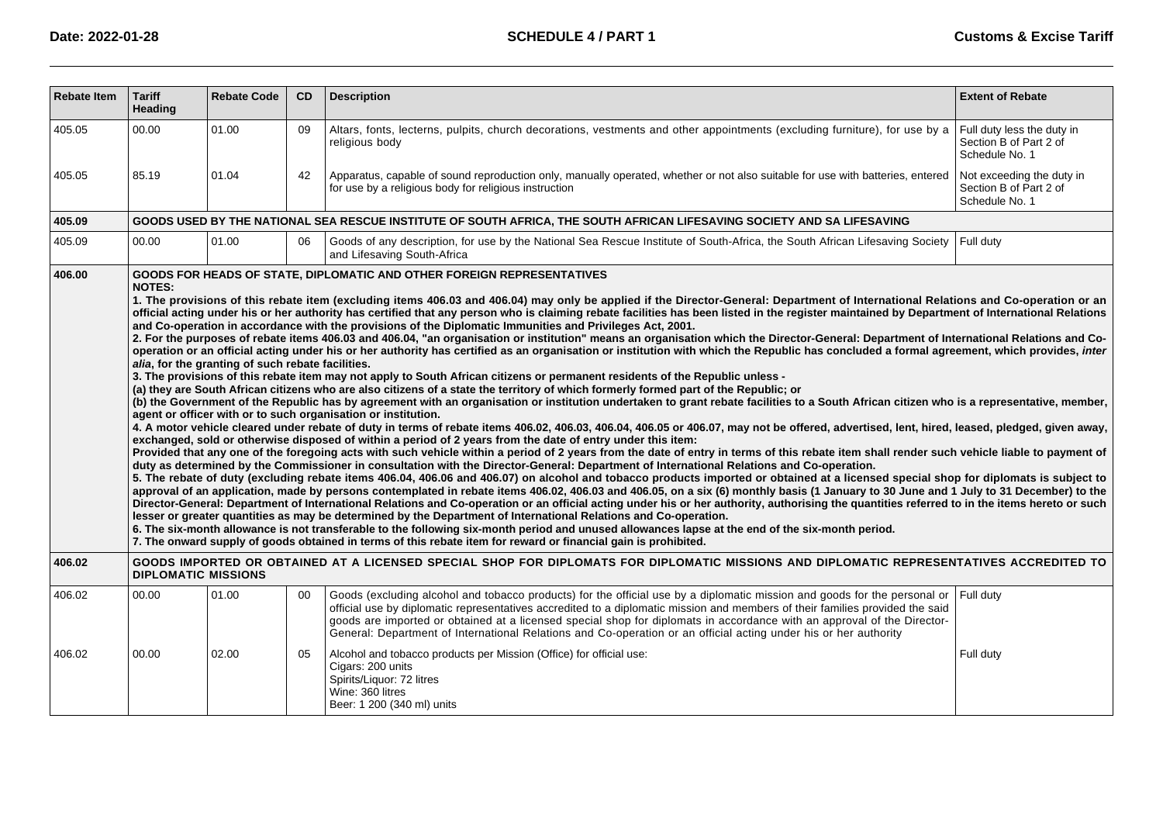| <b>Rebate Item</b> | <b>Tariff</b><br><b>Heading</b>                                                                                                                                                                                                                                                                                                                                                                                                                                                                                                                                                                                                                                                                                                                                                                                                                                                                                                                                                                                                                                                                                                                                                                                                                                                                                                                                                                                                                                                                                                                                                                                                                                                                                                                                                                                                                                                                                                                                                                                                                                                                                                                                                                                                                                                                                                                                                                                                                                                                                                                                                                                                                                                                                                                                                                                                                                                                                                                                                                                                                                                                                           | <b>Rebate Code</b> | CD | <b>Description</b>                                                                                                                                                                                                                                                                                                                                                                                                                                                                                        | <b>Extent of Rebate</b>                                                |  |  |  |
|--------------------|---------------------------------------------------------------------------------------------------------------------------------------------------------------------------------------------------------------------------------------------------------------------------------------------------------------------------------------------------------------------------------------------------------------------------------------------------------------------------------------------------------------------------------------------------------------------------------------------------------------------------------------------------------------------------------------------------------------------------------------------------------------------------------------------------------------------------------------------------------------------------------------------------------------------------------------------------------------------------------------------------------------------------------------------------------------------------------------------------------------------------------------------------------------------------------------------------------------------------------------------------------------------------------------------------------------------------------------------------------------------------------------------------------------------------------------------------------------------------------------------------------------------------------------------------------------------------------------------------------------------------------------------------------------------------------------------------------------------------------------------------------------------------------------------------------------------------------------------------------------------------------------------------------------------------------------------------------------------------------------------------------------------------------------------------------------------------------------------------------------------------------------------------------------------------------------------------------------------------------------------------------------------------------------------------------------------------------------------------------------------------------------------------------------------------------------------------------------------------------------------------------------------------------------------------------------------------------------------------------------------------------------------------------------------------------------------------------------------------------------------------------------------------------------------------------------------------------------------------------------------------------------------------------------------------------------------------------------------------------------------------------------------------------------------------------------------------------------------------------------------------|--------------------|----|-----------------------------------------------------------------------------------------------------------------------------------------------------------------------------------------------------------------------------------------------------------------------------------------------------------------------------------------------------------------------------------------------------------------------------------------------------------------------------------------------------------|------------------------------------------------------------------------|--|--|--|
| 405.05             | 00.00                                                                                                                                                                                                                                                                                                                                                                                                                                                                                                                                                                                                                                                                                                                                                                                                                                                                                                                                                                                                                                                                                                                                                                                                                                                                                                                                                                                                                                                                                                                                                                                                                                                                                                                                                                                                                                                                                                                                                                                                                                                                                                                                                                                                                                                                                                                                                                                                                                                                                                                                                                                                                                                                                                                                                                                                                                                                                                                                                                                                                                                                                                                     | 01.00              | 09 | Altars, fonts, lecterns, pulpits, church decorations, vestments and other appointments (excluding furniture), for use by a<br>religious body                                                                                                                                                                                                                                                                                                                                                              | Full duty less the duty in<br>Section B of Part 2 of<br>Schedule No. 1 |  |  |  |
| 405.05             | 85.19                                                                                                                                                                                                                                                                                                                                                                                                                                                                                                                                                                                                                                                                                                                                                                                                                                                                                                                                                                                                                                                                                                                                                                                                                                                                                                                                                                                                                                                                                                                                                                                                                                                                                                                                                                                                                                                                                                                                                                                                                                                                                                                                                                                                                                                                                                                                                                                                                                                                                                                                                                                                                                                                                                                                                                                                                                                                                                                                                                                                                                                                                                                     | 01.04              | 42 | Apparatus, capable of sound reproduction only, manually operated, whether or not also suitable for use with batteries, entered<br>for use by a religious body for religious instruction                                                                                                                                                                                                                                                                                                                   | Not exceeding the duty in<br>Section B of Part 2 of<br>Schedule No. 1  |  |  |  |
| 405.09             |                                                                                                                                                                                                                                                                                                                                                                                                                                                                                                                                                                                                                                                                                                                                                                                                                                                                                                                                                                                                                                                                                                                                                                                                                                                                                                                                                                                                                                                                                                                                                                                                                                                                                                                                                                                                                                                                                                                                                                                                                                                                                                                                                                                                                                                                                                                                                                                                                                                                                                                                                                                                                                                                                                                                                                                                                                                                                                                                                                                                                                                                                                                           |                    |    | GOODS USED BY THE NATIONAL SEA RESCUE INSTITUTE OF SOUTH AFRICA, THE SOUTH AFRICAN LIFESAVING SOCIETY AND SA LIFESAVING                                                                                                                                                                                                                                                                                                                                                                                   |                                                                        |  |  |  |
| 405.09             | 00.00                                                                                                                                                                                                                                                                                                                                                                                                                                                                                                                                                                                                                                                                                                                                                                                                                                                                                                                                                                                                                                                                                                                                                                                                                                                                                                                                                                                                                                                                                                                                                                                                                                                                                                                                                                                                                                                                                                                                                                                                                                                                                                                                                                                                                                                                                                                                                                                                                                                                                                                                                                                                                                                                                                                                                                                                                                                                                                                                                                                                                                                                                                                     | 01.00              | 06 | Goods of any description, for use by the National Sea Rescue Institute of South-Africa, the South African Lifesaving Society<br>and Lifesaving South-Africa                                                                                                                                                                                                                                                                                                                                               | Full duty                                                              |  |  |  |
|                    | <b>GOODS FOR HEADS OF STATE, DIPLOMATIC AND OTHER FOREIGN REPRESENTATIVES</b><br>406.00<br><b>NOTES:</b><br>1. The provisions of this rebate item (excluding items 406.03 and 406.04) may only be applied if the Director-General: Department of International Relations and Co-operation or an<br>official acting under his or her authority has certified that any person who is claiming rebate facilities has been listed in the register maintained by Department of International Relations<br>and Co-operation in accordance with the provisions of the Diplomatic Immunities and Privileges Act, 2001.<br>2. For the purposes of rebate items 406.03 and 406.04, "an organisation or institution" means an organisation which the Director-General: Department of International Relations and Co-<br>operation or an official acting under his or her authority has certified as an organisation or institution with which the Republic has concluded a formal agreement, which provides, inter<br>alia, for the granting of such rebate facilities.<br>3. The provisions of this rebate item may not apply to South African citizens or permanent residents of the Republic unless -<br>(a) they are South African citizens who are also citizens of a state the territory of which formerly formed part of the Republic; or<br>(b) the Government of the Republic has by agreement with an organisation or institution undertaken to grant rebate facilities to a South African citizen who is a representative, member,<br>agent or officer with or to such organisation or institution.<br>4. A motor vehicle cleared under rebate of duty in terms of rebate items 406.02, 406.03, 406.04, 406.05 or 406.07, may not be offered, advertised, lent, hired, leased, pledged, given away,<br>exchanged, sold or otherwise disposed of within a period of 2 years from the date of entry under this item:<br>Provided that any one of the foregoing acts with such vehicle within a period of 2 years from the date of entry in terms of this rebate item shall render such vehicle liable to payment of<br>duty as determined by the Commissioner in consultation with the Director-General: Department of International Relations and Co-operation.<br>5. The rebate of duty (excluding rebate items 406.04, 406.06 and 406.07) on alcohol and tobacco products imported or obtained at a licensed special shop for diplomats is subject to<br>approval of an application, made by persons contemplated in rebate items 406.02, 406.03 and 406.05, on a six (6) monthly basis (1 January to 30 June and 1 July to 31 December) to the<br>Director-General: Department of International Relations and Co-operation or an official acting under his or her authority, authorising the quantities referred to in the items hereto or such<br>lesser or greater quantities as may be determined by the Department of International Relations and Co-operation.<br>6. The six-month allowance is not transferable to the following six-month period and unused allowances lapse at the end of the six-month period. |                    |    |                                                                                                                                                                                                                                                                                                                                                                                                                                                                                                           |                                                                        |  |  |  |
| 406.02             | <b>DIPLOMATIC MISSIONS</b>                                                                                                                                                                                                                                                                                                                                                                                                                                                                                                                                                                                                                                                                                                                                                                                                                                                                                                                                                                                                                                                                                                                                                                                                                                                                                                                                                                                                                                                                                                                                                                                                                                                                                                                                                                                                                                                                                                                                                                                                                                                                                                                                                                                                                                                                                                                                                                                                                                                                                                                                                                                                                                                                                                                                                                                                                                                                                                                                                                                                                                                                                                |                    |    | GOODS IMPORTED OR OBTAINED AT A LICENSED SPECIAL SHOP FOR DIPLOMATS FOR DIPLOMATIC MISSIONS AND DIPLOMATIC REPRESENTATIVES ACCREDITED TO                                                                                                                                                                                                                                                                                                                                                                  |                                                                        |  |  |  |
| 406.02             | 00.00                                                                                                                                                                                                                                                                                                                                                                                                                                                                                                                                                                                                                                                                                                                                                                                                                                                                                                                                                                                                                                                                                                                                                                                                                                                                                                                                                                                                                                                                                                                                                                                                                                                                                                                                                                                                                                                                                                                                                                                                                                                                                                                                                                                                                                                                                                                                                                                                                                                                                                                                                                                                                                                                                                                                                                                                                                                                                                                                                                                                                                                                                                                     | 01.00              | 00 | Goods (excluding alcohol and tobacco products) for the official use by a diplomatic mission and goods for the personal or<br>official use by diplomatic representatives accredited to a diplomatic mission and members of their families provided the said<br>goods are imported or obtained at a licensed special shop for diplomats in accordance with an approval of the Director-<br>General: Department of International Relations and Co-operation or an official acting under his or her authority | Full duty                                                              |  |  |  |
| 406.02             | 00.00                                                                                                                                                                                                                                                                                                                                                                                                                                                                                                                                                                                                                                                                                                                                                                                                                                                                                                                                                                                                                                                                                                                                                                                                                                                                                                                                                                                                                                                                                                                                                                                                                                                                                                                                                                                                                                                                                                                                                                                                                                                                                                                                                                                                                                                                                                                                                                                                                                                                                                                                                                                                                                                                                                                                                                                                                                                                                                                                                                                                                                                                                                                     | 02.00              | 05 | Alcohol and tobacco products per Mission (Office) for official use:<br>Cigars: 200 units<br>Spirits/Liquor: 72 litres<br>Wine: 360 litres<br>Beer: 1 200 (340 ml) units                                                                                                                                                                                                                                                                                                                                   | Full duty                                                              |  |  |  |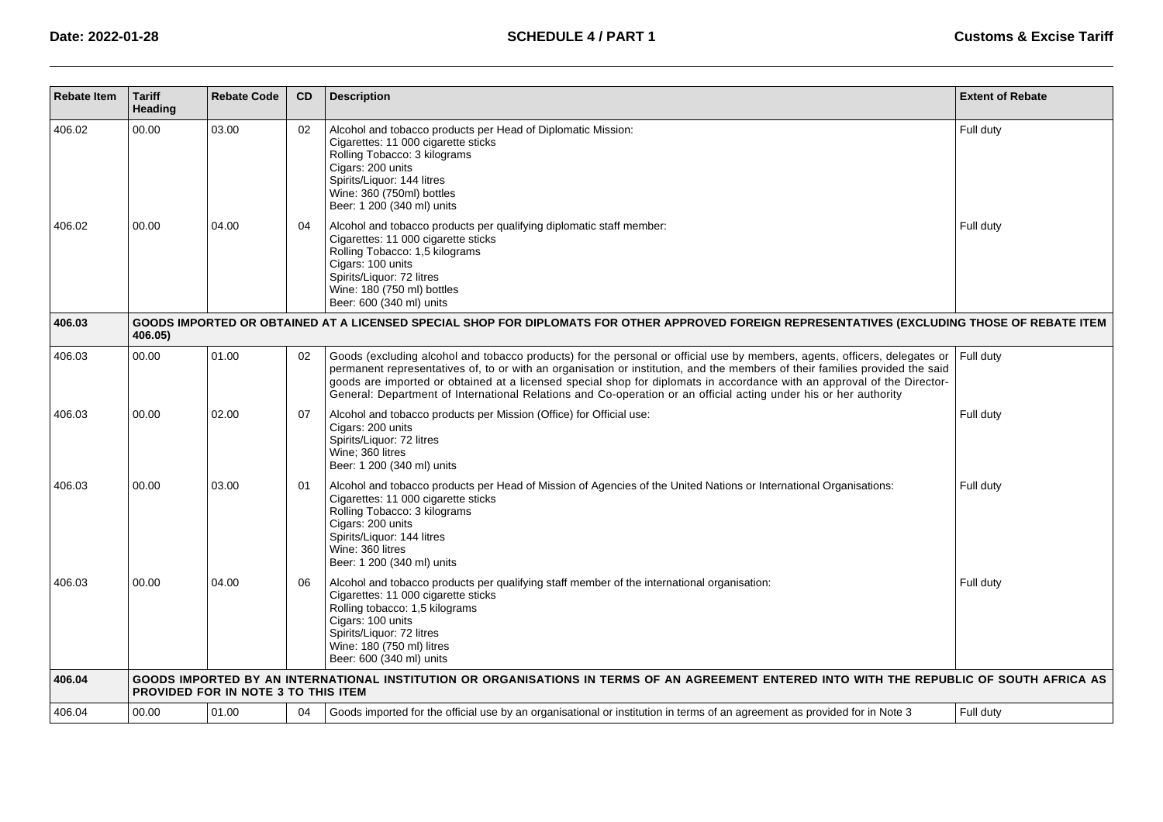| <b>Rebate Item</b> | <b>Tariff</b><br>Heading | <b>Rebate Code</b>                  | CD       | <b>Description</b>                                                                                                                                                                                                                                                                                                                                                                                                                                                                                        | <b>Extent of Rebate</b> |
|--------------------|--------------------------|-------------------------------------|----------|-----------------------------------------------------------------------------------------------------------------------------------------------------------------------------------------------------------------------------------------------------------------------------------------------------------------------------------------------------------------------------------------------------------------------------------------------------------------------------------------------------------|-------------------------|
| 406.02<br>406.02   | 00.00<br>00.00           | 03.00<br>04.00                      | 02<br>04 | Alcohol and tobacco products per Head of Diplomatic Mission:<br>Cigarettes: 11 000 cigarette sticks<br>Rolling Tobacco: 3 kilograms<br>Cigars: 200 units<br>Spirits/Liquor: 144 litres<br>Wine: 360 (750ml) bottles<br>Beer: 1 200 (340 ml) units<br>Alcohol and tobacco products per qualifying diplomatic staff member:                                                                                                                                                                                 | Full duty<br>Full duty  |
|                    |                          |                                     |          | Cigarettes: 11 000 cigarette sticks<br>Rolling Tobacco: 1,5 kilograms<br>Cigars: 100 units<br>Spirits/Liquor: 72 litres<br>Wine: 180 (750 ml) bottles<br>Beer: 600 (340 ml) units                                                                                                                                                                                                                                                                                                                         |                         |
| 406.03             | 406.05)                  |                                     |          | GOODS IMPORTED OR OBTAINED AT A LICENSED SPECIAL SHOP FOR DIPLOMATS FOR OTHER APPROVED FOREIGN REPRESENTATIVES (EXCLUDING THOSE OF REBATE ITEM                                                                                                                                                                                                                                                                                                                                                            |                         |
| 406.03             | 00.00                    | 01.00                               | 02       | Goods (excluding alcohol and tobacco products) for the personal or official use by members, agents, officers, delegates or<br>permanent representatives of, to or with an organisation or institution, and the members of their families provided the said<br>goods are imported or obtained at a licensed special shop for diplomats in accordance with an approval of the Director-<br>General: Department of International Relations and Co-operation or an official acting under his or her authority | Full duty               |
| 406.03             | 00.00                    | 02.00                               | 07       | Alcohol and tobacco products per Mission (Office) for Official use:<br>Cigars: 200 units<br>Spirits/Liquor: 72 litres<br>Wine; 360 litres<br>Beer: 1 200 (340 ml) units                                                                                                                                                                                                                                                                                                                                   | Full duty               |
| 406.03             | 00.00                    | 03.00                               | 01       | Alcohol and tobacco products per Head of Mission of Agencies of the United Nations or International Organisations:<br>Cigarettes: 11 000 cigarette sticks<br>Rolling Tobacco: 3 kilograms<br>Cigars: 200 units<br>Spirits/Liquor: 144 litres<br>Wine: 360 litres<br>Beer: 1 200 (340 ml) units                                                                                                                                                                                                            | Full duty               |
| 406.03             | 00.00                    | 04.00                               | 06       | Alcohol and tobacco products per qualifying staff member of the international organisation:<br>Cigarettes: 11 000 cigarette sticks<br>Rolling tobacco: 1,5 kilograms<br>Cigars: 100 units<br>Spirits/Liquor: 72 litres<br>Wine: 180 (750 ml) litres<br>Beer: 600 (340 ml) units                                                                                                                                                                                                                           | Full duty               |
| 406.04             |                          | PROVIDED FOR IN NOTE 3 TO THIS ITEM |          | GOODS IMPORTED BY AN INTERNATIONAL INSTITUTION OR ORGANISATIONS IN TERMS OF AN AGREEMENT ENTERED INTO WITH THE REPUBLIC OF SOUTH AFRICA AS                                                                                                                                                                                                                                                                                                                                                                |                         |
| 406.04             | 00.00                    | 01.00                               | 04       | Goods imported for the official use by an organisational or institution in terms of an agreement as provided for in Note 3                                                                                                                                                                                                                                                                                                                                                                                | Full duty               |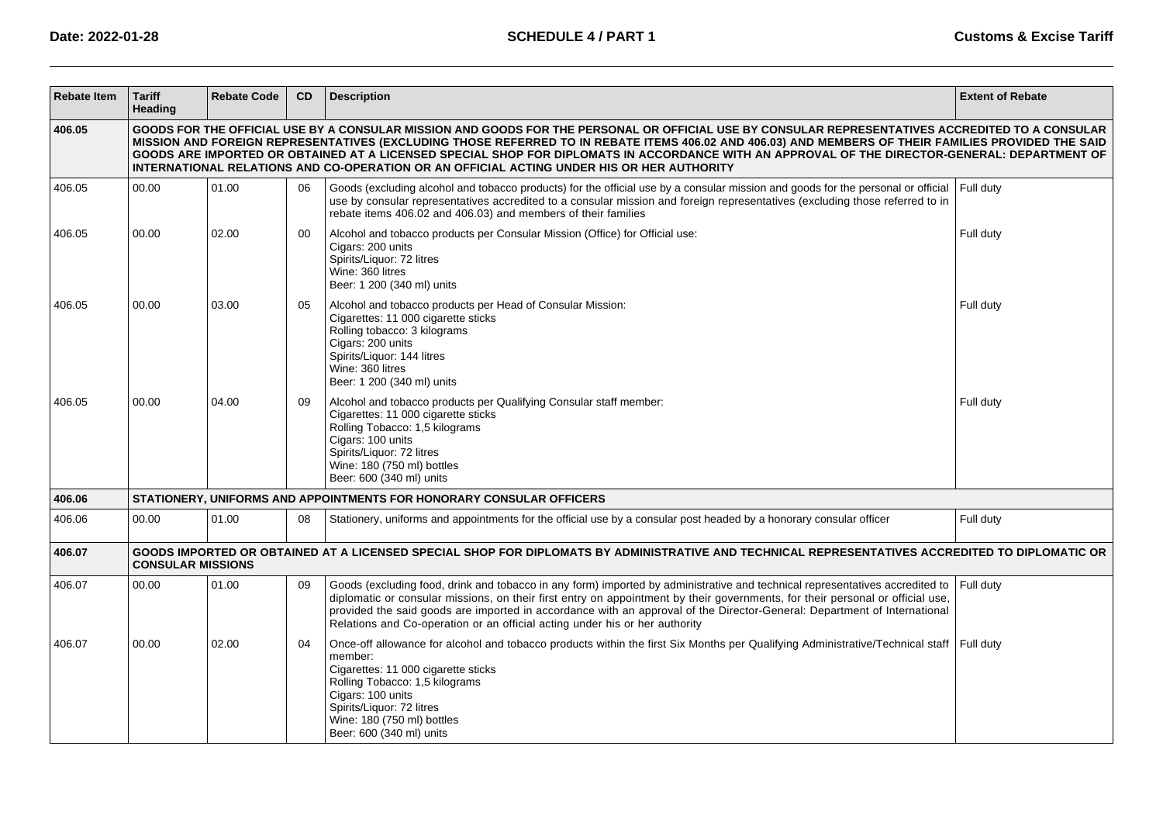| <b>Rebate Item</b> | <b>Tariff</b><br>Heading                                                                                                                                                                                                                                                                                                                                                                                                                                                                                                                              | <b>Rebate Code</b> | CD | <b>Description</b>                                                                                                                                                                                                                                                                                                                                                                                                                                                        | <b>Extent of Rebate</b> |  |  |  |  |  |
|--------------------|-------------------------------------------------------------------------------------------------------------------------------------------------------------------------------------------------------------------------------------------------------------------------------------------------------------------------------------------------------------------------------------------------------------------------------------------------------------------------------------------------------------------------------------------------------|--------------------|----|---------------------------------------------------------------------------------------------------------------------------------------------------------------------------------------------------------------------------------------------------------------------------------------------------------------------------------------------------------------------------------------------------------------------------------------------------------------------------|-------------------------|--|--|--|--|--|
| 406.05             | GOODS FOR THE OFFICIAL USE BY A CONSULAR MISSION AND GOODS FOR THE PERSONAL OR OFFICIAL USE BY CONSULAR REPRESENTATIVES ACCREDITED TO A CONSULAR<br>MISSION AND FOREIGN REPRESENTATIVES (EXCLUDING THOSE REFERRED TO IN REBATE ITEMS 406.02 AND 406.03) AND MEMBERS OF THEIR FAMILIES PROVIDED THE SAID<br>GOODS ARE IMPORTED OR OBTAINED AT A LICENSED SPECIAL SHOP FOR DIPLOMATS IN ACCORDANCE WITH AN APPROVAL OF THE DIRECTOR-GENERAL: DEPARTMENT OF<br>INTERNATIONAL RELATIONS AND CO-OPERATION OR AN OFFICIAL ACTING UNDER HIS OR HER AUTHORITY |                    |    |                                                                                                                                                                                                                                                                                                                                                                                                                                                                           |                         |  |  |  |  |  |
| 406.05             | 00.00                                                                                                                                                                                                                                                                                                                                                                                                                                                                                                                                                 | 01.00              | 06 | Goods (excluding alcohol and tobacco products) for the official use by a consular mission and goods for the personal or official<br>use by consular representatives accredited to a consular mission and foreign representatives (excluding those referred to in<br>rebate items 406.02 and 406.03) and members of their families                                                                                                                                         | Full duty               |  |  |  |  |  |
| 406.05             | 00.00                                                                                                                                                                                                                                                                                                                                                                                                                                                                                                                                                 | 02.00              | 00 | Alcohol and tobacco products per Consular Mission (Office) for Official use:<br>Cigars: 200 units<br>Spirits/Liquor: 72 litres<br>Wine: 360 litres<br>Beer: 1 200 (340 ml) units                                                                                                                                                                                                                                                                                          | Full duty               |  |  |  |  |  |
| 406.05             | 00.00                                                                                                                                                                                                                                                                                                                                                                                                                                                                                                                                                 | 03.00              | 05 | Alcohol and tobacco products per Head of Consular Mission:<br>Cigarettes: 11 000 cigarette sticks<br>Rolling tobacco: 3 kilograms<br>Cigars: 200 units<br>Spirits/Liquor: 144 litres<br>Wine: 360 litres<br>Beer: 1 200 (340 ml) units                                                                                                                                                                                                                                    | Full duty               |  |  |  |  |  |
| 406.05             | 00.00                                                                                                                                                                                                                                                                                                                                                                                                                                                                                                                                                 | 04.00              | 09 | Alcohol and tobacco products per Qualifying Consular staff member:<br>Cigarettes: 11 000 cigarette sticks<br>Rolling Tobacco: 1,5 kilograms<br>Cigars: 100 units<br>Spirits/Liquor: 72 litres<br>Wine: 180 (750 ml) bottles<br>Beer: 600 (340 ml) units                                                                                                                                                                                                                   | Full duty               |  |  |  |  |  |
| 406.06             |                                                                                                                                                                                                                                                                                                                                                                                                                                                                                                                                                       |                    |    | STATIONERY, UNIFORMS AND APPOINTMENTS FOR HONORARY CONSULAR OFFICERS                                                                                                                                                                                                                                                                                                                                                                                                      |                         |  |  |  |  |  |
| 406.06             | 00.00                                                                                                                                                                                                                                                                                                                                                                                                                                                                                                                                                 | 01.00              | 08 | Stationery, uniforms and appointments for the official use by a consular post headed by a honorary consular officer                                                                                                                                                                                                                                                                                                                                                       | Full duty               |  |  |  |  |  |
| 406.07             | <b>CONSULAR MISSIONS</b>                                                                                                                                                                                                                                                                                                                                                                                                                                                                                                                              |                    |    | GOODS IMPORTED OR OBTAINED AT A LICENSED SPECIAL SHOP FOR DIPLOMATS BY ADMINISTRATIVE AND TECHNICAL REPRESENTATIVES ACCREDITED TO DIPLOMATIC OR                                                                                                                                                                                                                                                                                                                           |                         |  |  |  |  |  |
| 406.07             | 00.00                                                                                                                                                                                                                                                                                                                                                                                                                                                                                                                                                 | 01.00              | 09 | Goods (excluding food, drink and tobacco in any form) imported by administrative and technical representatives accredited to<br>diplomatic or consular missions, on their first entry on appointment by their governments, for their personal or official use,<br>provided the said goods are imported in accordance with an approval of the Director-General: Department of International<br>Relations and Co-operation or an official acting under his or her authority | Full duty               |  |  |  |  |  |
| 406.07             | 00.00                                                                                                                                                                                                                                                                                                                                                                                                                                                                                                                                                 | 02.00              | 04 | Once-off allowance for alcohol and tobacco products within the first Six Months per Qualifying Administrative/Technical staff<br>member:<br>Cigarettes: 11 000 cigarette sticks<br>Rolling Tobacco: 1,5 kilograms<br>Cigars: 100 units<br>Spirits/Liquor: 72 litres<br>Wine: 180 (750 ml) bottles<br>Beer: 600 (340 ml) units                                                                                                                                             | Full duty               |  |  |  |  |  |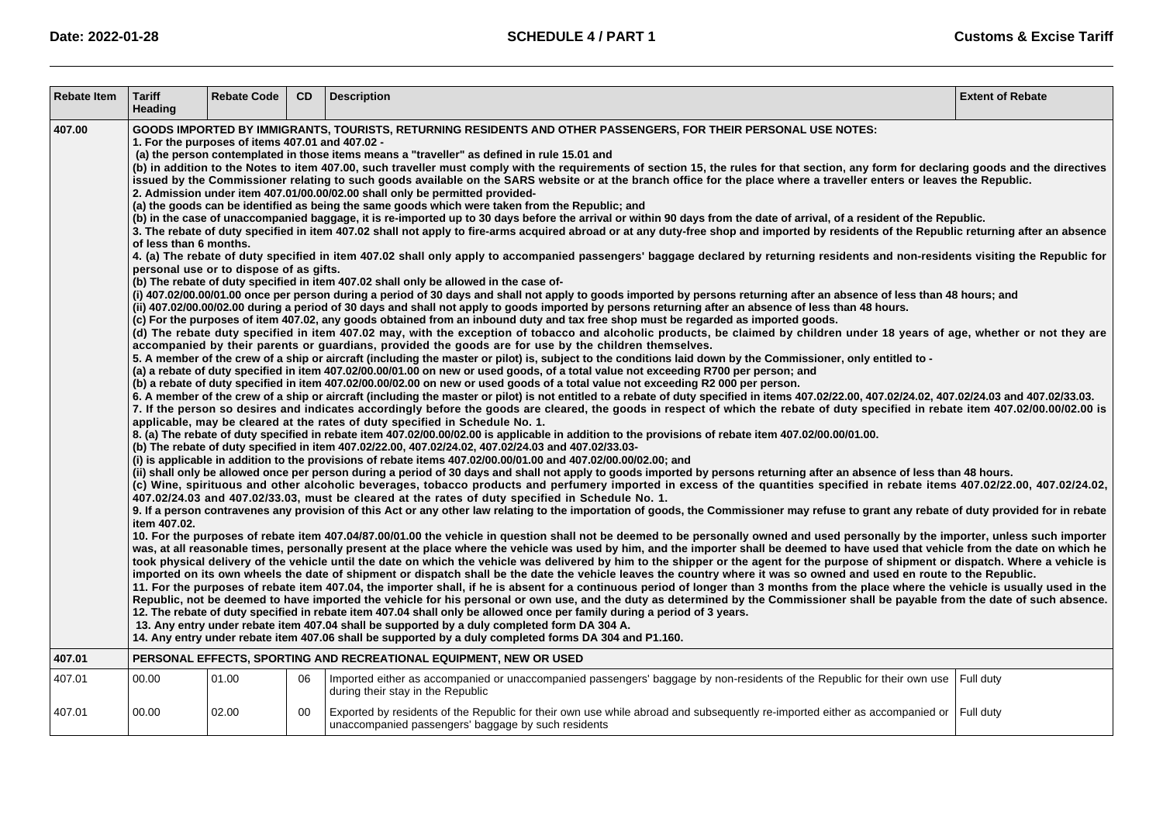| <b>Rebate Item</b> | <b>Tariff</b><br>Heading               | <b>Rebate Code</b>                                                                          | <b>CD</b> | <b>Description</b>                                                                                                                                                                                                                                                                                                                                                                                                                                                                                                                                                                                                                                                                                                                                                                                                                                                                                                                                                                                                                                                                                                                                                                                                                                                                                                                                                                                                                                                                                                                                                                                                                                                                                                                                                                                                                                                                                                                                                                                                                                                                                                                                                                                                                                                                                                                                                                                                                                                                                                                                                                                                                                                                                                                                                                                                                                                                                                                                                                                                                                                                                                                                                                                                                                                                                                                                                                                                                                                                                                                                                                                                                                                                                                                                                                                                                                                                                                                                                                                                                                                                                                                                                                                                                                                                                                                                                                                                                                                                                                                                                                                                                                                                                                                                                                                                                                                                                                                                                                                                                                                                                                                                                                                                                                                                                                                                                                                                                                                                                                                                                                                                                                | <b>Extent of Rebate</b> |
|--------------------|----------------------------------------|---------------------------------------------------------------------------------------------|-----------|---------------------------------------------------------------------------------------------------------------------------------------------------------------------------------------------------------------------------------------------------------------------------------------------------------------------------------------------------------------------------------------------------------------------------------------------------------------------------------------------------------------------------------------------------------------------------------------------------------------------------------------------------------------------------------------------------------------------------------------------------------------------------------------------------------------------------------------------------------------------------------------------------------------------------------------------------------------------------------------------------------------------------------------------------------------------------------------------------------------------------------------------------------------------------------------------------------------------------------------------------------------------------------------------------------------------------------------------------------------------------------------------------------------------------------------------------------------------------------------------------------------------------------------------------------------------------------------------------------------------------------------------------------------------------------------------------------------------------------------------------------------------------------------------------------------------------------------------------------------------------------------------------------------------------------------------------------------------------------------------------------------------------------------------------------------------------------------------------------------------------------------------------------------------------------------------------------------------------------------------------------------------------------------------------------------------------------------------------------------------------------------------------------------------------------------------------------------------------------------------------------------------------------------------------------------------------------------------------------------------------------------------------------------------------------------------------------------------------------------------------------------------------------------------------------------------------------------------------------------------------------------------------------------------------------------------------------------------------------------------------------------------------------------------------------------------------------------------------------------------------------------------------------------------------------------------------------------------------------------------------------------------------------------------------------------------------------------------------------------------------------------------------------------------------------------------------------------------------------------------------------------------------------------------------------------------------------------------------------------------------------------------------------------------------------------------------------------------------------------------------------------------------------------------------------------------------------------------------------------------------------------------------------------------------------------------------------------------------------------------------------------------------------------------------------------------------------------------------------------------------------------------------------------------------------------------------------------------------------------------------------------------------------------------------------------------------------------------------------------------------------------------------------------------------------------------------------------------------------------------------------------------------------------------------------------------------------------------------------------------------------------------------------------------------------------------------------------------------------------------------------------------------------------------------------------------------------------------------------------------------------------------------------------------------------------------------------------------------------------------------------------------------------------------------------------------------------------------------------------------------------------------------------------------------------------------------------------------------------------------------------------------------------------------------------------------------------------------------------------------------------------------------------------------------------------------------------------------------------------------------------------------------------------------------------------------------------------------------------------------------------------------------|-------------------------|
| 407.00             | of less than 6 months.<br>item 407.02. | 1. For the purposes of items 407.01 and 407.02 -<br>personal use or to dispose of as gifts. |           | GOODS IMPORTED BY IMMIGRANTS, TOURISTS, RETURNING RESIDENTS AND OTHER PASSENGERS, FOR THEIR PERSONAL USE NOTES:<br>(a) the person contemplated in those items means a "traveller" as defined in rule 15.01 and<br>(b) in addition to the Notes to item 407.00, such traveller must comply with the requirements of section 15, the rules for that section, any form for declaring goods and the directives<br>issued by the Commissioner relating to such goods available on the SARS website or at the branch office for the place where a traveller enters or leaves the Republic.<br>2. Admission under item 407.01/00.00/02.00 shall only be permitted provided-<br>(a) the goods can be identified as being the same goods which were taken from the Republic; and<br>(b) in the case of unaccompanied baggage, it is re-imported up to 30 days before the arrival or within 90 days from the date of arrival, of a resident of the Republic.<br>3. The rebate of duty specified in item 407.02 shall not apply to fire-arms acquired abroad or at any duty-free shop and imported by residents of the Republic returning after an absence<br>4. (a) The rebate of duty specified in item 407.02 shall only apply to accompanied passengers' baggage declared by returning residents and non-residents visiting the Republic for<br>(b) The rebate of duty specified in item 407.02 shall only be allowed in the case of-<br>(i) 407.02/00.00/01.00 once per person during a period of 30 days and shall not apply to goods imported by persons returning after an absence of less than 48 hours; and<br>(ii) 407.02/00.00/02.00 during a period of 30 days and shall not apply to goods imported by persons returning after an absence of less than 48 hours.<br>(c) For the purposes of item 407.02, any goods obtained from an inbound duty and tax free shop must be regarded as imported goods.<br>(d) The rebate duty specified in item 407.02 may, with the exception of tobacco and alcoholic products, be claimed by children under 18 years of age, whether or not they are<br>accompanied by their parents or guardians, provided the goods are for use by the children themselves.<br>5. A member of the crew of a ship or aircraft (including the master or pilot) is, subject to the conditions laid down by the Commissioner, only entitled to -<br>(a) a rebate of duty specified in item 407.02/00.00/01.00 on new or used goods, of a total value not exceeding R700 per person; and<br>(b) a rebate of duty specified in item 407.02/00.00/02.00 on new or used goods of a total value not exceeding R2 000 per person.<br>6. A member of the crew of a ship or aircraft (including the master or pilot) is not entitled to a rebate of duty specified in items 407.02/22.00, 407.02/24.02, 407.02/24.03 and 407.02/33.03.<br>7. If the person so desires and indicates accordingly before the goods are cleared, the goods in respect of which the rebate of duty specified in rebate item 407.02/00.00/02.00 is<br>applicable, may be cleared at the rates of duty specified in Schedule No. 1.<br>8. (a) The rebate of duty specified in rebate item 407.02/00.00/02.00 is applicable in addition to the provisions of rebate item 407.02/00.00/01.00.<br>(b) The rebate of duty specified in item 407.02/22.00, 407.02/24.02, 407.02/24.03 and 407.02/33.03-<br>(i) is applicable in addition to the provisions of rebate items 407.02/00.00/01.00 and 407.02/00.00/02.00; and<br>(ii) shall only be allowed once per person during a period of 30 days and shall not apply to goods imported by persons returning after an absence of less than 48 hours.<br>(c) Wine, spirituous and other alcoholic beverages, tobacco products and perfumery imported in excess of the quantities specified in rebate items 407.02/22.00, 407.02/24.02,<br>407.02/24.03 and 407.02/33.03, must be cleared at the rates of duty specified in Schedule No. 1.<br>9. If a person contravenes any provision of this Act or any other law relating to the importation of goods, the Commissioner may refuse to grant any rebate of duty provided for in rebate<br>10. For the purposes of rebate item 407.04/87.00/01.00 the vehicle in question shall not be deemed to be personally owned and used personally by the importer, unless such importer<br>was, at all reasonable times, personally present at the place where the vehicle was used by him, and the importer shall be deemed to have used that vehicle from the date on which he<br>took physical delivery of the vehicle until the date on which the vehicle was delivered by him to the shipper or the agent for the purpose of shipment or dispatch. Where a vehicle is<br>imported on its own wheels the date of shipment or dispatch shall be the date the vehicle leaves the country where it was so owned and used en route to the Republic.<br>11. For the purposes of rebate item 407.04, the importer shall, if he is absent for a continuous period of longer than 3 months from the place where the vehicle is usually used in the<br>Republic, not be deemed to have imported the vehicle for his personal or own use, and the duty as determined by the Commissioner shall be payable from the date of such absence.<br>12. The rebate of duty specified in rebate item 407.04 shall only be allowed once per family during a period of 3 years.<br>13. Any entry under rebate item 407.04 shall be supported by a duly completed form DA 304 A.<br>14. Any entry under rebate item 407.06 shall be supported by a duly completed forms DA 304 and P1.160. |                         |
| 407.01             |                                        |                                                                                             |           | PERSONAL EFFECTS, SPORTING AND RECREATIONAL EQUIPMENT, NEW OR USED                                                                                                                                                                                                                                                                                                                                                                                                                                                                                                                                                                                                                                                                                                                                                                                                                                                                                                                                                                                                                                                                                                                                                                                                                                                                                                                                                                                                                                                                                                                                                                                                                                                                                                                                                                                                                                                                                                                                                                                                                                                                                                                                                                                                                                                                                                                                                                                                                                                                                                                                                                                                                                                                                                                                                                                                                                                                                                                                                                                                                                                                                                                                                                                                                                                                                                                                                                                                                                                                                                                                                                                                                                                                                                                                                                                                                                                                                                                                                                                                                                                                                                                                                                                                                                                                                                                                                                                                                                                                                                                                                                                                                                                                                                                                                                                                                                                                                                                                                                                                                                                                                                                                                                                                                                                                                                                                                                                                                                                                                                                                                                                |                         |
| 407.01             | 00.00                                  | 01.00                                                                                       | 06        | Imported either as accompanied or unaccompanied passengers' baggage by non-residents of the Republic for their own use<br>during their stay in the Republic                                                                                                                                                                                                                                                                                                                                                                                                                                                                                                                                                                                                                                                                                                                                                                                                                                                                                                                                                                                                                                                                                                                                                                                                                                                                                                                                                                                                                                                                                                                                                                                                                                                                                                                                                                                                                                                                                                                                                                                                                                                                                                                                                                                                                                                                                                                                                                                                                                                                                                                                                                                                                                                                                                                                                                                                                                                                                                                                                                                                                                                                                                                                                                                                                                                                                                                                                                                                                                                                                                                                                                                                                                                                                                                                                                                                                                                                                                                                                                                                                                                                                                                                                                                                                                                                                                                                                                                                                                                                                                                                                                                                                                                                                                                                                                                                                                                                                                                                                                                                                                                                                                                                                                                                                                                                                                                                                                                                                                                                                       | Full duty               |
| 407.01             | 00.00                                  | 02.00                                                                                       | $00\,$    | Exported by residents of the Republic for their own use while abroad and subsequently re-imported either as accompanied or<br>unaccompanied passengers' baggage by such residents                                                                                                                                                                                                                                                                                                                                                                                                                                                                                                                                                                                                                                                                                                                                                                                                                                                                                                                                                                                                                                                                                                                                                                                                                                                                                                                                                                                                                                                                                                                                                                                                                                                                                                                                                                                                                                                                                                                                                                                                                                                                                                                                                                                                                                                                                                                                                                                                                                                                                                                                                                                                                                                                                                                                                                                                                                                                                                                                                                                                                                                                                                                                                                                                                                                                                                                                                                                                                                                                                                                                                                                                                                                                                                                                                                                                                                                                                                                                                                                                                                                                                                                                                                                                                                                                                                                                                                                                                                                                                                                                                                                                                                                                                                                                                                                                                                                                                                                                                                                                                                                                                                                                                                                                                                                                                                                                                                                                                                                                 | Full duty               |
|                    |                                        |                                                                                             |           |                                                                                                                                                                                                                                                                                                                                                                                                                                                                                                                                                                                                                                                                                                                                                                                                                                                                                                                                                                                                                                                                                                                                                                                                                                                                                                                                                                                                                                                                                                                                                                                                                                                                                                                                                                                                                                                                                                                                                                                                                                                                                                                                                                                                                                                                                                                                                                                                                                                                                                                                                                                                                                                                                                                                                                                                                                                                                                                                                                                                                                                                                                                                                                                                                                                                                                                                                                                                                                                                                                                                                                                                                                                                                                                                                                                                                                                                                                                                                                                                                                                                                                                                                                                                                                                                                                                                                                                                                                                                                                                                                                                                                                                                                                                                                                                                                                                                                                                                                                                                                                                                                                                                                                                                                                                                                                                                                                                                                                                                                                                                                                                                                                                   |                         |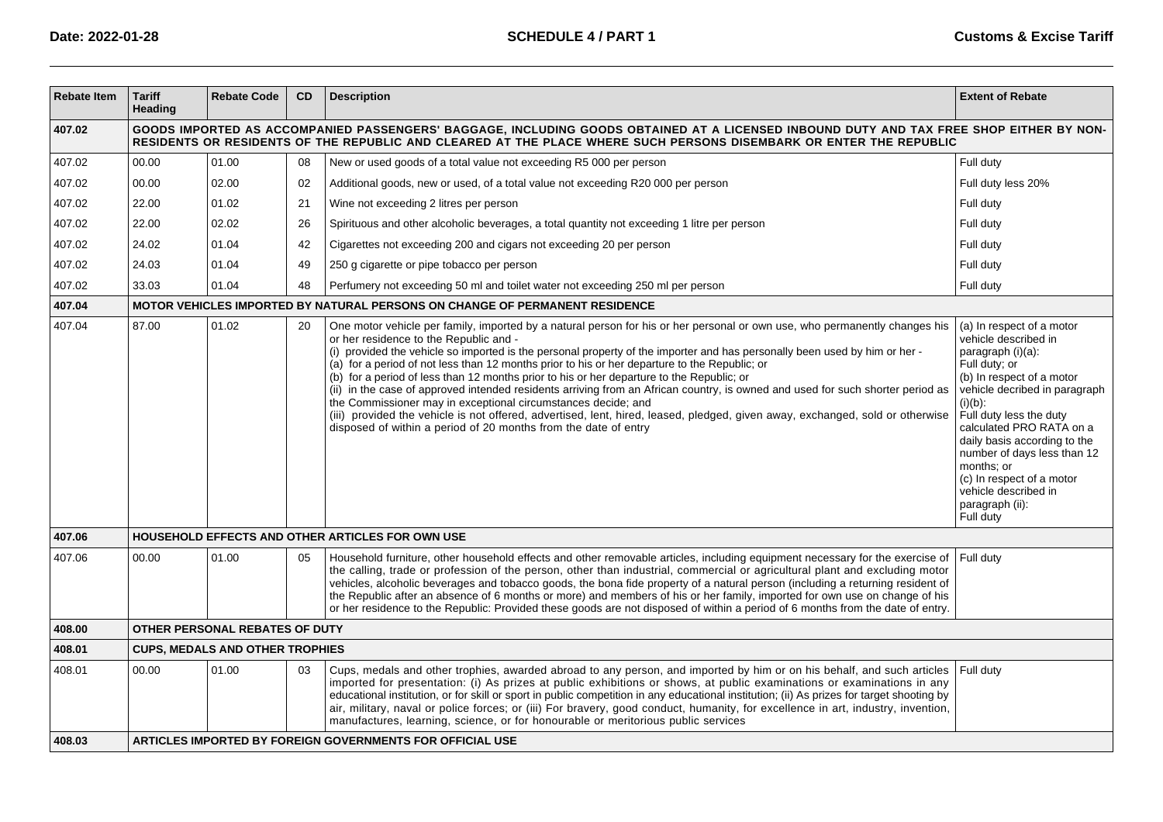| <b>Rebate Item</b> | <b>Tariff</b><br>Heading                                                                                                                                                                                                                                      | <b>Rebate Code</b>                     | <b>CD</b> | <b>Description</b>                                                                                                                                                                                                                                                                                                                                                                                                                                                                                                                                                                                                                                                                                                                                                                                                                                                                                      | <b>Extent of Rebate</b>                                                                                                                                                                                                                                                                                                                                                                      |  |  |  |  |  |
|--------------------|---------------------------------------------------------------------------------------------------------------------------------------------------------------------------------------------------------------------------------------------------------------|----------------------------------------|-----------|---------------------------------------------------------------------------------------------------------------------------------------------------------------------------------------------------------------------------------------------------------------------------------------------------------------------------------------------------------------------------------------------------------------------------------------------------------------------------------------------------------------------------------------------------------------------------------------------------------------------------------------------------------------------------------------------------------------------------------------------------------------------------------------------------------------------------------------------------------------------------------------------------------|----------------------------------------------------------------------------------------------------------------------------------------------------------------------------------------------------------------------------------------------------------------------------------------------------------------------------------------------------------------------------------------------|--|--|--|--|--|
| 407.02             | GOODS IMPORTED AS ACCOMPANIED PASSENGERS' BAGGAGE, INCLUDING GOODS OBTAINED AT A LICENSED INBOUND DUTY AND TAX FREE SHOP EITHER BY NON-<br>RESIDENTS OR RESIDENTS OF THE REPUBLIC AND CLEARED AT THE PLACE WHERE SUCH PERSONS DISEMBARK OR ENTER THE REPUBLIC |                                        |           |                                                                                                                                                                                                                                                                                                                                                                                                                                                                                                                                                                                                                                                                                                                                                                                                                                                                                                         |                                                                                                                                                                                                                                                                                                                                                                                              |  |  |  |  |  |
| 407.02             | 00.00                                                                                                                                                                                                                                                         | 01.00                                  | 08        | New or used goods of a total value not exceeding R5 000 per person                                                                                                                                                                                                                                                                                                                                                                                                                                                                                                                                                                                                                                                                                                                                                                                                                                      | Full duty                                                                                                                                                                                                                                                                                                                                                                                    |  |  |  |  |  |
| 407.02             | 00.00                                                                                                                                                                                                                                                         | 02.00                                  | 02        | Additional goods, new or used, of a total value not exceeding R20 000 per person                                                                                                                                                                                                                                                                                                                                                                                                                                                                                                                                                                                                                                                                                                                                                                                                                        | Full duty less 20%                                                                                                                                                                                                                                                                                                                                                                           |  |  |  |  |  |
| 407.02             | 22.00                                                                                                                                                                                                                                                         | 01.02                                  | 21        | Wine not exceeding 2 litres per person                                                                                                                                                                                                                                                                                                                                                                                                                                                                                                                                                                                                                                                                                                                                                                                                                                                                  | Full duty                                                                                                                                                                                                                                                                                                                                                                                    |  |  |  |  |  |
| 407.02             | 22.00                                                                                                                                                                                                                                                         | 02.02                                  | 26        | Spirituous and other alcoholic beverages, a total quantity not exceeding 1 litre per person                                                                                                                                                                                                                                                                                                                                                                                                                                                                                                                                                                                                                                                                                                                                                                                                             | Full duty                                                                                                                                                                                                                                                                                                                                                                                    |  |  |  |  |  |
| 407.02             | 24.02                                                                                                                                                                                                                                                         | 01.04                                  | 42        | Cigarettes not exceeding 200 and cigars not exceeding 20 per person                                                                                                                                                                                                                                                                                                                                                                                                                                                                                                                                                                                                                                                                                                                                                                                                                                     | Full duty                                                                                                                                                                                                                                                                                                                                                                                    |  |  |  |  |  |
| 407.02             | 24.03                                                                                                                                                                                                                                                         | 01.04                                  | 49        | 250 g cigarette or pipe tobacco per person                                                                                                                                                                                                                                                                                                                                                                                                                                                                                                                                                                                                                                                                                                                                                                                                                                                              | Full duty                                                                                                                                                                                                                                                                                                                                                                                    |  |  |  |  |  |
| 407.02             | 33.03                                                                                                                                                                                                                                                         | 01.04                                  | 48        | Perfumery not exceeding 50 ml and toilet water not exceeding 250 ml per person                                                                                                                                                                                                                                                                                                                                                                                                                                                                                                                                                                                                                                                                                                                                                                                                                          | Full duty                                                                                                                                                                                                                                                                                                                                                                                    |  |  |  |  |  |
| 407.04             |                                                                                                                                                                                                                                                               |                                        |           | <b>MOTOR VEHICLES IMPORTED BY NATURAL PERSONS ON CHANGE OF PERMANENT RESIDENCE</b>                                                                                                                                                                                                                                                                                                                                                                                                                                                                                                                                                                                                                                                                                                                                                                                                                      |                                                                                                                                                                                                                                                                                                                                                                                              |  |  |  |  |  |
| 407.04             | 87.00                                                                                                                                                                                                                                                         | 01.02                                  | 20        | One motor vehicle per family, imported by a natural person for his or her personal or own use, who permanently changes his<br>or her residence to the Republic and -<br>(i) provided the vehicle so imported is the personal property of the importer and has personally been used by him or her -<br>(a) for a period of not less than 12 months prior to his or her departure to the Republic; or<br>(b) for a period of less than 12 months prior to his or her departure to the Republic; or<br>(ii) in the case of approved intended residents arriving from an African country, is owned and used for such shorter period as<br>the Commissioner may in exceptional circumstances decide; and<br>(iii) provided the vehicle is not offered, advertised, lent, hired, leased, pledged, given away, exchanged, sold or otherwise<br>disposed of within a period of 20 months from the date of entry | (a) In respect of a motor<br>vehicle described in<br>paragraph (i)(a):<br>Full duty; or<br>(b) In respect of a motor<br>vehicle decribed in paragraph<br>$(i)(b)$ :<br>Full duty less the duty<br>calculated PRO RATA on a<br>daily basis according to the<br>number of days less than 12<br>months; or<br>(c) In respect of a motor<br>vehicle described in<br>paragraph (ii):<br>Full duty |  |  |  |  |  |
| 407.06             |                                                                                                                                                                                                                                                               |                                        |           | HOUSEHOLD EFFECTS AND OTHER ARTICLES FOR OWN USE                                                                                                                                                                                                                                                                                                                                                                                                                                                                                                                                                                                                                                                                                                                                                                                                                                                        |                                                                                                                                                                                                                                                                                                                                                                                              |  |  |  |  |  |
| 407.06             | 00.00                                                                                                                                                                                                                                                         | 01.00                                  | 05        | Household furniture, other household effects and other removable articles, including equipment necessary for the exercise of<br>the calling, trade or profession of the person, other than industrial, commercial or agricultural plant and excluding motor<br>vehicles, alcoholic beverages and tobacco goods, the bona fide property of a natural person (including a returning resident of<br>the Republic after an absence of 6 months or more) and members of his or her family, imported for own use on change of his<br>or her residence to the Republic: Provided these goods are not disposed of within a period of 6 months from the date of entry.                                                                                                                                                                                                                                           | Full dutv                                                                                                                                                                                                                                                                                                                                                                                    |  |  |  |  |  |
| 408.00             |                                                                                                                                                                                                                                                               | OTHER PERSONAL REBATES OF DUTY         |           |                                                                                                                                                                                                                                                                                                                                                                                                                                                                                                                                                                                                                                                                                                                                                                                                                                                                                                         |                                                                                                                                                                                                                                                                                                                                                                                              |  |  |  |  |  |
| 408.01             |                                                                                                                                                                                                                                                               | <b>CUPS, MEDALS AND OTHER TROPHIES</b> |           |                                                                                                                                                                                                                                                                                                                                                                                                                                                                                                                                                                                                                                                                                                                                                                                                                                                                                                         |                                                                                                                                                                                                                                                                                                                                                                                              |  |  |  |  |  |
| 408.01             | 00.00                                                                                                                                                                                                                                                         | 01.00                                  | 03        | Cups, medals and other trophies, awarded abroad to any person, and imported by him or on his behalf, and such articles<br>imported for presentation: (i) As prizes at public exhibitions or shows, at public examinations or examinations in any<br>educational institution, or for skill or sport in public competition in any educational institution; (ii) As prizes for target shooting by<br>air, military, naval or police forces; or (iii) For bravery, good conduct, humanity, for excellence in art, industry, invention,<br>manufactures, learning, science, or for honourable or meritorious public services                                                                                                                                                                                                                                                                                 | Full duty                                                                                                                                                                                                                                                                                                                                                                                    |  |  |  |  |  |
| 408.03             |                                                                                                                                                                                                                                                               |                                        |           | ARTICLES IMPORTED BY FOREIGN GOVERNMENTS FOR OFFICIAL USE                                                                                                                                                                                                                                                                                                                                                                                                                                                                                                                                                                                                                                                                                                                                                                                                                                               |                                                                                                                                                                                                                                                                                                                                                                                              |  |  |  |  |  |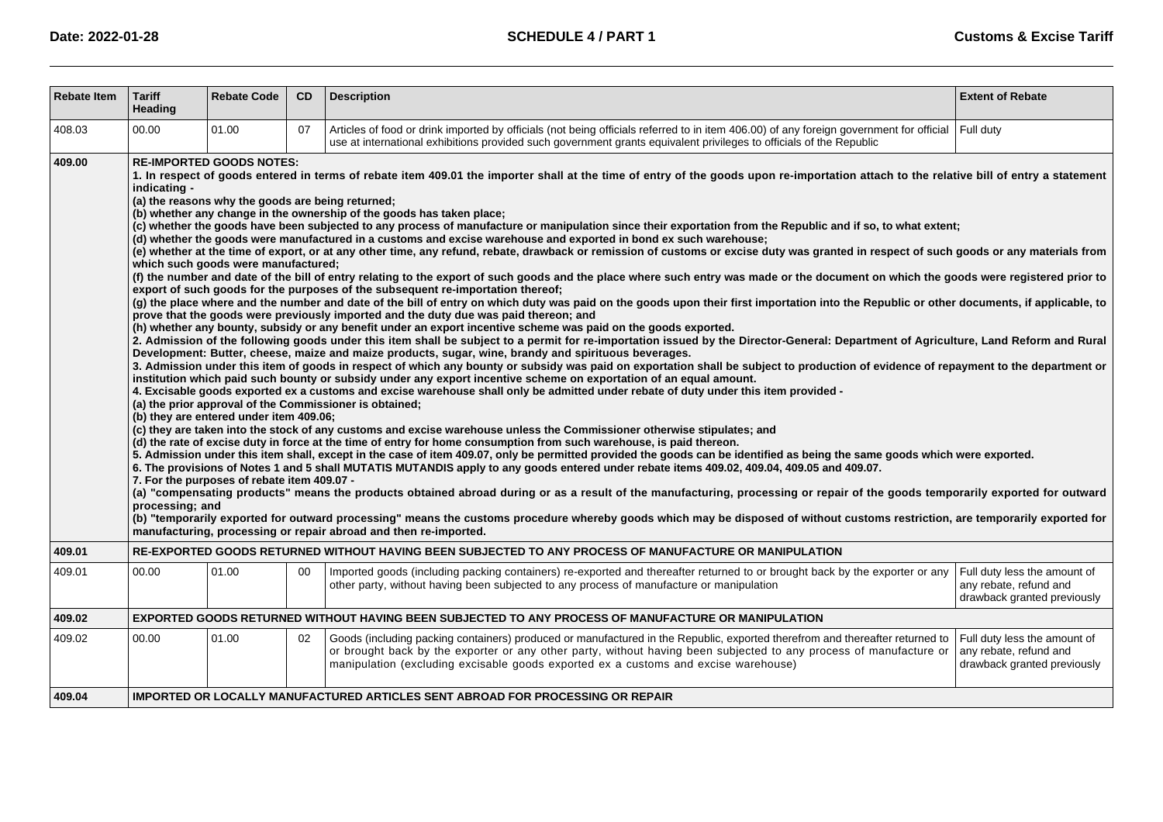| <b>Rebate Item</b> | <b>Tariff</b><br>Heading                                                              | <b>Rebate Code</b>                                                                                                                                                                                                    | CD | <b>Description</b>                                                                                                                                                                                                                                                                                                                                                                                                                                                                                                                                                                                                                                                                                                                                                                                                                                                                                                                                                                                                                                                                                                                                                                                                                                                                                                                                                                                                                                                                                                                                                                                                                                                                                                                                                                                                                                                                                                                                                                                                                                                                                                                                                                                                                                                                                                                                                                                                                                                                                                                                                                                                                                                                                                                                                                                                                                                                                                                                                                                                                                                                                                                                                                                                                                                          | <b>Extent of Rebate</b>                                                               |  |
|--------------------|---------------------------------------------------------------------------------------|-----------------------------------------------------------------------------------------------------------------------------------------------------------------------------------------------------------------------|----|-----------------------------------------------------------------------------------------------------------------------------------------------------------------------------------------------------------------------------------------------------------------------------------------------------------------------------------------------------------------------------------------------------------------------------------------------------------------------------------------------------------------------------------------------------------------------------------------------------------------------------------------------------------------------------------------------------------------------------------------------------------------------------------------------------------------------------------------------------------------------------------------------------------------------------------------------------------------------------------------------------------------------------------------------------------------------------------------------------------------------------------------------------------------------------------------------------------------------------------------------------------------------------------------------------------------------------------------------------------------------------------------------------------------------------------------------------------------------------------------------------------------------------------------------------------------------------------------------------------------------------------------------------------------------------------------------------------------------------------------------------------------------------------------------------------------------------------------------------------------------------------------------------------------------------------------------------------------------------------------------------------------------------------------------------------------------------------------------------------------------------------------------------------------------------------------------------------------------------------------------------------------------------------------------------------------------------------------------------------------------------------------------------------------------------------------------------------------------------------------------------------------------------------------------------------------------------------------------------------------------------------------------------------------------------------------------------------------------------------------------------------------------------------------------------------------------------------------------------------------------------------------------------------------------------------------------------------------------------------------------------------------------------------------------------------------------------------------------------------------------------------------------------------------------------------------------------------------------------------------------------------------------------|---------------------------------------------------------------------------------------|--|
| 408.03             | 00.00                                                                                 | 01.00                                                                                                                                                                                                                 | 07 | Articles of food or drink imported by officials (not being officials referred to in item 406.00) of any foreign government for official<br>use at international exhibitions provided such government grants equivalent privileges to officials of the Republic                                                                                                                                                                                                                                                                                                                                                                                                                                                                                                                                                                                                                                                                                                                                                                                                                                                                                                                                                                                                                                                                                                                                                                                                                                                                                                                                                                                                                                                                                                                                                                                                                                                                                                                                                                                                                                                                                                                                                                                                                                                                                                                                                                                                                                                                                                                                                                                                                                                                                                                                                                                                                                                                                                                                                                                                                                                                                                                                                                                                              | Full duty                                                                             |  |
| 409.00             | indicating -<br>processing; and                                                       | <b>RE-IMPORTED GOODS NOTES:</b><br>(a) the reasons why the goods are being returned;<br>which such goods were manufactured;<br>(b) they are entered under item 409.06;<br>7. For the purposes of rebate item 409.07 - |    | 1. In respect of goods entered in terms of rebate item 409.01 the importer shall at the time of entry of the goods upon re-importation attach to the relative bill of entry a statement<br>(b) whether any change in the ownership of the goods has taken place;<br>(c) whether the goods have been subjected to any process of manufacture or manipulation since their exportation from the Republic and if so, to what extent;<br>(d) whether the goods were manufactured in a customs and excise warehouse and exported in bond ex such warehouse;<br>(e) whether at the time of export, or at any other time, any refund, rebate, drawback or remission of customs or excise duty was granted in respect of such goods or any materials from<br>(f) the number and date of the bill of entry relating to the export of such goods and the place where such entry was made or the document on which the goods were registered prior to<br>export of such goods for the purposes of the subsequent re-importation thereof;<br>(g) the place where and the number and date of the bill of entry on which duty was paid on the goods upon their first importation into the Republic or other documents, if applicable, to<br>prove that the goods were previously imported and the duty due was paid thereon; and<br>(h) whether any bounty, subsidy or any benefit under an export incentive scheme was paid on the goods exported.<br>2. Admission of the following goods under this item shall be subject to a permit for re-importation issued by the Director-General: Department of Agriculture, Land Reform and Rural<br>Development: Butter, cheese, maize and maize products, sugar, wine, brandy and spirituous beverages.<br>3. Admission under this item of goods in respect of which any bounty or subsidy was paid on exportation shall be subject to production of evidence of repayment to the department or<br>institution which paid such bounty or subsidy under any export incentive scheme on exportation of an equal amount.<br>4. Excisable goods exported ex a customs and excise warehouse shall only be admitted under rebate of duty under this item provided -<br>(a) the prior approval of the Commissioner is obtained;<br>(c) they are taken into the stock of any customs and excise warehouse unless the Commissioner otherwise stipulates; and<br>(d) the rate of excise duty in force at the time of entry for home consumption from such warehouse, is paid thereon.<br>5. Admission under this item shall, except in the case of item 409.07, only be permitted provided the goods can be identified as being the same goods which were exported.<br>6. The provisions of Notes 1 and 5 shall MUTATIS MUTANDIS apply to any goods entered under rebate items 409.02, 409.04, 409.05 and 409.07.<br>(a) "compensating products" means the products obtained abroad during or as a result of the manufacturing, processing or repair of the goods temporarily exported for outward<br>(b) "temporarily exported for outward processing" means the customs procedure whereby goods which may be disposed of without customs restriction, are temporarily exported for<br>manufacturing, processing or repair abroad and then re-imported. |                                                                                       |  |
| 409.01             |                                                                                       |                                                                                                                                                                                                                       |    | RE-EXPORTED GOODS RETURNED WITHOUT HAVING BEEN SUBJECTED TO ANY PROCESS OF MANUFACTURE OR MANIPULATION                                                                                                                                                                                                                                                                                                                                                                                                                                                                                                                                                                                                                                                                                                                                                                                                                                                                                                                                                                                                                                                                                                                                                                                                                                                                                                                                                                                                                                                                                                                                                                                                                                                                                                                                                                                                                                                                                                                                                                                                                                                                                                                                                                                                                                                                                                                                                                                                                                                                                                                                                                                                                                                                                                                                                                                                                                                                                                                                                                                                                                                                                                                                                                      |                                                                                       |  |
| 409.01             | 00.00                                                                                 | 01.00                                                                                                                                                                                                                 | 00 | Imported goods (including packing containers) re-exported and thereafter returned to or brought back by the exporter or any<br>other party, without having been subjected to any process of manufacture or manipulation                                                                                                                                                                                                                                                                                                                                                                                                                                                                                                                                                                                                                                                                                                                                                                                                                                                                                                                                                                                                                                                                                                                                                                                                                                                                                                                                                                                                                                                                                                                                                                                                                                                                                                                                                                                                                                                                                                                                                                                                                                                                                                                                                                                                                                                                                                                                                                                                                                                                                                                                                                                                                                                                                                                                                                                                                                                                                                                                                                                                                                                     | Full duty less the amount of<br>any rebate, refund and<br>drawback granted previously |  |
| 409.02             |                                                                                       |                                                                                                                                                                                                                       |    | EXPORTED GOODS RETURNED WITHOUT HAVING BEEN SUBJECTED TO ANY PROCESS OF MANUFACTURE OR MANIPULATION                                                                                                                                                                                                                                                                                                                                                                                                                                                                                                                                                                                                                                                                                                                                                                                                                                                                                                                                                                                                                                                                                                                                                                                                                                                                                                                                                                                                                                                                                                                                                                                                                                                                                                                                                                                                                                                                                                                                                                                                                                                                                                                                                                                                                                                                                                                                                                                                                                                                                                                                                                                                                                                                                                                                                                                                                                                                                                                                                                                                                                                                                                                                                                         |                                                                                       |  |
| 409.02             | 00.00                                                                                 | 01.00                                                                                                                                                                                                                 | 02 | Goods (including packing containers) produced or manufactured in the Republic, exported therefrom and thereafter returned to<br>or brought back by the exporter or any other party, without having been subjected to any process of manufacture or<br>manipulation (excluding excisable goods exported ex a customs and excise warehouse)                                                                                                                                                                                                                                                                                                                                                                                                                                                                                                                                                                                                                                                                                                                                                                                                                                                                                                                                                                                                                                                                                                                                                                                                                                                                                                                                                                                                                                                                                                                                                                                                                                                                                                                                                                                                                                                                                                                                                                                                                                                                                                                                                                                                                                                                                                                                                                                                                                                                                                                                                                                                                                                                                                                                                                                                                                                                                                                                   | Full duty less the amount of<br>any rebate, refund and<br>drawback granted previously |  |
| 409.04             | <b>IMPORTED OR LOCALLY MANUFACTURED ARTICLES SENT ABROAD FOR PROCESSING OR REPAIR</b> |                                                                                                                                                                                                                       |    |                                                                                                                                                                                                                                                                                                                                                                                                                                                                                                                                                                                                                                                                                                                                                                                                                                                                                                                                                                                                                                                                                                                                                                                                                                                                                                                                                                                                                                                                                                                                                                                                                                                                                                                                                                                                                                                                                                                                                                                                                                                                                                                                                                                                                                                                                                                                                                                                                                                                                                                                                                                                                                                                                                                                                                                                                                                                                                                                                                                                                                                                                                                                                                                                                                                                             |                                                                                       |  |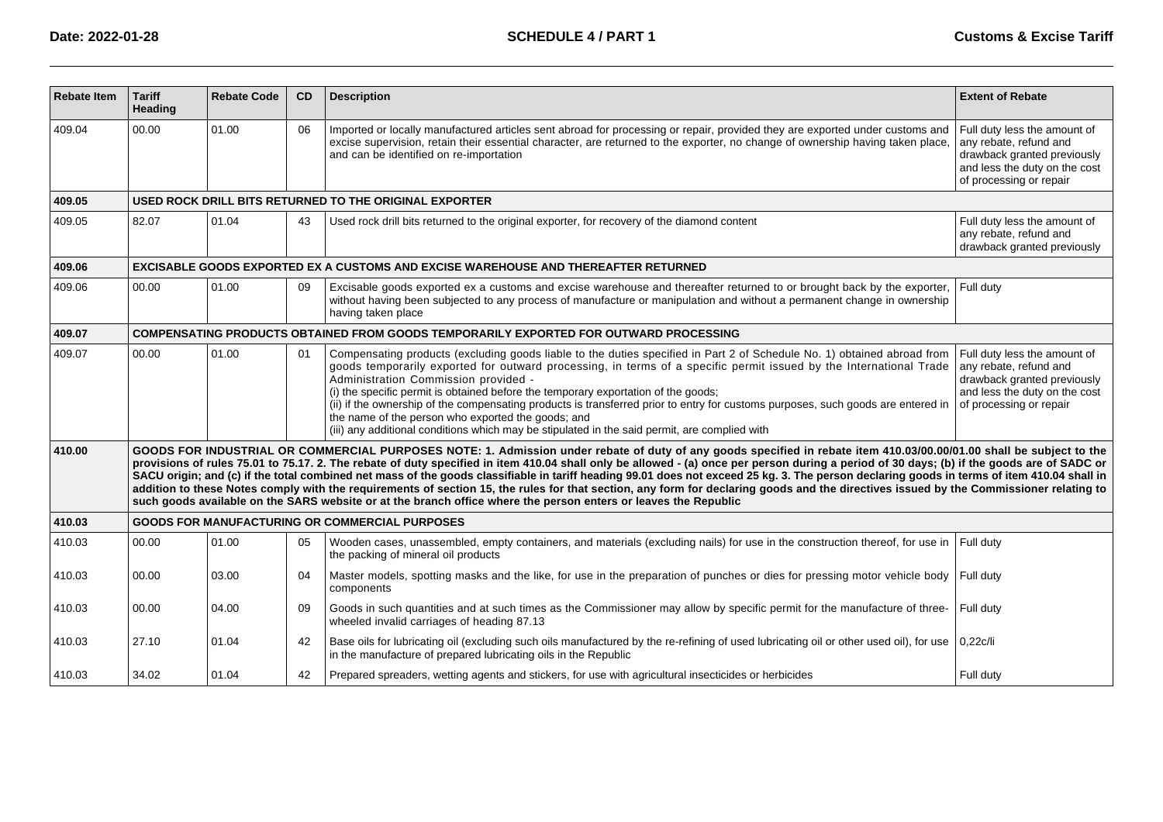| <b>Rebate Item</b> | <b>Tariff</b><br>Heading | <b>Rebate Code</b> | CD | <b>Description</b>                                                                                                                                                                                                                                                                                                                                                                                                                                                                                                                                                                                                                                                                                                                                                                                                                                                             | <b>Extent of Rebate</b>                                                                                                                           |
|--------------------|--------------------------|--------------------|----|--------------------------------------------------------------------------------------------------------------------------------------------------------------------------------------------------------------------------------------------------------------------------------------------------------------------------------------------------------------------------------------------------------------------------------------------------------------------------------------------------------------------------------------------------------------------------------------------------------------------------------------------------------------------------------------------------------------------------------------------------------------------------------------------------------------------------------------------------------------------------------|---------------------------------------------------------------------------------------------------------------------------------------------------|
| 409.04             | 00.00                    | 01.00              | 06 | Imported or locally manufactured articles sent abroad for processing or repair, provided they are exported under customs and<br>excise supervision, retain their essential character, are returned to the exporter, no change of ownership having taken place,<br>and can be identified on re-importation                                                                                                                                                                                                                                                                                                                                                                                                                                                                                                                                                                      | Full duty less the amount of<br>any rebate, refund and<br>drawback granted previously<br>and less the duty on the cost<br>of processing or repair |
| 409.05             |                          |                    |    | USED ROCK DRILL BITS RETURNED TO THE ORIGINAL EXPORTER                                                                                                                                                                                                                                                                                                                                                                                                                                                                                                                                                                                                                                                                                                                                                                                                                         |                                                                                                                                                   |
| 409.05             | 82.07                    | 01.04              | 43 | Used rock drill bits returned to the original exporter, for recovery of the diamond content                                                                                                                                                                                                                                                                                                                                                                                                                                                                                                                                                                                                                                                                                                                                                                                    | Full duty less the amount of<br>any rebate, refund and<br>drawback granted previously                                                             |
| 409.06             |                          |                    |    | EXCISABLE GOODS EXPORTED EX A CUSTOMS AND EXCISE WAREHOUSE AND THEREAFTER RETURNED                                                                                                                                                                                                                                                                                                                                                                                                                                                                                                                                                                                                                                                                                                                                                                                             |                                                                                                                                                   |
| 409.06             | 00.00                    | 01.00              | 09 | Excisable goods exported ex a customs and excise warehouse and thereafter returned to or brought back by the exporter,<br>without having been subjected to any process of manufacture or manipulation and without a permanent change in ownership<br>having taken place                                                                                                                                                                                                                                                                                                                                                                                                                                                                                                                                                                                                        | Full duty                                                                                                                                         |
| 409.07             |                          |                    |    | COMPENSATING PRODUCTS OBTAINED FROM GOODS TEMPORARILY EXPORTED FOR OUTWARD PROCESSING                                                                                                                                                                                                                                                                                                                                                                                                                                                                                                                                                                                                                                                                                                                                                                                          |                                                                                                                                                   |
| 409.07             | 00.00                    | 01.00              | 01 | Compensating products (excluding goods liable to the duties specified in Part 2 of Schedule No. 1) obtained abroad from<br>goods temporarily exported for outward processing, in terms of a specific permit issued by the International Trade<br>Administration Commission provided -<br>(i) the specific permit is obtained before the temporary exportation of the goods;<br>(ii) if the ownership of the compensating products is transferred prior to entry for customs purposes, such goods are entered in<br>the name of the person who exported the goods; and<br>(iii) any additional conditions which may be stipulated in the said permit, are complied with                                                                                                                                                                                                         | Full duty less the amount of<br>any rebate, refund and<br>drawback granted previously<br>and less the duty on the cost<br>of processing or repair |
| 410.00             |                          |                    |    | GOODS FOR INDUSTRIAL OR COMMERCIAL PURPOSES NOTE: 1. Admission under rebate of duty of any goods specified in rebate item 410.03/00.00/01.00 shall be subject to the<br>provisions of rules 75.01 to 75.17. 2. The rebate of duty specified in item 410.04 shall only be allowed - (a) once per person during a period of 30 days; (b) if the goods are of SADC or<br>SACU origin; and (c) if the total combined net mass of the goods classifiable in tariff heading 99.01 does not exceed 25 kg. 3. The person declaring goods in terms of item 410.04 shall in<br>addition to these Notes comply with the requirements of section 15, the rules for that section, any form for declaring goods and the directives issued by the Commissioner relating to<br>such goods available on the SARS website or at the branch office where the person enters or leaves the Republic |                                                                                                                                                   |
| 410.03             |                          |                    |    | <b>GOODS FOR MANUFACTURING OR COMMERCIAL PURPOSES</b>                                                                                                                                                                                                                                                                                                                                                                                                                                                                                                                                                                                                                                                                                                                                                                                                                          |                                                                                                                                                   |
| 410.03             | 00.00                    | 01.00              | 05 | Wooden cases, unassembled, empty containers, and materials (excluding nails) for use in the construction thereof, for use in<br>the packing of mineral oil products                                                                                                                                                                                                                                                                                                                                                                                                                                                                                                                                                                                                                                                                                                            | Full duty                                                                                                                                         |
| 410.03             | 00.00                    | 03.00              | 04 | Master models, spotting masks and the like, for use in the preparation of punches or dies for pressing motor vehicle body<br>components                                                                                                                                                                                                                                                                                                                                                                                                                                                                                                                                                                                                                                                                                                                                        | Full duty                                                                                                                                         |
| 410.03             | 00.00                    | 04.00              | 09 | Goods in such quantities and at such times as the Commissioner may allow by specific permit for the manufacture of three-<br>wheeled invalid carriages of heading 87.13                                                                                                                                                                                                                                                                                                                                                                                                                                                                                                                                                                                                                                                                                                        | Full duty                                                                                                                                         |
| 410.03             | 27.10                    | 01.04              | 42 | Base oils for lubricating oil (excluding such oils manufactured by the re-refining of used lubricating oil or other used oil), for use<br>in the manufacture of prepared lubricating oils in the Republic                                                                                                                                                                                                                                                                                                                                                                                                                                                                                                                                                                                                                                                                      | 0,22c/li                                                                                                                                          |
| 410.03             | 34.02                    | 01.04              | 42 | Prepared spreaders, wetting agents and stickers, for use with agricultural insecticides or herbicides                                                                                                                                                                                                                                                                                                                                                                                                                                                                                                                                                                                                                                                                                                                                                                          | Full duty                                                                                                                                         |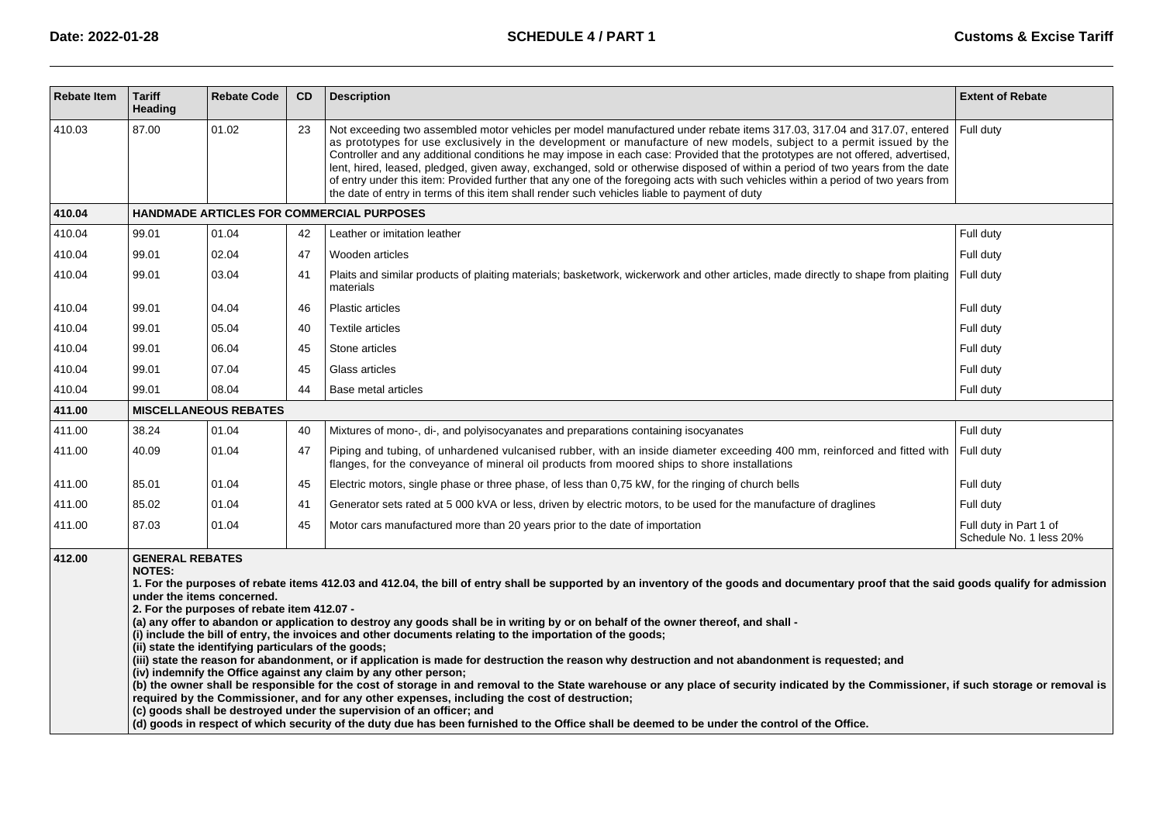| <b>Rebate Item</b> | <b>Tariff</b><br>Heading                                                                                                                                                                                                                                                                                                                                                                                                                                                                                                                                                                                                                                                                                                                                                                                                                                                                                                                                                                                                                                                                                                                                                                                                                                                                                                                                                   | <b>Rebate Code</b>           | <b>CD</b> | <b>Description</b>                                                                                                                                                                                                                                                                                                                                                                                                                                                                                                                                                                                                                                                                                                                                       | <b>Extent of Rebate</b>                           |  |  |  |
|--------------------|----------------------------------------------------------------------------------------------------------------------------------------------------------------------------------------------------------------------------------------------------------------------------------------------------------------------------------------------------------------------------------------------------------------------------------------------------------------------------------------------------------------------------------------------------------------------------------------------------------------------------------------------------------------------------------------------------------------------------------------------------------------------------------------------------------------------------------------------------------------------------------------------------------------------------------------------------------------------------------------------------------------------------------------------------------------------------------------------------------------------------------------------------------------------------------------------------------------------------------------------------------------------------------------------------------------------------------------------------------------------------|------------------------------|-----------|----------------------------------------------------------------------------------------------------------------------------------------------------------------------------------------------------------------------------------------------------------------------------------------------------------------------------------------------------------------------------------------------------------------------------------------------------------------------------------------------------------------------------------------------------------------------------------------------------------------------------------------------------------------------------------------------------------------------------------------------------------|---------------------------------------------------|--|--|--|
| 410.03             | 87.00                                                                                                                                                                                                                                                                                                                                                                                                                                                                                                                                                                                                                                                                                                                                                                                                                                                                                                                                                                                                                                                                                                                                                                                                                                                                                                                                                                      | 01.02                        | 23        | Not exceeding two assembled motor vehicles per model manufactured under rebate items 317.03, 317.04 and 317.07, entered<br>as prototypes for use exclusively in the development or manufacture of new models, subject to a permit issued by the<br>Controller and any additional conditions he may impose in each case: Provided that the prototypes are not offered, advertised,<br>lent, hired, leased, pledged, given away, exchanged, sold or otherwise disposed of within a period of two years from the date<br>of entry under this item: Provided further that any one of the foregoing acts with such vehicles within a period of two years from<br>the date of entry in terms of this item shall render such vehicles liable to payment of duty | Full duty                                         |  |  |  |
| 410.04             |                                                                                                                                                                                                                                                                                                                                                                                                                                                                                                                                                                                                                                                                                                                                                                                                                                                                                                                                                                                                                                                                                                                                                                                                                                                                                                                                                                            |                              |           | HANDMADE ARTICLES FOR COMMERCIAL PURPOSES                                                                                                                                                                                                                                                                                                                                                                                                                                                                                                                                                                                                                                                                                                                |                                                   |  |  |  |
| 410.04             | 99.01                                                                                                                                                                                                                                                                                                                                                                                                                                                                                                                                                                                                                                                                                                                                                                                                                                                                                                                                                                                                                                                                                                                                                                                                                                                                                                                                                                      | 01.04                        | 42        | Leather or imitation leather                                                                                                                                                                                                                                                                                                                                                                                                                                                                                                                                                                                                                                                                                                                             | Full duty                                         |  |  |  |
| 410.04             | 99.01                                                                                                                                                                                                                                                                                                                                                                                                                                                                                                                                                                                                                                                                                                                                                                                                                                                                                                                                                                                                                                                                                                                                                                                                                                                                                                                                                                      | 02.04                        | 47        | Wooden articles                                                                                                                                                                                                                                                                                                                                                                                                                                                                                                                                                                                                                                                                                                                                          | Full duty                                         |  |  |  |
| 410.04             | 99.01                                                                                                                                                                                                                                                                                                                                                                                                                                                                                                                                                                                                                                                                                                                                                                                                                                                                                                                                                                                                                                                                                                                                                                                                                                                                                                                                                                      | 03.04                        | 41        | Plaits and similar products of plaiting materials; basketwork, wickerwork and other articles, made directly to shape from plaiting<br>materials                                                                                                                                                                                                                                                                                                                                                                                                                                                                                                                                                                                                          | Full duty                                         |  |  |  |
| 410.04             | 99.01                                                                                                                                                                                                                                                                                                                                                                                                                                                                                                                                                                                                                                                                                                                                                                                                                                                                                                                                                                                                                                                                                                                                                                                                                                                                                                                                                                      | 04.04                        | 46        | Plastic articles                                                                                                                                                                                                                                                                                                                                                                                                                                                                                                                                                                                                                                                                                                                                         | Full duty                                         |  |  |  |
| 410.04             | 99.01                                                                                                                                                                                                                                                                                                                                                                                                                                                                                                                                                                                                                                                                                                                                                                                                                                                                                                                                                                                                                                                                                                                                                                                                                                                                                                                                                                      | 05.04                        | 40        | <b>Textile articles</b>                                                                                                                                                                                                                                                                                                                                                                                                                                                                                                                                                                                                                                                                                                                                  | Full duty                                         |  |  |  |
| 410.04             | 99.01                                                                                                                                                                                                                                                                                                                                                                                                                                                                                                                                                                                                                                                                                                                                                                                                                                                                                                                                                                                                                                                                                                                                                                                                                                                                                                                                                                      | 06.04                        | 45        | Stone articles                                                                                                                                                                                                                                                                                                                                                                                                                                                                                                                                                                                                                                                                                                                                           | Full duty                                         |  |  |  |
| 410.04             | 99.01                                                                                                                                                                                                                                                                                                                                                                                                                                                                                                                                                                                                                                                                                                                                                                                                                                                                                                                                                                                                                                                                                                                                                                                                                                                                                                                                                                      | 07.04                        | 45        | Glass articles                                                                                                                                                                                                                                                                                                                                                                                                                                                                                                                                                                                                                                                                                                                                           | Full duty                                         |  |  |  |
| 410.04             | 99.01                                                                                                                                                                                                                                                                                                                                                                                                                                                                                                                                                                                                                                                                                                                                                                                                                                                                                                                                                                                                                                                                                                                                                                                                                                                                                                                                                                      | 08.04                        | 44        | Base metal articles                                                                                                                                                                                                                                                                                                                                                                                                                                                                                                                                                                                                                                                                                                                                      | Full duty                                         |  |  |  |
| 411.00             |                                                                                                                                                                                                                                                                                                                                                                                                                                                                                                                                                                                                                                                                                                                                                                                                                                                                                                                                                                                                                                                                                                                                                                                                                                                                                                                                                                            | <b>MISCELLANEOUS REBATES</b> |           |                                                                                                                                                                                                                                                                                                                                                                                                                                                                                                                                                                                                                                                                                                                                                          |                                                   |  |  |  |
| 411.00             | 38.24                                                                                                                                                                                                                                                                                                                                                                                                                                                                                                                                                                                                                                                                                                                                                                                                                                                                                                                                                                                                                                                                                                                                                                                                                                                                                                                                                                      | 01.04                        | 40        | Mixtures of mono-, di-, and polyisocyanates and preparations containing isocyanates                                                                                                                                                                                                                                                                                                                                                                                                                                                                                                                                                                                                                                                                      | Full duty                                         |  |  |  |
| 411.00             | 40.09                                                                                                                                                                                                                                                                                                                                                                                                                                                                                                                                                                                                                                                                                                                                                                                                                                                                                                                                                                                                                                                                                                                                                                                                                                                                                                                                                                      | 01.04                        | 47        | Piping and tubing, of unhardened vulcanised rubber, with an inside diameter exceeding 400 mm, reinforced and fitted with<br>flanges, for the conveyance of mineral oil products from moored ships to shore installations                                                                                                                                                                                                                                                                                                                                                                                                                                                                                                                                 | Full duty                                         |  |  |  |
| 411.00             | 85.01                                                                                                                                                                                                                                                                                                                                                                                                                                                                                                                                                                                                                                                                                                                                                                                                                                                                                                                                                                                                                                                                                                                                                                                                                                                                                                                                                                      | 01.04                        | 45        | Electric motors, single phase or three phase, of less than 0.75 kW, for the ringing of church bells                                                                                                                                                                                                                                                                                                                                                                                                                                                                                                                                                                                                                                                      | Full duty                                         |  |  |  |
| 411.00             | 85.02                                                                                                                                                                                                                                                                                                                                                                                                                                                                                                                                                                                                                                                                                                                                                                                                                                                                                                                                                                                                                                                                                                                                                                                                                                                                                                                                                                      | 01.04                        | 41        | Generator sets rated at 5 000 kVA or less, driven by electric motors, to be used for the manufacture of draglines                                                                                                                                                                                                                                                                                                                                                                                                                                                                                                                                                                                                                                        | Full duty                                         |  |  |  |
| 411.00             | 87.03                                                                                                                                                                                                                                                                                                                                                                                                                                                                                                                                                                                                                                                                                                                                                                                                                                                                                                                                                                                                                                                                                                                                                                                                                                                                                                                                                                      | 01.04                        | 45        | Motor cars manufactured more than 20 years prior to the date of importation                                                                                                                                                                                                                                                                                                                                                                                                                                                                                                                                                                                                                                                                              | Full duty in Part 1 of<br>Schedule No. 1 less 20% |  |  |  |
| 412.00             | <b>GENERAL REBATES</b><br><b>NOTES:</b><br>1. For the purposes of rebate items 412.03 and 412.04, the bill of entry shall be supported by an inventory of the goods and documentary proof that the said goods qualify for admission<br>under the items concerned.<br>2. For the purposes of rebate item 412.07 -<br>(a) any offer to abandon or application to destroy any goods shall be in writing by or on behalf of the owner thereof, and shall -<br>(i) include the bill of entry, the invoices and other documents relating to the importation of the goods;<br>(ii) state the identifying particulars of the goods;<br>(iii) state the reason for abandonment, or if application is made for destruction the reason why destruction and not abandonment is requested; and<br>(iv) indemnify the Office against any claim by any other person;<br>(b) the owner shall be responsible for the cost of storage in and removal to the State warehouse or any place of security indicated by the Commissioner, if such storage or removal is<br>required by the Commissioner, and for any other expenses, including the cost of destruction;<br>(c) goods shall be destroyed under the supervision of an officer; and<br>(d) goods in respect of which security of the duty due has been furnished to the Office shall be deemed to be under the control of the Office. |                              |           |                                                                                                                                                                                                                                                                                                                                                                                                                                                                                                                                                                                                                                                                                                                                                          |                                                   |  |  |  |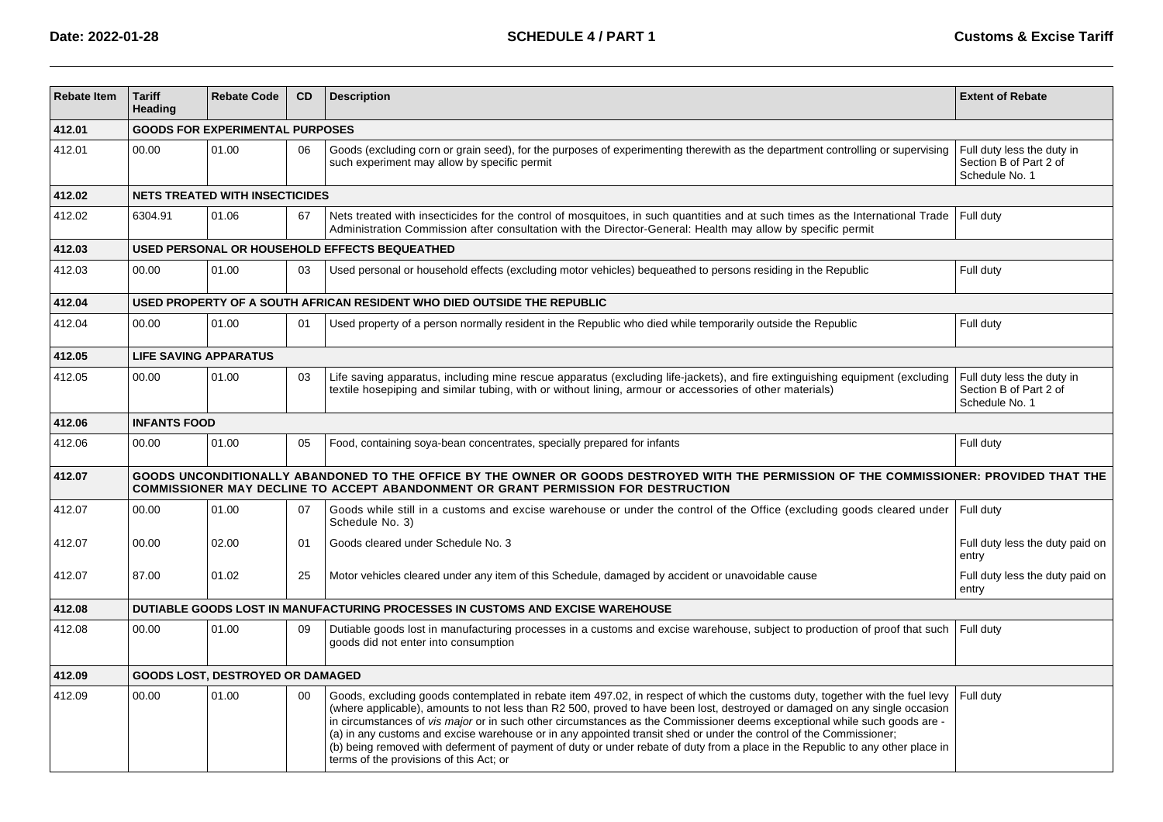| <b>Rebate Item</b> | <b>Tariff</b><br>Heading     | <b>Rebate Code</b>                      | <b>CD</b> | <b>Description</b>                                                                                                                                                                                                                                                                                                                                                                                                                                                                                                                                                                                                                                                                         | <b>Extent of Rebate</b>                                                |  |  |  |  |  |
|--------------------|------------------------------|-----------------------------------------|-----------|--------------------------------------------------------------------------------------------------------------------------------------------------------------------------------------------------------------------------------------------------------------------------------------------------------------------------------------------------------------------------------------------------------------------------------------------------------------------------------------------------------------------------------------------------------------------------------------------------------------------------------------------------------------------------------------------|------------------------------------------------------------------------|--|--|--|--|--|
| 412.01             |                              | <b>GOODS FOR EXPERIMENTAL PURPOSES</b>  |           |                                                                                                                                                                                                                                                                                                                                                                                                                                                                                                                                                                                                                                                                                            |                                                                        |  |  |  |  |  |
| 412.01             | 00.00                        | 01.00                                   | 06        | Goods (excluding corn or grain seed), for the purposes of experimenting therewith as the department controlling or supervising<br>such experiment may allow by specific permit                                                                                                                                                                                                                                                                                                                                                                                                                                                                                                             | Full duty less the duty in<br>Section B of Part 2 of<br>Schedule No. 1 |  |  |  |  |  |
| 412.02             |                              | <b>NETS TREATED WITH INSECTICIDES</b>   |           |                                                                                                                                                                                                                                                                                                                                                                                                                                                                                                                                                                                                                                                                                            |                                                                        |  |  |  |  |  |
| 412.02             | 6304.91                      | 01.06                                   | 67        | Nets treated with insecticides for the control of mosquitoes, in such quantities and at such times as the International Trade<br>Administration Commission after consultation with the Director-General: Health may allow by specific permit                                                                                                                                                                                                                                                                                                                                                                                                                                               | Full duty                                                              |  |  |  |  |  |
| 412.03             |                              |                                         |           | USED PERSONAL OR HOUSEHOLD EFFECTS BEQUEATHED                                                                                                                                                                                                                                                                                                                                                                                                                                                                                                                                                                                                                                              |                                                                        |  |  |  |  |  |
| 412.03             | 00.00                        | 01.00                                   | 03        | Used personal or household effects (excluding motor vehicles) bequeathed to persons residing in the Republic                                                                                                                                                                                                                                                                                                                                                                                                                                                                                                                                                                               | Full duty                                                              |  |  |  |  |  |
| 412.04             |                              |                                         |           | USED PROPERTY OF A SOUTH AFRICAN RESIDENT WHO DIED OUTSIDE THE REPUBLIC                                                                                                                                                                                                                                                                                                                                                                                                                                                                                                                                                                                                                    |                                                                        |  |  |  |  |  |
| 412.04             | 00.00                        | 01.00                                   | 01        | Used property of a person normally resident in the Republic who died while temporarily outside the Republic                                                                                                                                                                                                                                                                                                                                                                                                                                                                                                                                                                                | Full duty                                                              |  |  |  |  |  |
| 412.05             | <b>LIFE SAVING APPARATUS</b> |                                         |           |                                                                                                                                                                                                                                                                                                                                                                                                                                                                                                                                                                                                                                                                                            |                                                                        |  |  |  |  |  |
| 412.05             | 00.00                        | 01.00                                   | 03        | Life saving apparatus, including mine rescue apparatus (excluding life-jackets), and fire extinguishing equipment (excluding<br>textile hosepiping and similar tubing, with or without lining, armour or accessories of other materials)                                                                                                                                                                                                                                                                                                                                                                                                                                                   | Full duty less the duty in<br>Section B of Part 2 of<br>Schedule No. 1 |  |  |  |  |  |
| 412.06             | <b>INFANTS FOOD</b>          |                                         |           |                                                                                                                                                                                                                                                                                                                                                                                                                                                                                                                                                                                                                                                                                            |                                                                        |  |  |  |  |  |
| 412.06             | 00.00                        | 01.00                                   | 05        | Food, containing soya-bean concentrates, specially prepared for infants                                                                                                                                                                                                                                                                                                                                                                                                                                                                                                                                                                                                                    | Full duty                                                              |  |  |  |  |  |
| 412.07             |                              |                                         |           | GOODS UNCONDITIONALLY ABANDONED TO THE OFFICE BY THE OWNER OR GOODS DESTROYED WITH THE PERMISSION OF THE COMMISSIONER: PROVIDED THAT THE<br>COMMISSIONER MAY DECLINE TO ACCEPT ABANDONMENT OR GRANT PERMISSION FOR DESTRUCTION                                                                                                                                                                                                                                                                                                                                                                                                                                                             |                                                                        |  |  |  |  |  |
| 412.07             | 00.00                        | 01.00                                   | 07        | Goods while still in a customs and excise warehouse or under the control of the Office (excluding goods cleared under<br>Schedule No. 3)                                                                                                                                                                                                                                                                                                                                                                                                                                                                                                                                                   | Full duty                                                              |  |  |  |  |  |
| 412.07             | 00.00                        | 02.00                                   | 01        | Goods cleared under Schedule No. 3                                                                                                                                                                                                                                                                                                                                                                                                                                                                                                                                                                                                                                                         | Full duty less the duty paid on<br>entry                               |  |  |  |  |  |
| 412.07             | 87.00                        | 01.02                                   | 25        | Motor vehicles cleared under any item of this Schedule, damaged by accident or unavoidable cause                                                                                                                                                                                                                                                                                                                                                                                                                                                                                                                                                                                           | Full duty less the duty paid on<br>entry                               |  |  |  |  |  |
| 412.08             |                              |                                         |           | DUTIABLE GOODS LOST IN MANUFACTURING PROCESSES IN CUSTOMS AND EXCISE WAREHOUSE                                                                                                                                                                                                                                                                                                                                                                                                                                                                                                                                                                                                             |                                                                        |  |  |  |  |  |
| 412.08             | 00.00                        | 01.00                                   | 09        | Dutiable goods lost in manufacturing processes in a customs and excise warehouse, subject to production of proof that such<br>goods did not enter into consumption                                                                                                                                                                                                                                                                                                                                                                                                                                                                                                                         | Full duty                                                              |  |  |  |  |  |
| 412.09             |                              | <b>GOODS LOST, DESTROYED OR DAMAGED</b> |           |                                                                                                                                                                                                                                                                                                                                                                                                                                                                                                                                                                                                                                                                                            |                                                                        |  |  |  |  |  |
| 412.09             | 00.00                        | 01.00                                   | 00        | Goods, excluding goods contemplated in rebate item 497.02, in respect of which the customs duty, together with the fuel levy<br>(where applicable), amounts to not less than R2 500, proved to have been lost, destroyed or damaged on any single occasion<br>in circumstances of vis major or in such other circumstances as the Commissioner deems exceptional while such goods are -<br>(a) in any customs and excise warehouse or in any appointed transit shed or under the control of the Commissioner;<br>(b) being removed with deferment of payment of duty or under rebate of duty from a place in the Republic to any other place in<br>terms of the provisions of this Act; or | Full duty                                                              |  |  |  |  |  |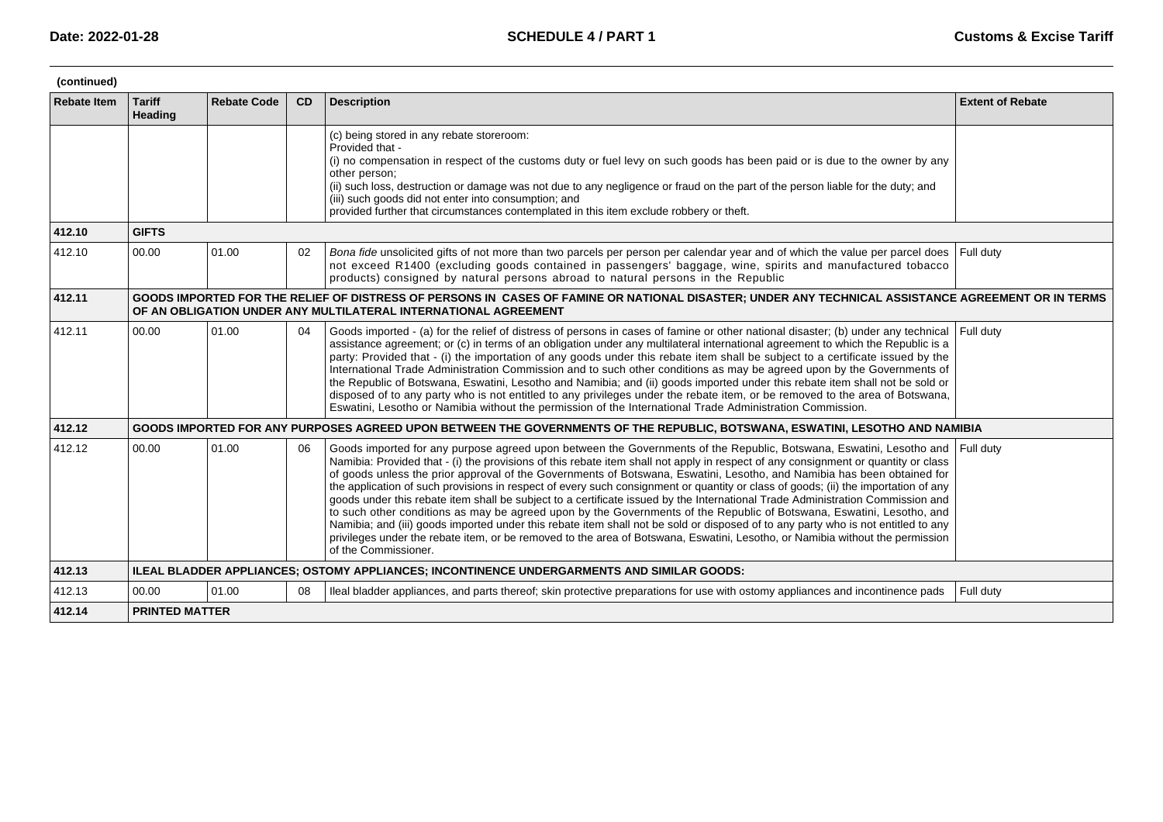| (continued)        |                          |                       |    |                                                                                                                                                                                                                                                                                                                                                                                                                                                                                                                                                                                                                                                                                                                                                                                                                                                                                                                                                                                                                                                                                     |                         |  |  |  |  |
|--------------------|--------------------------|-----------------------|----|-------------------------------------------------------------------------------------------------------------------------------------------------------------------------------------------------------------------------------------------------------------------------------------------------------------------------------------------------------------------------------------------------------------------------------------------------------------------------------------------------------------------------------------------------------------------------------------------------------------------------------------------------------------------------------------------------------------------------------------------------------------------------------------------------------------------------------------------------------------------------------------------------------------------------------------------------------------------------------------------------------------------------------------------------------------------------------------|-------------------------|--|--|--|--|
| <b>Rebate Item</b> | <b>Tariff</b><br>Heading | <b>Rebate Code</b>    | CD | <b>Description</b>                                                                                                                                                                                                                                                                                                                                                                                                                                                                                                                                                                                                                                                                                                                                                                                                                                                                                                                                                                                                                                                                  | <b>Extent of Rebate</b> |  |  |  |  |
|                    |                          |                       |    | (c) being stored in any rebate storeroom:<br>Provided that -<br>(i) no compensation in respect of the customs duty or fuel levy on such goods has been paid or is due to the owner by any<br>other person:<br>(ii) such loss, destruction or damage was not due to any negligence or fraud on the part of the person liable for the duty; and<br>(iii) such goods did not enter into consumption; and<br>provided further that circumstances contemplated in this item exclude robbery or theft.                                                                                                                                                                                                                                                                                                                                                                                                                                                                                                                                                                                    |                         |  |  |  |  |
| 412.10             | <b>GIFTS</b>             |                       |    |                                                                                                                                                                                                                                                                                                                                                                                                                                                                                                                                                                                                                                                                                                                                                                                                                                                                                                                                                                                                                                                                                     |                         |  |  |  |  |
| 412.10             | 00.00                    | 01.00                 | 02 | Bona fide unsolicited gifts of not more than two parcels per person per calendar year and of which the value per parcel does<br>not exceed R1400 (excluding goods contained in passengers' baggage, wine, spirits and manufactured tobacco<br>products) consigned by natural persons abroad to natural persons in the Republic                                                                                                                                                                                                                                                                                                                                                                                                                                                                                                                                                                                                                                                                                                                                                      | Full duty               |  |  |  |  |
| 412.11             |                          |                       |    | GOODS IMPORTED FOR THE RELIEF OF DISTRESS OF PERSONS IN CASES OF FAMINE OR NATIONAL DISASTER; UNDER ANY TECHNICAL ASSISTANCE AGREEMENT OR IN TERMS<br>OF AN OBLIGATION UNDER ANY MULTILATERAL INTERNATIONAL AGREEMENT                                                                                                                                                                                                                                                                                                                                                                                                                                                                                                                                                                                                                                                                                                                                                                                                                                                               |                         |  |  |  |  |
| 412.11             | 00.00                    | 01.00                 | 04 | Goods imported - (a) for the relief of distress of persons in cases of famine or other national disaster; (b) under any technical<br>assistance agreement; or (c) in terms of an obligation under any multilateral international agreement to which the Republic is a<br>party: Provided that - (i) the importation of any goods under this rebate item shall be subject to a certificate issued by the<br>International Trade Administration Commission and to such other conditions as may be agreed upon by the Governments of<br>the Republic of Botswana, Eswatini, Lesotho and Namibia; and (ii) goods imported under this rebate item shall not be sold or<br>disposed of to any party who is not entitled to any privileges under the rebate item, or be removed to the area of Botswana,<br>Eswatini, Lesotho or Namibia without the permission of the International Trade Administration Commission.                                                                                                                                                                      | Full duty               |  |  |  |  |
| 412.12             |                          |                       |    | GOODS IMPORTED FOR ANY PURPOSES AGREED UPON BETWEEN THE GOVERNMENTS OF THE REPUBLIC, BOTSWANA, ESWATINI, LESOTHO AND NAMIBIA                                                                                                                                                                                                                                                                                                                                                                                                                                                                                                                                                                                                                                                                                                                                                                                                                                                                                                                                                        |                         |  |  |  |  |
| 412.12             | 00.00                    | 01.00                 | 06 | Goods imported for any purpose agreed upon between the Governments of the Republic, Botswana, Eswatini, Lesotho and<br>Namibia: Provided that - (i) the provisions of this rebate item shall not apply in respect of any consignment or quantity or class<br>of goods unless the prior approval of the Governments of Botswana, Eswatini, Lesotho, and Namibia has been obtained for<br>the application of such provisions in respect of every such consignment or quantity or class of goods; (ii) the importation of any<br>goods under this rebate item shall be subject to a certificate issued by the International Trade Administration Commission and<br>to such other conditions as may be agreed upon by the Governments of the Republic of Botswana, Eswatini, Lesotho, and<br>Namibia; and (iii) goods imported under this rebate item shall not be sold or disposed of to any party who is not entitled to any<br>privileges under the rebate item, or be removed to the area of Botswana, Eswatini, Lesotho, or Namibia without the permission<br>of the Commissioner. | Full duty               |  |  |  |  |
| 412.13             |                          |                       |    | ILEAL BLADDER APPLIANCES; OSTOMY APPLIANCES; INCONTINENCE UNDERGARMENTS AND SIMILAR GOODS:                                                                                                                                                                                                                                                                                                                                                                                                                                                                                                                                                                                                                                                                                                                                                                                                                                                                                                                                                                                          |                         |  |  |  |  |
| 412.13             | 00.00                    | 01.00                 | 08 | Ileal bladder appliances, and parts thereof; skin protective preparations for use with ostomy appliances and incontinence pads                                                                                                                                                                                                                                                                                                                                                                                                                                                                                                                                                                                                                                                                                                                                                                                                                                                                                                                                                      | Full duty               |  |  |  |  |
| 412.14             |                          | <b>PRINTED MATTER</b> |    |                                                                                                                                                                                                                                                                                                                                                                                                                                                                                                                                                                                                                                                                                                                                                                                                                                                                                                                                                                                                                                                                                     |                         |  |  |  |  |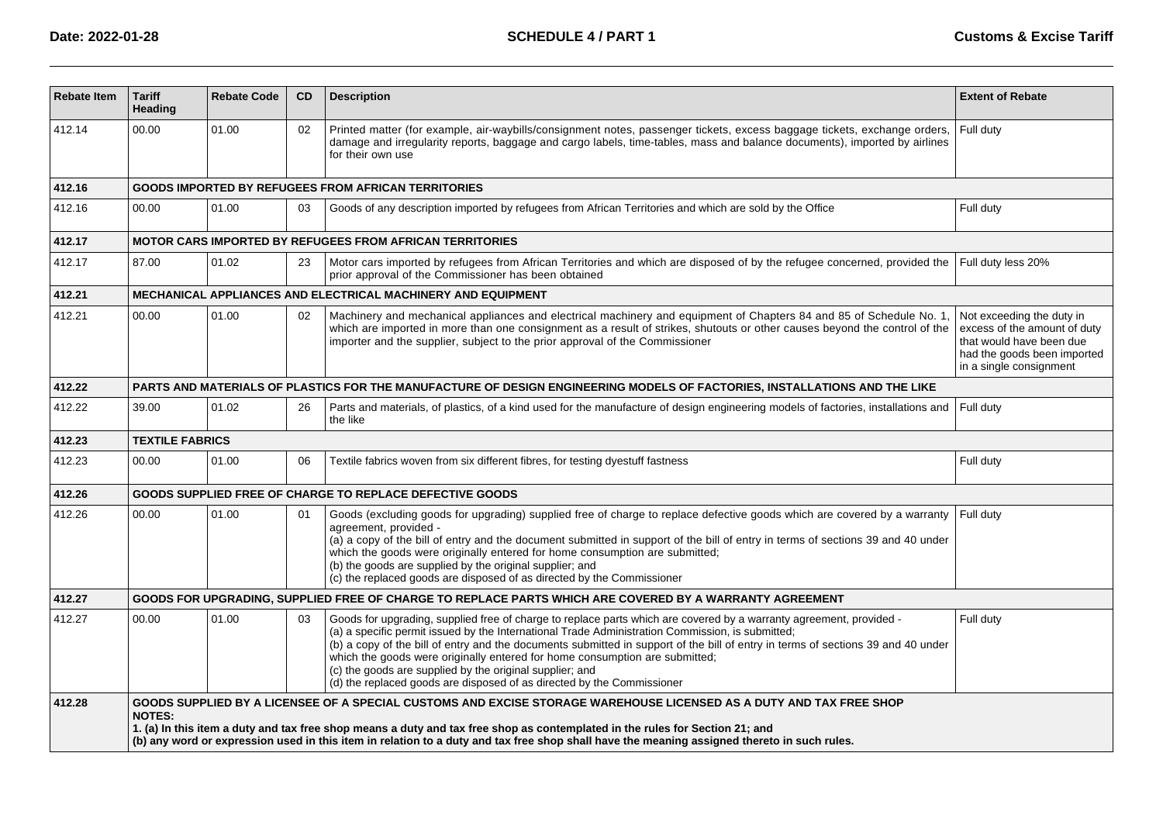| <b>Rebate Item</b> | <b>Tariff</b><br>Heading | <b>Rebate Code</b>                                                                                                                                                                                                                                                                                                                                                                                 | <b>CD</b> | <b>Description</b>                                                                                                                                                                                                                                                                                                                                                                                                                                                                                                                                                               | <b>Extent of Rebate</b>                                                                                                                         |  |  |  |
|--------------------|--------------------------|----------------------------------------------------------------------------------------------------------------------------------------------------------------------------------------------------------------------------------------------------------------------------------------------------------------------------------------------------------------------------------------------------|-----------|----------------------------------------------------------------------------------------------------------------------------------------------------------------------------------------------------------------------------------------------------------------------------------------------------------------------------------------------------------------------------------------------------------------------------------------------------------------------------------------------------------------------------------------------------------------------------------|-------------------------------------------------------------------------------------------------------------------------------------------------|--|--|--|
| 412.14             | 00.00                    | 01.00                                                                                                                                                                                                                                                                                                                                                                                              | 02        | Printed matter (for example, air-waybills/consignment notes, passenger tickets, excess baggage tickets, exchange orders,<br>damage and irregularity reports, baggage and cargo labels, time-tables, mass and balance documents), imported by airlines<br>for their own use                                                                                                                                                                                                                                                                                                       | Full duty                                                                                                                                       |  |  |  |
| 412.16             |                          |                                                                                                                                                                                                                                                                                                                                                                                                    |           | <b>GOODS IMPORTED BY REFUGEES FROM AFRICAN TERRITORIES</b>                                                                                                                                                                                                                                                                                                                                                                                                                                                                                                                       |                                                                                                                                                 |  |  |  |
| 412.16             | 00.00                    | 01.00                                                                                                                                                                                                                                                                                                                                                                                              | 03        | Goods of any description imported by refugees from African Territories and which are sold by the Office                                                                                                                                                                                                                                                                                                                                                                                                                                                                          | Full duty                                                                                                                                       |  |  |  |
| 412.17             |                          |                                                                                                                                                                                                                                                                                                                                                                                                    |           | <b>MOTOR CARS IMPORTED BY REFUGEES FROM AFRICAN TERRITORIES</b>                                                                                                                                                                                                                                                                                                                                                                                                                                                                                                                  |                                                                                                                                                 |  |  |  |
| 412.17             | 87.00                    | 01.02                                                                                                                                                                                                                                                                                                                                                                                              | 23        | Motor cars imported by refugees from African Territories and which are disposed of by the refugee concerned, provided the<br>prior approval of the Commissioner has been obtained                                                                                                                                                                                                                                                                                                                                                                                                | Full duty less 20%                                                                                                                              |  |  |  |
| 412.21             |                          |                                                                                                                                                                                                                                                                                                                                                                                                    |           | <b>MECHANICAL APPLIANCES AND ELECTRICAL MACHINERY AND EQUIPMENT</b>                                                                                                                                                                                                                                                                                                                                                                                                                                                                                                              |                                                                                                                                                 |  |  |  |
| 412.21             | 00.00                    | 01.00                                                                                                                                                                                                                                                                                                                                                                                              | 02        | Machinery and mechanical appliances and electrical machinery and equipment of Chapters 84 and 85 of Schedule No. 1<br>which are imported in more than one consignment as a result of strikes, shutouts or other causes beyond the control of the<br>importer and the supplier, subject to the prior approval of the Commissioner                                                                                                                                                                                                                                                 | Not exceeding the duty in<br>excess of the amount of duty<br>that would have been due<br>had the goods been imported<br>in a single consignment |  |  |  |
| 412.22             |                          |                                                                                                                                                                                                                                                                                                                                                                                                    |           | PARTS AND MATERIALS OF PLASTICS FOR THE MANUFACTURE OF DESIGN ENGINEERING MODELS OF FACTORIES, INSTALLATIONS AND THE LIKE                                                                                                                                                                                                                                                                                                                                                                                                                                                        |                                                                                                                                                 |  |  |  |
| 412.22             | 39.00                    | 01.02                                                                                                                                                                                                                                                                                                                                                                                              | 26        | Parts and materials, of plastics, of a kind used for the manufacture of design engineering models of factories, installations and<br>the like                                                                                                                                                                                                                                                                                                                                                                                                                                    | Full duty                                                                                                                                       |  |  |  |
| 412.23             | <b>TEXTILE FABRICS</b>   |                                                                                                                                                                                                                                                                                                                                                                                                    |           |                                                                                                                                                                                                                                                                                                                                                                                                                                                                                                                                                                                  |                                                                                                                                                 |  |  |  |
| 412.23             | 00.00                    | 01.00                                                                                                                                                                                                                                                                                                                                                                                              | 06        | Textile fabrics woven from six different fibres, for testing dyestuff fastness                                                                                                                                                                                                                                                                                                                                                                                                                                                                                                   | Full duty                                                                                                                                       |  |  |  |
| 412.26             |                          |                                                                                                                                                                                                                                                                                                                                                                                                    |           | GOODS SUPPLIED FREE OF CHARGE TO REPLACE DEFECTIVE GOODS                                                                                                                                                                                                                                                                                                                                                                                                                                                                                                                         |                                                                                                                                                 |  |  |  |
| 412.26             | 00.00                    | 01.00                                                                                                                                                                                                                                                                                                                                                                                              | 01        | Goods (excluding goods for upgrading) supplied free of charge to replace defective goods which are covered by a warranty<br>agreement, provided -<br>(a) a copy of the bill of entry and the document submitted in support of the bill of entry in terms of sections 39 and 40 under<br>which the goods were originally entered for home consumption are submitted;<br>(b) the goods are supplied by the original supplier; and<br>(c) the replaced goods are disposed of as directed by the Commissioner                                                                        | Full duty                                                                                                                                       |  |  |  |
| 412.27             |                          |                                                                                                                                                                                                                                                                                                                                                                                                    |           | GOODS FOR UPGRADING, SUPPLIED FREE OF CHARGE TO REPLACE PARTS WHICH ARE COVERED BY A WARRANTY AGREEMENT                                                                                                                                                                                                                                                                                                                                                                                                                                                                          |                                                                                                                                                 |  |  |  |
| 412.27             | 00.00                    | 01.00                                                                                                                                                                                                                                                                                                                                                                                              | 03        | Goods for upgrading, supplied free of charge to replace parts which are covered by a warranty agreement, provided -<br>(a) a specific permit issued by the International Trade Administration Commission, is submitted;<br>(b) a copy of the bill of entry and the documents submitted in support of the bill of entry in terms of sections 39 and 40 under<br>which the goods were originally entered for home consumption are submitted;<br>(c) the goods are supplied by the original supplier; and<br>(d) the replaced goods are disposed of as directed by the Commissioner | Full duty                                                                                                                                       |  |  |  |
| 412.28             | <b>NOTES:</b>            | GOODS SUPPLIED BY A LICENSEE OF A SPECIAL CUSTOMS AND EXCISE STORAGE WAREHOUSE LICENSED AS A DUTY AND TAX FREE SHOP<br>1. (a) In this item a duty and tax free shop means a duty and tax free shop as contemplated in the rules for Section 21; and<br>(b) any word or expression used in this item in relation to a duty and tax free shop shall have the meaning assigned thereto in such rules. |           |                                                                                                                                                                                                                                                                                                                                                                                                                                                                                                                                                                                  |                                                                                                                                                 |  |  |  |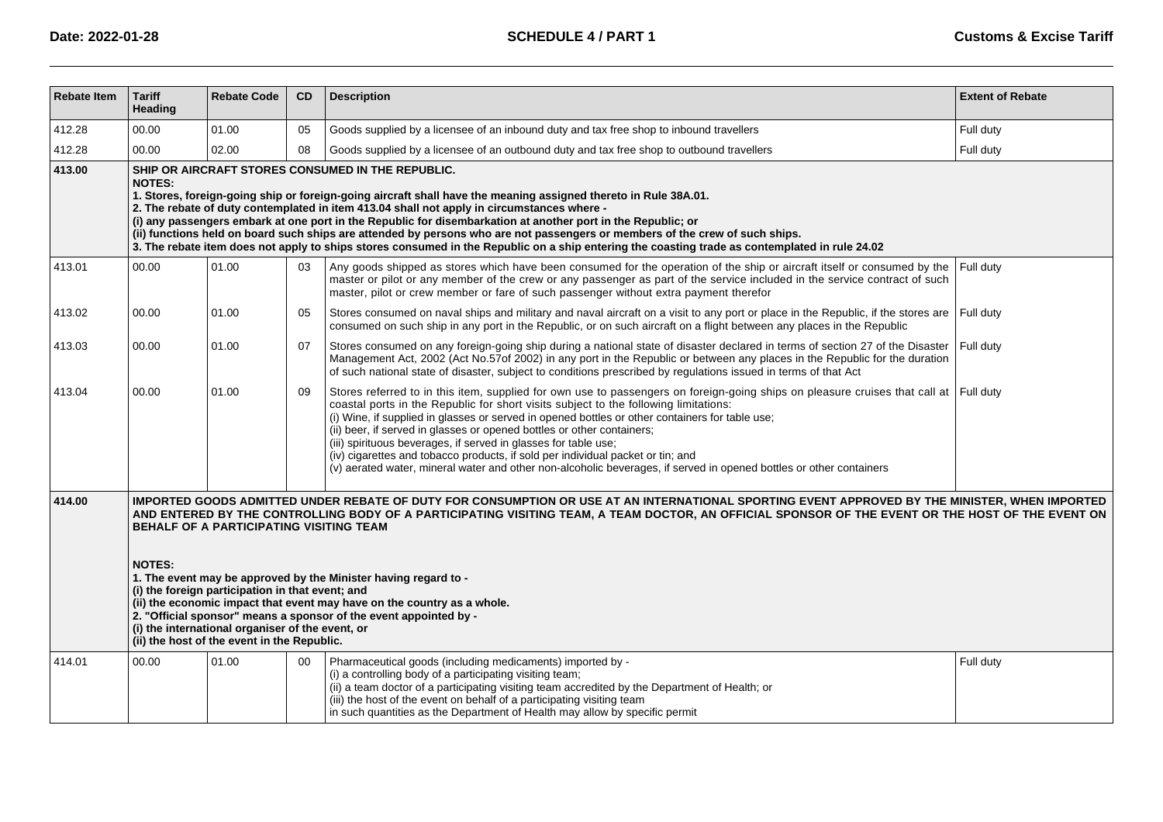| <b>Rebate Item</b> | <b>Tariff</b><br>Heading                                                                                                                                                                                                                                                                                                                                                                                                                                                                                                                                                                                                                                                                                                                  | <b>Rebate Code</b> | CD | <b>Description</b>                                                                                                                                                                                                                                                                                                                                                                                                                                                                                                                                                                                                                                                                      | <b>Extent of Rebate</b> |  |  |  |  |
|--------------------|-------------------------------------------------------------------------------------------------------------------------------------------------------------------------------------------------------------------------------------------------------------------------------------------------------------------------------------------------------------------------------------------------------------------------------------------------------------------------------------------------------------------------------------------------------------------------------------------------------------------------------------------------------------------------------------------------------------------------------------------|--------------------|----|-----------------------------------------------------------------------------------------------------------------------------------------------------------------------------------------------------------------------------------------------------------------------------------------------------------------------------------------------------------------------------------------------------------------------------------------------------------------------------------------------------------------------------------------------------------------------------------------------------------------------------------------------------------------------------------------|-------------------------|--|--|--|--|
| 412.28             | 00.00                                                                                                                                                                                                                                                                                                                                                                                                                                                                                                                                                                                                                                                                                                                                     | 01.00              | 05 | Goods supplied by a licensee of an inbound duty and tax free shop to inbound travellers                                                                                                                                                                                                                                                                                                                                                                                                                                                                                                                                                                                                 | Full duty               |  |  |  |  |
| 412.28             | 00.00                                                                                                                                                                                                                                                                                                                                                                                                                                                                                                                                                                                                                                                                                                                                     | 02.00              | 08 | Goods supplied by a licensee of an outbound duty and tax free shop to outbound travellers                                                                                                                                                                                                                                                                                                                                                                                                                                                                                                                                                                                               | Full duty               |  |  |  |  |
| 413.00             | SHIP OR AIRCRAFT STORES CONSUMED IN THE REPUBLIC.<br><b>NOTES:</b><br>1. Stores, foreign-going ship or foreign-going aircraft shall have the meaning assigned thereto in Rule 38A.01.<br>2. The rebate of duty contemplated in item 413.04 shall not apply in circumstances where -<br>(i) any passengers embark at one port in the Republic for disembarkation at another port in the Republic; or<br>(ii) functions held on board such ships are attended by persons who are not passengers or members of the crew of such ships.<br>3. The rebate item does not apply to ship s stores consumed in the Republic on a ship entering the coasting trade as contemplated in rule 24.02                                                    |                    |    |                                                                                                                                                                                                                                                                                                                                                                                                                                                                                                                                                                                                                                                                                         |                         |  |  |  |  |
| 413.01             | 00.00                                                                                                                                                                                                                                                                                                                                                                                                                                                                                                                                                                                                                                                                                                                                     | 01.00              | 03 | Any goods shipped as stores which have been consumed for the operation of the ship or aircraft itself or consumed by the<br>master or pilot or any member of the crew or any passenger as part of the service included in the service contract of such<br>master, pilot or crew member or fare of such passenger without extra payment therefor                                                                                                                                                                                                                                                                                                                                         | Full duty               |  |  |  |  |
| 413.02             | 00.00                                                                                                                                                                                                                                                                                                                                                                                                                                                                                                                                                                                                                                                                                                                                     | 01.00              | 05 | Stores consumed on naval ships and military and naval aircraft on a visit to any port or place in the Republic, if the stores are Full duty<br>consumed on such ship in any port in the Republic, or on such aircraft on a flight between any places in the Republic                                                                                                                                                                                                                                                                                                                                                                                                                    |                         |  |  |  |  |
| 413.03             | 00.00                                                                                                                                                                                                                                                                                                                                                                                                                                                                                                                                                                                                                                                                                                                                     | 01.00              | 07 | Stores consumed on any foreign-going ship during a national state of disaster declared in terms of section 27 of the Disaster<br>Management Act, 2002 (Act No.57of 2002) in any port in the Republic or between any places in the Republic for the duration<br>of such national state of disaster, subject to conditions prescribed by regulations issued in terms of that Act                                                                                                                                                                                                                                                                                                          | Full duty               |  |  |  |  |
| 413.04             | 00.00                                                                                                                                                                                                                                                                                                                                                                                                                                                                                                                                                                                                                                                                                                                                     | 01.00              | 09 | Stores referred to in this item, supplied for own use to passengers on foreign-going ships on pleasure cruises that call at Full duty<br>coastal ports in the Republic for short visits subject to the following limitations:<br>(i) Wine, if supplied in glasses or served in opened bottles or other containers for table use;<br>(ii) beer, if served in glasses or opened bottles or other containers;<br>(iii) spirituous beverages, if served in glasses for table use;<br>(iv) cigarettes and tobacco products, if sold per individual packet or tin; and<br>(v) aerated water, mineral water and other non-alcoholic beverages, if served in opened bottles or other containers |                         |  |  |  |  |
| 414.00             | IMPORTED GOODS ADMITTED UNDER REBATE OF DUTY FOR CONSUMPTION OR USE AT AN INTERNATIONAL SPORTING EVENT APPROVED BY THE MINISTER, WHEN IMPORTED<br>AND ENTERED BY THE CONTROLLING BODY OF A PARTICIPATING VISITING TEAM, A TEAM DOCTOR, AN OFFICIAL SPONSOR OF THE EVENT OR THE HOST OF THE EVENT ON<br>BEHALF OF A PARTICIPATING VISITING TEAM<br><b>NOTES:</b><br>1. The event may be approved by the Minister having regard to -<br>(i) the foreign participation in that event; and<br>(ii) the economic impact that event may have on the country as a whole.<br>2. "Official sponsor" means a sponsor of the event appointed by -<br>(i) the international organiser of the event, or<br>(ii) the host of the event in the Republic. |                    |    |                                                                                                                                                                                                                                                                                                                                                                                                                                                                                                                                                                                                                                                                                         |                         |  |  |  |  |
| 414.01             | 00.00                                                                                                                                                                                                                                                                                                                                                                                                                                                                                                                                                                                                                                                                                                                                     | 01.00              | 00 | Pharmaceutical goods (including medicaments) imported by -<br>(i) a controlling body of a participating visiting team;<br>(ii) a team doctor of a participating visiting team accredited by the Department of Health; or<br>(iii) the host of the event on behalf of a participating visiting team<br>in such quantities as the Department of Health may allow by specific permit                                                                                                                                                                                                                                                                                                       | Full duty               |  |  |  |  |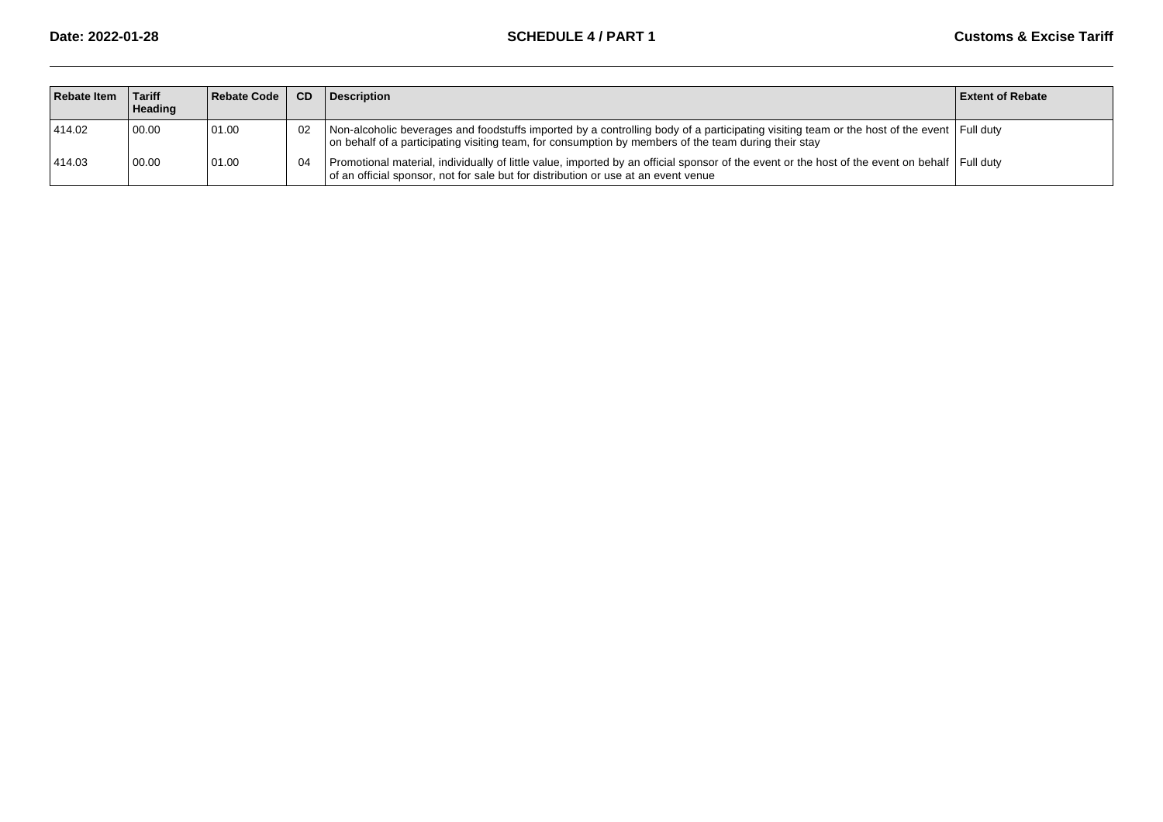| <b>Rebate Item</b> | ∣ Tariff<br>Heading | Rebate Code | <b>CD</b> | <b>Description</b>                                                                                                                                                                                                                                | <b>Extent of Rebate</b> |
|--------------------|---------------------|-------------|-----------|---------------------------------------------------------------------------------------------------------------------------------------------------------------------------------------------------------------------------------------------------|-------------------------|
| 414.02             | 00.00               | 01.00       | 02        | Non-alcoholic beverages and foodstuffs imported by a controlling body of a participating visiting team or the host of the event Full duty<br>on behalf of a participating visiting team, for consumption by members of the team during their stay |                         |
| 414.03             | 00.00               | 01.00       | 04        | Promotional material, individually of little value, imported by an official sponsor of the event or the host of the event on behalf Full duty<br>of an official sponsor, not for sale but for distribution or use at an event venue               |                         |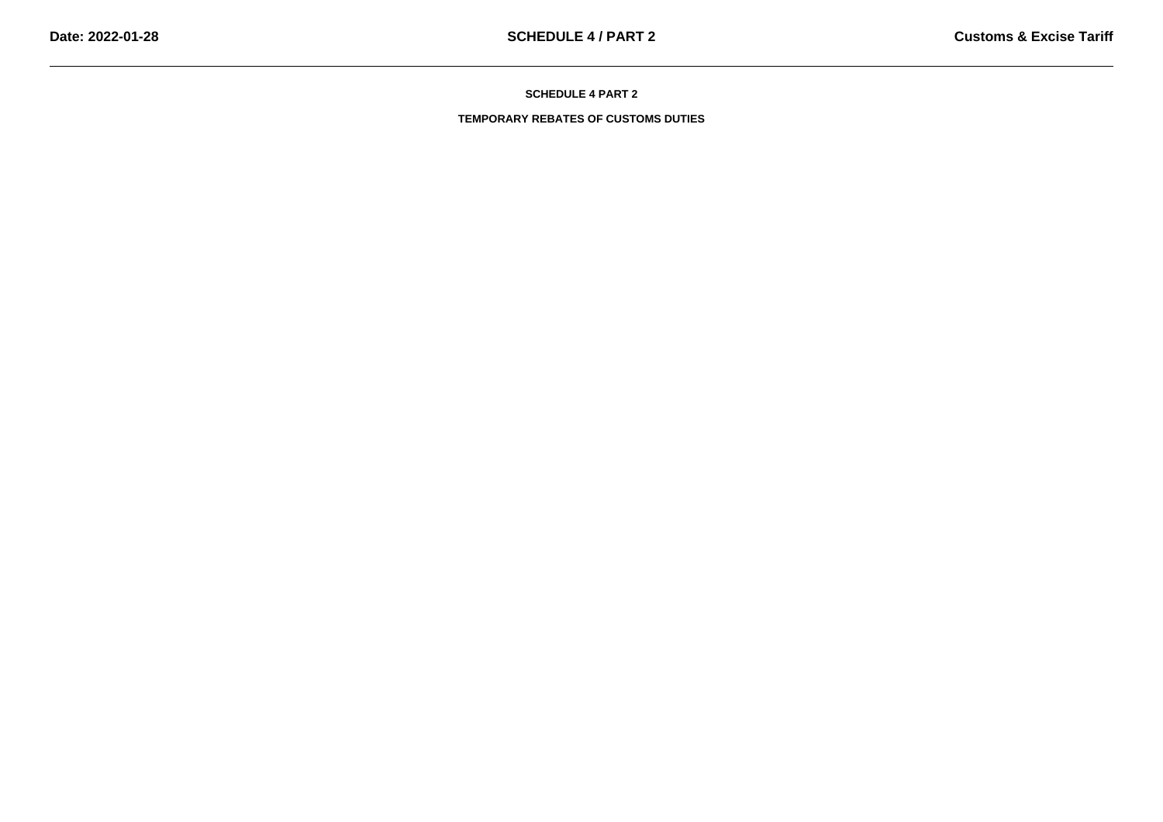**TEMPORARY REBATES OF CUSTOMS DUTIES**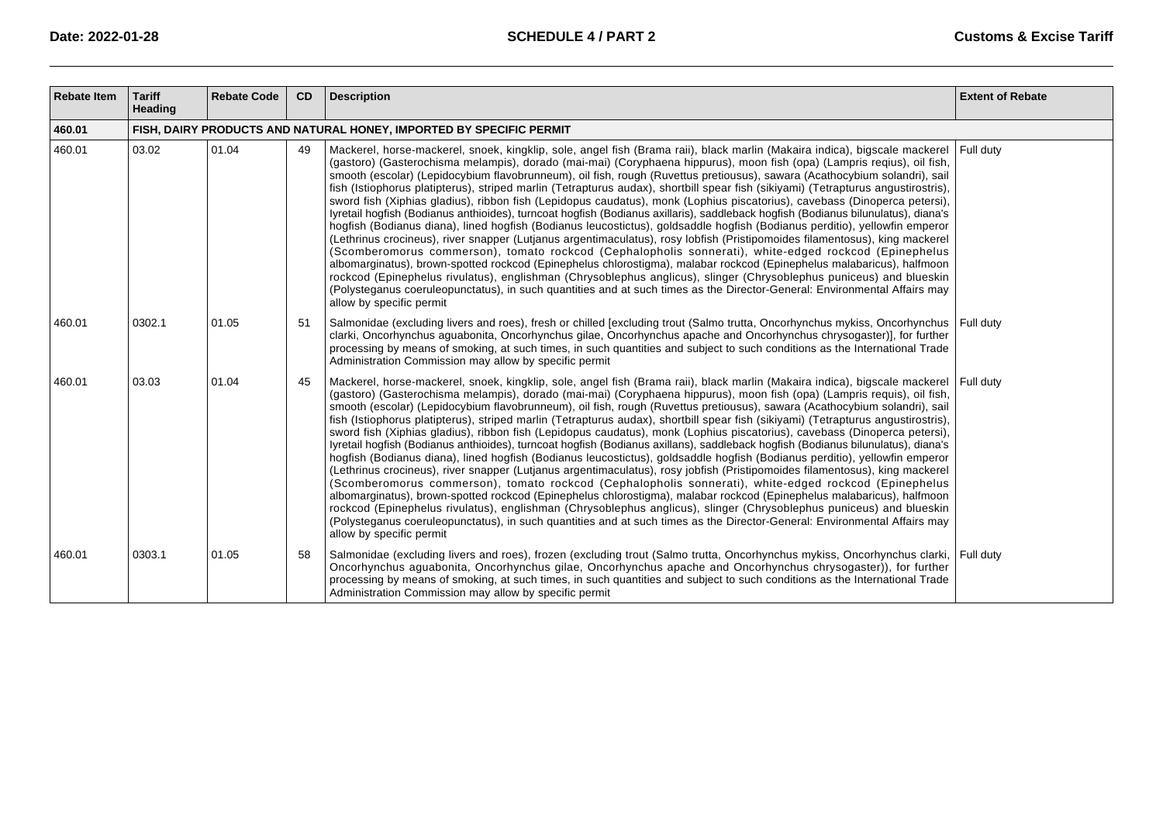| <b>Rebate Item</b> | <b>Tariff</b><br>Heading                                            | <b>Rebate Code</b> | <b>CD</b> | <b>Description</b>                                                                                                                                                                                                                                                                                                                                                                                                                                                                                                                                                                                                                                                                                                                                                                                                                                                                                                                                                                                                                                                                                                                                                                                                                                                                                                                                                                                                                                                                                                                                                                   | <b>Extent of Rebate</b> |  |  |  |
|--------------------|---------------------------------------------------------------------|--------------------|-----------|--------------------------------------------------------------------------------------------------------------------------------------------------------------------------------------------------------------------------------------------------------------------------------------------------------------------------------------------------------------------------------------------------------------------------------------------------------------------------------------------------------------------------------------------------------------------------------------------------------------------------------------------------------------------------------------------------------------------------------------------------------------------------------------------------------------------------------------------------------------------------------------------------------------------------------------------------------------------------------------------------------------------------------------------------------------------------------------------------------------------------------------------------------------------------------------------------------------------------------------------------------------------------------------------------------------------------------------------------------------------------------------------------------------------------------------------------------------------------------------------------------------------------------------------------------------------------------------|-------------------------|--|--|--|
| 460.01             | FISH, DAIRY PRODUCTS AND NATURAL HONEY, IMPORTED BY SPECIFIC PERMIT |                    |           |                                                                                                                                                                                                                                                                                                                                                                                                                                                                                                                                                                                                                                                                                                                                                                                                                                                                                                                                                                                                                                                                                                                                                                                                                                                                                                                                                                                                                                                                                                                                                                                      |                         |  |  |  |
| 460.01             | 03.02                                                               | 01.04              | 49        | Mackerel, horse-mackerel, snoek, kingklip, sole, angel fish (Brama raii), black marlin (Makaira indica), bigscale mackerel Full duty<br>(gastoro) (Gasterochisma melampis), dorado (mai-mai) (Coryphaena hippurus), moon fish (opa) (Lampris reqius), oil fish,<br>smooth (escolar) (Lepidocybium flavobrunneum), oil fish, rough (Ruvettus pretiousus), sawara (Acathocybium solandri), sail<br>fish (Istiophorus platipterus), striped marlin (Tetrapturus audax), shortbill spear fish (sikiyami) (Tetrapturus angustirostris),<br>sword fish (Xiphias gladius), ribbon fish (Lepidopus caudatus), monk (Lophius piscatorius), cavebass (Dinoperca petersi),<br>lyretail hogfish (Bodianus anthioides), turncoat hogfish (Bodianus axillaris), saddleback hogfish (Bodianus bilunulatus), diana's<br>hogfish (Bodianus diana), lined hogfish (Bodianus leucostictus), goldsaddle hogfish (Bodianus perditio), yellowfin emperor<br>(Lethrinus crocineus), river snapper (Lutjanus argentimaculatus), rosy lobfish (Pristipomoides filamentosus), king mackerel<br>(Scomberomorus commerson), tomato rockcod (Cephalopholis sonnerati), white-edged rockcod (Epinephelus<br>albomarginatus), brown-spotted rockcod (Epinephelus chlorostigma), malabar rockcod (Epinephelus malabaricus), halfmoon<br>rockcod (Epinephelus rivulatus), englishman (Chrysoblephus anglicus), slinger (Chrysoblephus puniceus) and blueskin<br>(Polysteganus coeruleopunctatus), in such quantities and at such times as the Director-General: Environmental Affairs may<br>allow by specific permit |                         |  |  |  |
| 460.01             | 0302.1                                                              | 01.05              | 51        | Salmonidae (excluding livers and roes), fresh or chilled [excluding trout (Salmo trutta, Oncorhynchus mykiss, Oncorhynchus   Full duty<br>clarki, Oncorhynchus aguabonita, Oncorhynchus gilae, Oncorhynchus apache and Oncorhynchus chrysogaster)], for further<br>processing by means of smoking, at such times, in such quantities and subject to such conditions as the International Trade<br>Administration Commission may allow by specific permit                                                                                                                                                                                                                                                                                                                                                                                                                                                                                                                                                                                                                                                                                                                                                                                                                                                                                                                                                                                                                                                                                                                             |                         |  |  |  |
| 460.01             | 03.03                                                               | 01.04              | 45        | Mackerel, horse-mackerel, snoek, kingklip, sole, angel fish (Brama raii), black marlin (Makaira indica), bigscale mackerel Full duty<br>(gastoro) (Gasterochisma melampis), dorado (mai-mai) (Coryphaena hippurus), moon fish (opa) (Lampris requis), oil fish,<br>smooth (escolar) (Lepidocybium flavobrunneum), oil fish, rough (Ruvettus pretiousus), sawara (Acathocybium solandri), sail<br>fish (Istiophorus platipterus), striped marlin (Tetrapturus audax), shortbill spear fish (sikiyami) (Tetrapturus angustirostris),<br>sword fish (Xiphias gladius), ribbon fish (Lepidopus caudatus), monk (Lophius piscatorius), cavebass (Dinoperca petersi),<br>lyretail hogfish (Bodianus anthioides), turncoat hogfish (Bodianus axillans), saddleback hogfish (Bodianus bilunulatus), diana's<br>hogfish (Bodianus diana), lined hogfish (Bodianus leucostictus), goldsaddle hogfish (Bodianus perditio), yellowfin emperor<br>(Lethrinus crocineus), river snapper (Lutjanus argentimaculatus), rosy jobfish (Pristipomoides filamentosus), king mackerel<br>(Scomberomorus commerson), tomato rockcod (Cephalopholis sonnerati), white-edged rockcod (Epinephelus<br>albomarginatus), brown-spotted rockcod (Epinephelus chlorostigma), malabar rockcod (Epinephelus malabaricus), halfmoon<br>rockcod (Epinephelus rivulatus), englishman (Chrysoblephus anglicus), slinger (Chrysoblephus puniceus) and blueskin<br>(Polysteganus coeruleopunctatus), in such quantities and at such times as the Director-General: Environmental Affairs may<br>allow by specific permit  |                         |  |  |  |
| 460.01             | 0303.1                                                              | 01.05              | 58        | Salmonidae (excluding livers and roes), frozen (excluding trout (Salmo trutta, Oncorhynchus mykiss, Oncorhynchus clarki, Full duty<br>Oncorhynchus aguabonita, Oncorhynchus gilae, Oncorhynchus apache and Oncorhynchus chrysogaster)), for further<br>processing by means of smoking, at such times, in such quantities and subject to such conditions as the International Trade<br>Administration Commission may allow by specific permit                                                                                                                                                                                                                                                                                                                                                                                                                                                                                                                                                                                                                                                                                                                                                                                                                                                                                                                                                                                                                                                                                                                                         |                         |  |  |  |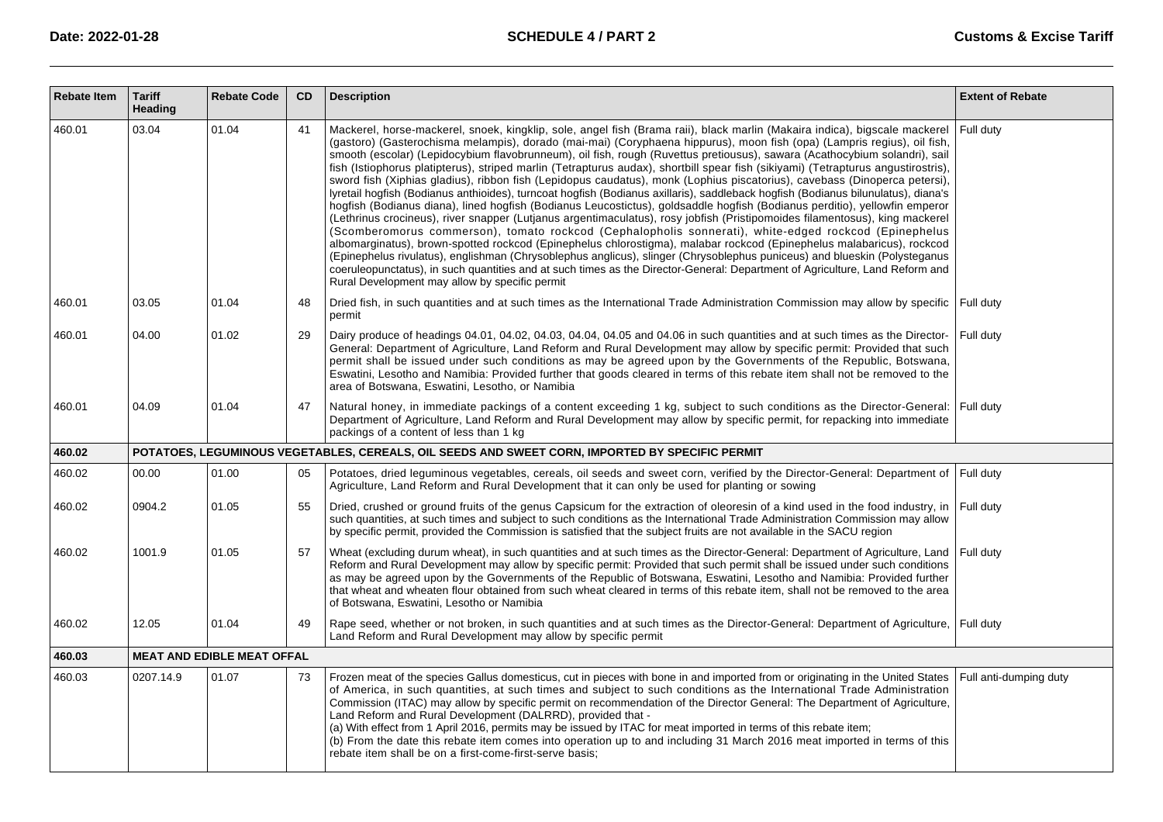| <b>Rebate Item</b> | <b>Tariff</b><br><b>Heading</b> | <b>Rebate Code</b>                | CD | <b>Description</b>                                                                                                                                                                                                                                                                                                                                                                                                                                                                                                                                                                                                                                                                                                                                                                                                                                                                                                                                                                                                                                                                                                                                                                                                                                                                                                                                                                                                                                                                                                                                                                                       | <b>Extent of Rebate</b> |
|--------------------|---------------------------------|-----------------------------------|----|----------------------------------------------------------------------------------------------------------------------------------------------------------------------------------------------------------------------------------------------------------------------------------------------------------------------------------------------------------------------------------------------------------------------------------------------------------------------------------------------------------------------------------------------------------------------------------------------------------------------------------------------------------------------------------------------------------------------------------------------------------------------------------------------------------------------------------------------------------------------------------------------------------------------------------------------------------------------------------------------------------------------------------------------------------------------------------------------------------------------------------------------------------------------------------------------------------------------------------------------------------------------------------------------------------------------------------------------------------------------------------------------------------------------------------------------------------------------------------------------------------------------------------------------------------------------------------------------------------|-------------------------|
| 460.01             | 03.04                           | 01.04                             | 41 | Mackerel, horse-mackerel, snoek, kingklip, sole, angel fish (Brama raii), black marlin (Makaira indica), bigscale mackerel<br>(gastoro) (Gasterochisma melampis), dorado (mai-mai) (Coryphaena hippurus), moon fish (opa) (Lampris regius), oil fish,<br>smooth (escolar) (Lepidocybium flavobrunneum), oil fish, rough (Ruvettus pretiousus), sawara (Acathocybium solandri), sail<br>fish (Istiophorus platipterus), striped marlin (Tetrapturus audax), shortbill spear fish (sikiyami) (Tetrapturus angustirostris),<br>sword fish (Xiphias gladius), ribbon fish (Lepidopus caudatus), monk (Lophius piscatorius), cavebass (Dinoperca petersi),<br>lyretail hogfish (Bodianus anthioides), turncoat hogfish (Bodianus axillaris), saddleback hogfish (Bodianus bilunulatus), diana's<br>hogfish (Bodianus diana), lined hogfish (Bodianus Leucostictus), goldsaddle hogfish (Bodianus perditio), yellowfin emperor<br>(Lethrinus crocineus), river snapper (Lutjanus argentimaculatus), rosy jobfish (Pristipomoides filamentosus), king mackerel<br>(Scomberomorus commerson), tomato rockcod (Cephalopholis sonnerati), white-edged rockcod (Epinephelus<br>albomarginatus), brown-spotted rockcod (Epinephelus chlorostigma), malabar rockcod (Epinephelus malabaricus), rockcod<br>(Epinephelus rivulatus), englishman (Chrysoblephus anglicus), slinger (Chrysoblephus puniceus) and blueskin (Polysteganus<br>coeruleopunctatus), in such quantities and at such times as the Director-General: Department of Agriculture, Land Reform and<br>Rural Development may allow by specific permit | Full duty               |
| 460.01             | 03.05                           | 01.04                             | 48 | Dried fish, in such quantities and at such times as the International Trade Administration Commission may allow by specific   Full duty<br>permit                                                                                                                                                                                                                                                                                                                                                                                                                                                                                                                                                                                                                                                                                                                                                                                                                                                                                                                                                                                                                                                                                                                                                                                                                                                                                                                                                                                                                                                        |                         |
| 460.01             | 04.00                           | 01.02                             | 29 | Dairy produce of headings 04.01, 04.02, 04.03, 04.04, 04.05 and 04.06 in such quantities and at such times as the Director-<br>General: Department of Agriculture, Land Reform and Rural Development may allow by specific permit: Provided that such<br>permit shall be issued under such conditions as may be agreed upon by the Governments of the Republic, Botswana,<br>Eswatini, Lesotho and Namibia: Provided further that goods cleared in terms of this rebate item shall not be removed to the<br>area of Botswana, Eswatini, Lesotho, or Namibia                                                                                                                                                                                                                                                                                                                                                                                                                                                                                                                                                                                                                                                                                                                                                                                                                                                                                                                                                                                                                                              | Full duty               |
| 460.01             | 04.09                           | 01.04                             | 47 | Natural honey, in immediate packings of a content exceeding 1 kg, subject to such conditions as the Director-General:<br>Department of Agriculture, Land Reform and Rural Development may allow by specific permit, for repacking into immediate<br>packings of a content of less than 1 kg                                                                                                                                                                                                                                                                                                                                                                                                                                                                                                                                                                                                                                                                                                                                                                                                                                                                                                                                                                                                                                                                                                                                                                                                                                                                                                              | Full duty               |
| 460.02             |                                 |                                   |    | POTATOES, LEGUMINOUS VEGETABLES, CEREALS, OIL SEEDS AND SWEET CORN, IMPORTED BY SPECIFIC PERMIT                                                                                                                                                                                                                                                                                                                                                                                                                                                                                                                                                                                                                                                                                                                                                                                                                                                                                                                                                                                                                                                                                                                                                                                                                                                                                                                                                                                                                                                                                                          |                         |
| 460.02             | 00.00                           | 01.00                             | 05 | Potatoes, dried leguminous vegetables, cereals, oil seeds and sweet corn, verified by the Director-General: Department of<br>Agriculture, Land Reform and Rural Development that it can only be used for planting or sowing                                                                                                                                                                                                                                                                                                                                                                                                                                                                                                                                                                                                                                                                                                                                                                                                                                                                                                                                                                                                                                                                                                                                                                                                                                                                                                                                                                              | Full duty               |
| 460.02             | 0904.2                          | 01.05                             | 55 | Dried, crushed or ground fruits of the genus Capsicum for the extraction of oleoresin of a kind used in the food industry, in<br>such quantities, at such times and subject to such conditions as the International Trade Administration Commission may allow<br>by specific permit, provided the Commission is satisfied that the subject fruits are not available in the SACU region                                                                                                                                                                                                                                                                                                                                                                                                                                                                                                                                                                                                                                                                                                                                                                                                                                                                                                                                                                                                                                                                                                                                                                                                                   | Full duty               |
| 460.02             | 1001.9                          | 01.05                             | 57 | Wheat (excluding durum wheat), in such quantities and at such times as the Director-General: Department of Agriculture, Land<br>Reform and Rural Development may allow by specific permit: Provided that such permit shall be issued under such conditions<br>as may be agreed upon by the Governments of the Republic of Botswana, Eswatini, Lesotho and Namibia: Provided further<br>that wheat and wheaten flour obtained from such wheat cleared in terms of this rebate item, shall not be removed to the area<br>of Botswana, Eswatini, Lesotho or Namibia                                                                                                                                                                                                                                                                                                                                                                                                                                                                                                                                                                                                                                                                                                                                                                                                                                                                                                                                                                                                                                         | Full duty               |
| 460.02             | 12.05                           | 01.04                             | 49 | Rape seed, whether or not broken, in such quantities and at such times as the Director-General: Department of Agriculture, Full duty<br>Land Reform and Rural Development may allow by specific permit                                                                                                                                                                                                                                                                                                                                                                                                                                                                                                                                                                                                                                                                                                                                                                                                                                                                                                                                                                                                                                                                                                                                                                                                                                                                                                                                                                                                   |                         |
| 460.03             |                                 | <b>MEAT AND EDIBLE MEAT OFFAL</b> |    |                                                                                                                                                                                                                                                                                                                                                                                                                                                                                                                                                                                                                                                                                                                                                                                                                                                                                                                                                                                                                                                                                                                                                                                                                                                                                                                                                                                                                                                                                                                                                                                                          |                         |
| 460.03             | 0207.14.9                       | 01.07                             | 73 | Frozen meat of the species Gallus domesticus, cut in pieces with bone in and imported from or originating in the United States<br>of America, in such quantities, at such times and subject to such conditions as the International Trade Administration<br>Commission (ITAC) may allow by specific permit on recommendation of the Director General: The Department of Agriculture,<br>Land Reform and Rural Development (DALRRD), provided that -<br>(a) With effect from 1 April 2016, permits may be issued by ITAC for meat imported in terms of this rebate item;<br>(b) From the date this rebate item comes into operation up to and including 31 March 2016 meat imported in terms of this<br>rebate item shall be on a first-come-first-serve basis;                                                                                                                                                                                                                                                                                                                                                                                                                                                                                                                                                                                                                                                                                                                                                                                                                                           | Full anti-dumping duty  |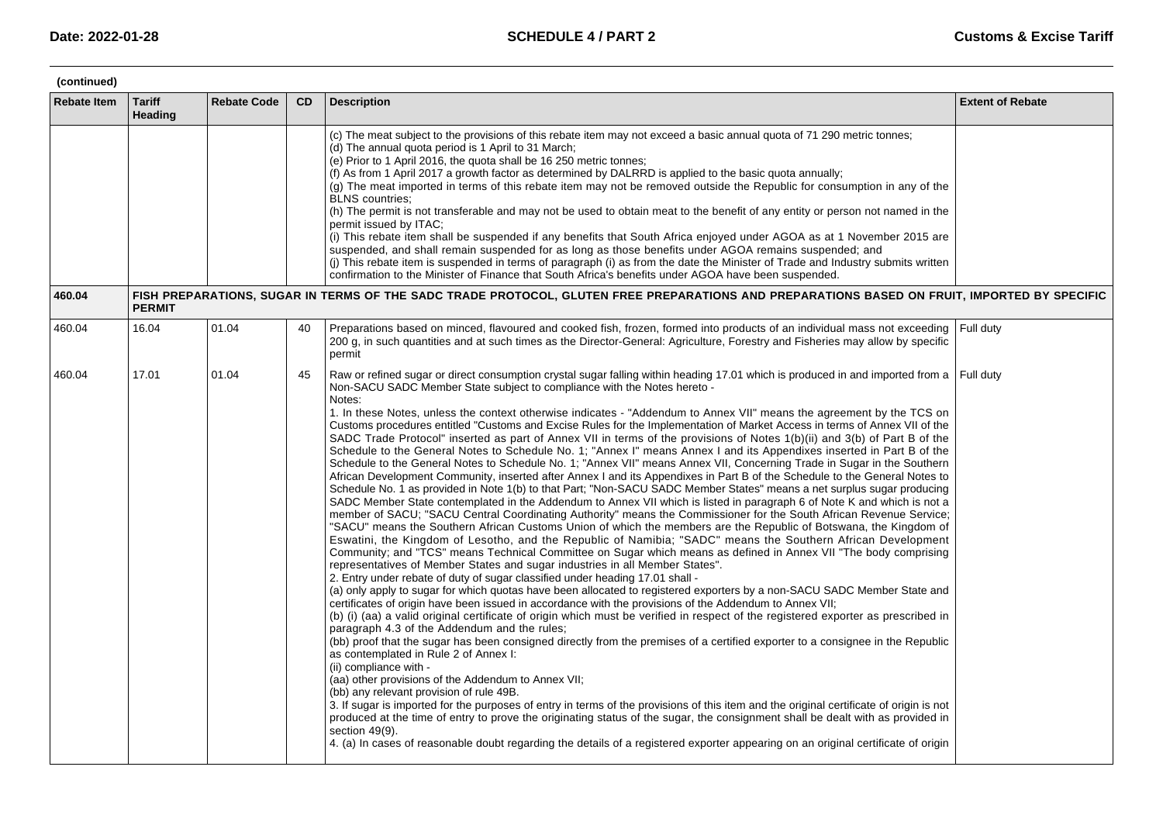| (continued)        |                          |                    |           |                                                                                                                                                                                                                                                                                                                                                                                                                                                                                                                                                                                                                                                                                                                                                                                                                                                                                                                                                                                                                                                                                                                                                                                                                                                                                                                                                                                                                                                                                                                                                                                                                                                                                                                                                                                                                                                                                                                                                                                                                                                                                                                                                                                                                                                                                                                                                                                                                                                                                                                                                                                                                                                                                                                                                                                                                                                                                                                                                                                                                                                                                     |                         |  |  |  |
|--------------------|--------------------------|--------------------|-----------|-------------------------------------------------------------------------------------------------------------------------------------------------------------------------------------------------------------------------------------------------------------------------------------------------------------------------------------------------------------------------------------------------------------------------------------------------------------------------------------------------------------------------------------------------------------------------------------------------------------------------------------------------------------------------------------------------------------------------------------------------------------------------------------------------------------------------------------------------------------------------------------------------------------------------------------------------------------------------------------------------------------------------------------------------------------------------------------------------------------------------------------------------------------------------------------------------------------------------------------------------------------------------------------------------------------------------------------------------------------------------------------------------------------------------------------------------------------------------------------------------------------------------------------------------------------------------------------------------------------------------------------------------------------------------------------------------------------------------------------------------------------------------------------------------------------------------------------------------------------------------------------------------------------------------------------------------------------------------------------------------------------------------------------------------------------------------------------------------------------------------------------------------------------------------------------------------------------------------------------------------------------------------------------------------------------------------------------------------------------------------------------------------------------------------------------------------------------------------------------------------------------------------------------------------------------------------------------------------------------------------------------------------------------------------------------------------------------------------------------------------------------------------------------------------------------------------------------------------------------------------------------------------------------------------------------------------------------------------------------------------------------------------------------------------------------------------------------|-------------------------|--|--|--|
| <b>Rebate Item</b> | <b>Tariff</b><br>Heading | <b>Rebate Code</b> | <b>CD</b> | <b>Description</b>                                                                                                                                                                                                                                                                                                                                                                                                                                                                                                                                                                                                                                                                                                                                                                                                                                                                                                                                                                                                                                                                                                                                                                                                                                                                                                                                                                                                                                                                                                                                                                                                                                                                                                                                                                                                                                                                                                                                                                                                                                                                                                                                                                                                                                                                                                                                                                                                                                                                                                                                                                                                                                                                                                                                                                                                                                                                                                                                                                                                                                                                  | <b>Extent of Rebate</b> |  |  |  |
|                    |                          |                    |           | (c) The meat subject to the provisions of this rebate item may not exceed a basic annual quota of 71 290 metric tonnes;<br>(d) The annual quota period is 1 April to 31 March;<br>(e) Prior to 1 April 2016, the quota shall be 16 250 metric tonnes;<br>(f) As from 1 April 2017 a growth factor as determined by DALRRD is applied to the basic quota annually;<br>(g) The meat imported in terms of this rebate item may not be removed outside the Republic for consumption in any of the<br><b>BLNS</b> countries:<br>(h) The permit is not transferable and may not be used to obtain meat to the benefit of any entity or person not named in the<br>permit issued by ITAC;<br>(i) This rebate item shall be suspended if any benefits that South Africa enjoyed under AGOA as at 1 November 2015 are<br>suspended, and shall remain suspended for as long as those benefits under AGOA remains suspended; and<br>(i) This rebate item is suspended in terms of paragraph (i) as from the date the Minister of Trade and Industry submits written<br>confirmation to the Minister of Finance that South Africa's benefits under AGOA have been suspended.                                                                                                                                                                                                                                                                                                                                                                                                                                                                                                                                                                                                                                                                                                                                                                                                                                                                                                                                                                                                                                                                                                                                                                                                                                                                                                                                                                                                                                                                                                                                                                                                                                                                                                                                                                                                                                                                                                                    |                         |  |  |  |
| 460.04             | <b>PERMIT</b>            |                    |           | FISH PREPARATIONS, SUGAR IN TERMS OF THE SADC TRADE PROTOCOL, GLUTEN FREE PREPARATIONS AND PREPARATIONS BASED ON FRUIT, IMPORTED BY SPECIFIC                                                                                                                                                                                                                                                                                                                                                                                                                                                                                                                                                                                                                                                                                                                                                                                                                                                                                                                                                                                                                                                                                                                                                                                                                                                                                                                                                                                                                                                                                                                                                                                                                                                                                                                                                                                                                                                                                                                                                                                                                                                                                                                                                                                                                                                                                                                                                                                                                                                                                                                                                                                                                                                                                                                                                                                                                                                                                                                                        |                         |  |  |  |
| 460.04             | 16.04                    | 01.04              | 40        | Preparations based on minced, flavoured and cooked fish, frozen, formed into products of an individual mass not exceeding Full duty<br>200 g, in such quantities and at such times as the Director-General: Agriculture, Forestry and Fisheries may allow by specific<br>permit                                                                                                                                                                                                                                                                                                                                                                                                                                                                                                                                                                                                                                                                                                                                                                                                                                                                                                                                                                                                                                                                                                                                                                                                                                                                                                                                                                                                                                                                                                                                                                                                                                                                                                                                                                                                                                                                                                                                                                                                                                                                                                                                                                                                                                                                                                                                                                                                                                                                                                                                                                                                                                                                                                                                                                                                     |                         |  |  |  |
| 460.04             | 17.01                    | 01.04              | 45        | Raw or refined sugar or direct consumption crystal sugar falling within heading 17.01 which is produced in and imported from a Full duty<br>Non-SACU SADC Member State subject to compliance with the Notes hereto -<br>Notes:<br>1. In these Notes, unless the context otherwise indicates - "Addendum to Annex VII" means the agreement by the TCS on<br>Customs procedures entitled "Customs and Excise Rules for the Implementation of Market Access in terms of Annex VII of the<br>SADC Trade Protocol" inserted as part of Annex VII in terms of the provisions of Notes 1(b)(ii) and 3(b) of Part B of the<br>Schedule to the General Notes to Schedule No. 1; "Annex I" means Annex I and its Appendixes inserted in Part B of the<br>Schedule to the General Notes to Schedule No. 1; "Annex VII" means Annex VII, Concerning Trade in Sugar in the Southern<br>African Development Community, inserted after Annex I and its Appendixes in Part B of the Schedule to the General Notes to<br>Schedule No. 1 as provided in Note 1(b) to that Part; "Non-SACU SADC Member States" means a net surplus sugar producing<br>SADC Member State contemplated in the Addendum to Annex VII which is listed in paragraph 6 of Note K and which is not a<br>member of SACU; "SACU Central Coordinating Authority" means the Commissioner for the South African Revenue Service;<br>"SACU" means the Southern African Customs Union of which the members are the Republic of Botswana, the Kingdom of<br>Eswatini, the Kingdom of Lesotho, and the Republic of Namibia; "SADC" means the Southern African Development<br>Community; and "TCS" means Technical Committee on Sugar which means as defined in Annex VII "The body comprising<br>representatives of Member States and sugar industries in all Member States".<br>2. Entry under rebate of duty of sugar classified under heading 17.01 shall -<br>(a) only apply to sugar for which quotas have been allocated to registered exporters by a non-SACU SADC Member State and<br>certificates of origin have been issued in accordance with the provisions of the Addendum to Annex VII;<br>(b) (i) (aa) a valid original certificate of origin which must be verified in respect of the registered exporter as prescribed in<br>paragraph 4.3 of the Addendum and the rules;<br>(bb) proof that the sugar has been consigned directly from the premises of a certified exporter to a consignee in the Republic<br>as contemplated in Rule 2 of Annex I:<br>(ii) compliance with -<br>(aa) other provisions of the Addendum to Annex VII;<br>(bb) any relevant provision of rule 49B.<br>3. If sugar is imported for the purposes of entry in terms of the provisions of this item and the original certificate of origin is not<br>produced at the time of entry to prove the originating status of the sugar, the consignment shall be dealt with as provided in<br>section 49(9).<br>4. (a) In cases of reasonable doubt regarding the details of a registered exporter appearing on an original certificate of origin |                         |  |  |  |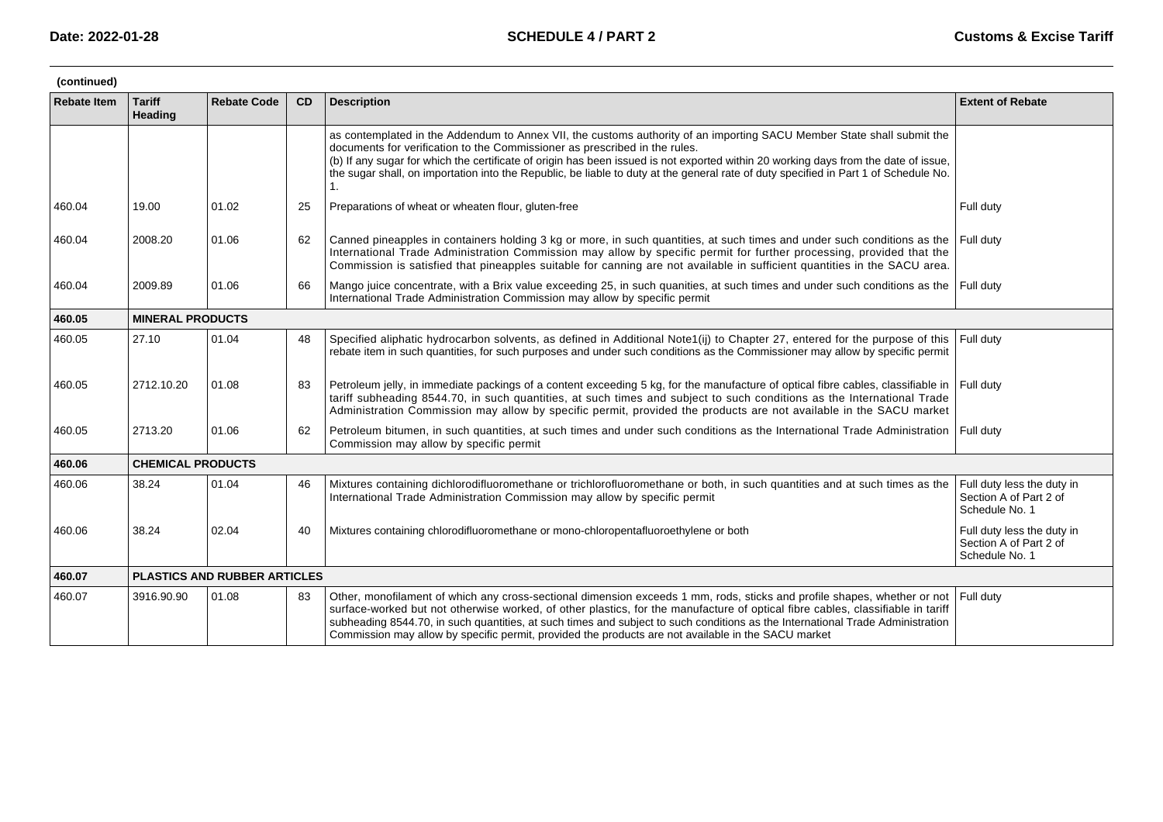| (continued)        |                          |                              |           |                                                                                                                                                                                                                                                                                                                                                                                                                                                                                                      |                                                                        |  |  |  |  |
|--------------------|--------------------------|------------------------------|-----------|------------------------------------------------------------------------------------------------------------------------------------------------------------------------------------------------------------------------------------------------------------------------------------------------------------------------------------------------------------------------------------------------------------------------------------------------------------------------------------------------------|------------------------------------------------------------------------|--|--|--|--|
| <b>Rebate Item</b> | <b>Tariff</b><br>Heading | <b>Rebate Code</b>           | <b>CD</b> | <b>Description</b>                                                                                                                                                                                                                                                                                                                                                                                                                                                                                   | <b>Extent of Rebate</b>                                                |  |  |  |  |
|                    |                          |                              |           | as contemplated in the Addendum to Annex VII, the customs authority of an importing SACU Member State shall submit the<br>documents for verification to the Commissioner as prescribed in the rules.<br>(b) If any sugar for which the certificate of origin has been issued is not exported within 20 working days from the date of issue,<br>the sugar shall, on importation into the Republic, be liable to duty at the general rate of duty specified in Part 1 of Schedule No.<br>1.            |                                                                        |  |  |  |  |
| 460.04             | 19.00                    | 01.02                        | 25        | Preparations of wheat or wheaten flour, gluten-free                                                                                                                                                                                                                                                                                                                                                                                                                                                  | Full duty                                                              |  |  |  |  |
| 460.04             | 2008.20                  | 01.06                        | 62        | Canned pineapples in containers holding 3 kg or more, in such quantities, at such times and under such conditions as the<br>International Trade Administration Commission may allow by specific permit for further processing, provided that the<br>Commission is satisfied that pineapples suitable for canning are not available in sufficient quantities in the SACU area.                                                                                                                        | Full duty                                                              |  |  |  |  |
| 460.04             | 2009.89                  | 01.06                        | 66        | Mango juice concentrate, with a Brix value exceeding 25, in such quanities, at such times and under such conditions as the<br>International Trade Administration Commission may allow by specific permit                                                                                                                                                                                                                                                                                             | Full duty                                                              |  |  |  |  |
| 460.05             | <b>MINERAL PRODUCTS</b>  |                              |           |                                                                                                                                                                                                                                                                                                                                                                                                                                                                                                      |                                                                        |  |  |  |  |
| 460.05             | 27.10                    | 01.04                        | 48        | Specified aliphatic hydrocarbon solvents, as defined in Additional Note1(ij) to Chapter 27, entered for the purpose of this<br>rebate item in such quantities, for such purposes and under such conditions as the Commissioner may allow by specific permit                                                                                                                                                                                                                                          | Full duty                                                              |  |  |  |  |
| 460.05             | 2712.10.20               | 01.08                        | 83        | Petroleum jelly, in immediate packings of a content exceeding 5 kg, for the manufacture of optical fibre cables, classifiable in<br>tariff subheading 8544.70, in such quantities, at such times and subject to such conditions as the International Trade<br>Administration Commission may allow by specific permit, provided the products are not available in the SACU market                                                                                                                     | Full duty                                                              |  |  |  |  |
| 460.05             | 2713.20                  | 01.06                        | 62        | Petroleum bitumen, in such quantities, at such times and under such conditions as the International Trade Administration   Full duty<br>Commission may allow by specific permit                                                                                                                                                                                                                                                                                                                      |                                                                        |  |  |  |  |
| 460.06             | <b>CHEMICAL PRODUCTS</b> |                              |           |                                                                                                                                                                                                                                                                                                                                                                                                                                                                                                      |                                                                        |  |  |  |  |
| 460.06             | 38.24                    | 01.04                        | 46        | Mixtures containing dichlorodifluoromethane or trichlorofluoromethane or both, in such quantities and at such times as the<br>International Trade Administration Commission may allow by specific permit                                                                                                                                                                                                                                                                                             | Full duty less the duty in<br>Section A of Part 2 of<br>Schedule No. 1 |  |  |  |  |
| 460.06             | 38.24                    | 02.04                        | 40        | Mixtures containing chlorodifluoromethane or mono-chloropentafluoroethylene or both                                                                                                                                                                                                                                                                                                                                                                                                                  | Full duty less the duty in<br>Section A of Part 2 of<br>Schedule No. 1 |  |  |  |  |
| 460.07             |                          | PLASTICS AND RUBBER ARTICLES |           |                                                                                                                                                                                                                                                                                                                                                                                                                                                                                                      |                                                                        |  |  |  |  |
| 460.07             | 3916.90.90               | 01.08                        | 83        | Other, monofilament of which any cross-sectional dimension exceeds 1 mm, rods, sticks and profile shapes, whether or not<br>surface-worked but not otherwise worked, of other plastics, for the manufacture of optical fibre cables, classifiable in tariff<br>subheading 8544.70, in such quantities, at such times and subject to such conditions as the International Trade Administration<br>Commission may allow by specific permit, provided the products are not available in the SACU market | Full duty                                                              |  |  |  |  |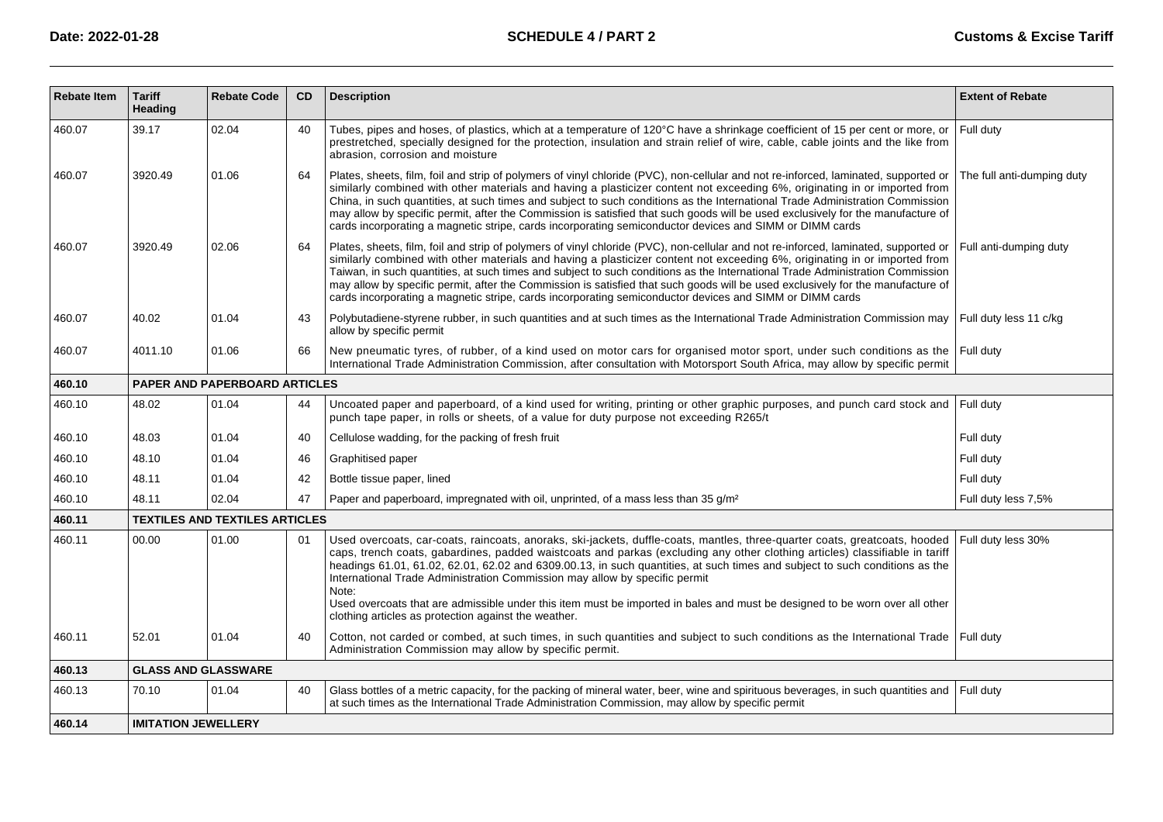| <b>Rebate Item</b> | <b>Tariff</b><br>Heading             | <b>Rebate Code</b>                    | CD | <b>Description</b>                                                                                                                                                                                                                                                                                                                                                                                                                                                                                                                                                                                                                               | <b>Extent of Rebate</b>    |  |  |  |
|--------------------|--------------------------------------|---------------------------------------|----|--------------------------------------------------------------------------------------------------------------------------------------------------------------------------------------------------------------------------------------------------------------------------------------------------------------------------------------------------------------------------------------------------------------------------------------------------------------------------------------------------------------------------------------------------------------------------------------------------------------------------------------------------|----------------------------|--|--|--|
| 460.07             | 39.17                                | 02.04                                 | 40 | Tubes, pipes and hoses, of plastics, which at a temperature of 120°C have a shrinkage coefficient of 15 per cent or more, or<br>prestretched, specially designed for the protection, insulation and strain relief of wire, cable, cable joints and the like from<br>abrasion, corrosion and moisture                                                                                                                                                                                                                                                                                                                                             | Full duty                  |  |  |  |
| 460.07             | 3920.49                              | 01.06                                 | 64 | Plates, sheets, film, foil and strip of polymers of vinyl chloride (PVC), non-cellular and not re-inforced, laminated, supported or<br>similarly combined with other materials and having a plasticizer content not exceeding 6%, originating in or imported from<br>China, in such quantities, at such times and subject to such conditions as the International Trade Administration Commission<br>may allow by specific permit, after the Commission is satisfied that such goods will be used exclusively for the manufacture of<br>cards incorporating a magnetic stripe, cards incorporating semiconductor devices and SIMM or DIMM cards  | The full anti-dumping duty |  |  |  |
| 460.07             | 3920.49                              | 02.06                                 | 64 | Plates, sheets, film, foil and strip of polymers of vinyl chloride (PVC), non-cellular and not re-inforced, laminated, supported or<br>similarly combined with other materials and having a plasticizer content not exceeding 6%, originating in or imported from<br>Taiwan, in such quantities, at such times and subject to such conditions as the International Trade Administration Commission<br>may allow by specific permit, after the Commission is satisfied that such goods will be used exclusively for the manufacture of<br>cards incorporating a magnetic stripe, cards incorporating semiconductor devices and SIMM or DIMM cards | Full anti-dumping duty     |  |  |  |
| 460.07             | 40.02                                | 01.04                                 | 43 | Polybutadiene-styrene rubber, in such quantities and at such times as the International Trade Administration Commission may<br>allow by specific permit                                                                                                                                                                                                                                                                                                                                                                                                                                                                                          | Full duty less 11 c/kg     |  |  |  |
| 460.07             | 4011.10                              | 01.06                                 | 66 | New pneumatic tyres, of rubber, of a kind used on motor cars for organised motor sport, under such conditions as the<br>International Trade Administration Commission, after consultation with Motorsport South Africa, may allow by specific permit                                                                                                                                                                                                                                                                                                                                                                                             | Full duty                  |  |  |  |
| 460.10             | <b>PAPER AND PAPERBOARD ARTICLES</b> |                                       |    |                                                                                                                                                                                                                                                                                                                                                                                                                                                                                                                                                                                                                                                  |                            |  |  |  |
| 460.10             | 48.02                                | 01.04                                 | 44 | Uncoated paper and paperboard, of a kind used for writing, printing or other graphic purposes, and punch card stock and Full duty<br>punch tape paper, in rolls or sheets, of a value for duty purpose not exceeding R265/t                                                                                                                                                                                                                                                                                                                                                                                                                      |                            |  |  |  |
| 460.10             | 48.03                                | 01.04                                 | 40 | Cellulose wadding, for the packing of fresh fruit                                                                                                                                                                                                                                                                                                                                                                                                                                                                                                                                                                                                | Full duty                  |  |  |  |
| 460.10             | 48.10                                | 01.04                                 | 46 | Graphitised paper                                                                                                                                                                                                                                                                                                                                                                                                                                                                                                                                                                                                                                | Full duty                  |  |  |  |
| 460.10             | 48.11                                | 01.04                                 | 42 | Bottle tissue paper, lined                                                                                                                                                                                                                                                                                                                                                                                                                                                                                                                                                                                                                       | Full duty                  |  |  |  |
| 460.10             | 48.11                                | 02.04                                 | 47 | Paper and paperboard, impregnated with oil, unprinted, of a mass less than 35 g/m <sup>2</sup>                                                                                                                                                                                                                                                                                                                                                                                                                                                                                                                                                   | Full duty less 7,5%        |  |  |  |
| 460.11             |                                      | <b>TEXTILES AND TEXTILES ARTICLES</b> |    |                                                                                                                                                                                                                                                                                                                                                                                                                                                                                                                                                                                                                                                  |                            |  |  |  |
| 460.11             | 00.00                                | 01.00                                 | 01 | Used overcoats, car-coats, raincoats, anoraks, ski-jackets, duffle-coats, mantles, three-quarter coats, greatcoats, hooded<br>caps, trench coats, gabardines, padded waistcoats and parkas (excluding any other clothing articles) classifiable in tariff<br>headings 61.01, 61.02, 62.01, 62.02 and 6309.00.13, in such quantities, at such times and subject to such conditions as the<br>International Trade Administration Commission may allow by specific permit<br>Note:                                                                                                                                                                  | Full duty less 30%         |  |  |  |
|                    |                                      |                                       |    | Used overcoats that are admissible under this item must be imported in bales and must be designed to be worn over all other<br>clothing articles as protection against the weather.                                                                                                                                                                                                                                                                                                                                                                                                                                                              |                            |  |  |  |
| 460.11             | 52.01                                | 01.04                                 | 40 | Cotton, not carded or combed, at such times, in such quantities and subject to such conditions as the International Trade   Full duty<br>Administration Commission may allow by specific permit.                                                                                                                                                                                                                                                                                                                                                                                                                                                 |                            |  |  |  |
| 460.13             | <b>GLASS AND GLASSWARE</b>           |                                       |    |                                                                                                                                                                                                                                                                                                                                                                                                                                                                                                                                                                                                                                                  |                            |  |  |  |
| 460.13             | 70.10                                | 01.04                                 | 40 | Glass bottles of a metric capacity, for the packing of mineral water, beer, wine and spirituous beverages, in such quantities and<br>at such times as the International Trade Administration Commission, may allow by specific permit                                                                                                                                                                                                                                                                                                                                                                                                            | Full duty                  |  |  |  |
| 460.14             | <b>IMITATION JEWELLERY</b>           |                                       |    |                                                                                                                                                                                                                                                                                                                                                                                                                                                                                                                                                                                                                                                  |                            |  |  |  |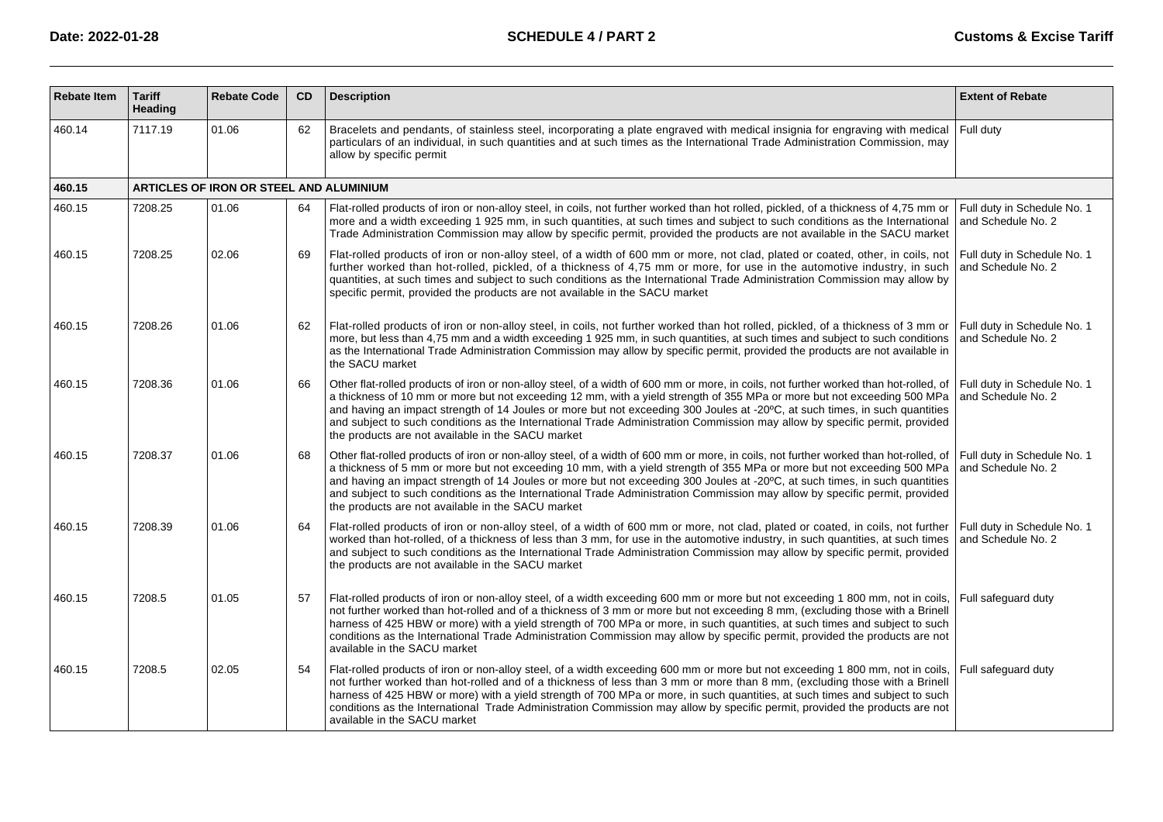| <b>Rebate Item</b> | <b>Tariff</b><br><b>Heading</b> | <b>Rebate Code</b>                      | <b>CD</b> | <b>Description</b>                                                                                                                                                                                                                                                                                                                                                                                                                                                                                                                                                                  | <b>Extent of Rebate</b>                           |
|--------------------|---------------------------------|-----------------------------------------|-----------|-------------------------------------------------------------------------------------------------------------------------------------------------------------------------------------------------------------------------------------------------------------------------------------------------------------------------------------------------------------------------------------------------------------------------------------------------------------------------------------------------------------------------------------------------------------------------------------|---------------------------------------------------|
| 460.14             | 7117.19                         | 01.06                                   | 62        | Bracelets and pendants, of stainless steel, incorporating a plate engraved with medical insignia for engraving with medical<br>particulars of an individual, in such quantities and at such times as the International Trade Administration Commission, may<br>allow by specific permit                                                                                                                                                                                                                                                                                             | Full duty                                         |
| 460.15             |                                 | ARTICLES OF IRON OR STEEL AND ALUMINIUM |           |                                                                                                                                                                                                                                                                                                                                                                                                                                                                                                                                                                                     |                                                   |
| 460.15             | 7208.25                         | 01.06                                   | 64        | Flat-rolled products of iron or non-alloy steel, in coils, not further worked than hot rolled, pickled, of a thickness of 4,75 mm or<br>more and a width exceeding 1 925 mm, in such quantities, at such times and subject to such conditions as the International<br>Trade Administration Commission may allow by specific permit, provided the products are not available in the SACU market                                                                                                                                                                                      | Full duty in Schedule No. 1<br>and Schedule No. 2 |
| 460.15             | 7208.25                         | 02.06                                   | 69        | Flat-rolled products of iron or non-alloy steel, of a width of 600 mm or more, not clad, plated or coated, other, in coils, not<br>further worked than hot-rolled, pickled, of a thickness of 4,75 mm or more, for use in the automotive industry, in such<br>quantities, at such times and subject to such conditions as the International Trade Administration Commission may allow by<br>specific permit, provided the products are not available in the SACU market                                                                                                             | Full duty in Schedule No. 1<br>and Schedule No. 2 |
| 460.15             | 7208.26                         | 01.06                                   | 62        | Flat-rolled products of iron or non-alloy steel, in coils, not further worked than hot rolled, pickled, of a thickness of 3 mm or<br>more, but less than 4,75 mm and a width exceeding 1 925 mm, in such quantities, at such times and subject to such conditions<br>as the International Trade Administration Commission may allow by specific permit, provided the products are not available in<br>the SACU market                                                                                                                                                               | Full duty in Schedule No. 1<br>and Schedule No. 2 |
| 460.15             | 7208.36                         | 01.06                                   | 66        | Other flat-rolled products of iron or non-alloy steel, of a width of 600 mm or more, in coils, not further worked than hot-rolled, of<br>a thickness of 10 mm or more but not exceeding 12 mm, with a yield strength of 355 MPa or more but not exceeding 500 MPa<br>and having an impact strength of 14 Joules or more but not exceeding 300 Joules at -20°C, at such times, in such quantities<br>and subject to such conditions as the International Trade Administration Commission may allow by specific permit, provided<br>the products are not available in the SACU market | Full duty in Schedule No. 1<br>and Schedule No. 2 |
| 460.15             | 7208.37                         | 01.06                                   | 68        | Other flat-rolled products of iron or non-alloy steel, of a width of 600 mm or more, in coils, not further worked than hot-rolled, of<br>a thickness of 5 mm or more but not exceeding 10 mm, with a yield strength of 355 MPa or more but not exceeding 500 MPa<br>and having an impact strength of 14 Joules or more but not exceeding 300 Joules at -20°C, at such times, in such quantities<br>and subject to such conditions as the International Trade Administration Commission may allow by specific permit, provided<br>the products are not available in the SACU market  | Full duty in Schedule No. 1<br>and Schedule No. 2 |
| 460.15             | 7208.39                         | 01.06                                   | 64        | Flat-rolled products of iron or non-alloy steel, of a width of 600 mm or more, not clad, plated or coated, in coils, not further<br>worked than hot-rolled, of a thickness of less than 3 mm, for use in the automotive industry, in such quantities, at such times<br>and subject to such conditions as the International Trade Administration Commission may allow by specific permit, provided<br>the products are not available in the SACU market                                                                                                                              | Full duty in Schedule No. 1<br>and Schedule No. 2 |
| 460.15             | 7208.5                          | 01.05                                   | 57        | Flat-rolled products of iron or non-alloy steel, of a width exceeding 600 mm or more but not exceeding 1 800 mm, not in coils,<br>not further worked than hot-rolled and of a thickness of 3 mm or more but not exceeding 8 mm, (excluding those with a Brinell<br>harness of 425 HBW or more) with a yield strength of 700 MPa or more, in such quantities, at such times and subject to such<br>conditions as the International Trade Administration Commission may allow by specific permit, provided the products are not<br>available in the SACU market                       | Full safequard duty                               |
| 460.15             | 7208.5                          | 02.05                                   | 54        | Flat-rolled products of iron or non-alloy steel, of a width exceeding 600 mm or more but not exceeding 1 800 mm, not in coils,<br>not further worked than hot-rolled and of a thickness of less than 3 mm or more than 8 mm, (excluding those with a Brinell<br>harness of 425 HBW or more) with a yield strength of 700 MPa or more, in such quantities, at such times and subject to such<br>conditions as the International Trade Administration Commission may allow by specific permit, provided the products are not<br>available in the SACU market                          | Full safequard duty                               |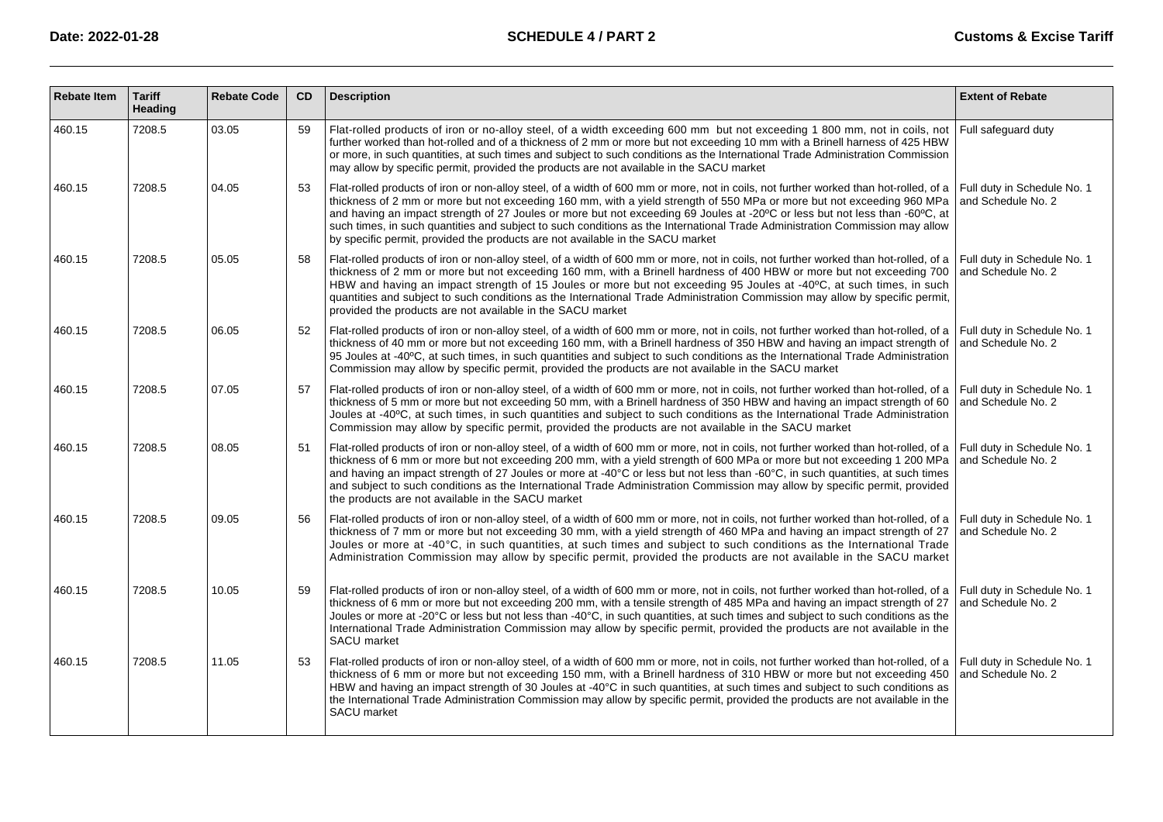| <b>Rebate Item</b> | <b>Tariff</b><br><b>Heading</b> | <b>Rebate Code</b> | <b>CD</b> | <b>Description</b>                                                                                                                                                                                                                                                                                                                                                                                                                                                                                                                                                                                               | <b>Extent of Rebate</b>                           |
|--------------------|---------------------------------|--------------------|-----------|------------------------------------------------------------------------------------------------------------------------------------------------------------------------------------------------------------------------------------------------------------------------------------------------------------------------------------------------------------------------------------------------------------------------------------------------------------------------------------------------------------------------------------------------------------------------------------------------------------------|---------------------------------------------------|
| 460.15             | 7208.5                          | 03.05              | 59        | Flat-rolled products of iron or no-alloy steel, of a width exceeding 600 mm but not exceeding 1 800 mm, not in coils, not<br>further worked than hot-rolled and of a thickness of 2 mm or more but not exceeding 10 mm with a Brinell harness of 425 HBW<br>or more, in such quantities, at such times and subject to such conditions as the International Trade Administration Commission<br>may allow by specific permit, provided the products are not available in the SACU market                                                                                                                           | Full safequard duty                               |
| 460.15             | 7208.5                          | 04.05              | 53        | Flat-rolled products of iron or non-alloy steel, of a width of 600 mm or more, not in coils, not further worked than hot-rolled, of a<br>thickness of 2 mm or more but not exceeding 160 mm, with a yield strength of 550 MPa or more but not exceeding 960 MPa<br>and having an impact strength of 27 Joules or more but not exceeding 69 Joules at -20°C or less but not less than -60°C, at<br>such times, in such quantities and subject to such conditions as the International Trade Administration Commission may allow<br>by specific permit, provided the products are not available in the SACU market | Full duty in Schedule No. 1<br>and Schedule No. 2 |
| 460.15             | 7208.5                          | 05.05              | 58        | Flat-rolled products of iron or non-alloy steel, of a width of 600 mm or more, not in coils, not further worked than hot-rolled, of a<br>thickness of 2 mm or more but not exceeding 160 mm, with a Brinell hardness of 400 HBW or more but not exceeding 700<br>HBW and having an impact strength of 15 Joules or more but not exceeding 95 Joules at -40°C, at such times, in such<br>quantities and subject to such conditions as the International Trade Administration Commission may allow by specific permit,<br>provided the products are not available in the SACU market                               | Full duty in Schedule No. 1<br>and Schedule No. 2 |
| 460.15             | 7208.5                          | 06.05              | 52        | Flat-rolled products of iron or non-alloy steel, of a width of 600 mm or more, not in coils, not further worked than hot-rolled, of a<br>thickness of 40 mm or more but not exceeding 160 mm, with a Brinell hardness of 350 HBW and having an impact strength of<br>95 Joules at -40°C, at such times, in such quantities and subject to such conditions as the International Trade Administration<br>Commission may allow by specific permit, provided the products are not available in the SACU market                                                                                                       | Full duty in Schedule No. 1<br>and Schedule No. 2 |
| 460.15             | 7208.5                          | 07.05              | 57        | Flat-rolled products of iron or non-alloy steel, of a width of 600 mm or more, not in coils, not further worked than hot-rolled, of a<br>thickness of 5 mm or more but not exceeding 50 mm, with a Brinell hardness of 350 HBW and having an impact strength of 60<br>Joules at -40°C, at such times, in such quantities and subject to such conditions as the International Trade Administration<br>Commission may allow by specific permit, provided the products are not available in the SACU market                                                                                                         | Full duty in Schedule No. 1<br>and Schedule No. 2 |
| 460.15             | 7208.5                          | 08.05              | 51        | Flat-rolled products of iron or non-alloy steel, of a width of 600 mm or more, not in coils, not further worked than hot-rolled, of a<br>thickness of 6 mm or more but not exceeding 200 mm, with a yield strength of 600 MPa or more but not exceeding 1 200 MPa<br>and having an impact strength of 27 Joules or more at -40° C or less but not less than -60 °C, in such quantities, at such times<br>and subject to such conditions as the International Trade Administration Commission may allow by specific permit, provided<br>the products are not available in the SACU market                         | Full duty in Schedule No. 1<br>and Schedule No. 2 |
| 460.15             | 7208.5                          | 09.05              | 56        | Flat-rolled products of iron or non-alloy steel, of a width of 600 mm or more, not in coils, not further worked than hot-rolled, of a<br>thickness of 7 mm or more but not exceeding 30 mm, with a yield strength of 460 MPa and having an impact strength of 27<br>Joules or more at -40 °C, in such quantities, at such times and subject to such conditions as the International Trade<br>Administration Commission may allow by specific permit, provided the products are not available in the SACU market                                                                                                  | Full duty in Schedule No. 1<br>and Schedule No. 2 |
| 460.15             | 7208.5                          | 10.05              | 59        | Flat-rolled products of iron or non-alloy steel, of a width of 600 mm or more, not in coils, not further worked than hot-rolled, of a<br>thickness of 6 mm or more but not exceeding 200 mm, with a tensile strength of 485 MPa and having an impact strength of 27<br>Joules or more at -20° C or less but not less than -40° C, in such quantities, at such times and subject to such conditions as the<br>International Trade Administration Commission may allow by specific permit, provided the products are not available in the<br>SACU market                                                           | Full duty in Schedule No. 1<br>and Schedule No. 2 |
| 460.15             | 7208.5                          | 11.05              | 53        | Flat-rolled products of iron or non-alloy steel, of a width of 600 mm or more, not in coils, not further worked than hot-rolled, of a<br>thickness of 6 mm or more but not exceeding 150 mm, with a Brinell hardness of 310 HBW or more but not exceeding 450<br>HBW and having an impact strength of 30 Joules at -40 °C in such quantities, at such times and subject to such conditions as<br>the International Trade Administration Commission may allow by specific permit, provided the products are not available in the<br>SACU market                                                                   | Full duty in Schedule No. 1<br>and Schedule No. 2 |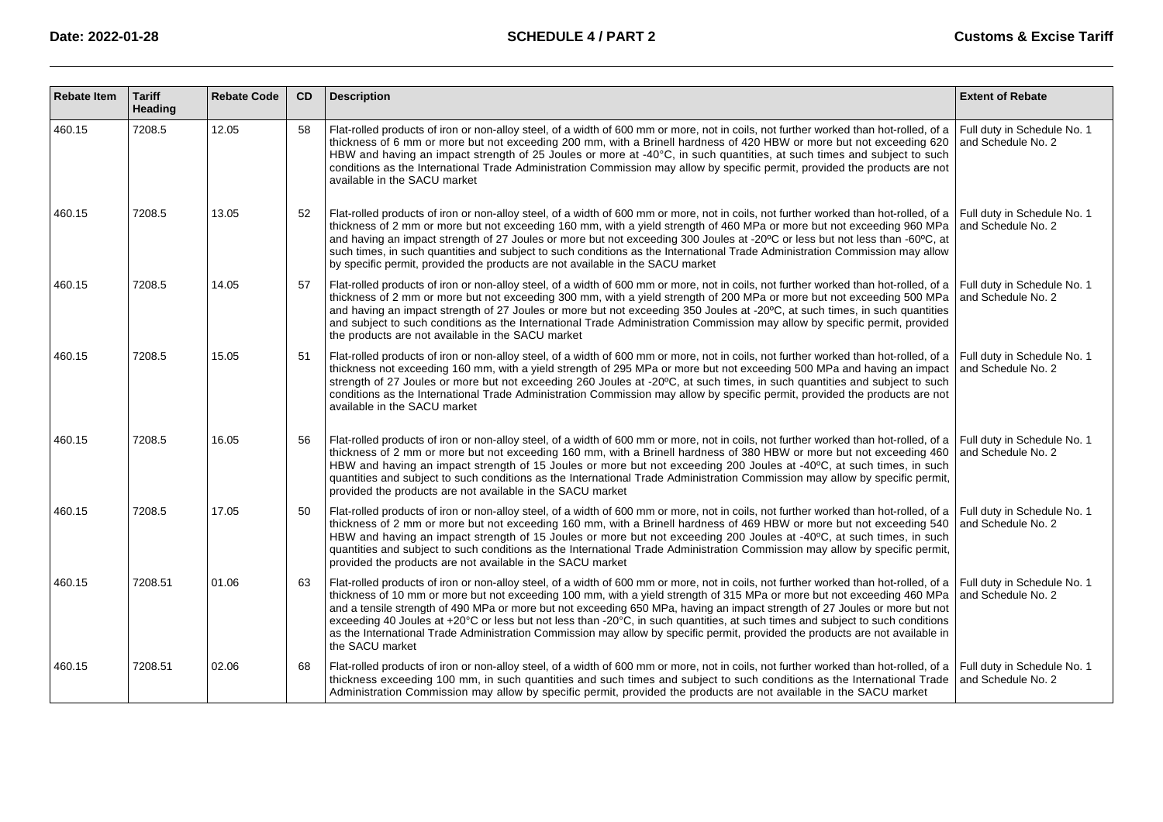| <b>Rebate Item</b> | <b>Tariff</b><br>Heading | <b>Rebate Code</b> | CD | <b>Description</b>                                                                                                                                                                                                                                                                                                                                                                                                                                                                                                                                                                                                                                                                                                | <b>Extent of Rebate</b>                           |
|--------------------|--------------------------|--------------------|----|-------------------------------------------------------------------------------------------------------------------------------------------------------------------------------------------------------------------------------------------------------------------------------------------------------------------------------------------------------------------------------------------------------------------------------------------------------------------------------------------------------------------------------------------------------------------------------------------------------------------------------------------------------------------------------------------------------------------|---------------------------------------------------|
| 460.15             | 7208.5                   | 12.05              | 58 | Flat-rolled products of iron or non-alloy steel, of a width of 600 mm or more, not in coils, not further worked than hot-rolled, of a<br>thickness of 6 mm or more but not exceeding 200 mm, with a Brinell hardness of 420 HBW or more but not exceeding 620<br>HBW and having an impact strength of 25 Joules or more at -40 °C, in such quantities, at such times and subject to such<br>conditions as the International Trade Administration Commission may allow by specific permit, provided the products are not<br>available in the SACU market                                                                                                                                                           | Full duty in Schedule No. 1<br>and Schedule No. 2 |
| 460.15             | 7208.5                   | 13.05              | 52 | Flat-rolled products of iron or non-alloy steel, of a width of 600 mm or more, not in coils, not further worked than hot-rolled, of a Full duty in Schedule No. 1<br>thickness of 2 mm or more but not exceeding 160 mm, with a yield strength of 460 MPa or more but not exceeding 960 MPa<br>and having an impact strength of 27 Joules or more but not exceeding 300 Joules at -20°C or less but not less than -60°C, at<br>such times, in such quantities and subject to such conditions as the International Trade Administration Commission may allow<br>by specific permit, provided the products are not available in the SACU market                                                                     | and Schedule No. 2                                |
| 460.15             | 7208.5                   | 14.05              | 57 | Flat-rolled products of iron or non-alloy steel, of a width of 600 mm or more, not in coils, not further worked than hot-rolled, of a Full duty in Schedule No. 1<br>thickness of 2 mm or more but not exceeding 300 mm, with a yield strength of 200 MPa or more but not exceeding 500 MPa<br>and having an impact strength of 27 Joules or more but not exceeding 350 Joules at -20°C, at such times, in such quantities<br>and subject to such conditions as the International Trade Administration Commission may allow by specific permit, provided<br>the products are not available in the SACU market                                                                                                     | and Schedule No. 2                                |
| 460.15             | 7208.5                   | 15.05              | 51 | Flat-rolled products of iron or non-alloy steel, of a width of 600 mm or more, not in coils, not further worked than hot-rolled, of a<br>thickness not exceeding 160 mm, with a yield strength of 295 MPa or more but not exceeding 500 MPa and having an impact<br>strength of 27 Joules or more but not exceeding 260 Joules at -20°C, at such times, in such quantities and subject to such<br>conditions as the International Trade Administration Commission may allow by specific permit, provided the products are not<br>available in the SACU market                                                                                                                                                     | Full duty in Schedule No. 1<br>and Schedule No. 2 |
| 460.15             | 7208.5                   | 16.05              | 56 | Flat-rolled products of iron or non-alloy steel, of a width of 600 mm or more, not in coils, not further worked than hot-rolled, of a Full duty in Schedule No. 1<br>thickness of 2 mm or more but not exceeding 160 mm, with a Brinell hardness of 380 HBW or more but not exceeding 460<br>HBW and having an impact strength of 15 Joules or more but not exceeding 200 Joules at -40°C, at such times, in such<br>guantities and subject to such conditions as the International Trade Administration Commission may allow by specific permit,<br>provided the products are not available in the SACU market                                                                                                   | and Schedule No. 2                                |
| 460.15             | 7208.5                   | 17.05              | 50 | Flat-rolled products of iron or non-alloy steel, of a width of 600 mm or more, not in coils, not further worked than hot-rolled, of a Full duty in Schedule No. 1<br>thickness of 2 mm or more but not exceeding 160 mm, with a Brinell hardness of 469 HBW or more but not exceeding 540<br>HBW and having an impact strength of 15 Joules or more but not exceeding 200 Joules at -40°C, at such times, in such<br>quantities and subject to such conditions as the International Trade Administration Commission may allow by specific permit,<br>provided the products are not available in the SACU market                                                                                                   | and Schedule No. 2                                |
| 460.15             | 7208.51                  | 01.06              | 63 | Flat-rolled products of iron or non-alloy steel, of a width of 600 mm or more, not in coils, not further worked than hot-rolled, of a Full duty in Schedule No. 1<br>thickness of 10 mm or more but not exceeding 100 mm, with a yield strength of 315 MPa or more but not exceeding 460 MPa<br>and a tensile strength of 490 MPa or more but not exceeding 650 MPa, having an impact strength of 27 Joules or more but not<br>exceeding 40 Joules at +20°C or less but not less than -20°C, in such quantities, at such times and subject to such conditions<br>as the International Trade Administration Commission may allow by specific permit, provided the products are not available in<br>the SACU market | and Schedule No. 2                                |
| 460.15             | 7208.51                  | 02.06              | 68 | Flat-rolled products of iron or non-alloy steel, of a width of 600 mm or more, not in coils, not further worked than hot-rolled, of a<br>thickness exceeding 100 mm, in such quantities and such times and subject to such conditions as the International Trade<br>Administration Commission may allow by specific permit, provided the products are not available in the SACU market                                                                                                                                                                                                                                                                                                                            | Full duty in Schedule No. 1<br>and Schedule No. 2 |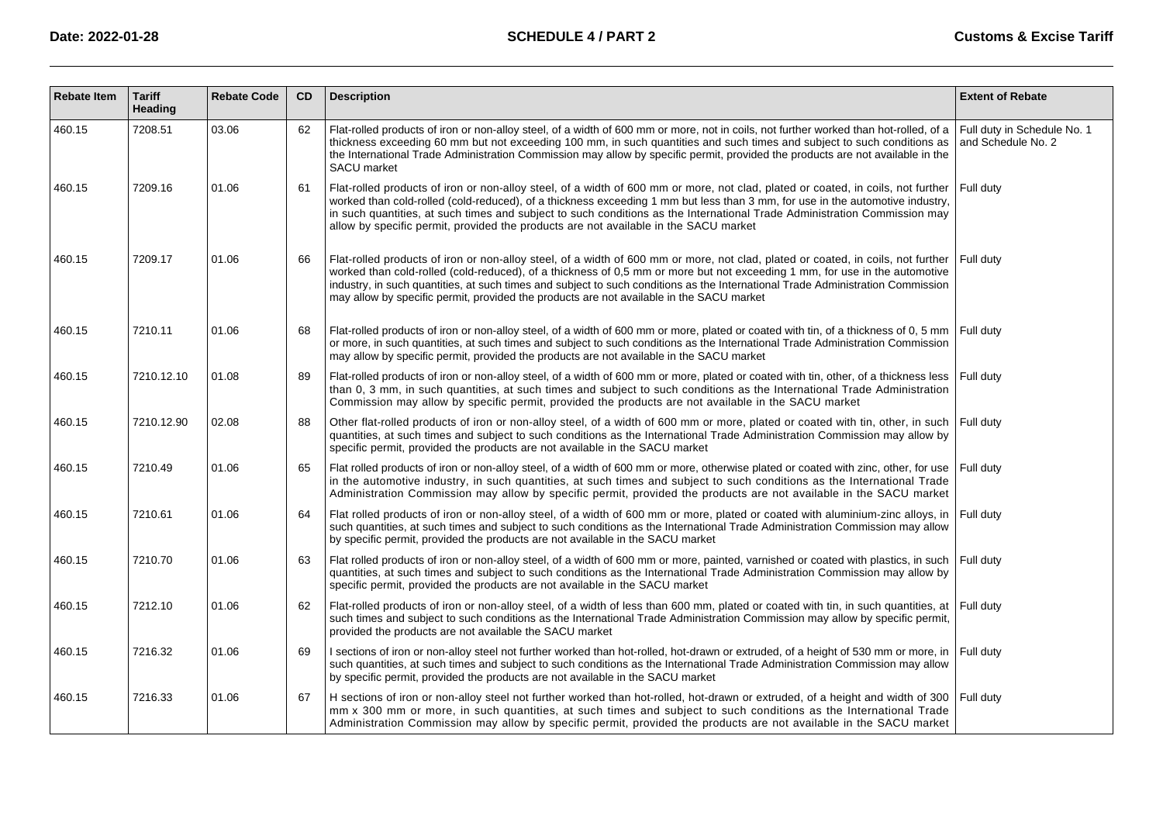| <b>Rebate Item</b> | <b>Tariff</b><br>Heading | <b>Rebate Code</b> | <b>CD</b> | <b>Description</b>                                                                                                                                                                                                                                                                                                                                                                                                                                                                            | <b>Extent of Rebate</b>                           |
|--------------------|--------------------------|--------------------|-----------|-----------------------------------------------------------------------------------------------------------------------------------------------------------------------------------------------------------------------------------------------------------------------------------------------------------------------------------------------------------------------------------------------------------------------------------------------------------------------------------------------|---------------------------------------------------|
| 460.15             | 7208.51                  | 03.06              | 62        | Flat-rolled products of iron or non-alloy steel, of a width of 600 mm or more, not in coils, not further worked than hot-rolled, of a<br>thickness exceeding 60 mm but not exceeding 100 mm, in such quantities and such times and subject to such conditions as<br>the International Trade Administration Commission may allow by specific permit, provided the products are not available in the<br><b>SACU</b> market                                                                      | Full duty in Schedule No. 1<br>and Schedule No. 2 |
| 460.15             | 7209.16                  | 01.06              | 61        | Flat-rolled products of iron or non-alloy steel, of a width of 600 mm or more, not clad, plated or coated, in coils, not further<br>worked than cold-rolled (cold-reduced), of a thickness exceeding 1 mm but less than 3 mm, for use in the automotive industry,<br>in such quantities, at such times and subject to such conditions as the International Trade Administration Commission may<br>allow by specific permit, provided the products are not available in the SACU market        | Full duty                                         |
| 460.15             | 7209.17                  | 01.06              | 66        | Flat-rolled products of iron or non-alloy steel, of a width of 600 mm or more, not clad, plated or coated, in coils, not further<br>worked than cold-rolled (cold-reduced), of a thickness of 0,5 mm or more but not exceeding 1 mm, for use in the automotive<br>industry, in such quantities, at such times and subject to such conditions as the International Trade Administration Commission<br>may allow by specific permit, provided the products are not available in the SACU market | Full duty                                         |
| 460.15             | 7210.11                  | 01.06              | 68        | Flat-rolled products of iron or non-alloy steel, of a width of 600 mm or more, plated or coated with tin, of a thickness of 0, 5 mm<br>or more, in such quantities, at such times and subject to such conditions as the International Trade Administration Commission<br>may allow by specific permit, provided the products are not available in the SACU market                                                                                                                             | Full duty                                         |
| 460.15             | 7210.12.10               | 01.08              | 89        | Flat-rolled products of iron or non-alloy steel, of a width of 600 mm or more, plated or coated with tin, other, of a thickness less<br>than 0, 3 mm, in such quantities, at such times and subject to such conditions as the International Trade Administration<br>Commission may allow by specific permit, provided the products are not available in the SACU market                                                                                                                       | Full duty                                         |
| 460.15             | 7210.12.90               | 02.08              | 88        | Other flat-rolled products of iron or non-alloy steel, of a width of 600 mm or more, plated or coated with tin, other, in such<br>quantities, at such times and subject to such conditions as the International Trade Administration Commission may allow by<br>specific permit, provided the products are not available in the SACU market                                                                                                                                                   | Full duty                                         |
| 460.15             | 7210.49                  | 01.06              | 65        | Flat rolled products of iron or non-alloy steel, of a width of 600 mm or more, otherwise plated or coated with zinc, other, for use<br>in the automotive industry, in such quantities, at such times and subject to such conditions as the International Trade<br>Administration Commission may allow by specific permit, provided the products are not available in the SACU market                                                                                                          | Full duty                                         |
| 460.15             | 7210.61                  | 01.06              | 64        | Flat rolled products of iron or non-alloy steel, of a width of 600 mm or more, plated or coated with aluminium-zinc alloys, in<br>such quantities, at such times and subject to such conditions as the International Trade Administration Commission may allow<br>by specific permit, provided the products are not available in the SACU market                                                                                                                                              | Full duty                                         |
| 460.15             | 7210.70                  | 01.06              | 63        | Flat rolled products of iron or non-alloy steel, of a width of 600 mm or more, painted, varnished or coated with plastics, in such<br>quantities, at such times and subject to such conditions as the International Trade Administration Commission may allow by<br>specific permit, provided the products are not available in the SACU market                                                                                                                                               | Full duty                                         |
| 460.15             | 7212.10                  | 01.06              | 62        | Flat-rolled products of iron or non-alloy steel, of a width of less than 600 mm, plated or coated with tin, in such quantities, at<br>such times and subject to such conditions as the International Trade Administration Commission may allow by specific permit,<br>provided the products are not available the SACU market                                                                                                                                                                 | Full duty                                         |
| 460.15             | 7216.32                  | 01.06              | 69        | I sections of iron or non-alloy steel not further worked than hot-rolled, hot-drawn or extruded, of a height of 530 mm or more, in<br>such quantities, at such times and subject to such conditions as the International Trade Administration Commission may allow<br>by specific permit, provided the products are not available in the SACU market                                                                                                                                          | Full duty                                         |
| 460.15             | 7216.33                  | 01.06              | 67        | H sections of iron or non-alloy steel not further worked than hot-rolled, hot-drawn or extruded, of a height and width of 300<br>mm x 300 mm or more, in such quantities, at such times and subject to such conditions as the International Trade<br>Administration Commission may allow by specific permit, provided the products are not available in the SACU market                                                                                                                       | Full duty                                         |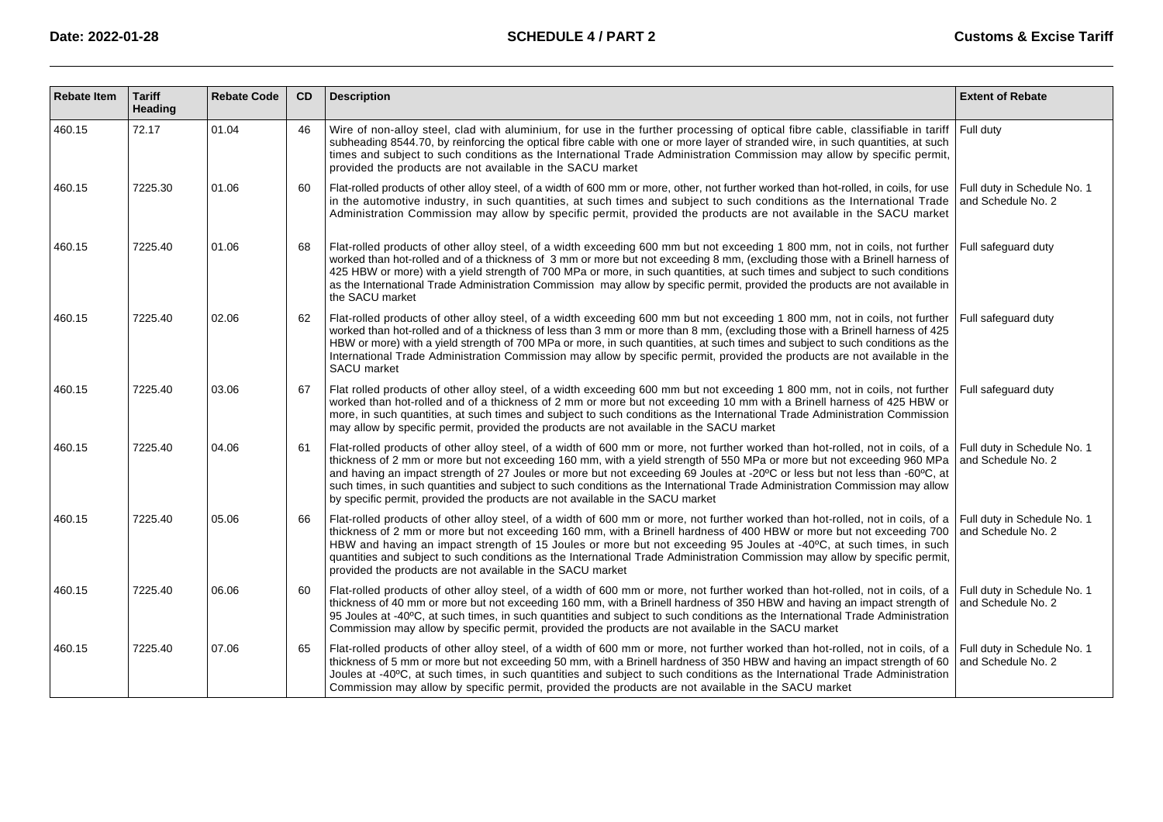| <b>Rebate Item</b> | <b>Tariff</b><br>Heading | <b>Rebate Code</b> | <b>CD</b> | <b>Description</b>                                                                                                                                                                                                                                                                                                                                                                                                                                                                                                                                                                                         | <b>Extent of Rebate</b>                           |
|--------------------|--------------------------|--------------------|-----------|------------------------------------------------------------------------------------------------------------------------------------------------------------------------------------------------------------------------------------------------------------------------------------------------------------------------------------------------------------------------------------------------------------------------------------------------------------------------------------------------------------------------------------------------------------------------------------------------------------|---------------------------------------------------|
| 460.15             | 72.17                    | 01.04              | 46        | Wire of non-alloy steel, clad with aluminium, for use in the further processing of optical fibre cable, classifiable in tariff<br>subheading 8544.70, by reinforcing the optical fibre cable with one or more layer of stranded wire, in such quantities, at such<br>times and subject to such conditions as the International Trade Administration Commission may allow by specific permit,<br>provided the products are not available in the SACU market                                                                                                                                                 | Full duty                                         |
| 460.15             | 7225.30                  | 01.06              | 60        | Flat-rolled products of other alloy steel, of a width of 600 mm or more, other, not further worked than hot-rolled, in coils, for use<br>in the automotive industry, in such quantities, at such times and subject to such conditions as the International Trade<br>Administration Commission may allow by specific permit, provided the products are not available in the SACU market                                                                                                                                                                                                                     | Full duty in Schedule No. 1<br>and Schedule No. 2 |
| 460.15             | 7225.40                  | 01.06              | 68        | Flat-rolled products of other alloy steel, of a width exceeding 600 mm but not exceeding 1 800 mm, not in coils, not further<br>worked than hot-rolled and of a thickness of 3 mm or more but not exceeding 8 mm, (excluding those with a Brinell harness of<br>425 HBW or more) with a yield strength of 700 MPa or more, in such quantities, at such times and subject to such conditions<br>as the International Trade Administration Commission may allow by specific permit, provided the products are not available in<br>the SACU market                                                            | Full safeguard duty                               |
| 460.15             | 7225.40                  | 02.06              | 62        | Flat-rolled products of other alloy steel, of a width exceeding 600 mm but not exceeding 1 800 mm, not in coils, not further<br>worked than hot-rolled and of a thickness of less than 3 mm or more than 8 mm, (excluding those with a Brinell harness of 425<br>HBW or more) with a yield strength of 700 MPa or more, in such quantities, at such times and subject to such conditions as the<br>International Trade Administration Commission may allow by specific permit, provided the products are not available in the<br><b>SACU</b> market                                                        | Full safequard duty                               |
| 460.15             | 7225.40                  | 03.06              | 67        | Flat rolled products of other alloy steel, of a width exceeding 600 mm but not exceeding 1 800 mm, not in coils, not further<br>worked than hot-rolled and of a thickness of 2 mm or more but not exceeding 10 mm with a Brinell harness of 425 HBW or<br>more, in such quantities, at such times and subject to such conditions as the International Trade Administration Commission<br>may allow by specific permit, provided the products are not available in the SACU market                                                                                                                          | Full safequard duty                               |
| 460.15             | 7225.40                  | 04.06              | 61        | Flat-rolled products of other alloy steel, of a width of 600 mm or more, not further worked than hot-rolled, not in coils, of a<br>thickness of 2 mm or more but not exceeding 160 mm, with a yield strength of 550 MPa or more but not exceeding 960 MPa<br>and having an impact strength of 27 Joules or more but not exceeding 69 Joules at -20°C or less but not less than -60°C, at<br>such times, in such quantities and subject to such conditions as the International Trade Administration Commission may allow<br>by specific permit, provided the products are not available in the SACU market | Full duty in Schedule No. 1<br>and Schedule No. 2 |
| 460.15             | 7225.40                  | 05.06              | 66        | Flat-rolled products of other alloy steel, of a width of 600 mm or more, not further worked than hot-rolled, not in coils, of a<br>thickness of 2 mm or more but not exceeding 160 mm, with a Brinell hardness of 400 HBW or more but not exceeding 700<br>HBW and having an impact strength of 15 Joules or more but not exceeding 95 Joules at -40°C, at such times, in such<br>quantities and subject to such conditions as the International Trade Administration Commission may allow by specific permit,<br>provided the products are not available in the SACU market                               | Full duty in Schedule No. 1<br>and Schedule No. 2 |
| 460.15             | 7225.40                  | 06.06              | 60        | Flat-rolled products of other alloy steel, of a width of 600 mm or more, not further worked than hot-rolled, not in coils, of a<br>thickness of 40 mm or more but not exceeding 160 mm, with a Brinell hardness of 350 HBW and having an impact strength of<br>95 Joules at -40°C, at such times, in such quantities and subject to such conditions as the International Trade Administration<br>Commission may allow by specific permit, provided the products are not available in the SACU market                                                                                                       | Full duty in Schedule No. 1<br>and Schedule No. 2 |
| 460.15             | 7225.40                  | 07.06              | 65        | Flat-rolled products of other alloy steel, of a width of 600 mm or more, not further worked than hot-rolled, not in coils, of a<br>thickness of 5 mm or more but not exceeding 50 mm, with a Brinell hardness of 350 HBW and having an impact strength of 60<br>Joules at -40°C, at such times, in such quantities and subject to such conditions as the International Trade Administration<br>Commission may allow by specific permit, provided the products are not available in the SACU market                                                                                                         | Full duty in Schedule No. 1<br>and Schedule No. 2 |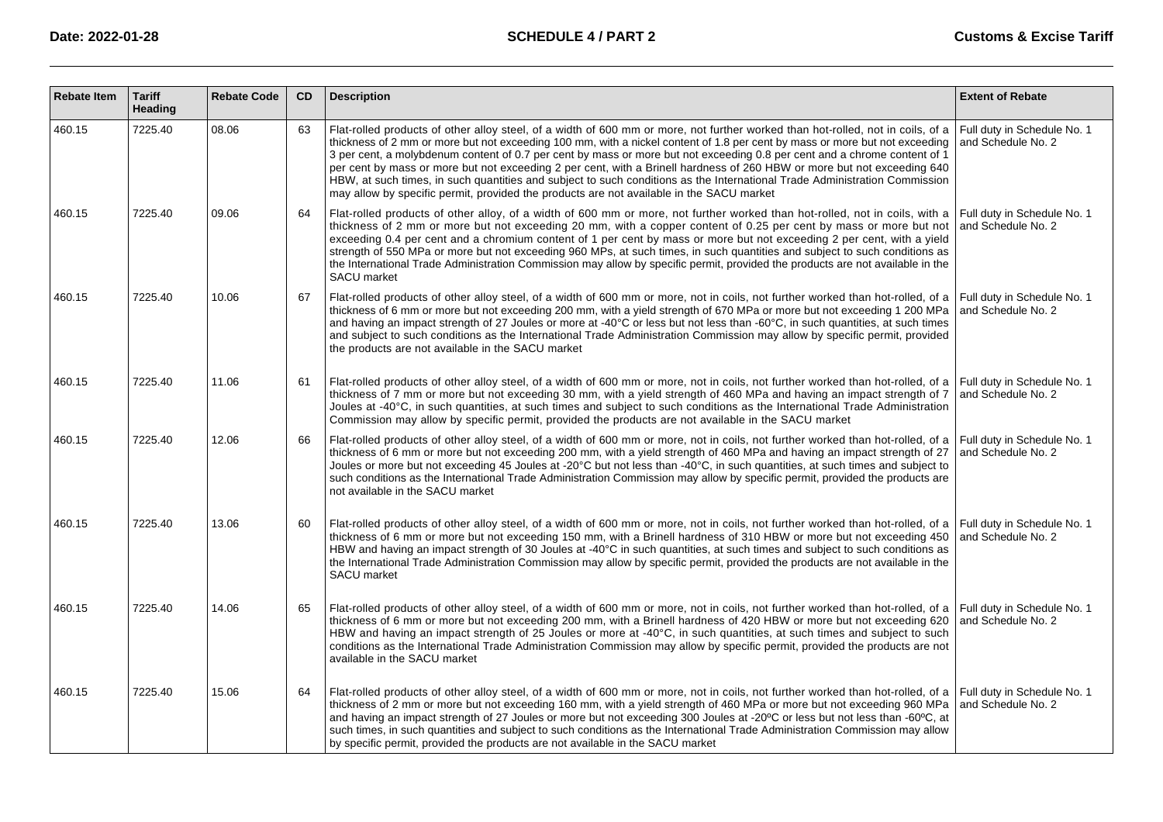| <b>Rebate Item</b> | <b>Tariff</b><br>Heading | <b>Rebate Code</b> | CD | <b>Description</b>                                                                                                                                                                                                                                                                                                                                                                                                                                                                                                                                                                                                                                                                                                                               | <b>Extent of Rebate</b>                           |
|--------------------|--------------------------|--------------------|----|--------------------------------------------------------------------------------------------------------------------------------------------------------------------------------------------------------------------------------------------------------------------------------------------------------------------------------------------------------------------------------------------------------------------------------------------------------------------------------------------------------------------------------------------------------------------------------------------------------------------------------------------------------------------------------------------------------------------------------------------------|---------------------------------------------------|
| 460.15             | 7225.40                  | 08.06              | 63 | Flat-rolled products of other alloy steel, of a width of 600 mm or more, not further worked than hot-rolled, not in coils, of a<br>thickness of 2 mm or more but not exceeding 100 mm, with a nickel content of 1.8 per cent by mass or more but not exceeding<br>3 per cent, a molybdenum content of 0.7 per cent by mass or more but not exceeding 0.8 per cent and a chrome content of 1<br>per cent by mass or more but not exceeding 2 per cent, with a Brinell hardness of 260 HBW or more but not exceeding 640<br>HBW, at such times, in such quantities and subject to such conditions as the International Trade Administration Commission<br>may allow by specific permit, provided the products are not available in the SACU market | Full duty in Schedule No. 1<br>and Schedule No. 2 |
| 460.15             | 7225.40                  | 09.06              | 64 | Flat-rolled products of other alloy, of a width of 600 mm or more, not further worked than hot-rolled, not in coils, with a<br>thickness of 2 mm or more but not exceeding 20 mm, with a copper content of 0.25 per cent by mass or more but not<br>exceeding 0.4 per cent and a chromium content of 1 per cent by mass or more but not exceeding 2 per cent, with a yield<br>strength of 550 MPa or more but not exceeding 960 MPs, at such times, in such quantities and subject to such conditions as<br>the International Trade Administration Commission may allow by specific permit, provided the products are not available in the<br>SACU market                                                                                        | Full duty in Schedule No. 1<br>and Schedule No. 2 |
| 460.15             | 7225.40                  | 10.06              | 67 | Flat-rolled products of other alloy steel, of a width of 600 mm or more, not in coils, not further worked than hot-rolled, of a<br>thickness of 6 mm or more but not exceeding 200 mm, with a yield strength of 670 MPa or more but not exceeding 1 200 MPa<br>and having an impact strength of 27 Joules or more at -40 °C or less but not less than -60° C, in such quantities, at such times<br>and subject to such conditions as the International Trade Administration Commission may allow by specific permit, provided<br>the products are not available in the SACU market                                                                                                                                                               | Full duty in Schedule No. 1<br>and Schedule No. 2 |
| 460.15             | 7225.40                  | 11.06              | 61 | Flat-rolled products of other alloy steel, of a width of 600 mm or more, not in coils, not further worked than hot-rolled, of a<br>thickness of 7 mm or more but not exceeding 30 mm, with a yield strength of 460 MPa and having an impact strength of 7<br>Joules at -40 °C, in such quantities, at such times and subject to such conditions as the International Trade Administration<br>Commission may allow by specific permit, provided the products are not available in the SACU market                                                                                                                                                                                                                                                 | Full duty in Schedule No. 1<br>and Schedule No. 2 |
| 460.15             | 7225.40                  | 12.06              | 66 | Flat-rolled products of other alloy steel, of a width of 600 mm or more, not in coils, not further worked than hot-rolled, of a<br>thickness of 6 mm or more but not exceeding 200 mm, with a yield strength of 460 MPa and having an impact strength of 27<br>Joules or more but not exceeding 45 Joules at -20° C but not less than -40°C, in such quantities, at such times and subject to<br>such conditions as the International Trade Administration Commission may allow by specific permit, provided the products are<br>not available in the SACU market                                                                                                                                                                                | Full duty in Schedule No. 1<br>and Schedule No. 2 |
| 460.15             | 7225.40                  | 13.06              | 60 | Flat-rolled products of other alloy steel, of a width of 600 mm or more, not in coils, not further worked than hot-rolled, of a<br>thickness of 6 mm or more but not exceeding 150 mm, with a Brinell hardness of 310 HBW or more but not exceeding 450<br>HBW and having an impact strength of 30 Joules at -40 °C in such quantities, at such times and subject to such conditions as<br>the International Trade Administration Commission may allow by specific permit, provided the products are not available in the<br>SACU market                                                                                                                                                                                                         | Full duty in Schedule No. 1<br>and Schedule No. 2 |
| 460.15             | 7225.40                  | 14.06              | 65 | Flat-rolled products of other alloy steel, of a width of 600 mm or more, not in coils, not further worked than hot-rolled, of a<br>thickness of 6 mm or more but not exceeding 200 mm, with a Brinell hardness of 420 HBW or more but not exceeding 620<br>HBW and having an impact strength of 25 Joules or more at -40° C, in such quantities, at such times and subject to such<br>conditions as the International Trade Administration Commission may allow by specific permit, provided the products are not<br>available in the SACU market                                                                                                                                                                                                | Full duty in Schedule No. 1<br>and Schedule No. 2 |
| 460.15             | 7225.40                  | 15.06              | 64 | Flat-rolled products of other alloy steel, of a width of 600 mm or more, not in coils, not further worked than hot-rolled, of a<br>thickness of 2 mm or more but not exceeding 160 mm, with a yield strength of 460 MPa or more but not exceeding 960 MPa<br>and having an impact strength of 27 Joules or more but not exceeding 300 Joules at -20°C or less but not less than -60°C, at<br>such times, in such quantities and subject to such conditions as the International Trade Administration Commission may allow<br>by specific permit, provided the products are not available in the SACU market                                                                                                                                      | Full duty in Schedule No. 1<br>and Schedule No. 2 |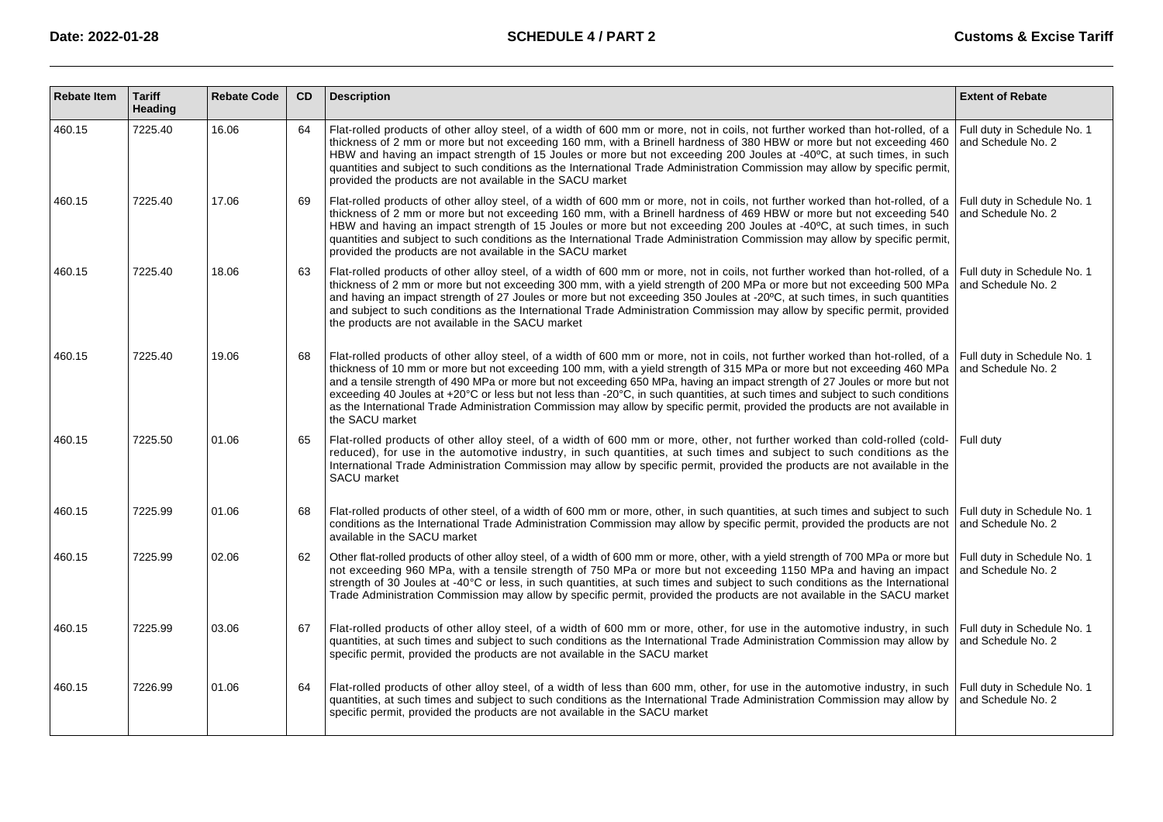| <b>Rebate Item</b> | <b>Tariff</b><br><b>Heading</b> | <b>Rebate Code</b> | <b>CD</b> | <b>Description</b>                                                                                                                                                                                                                                                                                                                                                                                                                                                                                                                                                                                                                                                                                          | <b>Extent of Rebate</b>                           |
|--------------------|---------------------------------|--------------------|-----------|-------------------------------------------------------------------------------------------------------------------------------------------------------------------------------------------------------------------------------------------------------------------------------------------------------------------------------------------------------------------------------------------------------------------------------------------------------------------------------------------------------------------------------------------------------------------------------------------------------------------------------------------------------------------------------------------------------------|---------------------------------------------------|
| 460.15             | 7225.40                         | 16.06              | 64        | Flat-rolled products of other alloy steel, of a width of 600 mm or more, not in coils, not further worked than hot-rolled, of a<br>thickness of 2 mm or more but not exceeding 160 mm, with a Brinell hardness of 380 HBW or more but not exceeding 460<br>HBW and having an impact strength of 15 Joules or more but not exceeding 200 Joules at -40°C, at such times, in such<br>quantities and subject to such conditions as the International Trade Administration Commission may allow by specific permit,<br>provided the products are not available in the SACU market                                                                                                                               | Full duty in Schedule No. 1<br>and Schedule No. 2 |
| 460.15             | 7225.40                         | 17.06              | 69        | Flat-rolled products of other alloy steel, of a width of 600 mm or more, not in coils, not further worked than hot-rolled, of a Full duty in Schedule No. 1<br>thickness of 2 mm or more but not exceeding 160 mm, with a Brinell hardness of 469 HBW or more but not exceeding 540<br>HBW and having an impact strength of 15 Joules or more but not exceeding 200 Joules at -40°C, at such times, in such<br>quantities and subject to such conditions as the International Trade Administration Commission may allow by specific permit,<br>provided the products are not available in the SACU market                                                                                                   | and Schedule No. 2                                |
| 460.15             | 7225.40                         | 18.06              | 63        | Flat-rolled products of other alloy steel, of a width of 600 mm or more, not in coils, not further worked than hot-rolled, of a<br>thickness of 2 mm or more but not exceeding 300 mm, with a yield strength of 200 MPa or more but not exceeding 500 MPa<br>and having an impact strength of 27 Joules or more but not exceeding 350 Joules at -20°C, at such times, in such quantities<br>and subject to such conditions as the International Trade Administration Commission may allow by specific permit, provided<br>the products are not available in the SACU market                                                                                                                                 | Full duty in Schedule No. 1<br>and Schedule No. 2 |
| 460.15             | 7225.40                         | 19.06              | 68        | Flat-rolled products of other alloy steel, of a width of 600 mm or more, not in coils, not further worked than hot-rolled, of a Full duty in Schedule No. 1<br>thickness of 10 mm or more but not exceeding 100 mm, with a yield strength of 315 MPa or more but not exceeding 460 MPa<br>and a tensile strength of 490 MPa or more but not exceeding 650 MPa, having an impact strength of 27 Joules or more but not<br>exceeding 40 Joules at +20°C or less but not less than -20°C, in such quantities, at such times and subject to such conditions<br>as the International Trade Administration Commission may allow by specific permit, provided the products are not available in<br>the SACU market | and Schedule No. 2                                |
| 460.15             | 7225.50                         | 01.06              | 65        | Flat-rolled products of other alloy steel, of a width of 600 mm or more, other, not further worked than cold-rolled (cold-<br>reduced), for use in the automotive industry, in such quantities, at such times and subject to such conditions as the<br>International Trade Administration Commission may allow by specific permit, provided the products are not available in the<br>SACU market                                                                                                                                                                                                                                                                                                            | Full duty                                         |
| 460.15             | 7225.99                         | 01.06              | 68        | Flat-rolled products of other steel, of a width of 600 mm or more, other, in such quantities, at such times and subject to such<br>conditions as the International Trade Administration Commission may allow by specific permit, provided the products are not<br>available in the SACU market                                                                                                                                                                                                                                                                                                                                                                                                              | Full duty in Schedule No. 1<br>and Schedule No. 2 |
| 460.15             | 7225.99                         | 02.06              | 62        | Other flat-rolled products of other alloy steel, of a width of 600 mm or more, other, with a yield strength of 700 MPa or more but Full duty in Schedule No. 1<br>not exceeding 960 MPa, with a tensile strength of 750 MPa or more but not exceeding 1150 MPa and having an impact and Schedule No. 2<br>strength of 30 Joules at -40 °C or less, in such quantities, at such times and subject to such conditions as the International<br>Trade Administration Commission may allow by specific permit, provided the products are not available in the SACU market                                                                                                                                        |                                                   |
| 460.15             | 7225.99                         | 03.06              | 67        | Flat-rolled products of other alloy steel, of a width of 600 mm or more, other, for use in the automotive industry, in such<br>quantities, at such times and subject to such conditions as the International Trade Administration Commission may allow by<br>specific permit, provided the products are not available in the SACU market                                                                                                                                                                                                                                                                                                                                                                    | Full duty in Schedule No. 1<br>and Schedule No. 2 |
| 460.15             | 7226.99                         | 01.06              | 64        | Flat-rolled products of other alloy steel, of a width of less than 600 mm, other, for use in the automotive industry, in such<br>quantities, at such times and subject to such conditions as the International Trade Administration Commission may allow by<br>specific permit, provided the products are not available in the SACU market                                                                                                                                                                                                                                                                                                                                                                  | Full duty in Schedule No. 1<br>and Schedule No. 2 |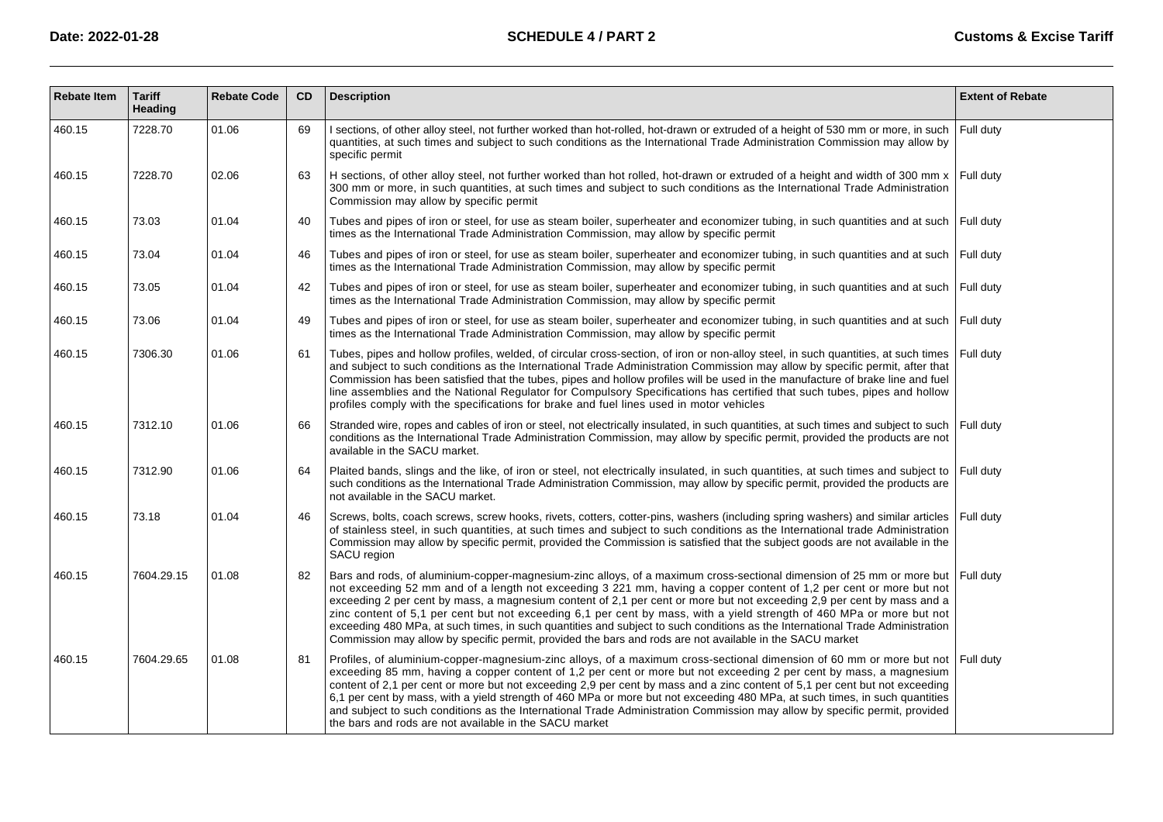| <b>Rebate Item</b> | <b>Tariff</b><br>Heading | <b>Rebate Code</b> | CD | <b>Description</b>                                                                                                                                                                                                                                                                                                                                                                                                                                                                                                                                                                                                                                                                                                                           | <b>Extent of Rebate</b> |
|--------------------|--------------------------|--------------------|----|----------------------------------------------------------------------------------------------------------------------------------------------------------------------------------------------------------------------------------------------------------------------------------------------------------------------------------------------------------------------------------------------------------------------------------------------------------------------------------------------------------------------------------------------------------------------------------------------------------------------------------------------------------------------------------------------------------------------------------------------|-------------------------|
| 460.15             | 7228.70                  | 01.06              | 69 | I sections, of other alloy steel, not further worked than hot-rolled, hot-drawn or extruded of a height of 530 mm or more, in such<br>quantities, at such times and subject to such conditions as the International Trade Administration Commission may allow by<br>specific permit                                                                                                                                                                                                                                                                                                                                                                                                                                                          | Full duty               |
| 460.15             | 7228.70                  | 02.06              | 63 | H sections, of other alloy steel, not further worked than hot rolled, hot-drawn or extruded of a height and width of 300 mm x<br>300 mm or more, in such quantities, at such times and subject to such conditions as the International Trade Administration<br>Commission may allow by specific permit                                                                                                                                                                                                                                                                                                                                                                                                                                       | Full duty               |
| 460.15             | 73.03                    | 01.04              | 40 | Tubes and pipes of iron or steel, for use as steam boiler, superheater and economizer tubing, in such quantities and at such Full duty<br>times as the International Trade Administration Commission, may allow by specific permit                                                                                                                                                                                                                                                                                                                                                                                                                                                                                                           |                         |
| 460.15             | 73.04                    | 01.04              | 46 | Tubes and pipes of iron or steel, for use as steam boiler, superheater and economizer tubing, in such quantities and at such<br>times as the International Trade Administration Commission, may allow by specific permit                                                                                                                                                                                                                                                                                                                                                                                                                                                                                                                     | Full duty               |
| 460.15             | 73.05                    | 01.04              | 42 | Tubes and pipes of iron or steel, for use as steam boiler, superheater and economizer tubing, in such quantities and at such Full duty<br>times as the International Trade Administration Commission, may allow by specific permit                                                                                                                                                                                                                                                                                                                                                                                                                                                                                                           |                         |
| 460.15             | 73.06                    | 01.04              | 49 | Tubes and pipes of iron or steel, for use as steam boiler, superheater and economizer tubing, in such quantities and at such Full duty<br>times as the International Trade Administration Commission, may allow by specific permit                                                                                                                                                                                                                                                                                                                                                                                                                                                                                                           |                         |
| 460.15             | 7306.30                  | 01.06              | 61 | Tubes, pipes and hollow profiles, welded, of circular cross-section, of iron or non-alloy steel, in such quantities, at such times<br>and subject to such conditions as the International Trade Administration Commission may allow by specific permit, after that<br>Commission has been satisfied that the tubes, pipes and hollow profiles will be used in the manufacture of brake line and fuel<br>line assemblies and the National Regulator for Compulsory Specifications has certified that such tubes, pipes and hollow<br>profiles comply with the specifications for brake and fuel lines used in motor vehicles                                                                                                                  | Full duty               |
| 460.15             | 7312.10                  | 01.06              | 66 | Stranded wire, ropes and cables of iron or steel, not electrically insulated, in such quantities, at such times and subject to such<br>conditions as the International Trade Administration Commission, may allow by specific permit, provided the products are not<br>available in the SACU market.                                                                                                                                                                                                                                                                                                                                                                                                                                         | Full duty               |
| 460.15             | 7312.90                  | 01.06              | 64 | Plaited bands, slings and the like, of iron or steel, not electrically insulated, in such quantities, at such times and subject to<br>such conditions as the International Trade Administration Commission, may allow by specific permit, provided the products are<br>not available in the SACU market.                                                                                                                                                                                                                                                                                                                                                                                                                                     | Full duty               |
| 460.15             | 73.18                    | 01.04              | 46 | Screws, bolts, coach screws, screw hooks, rivets, cotters, cotter-pins, washers (including spring washers) and similar articles<br>of stainless steel, in such quantities, at such times and subject to such conditions as the International trade Administration<br>Commission may allow by specific permit, provided the Commission is satisfied that the subject goods are not available in the<br>SACU region                                                                                                                                                                                                                                                                                                                            | Full duty               |
| 460.15             | 7604.29.15               | 01.08              | 82 | Bars and rods, of aluminium-copper-magnesium-zinc alloys, of a maximum cross-sectional dimension of 25 mm or more but<br>not exceeding 52 mm and of a length not exceeding 3 221 mm, having a copper content of 1,2 per cent or more but not<br>exceeding 2 per cent by mass, a magnesium content of 2,1 per cent or more but not exceeding 2,9 per cent by mass and a<br>zinc content of 5,1 per cent but not exceeding 6,1 per cent by mass, with a yield strength of 460 MPa or more but not<br>exceeding 480 MPa, at such times, in such quantities and subject to such conditions as the International Trade Administration<br>Commission may allow by specific permit, provided the bars and rods are not available in the SACU market | l Full dutv             |
| 460.15             | 7604.29.65               | 01.08              | 81 | Profiles, of aluminium-copper-magnesium-zinc alloys, of a maximum cross-sectional dimension of 60 mm or more but not   Full duty<br>exceeding 85 mm, having a copper content of 1,2 per cent or more but not exceeding 2 per cent by mass, a magnesium<br>content of 2,1 per cent or more but not exceeding 2,9 per cent by mass and a zinc content of 5,1 per cent but not exceeding<br>6,1 per cent by mass, with a yield strength of 460 MPa or more but not exceeding 480 MPa, at such times, in such quantities<br>and subject to such conditions as the International Trade Administration Commission may allow by specific permit, provided<br>the bars and rods are not available in the SACU market                                 |                         |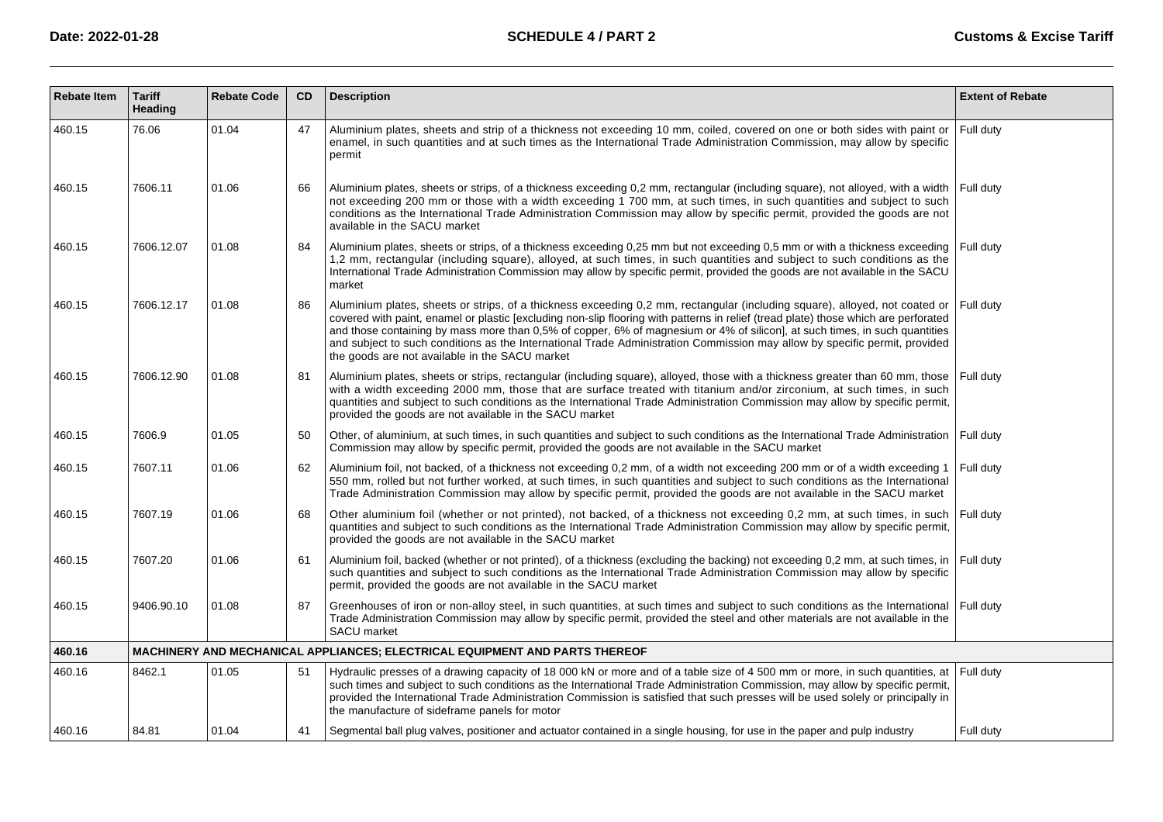| <b>Rebate Item</b> | <b>Tariff</b><br>Heading | <b>Rebate Code</b> | CD | <b>Description</b>                                                                                                                                                                                                                                                                                                                                                                                                                                                                                                                                                                | <b>Extent of Rebate</b> |
|--------------------|--------------------------|--------------------|----|-----------------------------------------------------------------------------------------------------------------------------------------------------------------------------------------------------------------------------------------------------------------------------------------------------------------------------------------------------------------------------------------------------------------------------------------------------------------------------------------------------------------------------------------------------------------------------------|-------------------------|
| 460.15             | 76.06                    | 01.04              | 47 | Aluminium plates, sheets and strip of a thickness not exceeding 10 mm, coiled, covered on one or both sides with paint or<br>enamel, in such quantities and at such times as the International Trade Administration Commission, may allow by specific<br>permit                                                                                                                                                                                                                                                                                                                   | Full duty               |
| 460.15             | 7606.11                  | 01.06              | 66 | Aluminium plates, sheets or strips, of a thickness exceeding 0,2 mm, rectangular (including square), not alloyed, with a width<br>not exceeding 200 mm or those with a width exceeding 1 700 mm, at such times, in such quantities and subject to such<br>conditions as the International Trade Administration Commission may allow by specific permit, provided the goods are not<br>available in the SACU market                                                                                                                                                                | Full duty               |
| 460.15             | 7606.12.07               | 01.08              | 84 | Aluminium plates, sheets or strips, of a thickness exceeding 0,25 mm but not exceeding 0,5 mm or with a thickness exceeding<br>1,2 mm, rectangular (including square), alloyed, at such times, in such quantities and subject to such conditions as the<br>International Trade Administration Commission may allow by specific permit, provided the goods are not available in the SACU<br>market                                                                                                                                                                                 | Full duty               |
| 460.15             | 7606.12.17               | 01.08              | 86 | Aluminium plates, sheets or strips, of a thickness exceeding 0,2 mm, rectangular (including square), alloyed, not coated or<br>covered with paint, enamel or plastic [excluding non-slip flooring with patterns in relief (tread plate) those which are perforated<br>and those containing by mass more than 0,5% of copper, 6% of magnesium or 4% of silicon], at such times, in such quantities<br>and subject to such conditions as the International Trade Administration Commission may allow by specific permit, provided<br>the goods are not available in the SACU market | Full duty               |
| 460.15             | 7606.12.90               | 01.08              | 81 | Aluminium plates, sheets or strips, rectangular (including square), alloyed, those with a thickness greater than 60 mm, those<br>with a width exceeding 2000 mm, those that are surface treated with titanium and/or zirconium, at such times, in such<br>guantities and subject to such conditions as the International Trade Administration Commission may allow by specific permit,<br>provided the goods are not available in the SACU market                                                                                                                                 | Full duty               |
| 460.15             | 7606.9                   | 01.05              | 50 | Other, of aluminium, at such times, in such quantities and subject to such conditions as the International Trade Administration<br>Commission may allow by specific permit, provided the goods are not available in the SACU market                                                                                                                                                                                                                                                                                                                                               | Full duty               |
| 460.15             | 7607.11                  | 01.06              | 62 | Aluminium foil, not backed, of a thickness not exceeding 0,2 mm, of a width not exceeding 200 mm or of a width exceeding 1<br>550 mm, rolled but not further worked, at such times, in such quantities and subject to such conditions as the International<br>Trade Administration Commission may allow by specific permit, provided the goods are not available in the SACU market                                                                                                                                                                                               | Full duty               |
| 460.15             | 7607.19                  | 01.06              | 68 | Other aluminium foil (whether or not printed), not backed, of a thickness not exceeding 0,2 mm, at such times, in such<br>quantities and subject to such conditions as the International Trade Administration Commission may allow by specific permit,<br>provided the goods are not available in the SACU market                                                                                                                                                                                                                                                                 | Full duty               |
| 460.15             | 7607.20                  | 01.06              | 61 | Aluminium foil, backed (whether or not printed), of a thickness (excluding the backing) not exceeding 0,2 mm, at such times, in<br>such quantities and subject to such conditions as the International Trade Administration Commission may allow by specific<br>permit, provided the goods are not available in the SACU market                                                                                                                                                                                                                                                   | Full duty               |
| 460.15             | 9406.90.10               | 01.08              | 87 | Greenhouses of iron or non-alloy steel, in such quantities, at such times and subject to such conditions as the International<br>Trade Administration Commission may allow by specific permit, provided the steel and other materials are not available in the<br><b>SACU</b> market                                                                                                                                                                                                                                                                                              | Full duty               |
| 460.16             |                          |                    |    | MACHINERY AND MECHANICAL APPLIANCES; ELECTRICAL EQUIPMENT AND PARTS THEREOF                                                                                                                                                                                                                                                                                                                                                                                                                                                                                                       |                         |
| 460.16             | 8462.1                   | 01.05              | 51 | Hydraulic presses of a drawing capacity of 18 000 kN or more and of a table size of 4 500 mm or more, in such quantities, at<br>such times and subject to such conditions as the International Trade Administration Commission, may allow by specific permit,<br>provided the International Trade Administration Commission is satisfied that such presses will be used solely or principally in<br>the manufacture of sideframe panels for motor                                                                                                                                 | Full duty               |
| 460.16             | 84.81                    | 01.04              | 41 | Segmental ball plug valves, positioner and actuator contained in a single housing, for use in the paper and pulp industry                                                                                                                                                                                                                                                                                                                                                                                                                                                         | Full duty               |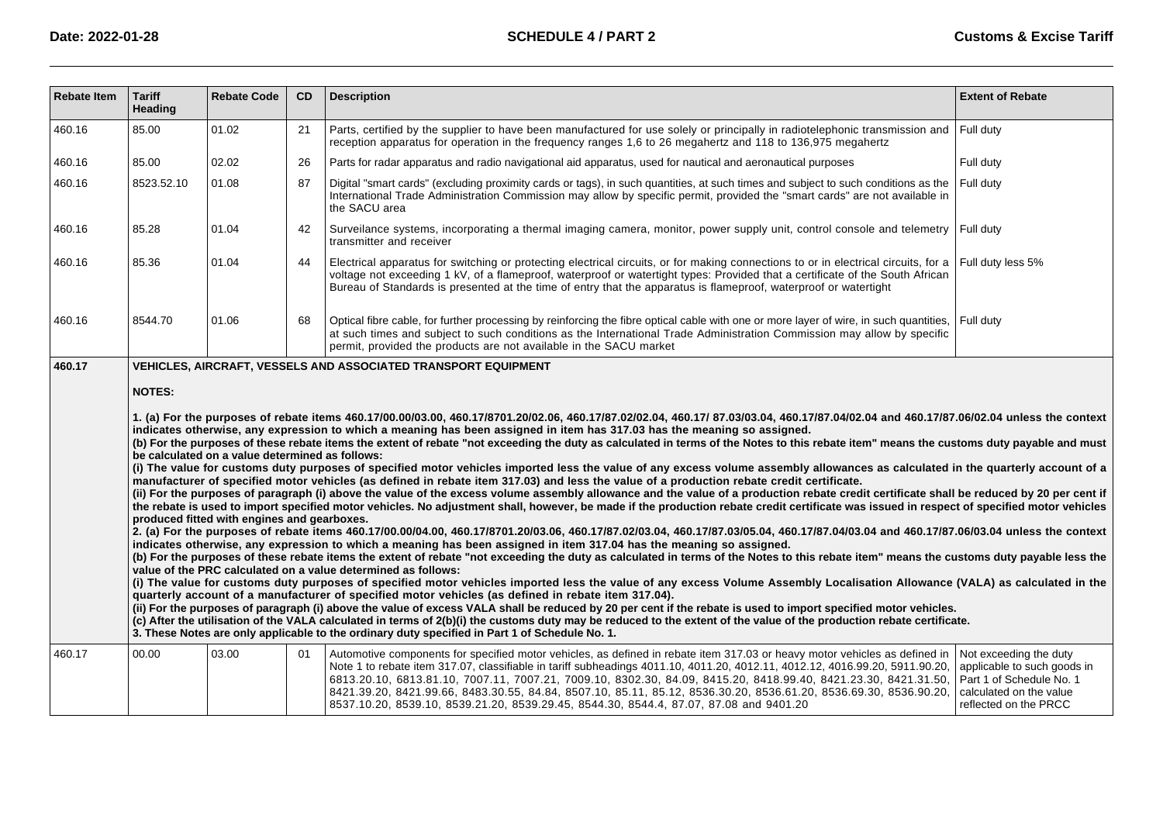| Rebate Item | <b>Tariff</b><br>Heading                                                                                                                                                                                                                                                                                                                                                                                                                                                                                                                                                                                                                                                                                                                                                                                                                                                                                                                                                                                                                                                                                                                                                                                                                                                                                                                                                                                                                                                                                                                                                                                                                                                                                                                                                                                                                                                                                                                                                                                                                                                                                                                                                                                                                                                                                                                                                                                                                                                                                                                                                                                                                                    | <b>Rebate Code</b> | CD | <b>Description</b>                                                                                                                                                                                                                                                                                                                                                                                                                                                                                                                                                                           | <b>Extent of Rebate</b>                                                                                                               |  |  |  |
|-------------|-------------------------------------------------------------------------------------------------------------------------------------------------------------------------------------------------------------------------------------------------------------------------------------------------------------------------------------------------------------------------------------------------------------------------------------------------------------------------------------------------------------------------------------------------------------------------------------------------------------------------------------------------------------------------------------------------------------------------------------------------------------------------------------------------------------------------------------------------------------------------------------------------------------------------------------------------------------------------------------------------------------------------------------------------------------------------------------------------------------------------------------------------------------------------------------------------------------------------------------------------------------------------------------------------------------------------------------------------------------------------------------------------------------------------------------------------------------------------------------------------------------------------------------------------------------------------------------------------------------------------------------------------------------------------------------------------------------------------------------------------------------------------------------------------------------------------------------------------------------------------------------------------------------------------------------------------------------------------------------------------------------------------------------------------------------------------------------------------------------------------------------------------------------------------------------------------------------------------------------------------------------------------------------------------------------------------------------------------------------------------------------------------------------------------------------------------------------------------------------------------------------------------------------------------------------------------------------------------------------------------------------------------------------|--------------------|----|----------------------------------------------------------------------------------------------------------------------------------------------------------------------------------------------------------------------------------------------------------------------------------------------------------------------------------------------------------------------------------------------------------------------------------------------------------------------------------------------------------------------------------------------------------------------------------------------|---------------------------------------------------------------------------------------------------------------------------------------|--|--|--|
| 460.16      | 85.00                                                                                                                                                                                                                                                                                                                                                                                                                                                                                                                                                                                                                                                                                                                                                                                                                                                                                                                                                                                                                                                                                                                                                                                                                                                                                                                                                                                                                                                                                                                                                                                                                                                                                                                                                                                                                                                                                                                                                                                                                                                                                                                                                                                                                                                                                                                                                                                                                                                                                                                                                                                                                                                       | 01.02              | 21 | Parts, certified by the supplier to have been manufactured for use solely or principally in radiotelephonic transmission and<br>reception apparatus for operation in the frequency ranges 1.6 to 26 megahertz and 118 to 136,975 megahertz                                                                                                                                                                                                                                                                                                                                                   | Full duty                                                                                                                             |  |  |  |
| 460.16      | 85.00                                                                                                                                                                                                                                                                                                                                                                                                                                                                                                                                                                                                                                                                                                                                                                                                                                                                                                                                                                                                                                                                                                                                                                                                                                                                                                                                                                                                                                                                                                                                                                                                                                                                                                                                                                                                                                                                                                                                                                                                                                                                                                                                                                                                                                                                                                                                                                                                                                                                                                                                                                                                                                                       | 02.02              | 26 | Parts for radar apparatus and radio navigational aid apparatus, used for nautical and aeronautical purposes                                                                                                                                                                                                                                                                                                                                                                                                                                                                                  | Full duty                                                                                                                             |  |  |  |
| 460.16      | 8523.52.10                                                                                                                                                                                                                                                                                                                                                                                                                                                                                                                                                                                                                                                                                                                                                                                                                                                                                                                                                                                                                                                                                                                                                                                                                                                                                                                                                                                                                                                                                                                                                                                                                                                                                                                                                                                                                                                                                                                                                                                                                                                                                                                                                                                                                                                                                                                                                                                                                                                                                                                                                                                                                                                  | 01.08              | 87 | Digital "smart cards" (excluding proximity cards or tags), in such quantities, at such times and subject to such conditions as the<br>International Trade Administration Commission may allow by specific permit, provided the "smart cards" are not available in<br>the SACU area                                                                                                                                                                                                                                                                                                           | Full duty                                                                                                                             |  |  |  |
| 460.16      | 85.28                                                                                                                                                                                                                                                                                                                                                                                                                                                                                                                                                                                                                                                                                                                                                                                                                                                                                                                                                                                                                                                                                                                                                                                                                                                                                                                                                                                                                                                                                                                                                                                                                                                                                                                                                                                                                                                                                                                                                                                                                                                                                                                                                                                                                                                                                                                                                                                                                                                                                                                                                                                                                                                       | 01.04              | 42 | Surveilance systems, incorporating a thermal imaging camera, monitor, power supply unit, control console and telemetry<br>transmitter and receiver                                                                                                                                                                                                                                                                                                                                                                                                                                           | Full duty                                                                                                                             |  |  |  |
| 460.16      | 85.36                                                                                                                                                                                                                                                                                                                                                                                                                                                                                                                                                                                                                                                                                                                                                                                                                                                                                                                                                                                                                                                                                                                                                                                                                                                                                                                                                                                                                                                                                                                                                                                                                                                                                                                                                                                                                                                                                                                                                                                                                                                                                                                                                                                                                                                                                                                                                                                                                                                                                                                                                                                                                                                       | 01.04              | 44 | Electrical apparatus for switching or protecting electrical circuits, or for making connections to or in electrical circuits, for a<br>voltage not exceeding 1 kV, of a flameproof, waterproof or watertight types: Provided that a certificate of the South African<br>Bureau of Standards is presented at the time of entry that the apparatus is flameproof, waterproof or watertight                                                                                                                                                                                                     | Full duty less 5%                                                                                                                     |  |  |  |
| 460.16      | 8544.70                                                                                                                                                                                                                                                                                                                                                                                                                                                                                                                                                                                                                                                                                                                                                                                                                                                                                                                                                                                                                                                                                                                                                                                                                                                                                                                                                                                                                                                                                                                                                                                                                                                                                                                                                                                                                                                                                                                                                                                                                                                                                                                                                                                                                                                                                                                                                                                                                                                                                                                                                                                                                                                     | 01.06              | 68 | Optical fibre cable, for further processing by reinforcing the fibre optical cable with one or more layer of wire, in such quantities,<br>at such times and subject to such conditions as the International Trade Administration Commission may allow by specific<br>permit, provided the products are not available in the SACU market                                                                                                                                                                                                                                                      | Full duty                                                                                                                             |  |  |  |
|             | 460.17<br>VEHICLES, AIRCRAFT, VESSELS AND ASSOCIATED TRANSPORT EQUIPMENT<br><b>NOTES:</b><br>1. (a) For the purposes of rebate items 460.17/00.00/03.00, 460.17/8701.20/02.06, 460.17/87.02/02.04, 460.17/87.03/03.04, 460.17/87.04/02.04 and 460.17/87.06/02.04 unless the context<br>indicates otherwise, any expression to which a meaning has been assigned in item has 317.03 has the meaning so assigned.<br>(b) For the purposes of these rebate items the extent of rebate "not exceeding the duty as calculated in terms of the Notes to this rebate item" means the customs duty payable and must<br>be calculated on a value determined as follows:<br>(i) The value for customs duty purposes of specified motor vehicles imported less the value of any excess volume assembly allowances as calculated in the quarterly account of a<br>manufacturer of specified motor vehicles (as defined in rebate item 317.03) and less the value of a production rebate credit certificate.<br>(ii) For the purposes of paragraph (i) above the value of the excess volume assembly allowance and the value of a production rebate credit certificate shall be reduced by 20 per cent if<br>the rebate is used to import specified motor vehicles. No adjustment shall, however, be made if the production rebate credit certificate was issued in respect of specified motor vehicles<br>produced fitted with engines and gearboxes.<br>2. (a) For the purposes of rebate items 460.17/00.00/04.00, 460.17/8701.20/03.06, 460.17/87.02/03.04, 460.17/87.03/05.04, 460.17/87.04/03.04 and 460.17/87.06/03.04 unless the context<br>indicates otherwise, any expression to which a meaning has been assigned in item 317.04 has the meaning so assigned.<br>(b) For the purposes of these rebate items the extent of rebate "not exceeding the duty as calculated in terms of the Notes to this rebate item" means the customs duty payable less the<br>value of the PRC calculated on a value determined as follows:<br>(i) The value for customs duty purposes of specified motor vehicles imported less the value of any excess Volume Assembly Localisation Allowance (VALA) as calculated in the<br>quarterly account of a manufacturer of specified motor vehicles (as defined in rebate item 317.04).<br>(ii) For the purposes of paragraph (i) above the value of excess VALA shall be reduced by 20 per cent if the rebate is used to import specified motor vehicles.<br>(c) After the utilisation of the VALA calculated in terms of 2(b)(i) the customs duty may be reduced to the extent of the value of the production rebate certificate. |                    |    |                                                                                                                                                                                                                                                                                                                                                                                                                                                                                                                                                                                              |                                                                                                                                       |  |  |  |
| 460.17      | 00.00                                                                                                                                                                                                                                                                                                                                                                                                                                                                                                                                                                                                                                                                                                                                                                                                                                                                                                                                                                                                                                                                                                                                                                                                                                                                                                                                                                                                                                                                                                                                                                                                                                                                                                                                                                                                                                                                                                                                                                                                                                                                                                                                                                                                                                                                                                                                                                                                                                                                                                                                                                                                                                                       | 03.00              | 01 | Automotive components for specified motor vehicles, as defined in rebate item 317.03 or heavy motor vehicles as defined in<br>Note 1 to rebate item 317.07, classifiable in tariff subheadings 4011.10, 4011.20, 4012.11, 4012.12, 4016.99.20, 5911.90.20,<br>6813.20.10, 6813.81.10, 7007.11, 7007.21, 7009.10, 8302.30, 84.09, 8415.20, 8418.99.40, 8421.23.30, 8421.31.50,<br>8421.39.20, 8421.99.66, 8483.30.55, 84.84, 8507.10, 85.11, 85.12, 8536.30.20, 8536.61.20, 8536.69.30, 8536.90.20,<br>8537.10.20, 8539.10, 8539.21.20, 8539.29.45, 8544.30, 8544.4, 87.07, 87.08 and 9401.20 | Not exceeding the duty<br>applicable to such goods in<br>Part 1 of Schedule No. 1<br>calculated on the value<br>reflected on the PRCC |  |  |  |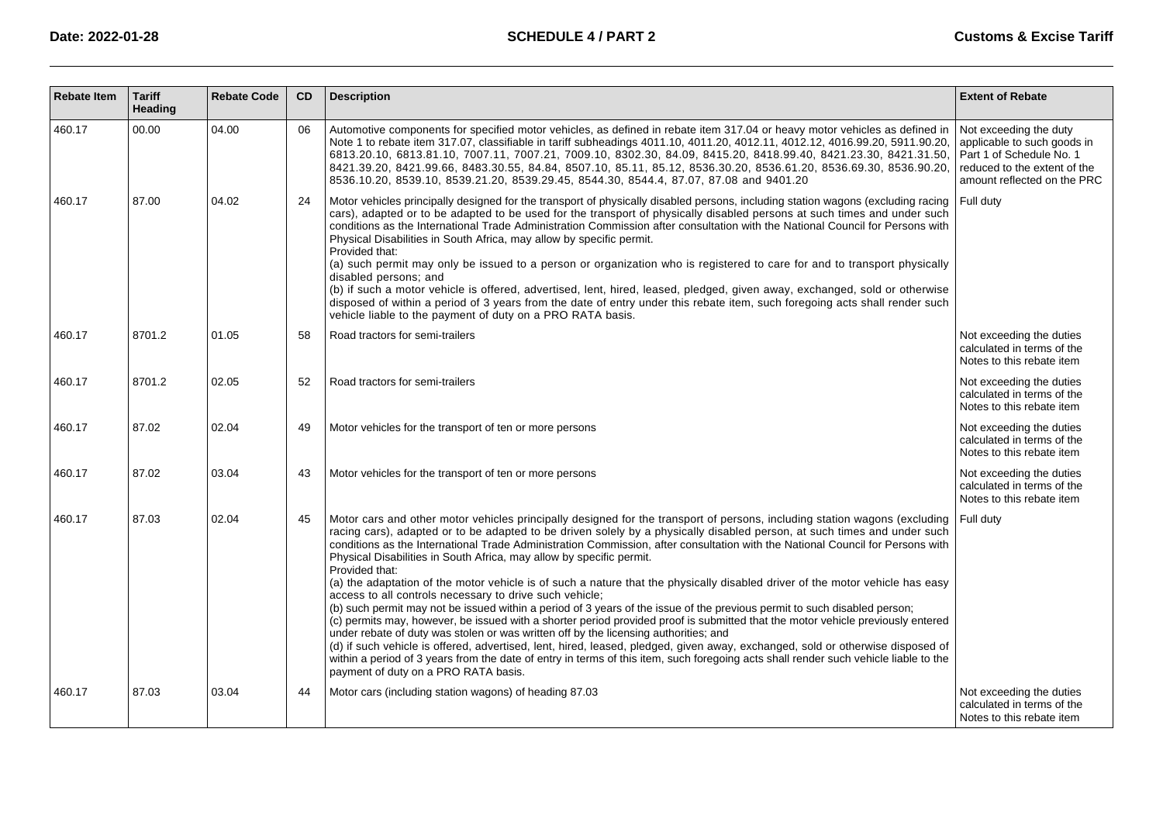| <b>Rebate Item</b> | <b>Tariff</b><br>Heading | <b>Rebate Code</b> | CD. | <b>Description</b>                                                                                                                                                                                                                                                                                                                                                                                                                                                                                                                                                                                                                                                                                                                                                                                                                                                                                                                                                                                                                                                                                                                                                                                                                                                                                                                                       | <b>Extent of Rebate</b>                                                                                                                          |
|--------------------|--------------------------|--------------------|-----|----------------------------------------------------------------------------------------------------------------------------------------------------------------------------------------------------------------------------------------------------------------------------------------------------------------------------------------------------------------------------------------------------------------------------------------------------------------------------------------------------------------------------------------------------------------------------------------------------------------------------------------------------------------------------------------------------------------------------------------------------------------------------------------------------------------------------------------------------------------------------------------------------------------------------------------------------------------------------------------------------------------------------------------------------------------------------------------------------------------------------------------------------------------------------------------------------------------------------------------------------------------------------------------------------------------------------------------------------------|--------------------------------------------------------------------------------------------------------------------------------------------------|
| 460.17             | 00.00                    | 04.00              | 06  | Automotive components for specified motor vehicles, as defined in rebate item 317.04 or heavy motor vehicles as defined in<br>Note 1 to rebate item 317.07, classifiable in tariff subheadings 4011.10, 4011.20, 4012.11, 4012.12, 4016.99.20, 5911.90.20,<br>6813.20.10, 6813.81.10, 7007.11, 7007.21, 7009.10, 8302.30, 84.09, 8415.20, 8418.99.40, 8421.23.30, 8421.31.50,<br>8421.39.20, 8421.99.66, 8483.30.55, 84.84, 8507.10, 85.11, 85.12, 8536.30.20, 8536.61.20, 8536.69.30, 8536.90.20,<br>8536.10.20, 8539.10, 8539.21.20, 8539.29.45, 8544.30, 8544.4, 87.07, 87.08 and 9401.20                                                                                                                                                                                                                                                                                                                                                                                                                                                                                                                                                                                                                                                                                                                                                             | Not exceeding the duty<br>applicable to such goods in<br>Part 1 of Schedule No. 1<br>reduced to the extent of the<br>amount reflected on the PRC |
| 460.17             | 87.00                    | 04.02              | 24  | Motor vehicles principally designed for the transport of physically disabled persons, including station wagons (excluding racing<br>cars), adapted or to be adapted to be used for the transport of physically disabled persons at such times and under such<br>conditions as the International Trade Administration Commission after consultation with the National Council for Persons with<br>Physical Disabilities in South Africa, may allow by specific permit.<br>Provided that:<br>(a) such permit may only be issued to a person or organization who is registered to care for and to transport physically<br>disabled persons; and<br>(b) if such a motor vehicle is offered, advertised, lent, hired, leased, pledged, given away, exchanged, sold or otherwise<br>disposed of within a period of 3 years from the date of entry under this rebate item, such foregoing acts shall render such<br>vehicle liable to the payment of duty on a PRO RATA basis.                                                                                                                                                                                                                                                                                                                                                                                  | Full duty                                                                                                                                        |
| 460.17             | 8701.2                   | 01.05              | 58  | Road tractors for semi-trailers                                                                                                                                                                                                                                                                                                                                                                                                                                                                                                                                                                                                                                                                                                                                                                                                                                                                                                                                                                                                                                                                                                                                                                                                                                                                                                                          | Not exceeding the duties<br>calculated in terms of the<br>Notes to this rebate item                                                              |
| 460.17             | 8701.2                   | 02.05              | 52  | Road tractors for semi-trailers                                                                                                                                                                                                                                                                                                                                                                                                                                                                                                                                                                                                                                                                                                                                                                                                                                                                                                                                                                                                                                                                                                                                                                                                                                                                                                                          | Not exceeding the duties<br>calculated in terms of the<br>Notes to this rebate item                                                              |
| 460.17             | 87.02                    | 02.04              | 49  | Motor vehicles for the transport of ten or more persons                                                                                                                                                                                                                                                                                                                                                                                                                                                                                                                                                                                                                                                                                                                                                                                                                                                                                                                                                                                                                                                                                                                                                                                                                                                                                                  | Not exceeding the duties<br>calculated in terms of the<br>Notes to this rebate item                                                              |
| 460.17             | 87.02                    | 03.04              | 43  | Motor vehicles for the transport of ten or more persons                                                                                                                                                                                                                                                                                                                                                                                                                                                                                                                                                                                                                                                                                                                                                                                                                                                                                                                                                                                                                                                                                                                                                                                                                                                                                                  | Not exceeding the duties<br>calculated in terms of the<br>Notes to this rebate item                                                              |
| 460.17             | 87.03                    | 02.04              | 45  | Motor cars and other motor vehicles principally designed for the transport of persons, including station wagons (excluding<br>racing cars), adapted or to be adapted to be driven solely by a physically disabled person, at such times and under such<br>conditions as the International Trade Administration Commission, after consultation with the National Council for Persons with<br>Physical Disabilities in South Africa, may allow by specific permit.<br>Provided that:<br>(a) the adaptation of the motor vehicle is of such a nature that the physically disabled driver of the motor vehicle has easy<br>access to all controls necessary to drive such vehicle;<br>(b) such permit may not be issued within a period of 3 years of the issue of the previous permit to such disabled person;<br>(c) permits may, however, be issued with a shorter period provided proof is submitted that the motor vehicle previously entered<br>under rebate of duty was stolen or was written off by the licensing authorities; and<br>(d) if such vehicle is offered, advertised, lent, hired, leased, pledged, given away, exchanged, sold or otherwise disposed of<br>within a period of 3 years from the date of entry in terms of this item, such foregoing acts shall render such vehicle liable to the<br>payment of duty on a PRO RATA basis. | Full duty                                                                                                                                        |
| 460.17             | 87.03                    | 03.04              | 44  | Motor cars (including station wagons) of heading 87.03                                                                                                                                                                                                                                                                                                                                                                                                                                                                                                                                                                                                                                                                                                                                                                                                                                                                                                                                                                                                                                                                                                                                                                                                                                                                                                   | Not exceeding the duties<br>calculated in terms of the<br>Notes to this rebate item                                                              |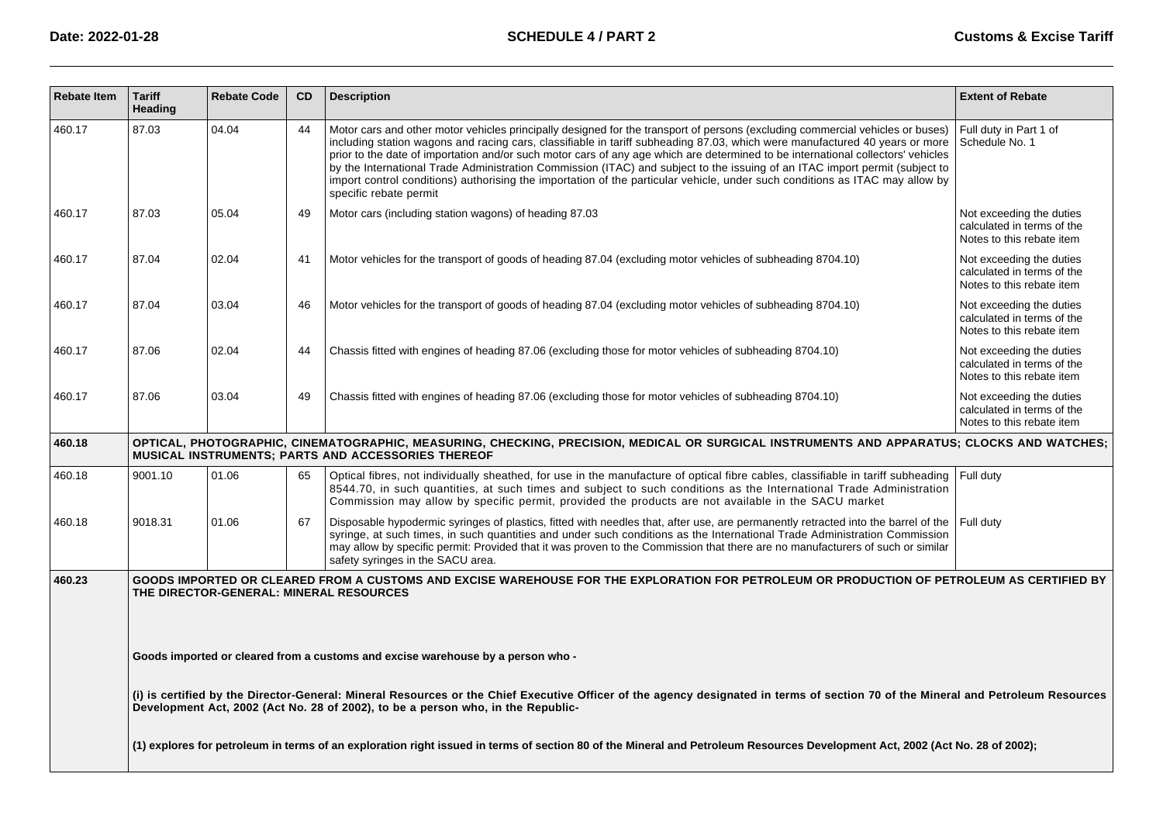| <b>Rebate Item</b> | <b>Tariff</b><br>Heading | <b>Rebate Code</b> | <b>CD</b> | <b>Description</b>                                                                                                                                                                                                                                                                                                                                                                                                                                                                                                                                                                                                                                                                         | <b>Extent of Rebate</b>                                                             |
|--------------------|--------------------------|--------------------|-----------|--------------------------------------------------------------------------------------------------------------------------------------------------------------------------------------------------------------------------------------------------------------------------------------------------------------------------------------------------------------------------------------------------------------------------------------------------------------------------------------------------------------------------------------------------------------------------------------------------------------------------------------------------------------------------------------------|-------------------------------------------------------------------------------------|
| 460.17             | 87.03                    | 04.04              | 44        | Motor cars and other motor vehicles principally designed for the transport of persons (excluding commercial vehicles or buses)<br>including station wagons and racing cars, classifiable in tariff subheading 87.03, which were manufactured 40 years or more<br>prior to the date of importation and/or such motor cars of any age which are determined to be international collectors' vehicles<br>by the International Trade Administration Commission (ITAC) and subject to the issuing of an ITAC import permit (subject to<br>import control conditions) authorising the importation of the particular vehicle, under such conditions as ITAC may allow by<br>specific rebate permit | Full duty in Part 1 of<br>Schedule No. 1                                            |
| 460.17             | 87.03                    | 05.04              | 49        | Motor cars (including station wagons) of heading 87.03                                                                                                                                                                                                                                                                                                                                                                                                                                                                                                                                                                                                                                     | Not exceeding the duties<br>calculated in terms of the<br>Notes to this rebate item |
| 460.17             | 87.04                    | 02.04              | 41        | Motor vehicles for the transport of goods of heading 87.04 (excluding motor vehicles of subheading 8704.10)                                                                                                                                                                                                                                                                                                                                                                                                                                                                                                                                                                                | Not exceeding the duties<br>calculated in terms of the<br>Notes to this rebate item |
| 460.17             | 87.04                    | 03.04              | 46        | Motor vehicles for the transport of goods of heading 87.04 (excluding motor vehicles of subheading 8704.10)                                                                                                                                                                                                                                                                                                                                                                                                                                                                                                                                                                                | Not exceeding the duties<br>calculated in terms of the<br>Notes to this rebate item |
| 460.17             | 87.06                    | 02.04              | 44        | Chassis fitted with engines of heading 87.06 (excluding those for motor vehicles of subheading 8704.10)                                                                                                                                                                                                                                                                                                                                                                                                                                                                                                                                                                                    | Not exceeding the duties<br>calculated in terms of the<br>Notes to this rebate item |
| 460.17             | 87.06                    | 03.04              | 49        | Chassis fitted with engines of heading 87.06 (excluding those for motor vehicles of subheading 8704.10)                                                                                                                                                                                                                                                                                                                                                                                                                                                                                                                                                                                    | Not exceeding the duties<br>calculated in terms of the<br>Notes to this rebate item |
| 460.18             |                          |                    |           | OPTICAL, PHOTOGRAPHIC, CINEMATOGRAPHIC, MEASURING, CHECKING, PRECISION, MEDICAL OR SURGICAL INSTRUMENTS AND APPARATUS; CLOCKS AND WATCHES;<br>MUSICAL INSTRUMENTS; PARTS AND ACCESSORIES THEREOF                                                                                                                                                                                                                                                                                                                                                                                                                                                                                           |                                                                                     |
| 460.18             | 9001.10                  | 01.06              | 65        | Optical fibres, not individually sheathed, for use in the manufacture of optical fibre cables, classifiable in tariff subheading<br>8544.70, in such quantities, at such times and subject to such conditions as the International Trade Administration<br>Commission may allow by specific permit, provided the products are not available in the SACU market                                                                                                                                                                                                                                                                                                                             | Full duty                                                                           |
| 460.18             | 9018.31                  | 01.06              | 67        | Disposable hypodermic syringes of plastics, fitted with needles that, after use, are permanently retracted into the barrel of the<br>syringe, at such times, in such quantities and under such conditions as the International Trade Administration Commission<br>may allow by specific permit: Provided that it was proven to the Commission that there are no manufacturers of such or similar<br>safety syringes in the SACU area.                                                                                                                                                                                                                                                      | Full duty                                                                           |
| 460.23             |                          |                    |           | GOODS IMPORTED OR CLEARED FROM A CUSTOMS AND EXCISE WAREHOUSE FOR THE EXPLORATION FOR PETROLEUM OR PRODUCTION OF PETROLEUM AS CERTIFIED BY<br>THE DIRECTOR-GENERAL: MINERAL RESOURCES                                                                                                                                                                                                                                                                                                                                                                                                                                                                                                      |                                                                                     |
|                    |                          |                    |           | Goods imported or cleared from a customs and excise warehouse by a person who -                                                                                                                                                                                                                                                                                                                                                                                                                                                                                                                                                                                                            |                                                                                     |
|                    |                          |                    |           | (i) is certified by the Director-General: Mineral Resources or the Chief Executive Officer of the agency designated in terms of section 70 of the Mineral and Petroleum Resources<br>Development Act, 2002 (Act No. 28 of 2002), to be a person who, in the Republic-                                                                                                                                                                                                                                                                                                                                                                                                                      |                                                                                     |
|                    |                          |                    |           | (1) explores for petroleum in terms of an exploration right issued in terms of section 80 of the Mineral and Petroleum Resources Development Act, 2002 (Act No. 28 of 2002);                                                                                                                                                                                                                                                                                                                                                                                                                                                                                                               |                                                                                     |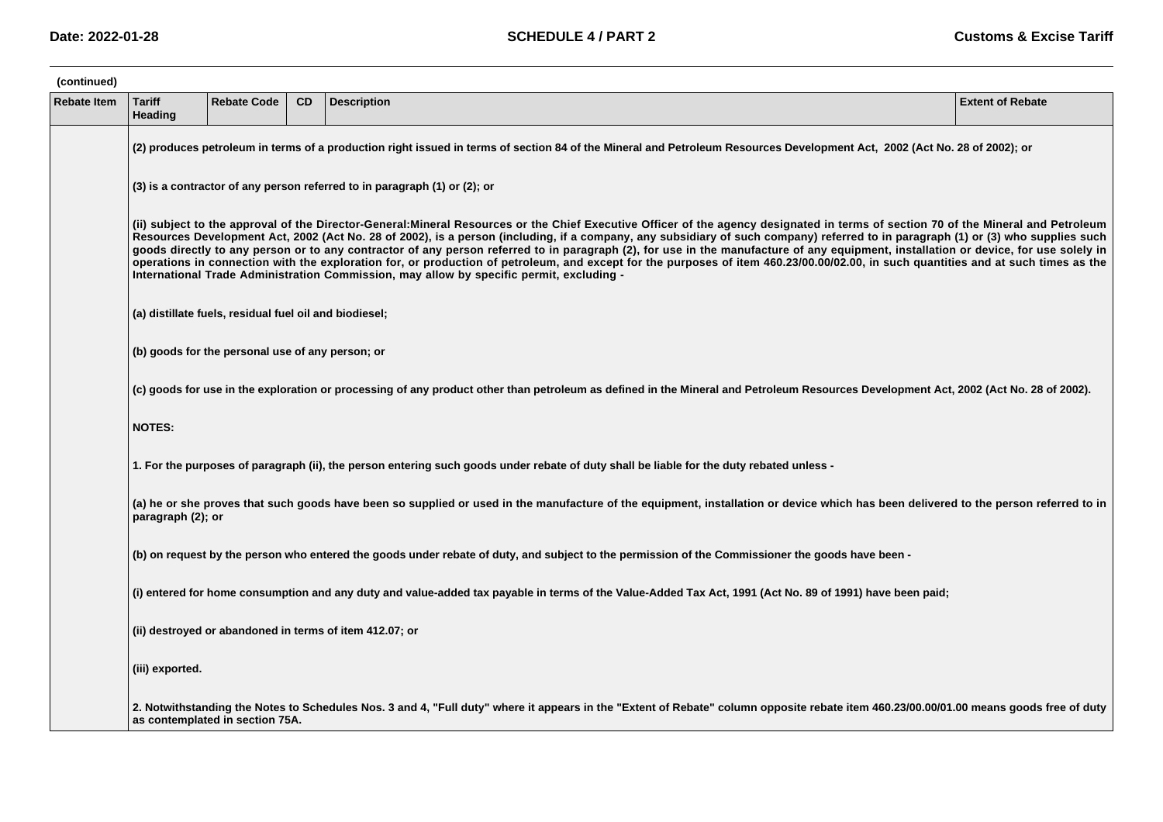| (continued)        |                          |                                                                                                                                                                                                                                                                                                                                                                                                                                                                                                                                                                                                                                                                                                                                                                                                                                                   |           |                                                                                                                                                                                        |                         |  |  |  |  |  |  |
|--------------------|--------------------------|---------------------------------------------------------------------------------------------------------------------------------------------------------------------------------------------------------------------------------------------------------------------------------------------------------------------------------------------------------------------------------------------------------------------------------------------------------------------------------------------------------------------------------------------------------------------------------------------------------------------------------------------------------------------------------------------------------------------------------------------------------------------------------------------------------------------------------------------------|-----------|----------------------------------------------------------------------------------------------------------------------------------------------------------------------------------------|-------------------------|--|--|--|--|--|--|
| <b>Rebate Item</b> | <b>Tariff</b><br>Heading | <b>Rebate Code</b>                                                                                                                                                                                                                                                                                                                                                                                                                                                                                                                                                                                                                                                                                                                                                                                                                                | <b>CD</b> | <b>Description</b>                                                                                                                                                                     | <b>Extent of Rebate</b> |  |  |  |  |  |  |
|                    |                          | (2) produces petroleum in terms of a production right issued in terms of section 84 of the Mineral and Petroleum Resources Development Act, 2002 (Act No. 28 of 2002); or                                                                                                                                                                                                                                                                                                                                                                                                                                                                                                                                                                                                                                                                         |           |                                                                                                                                                                                        |                         |  |  |  |  |  |  |
|                    |                          | $(3)$ is a contractor of any person referred to in paragraph $(1)$ or $(2)$ ; or                                                                                                                                                                                                                                                                                                                                                                                                                                                                                                                                                                                                                                                                                                                                                                  |           |                                                                                                                                                                                        |                         |  |  |  |  |  |  |
|                    |                          | (ii) subject to the approval of the Director-General:Mineral Resources or the Chief Executive Officer of the agency designated in terms of section 70 of the Mineral and Petroleum<br>Resources Development Act, 2002 (Act No. 28 of 2002), is a person (including, if a company, any subsidiary of such company) referred to in paragraph (1) or (3) who supplies such<br>goods directly to any person or to any contractor of any person referred to in paragraph (2), for use in the manufacture of any equipment, installation or device, for use solely in<br>operations in connection with the exploration for, or production of petroleum, and except for the purposes of item 460.23/00.00/02.00, in such quantities and at such times as the<br>International Trade Administration Commission, may allow by specific permit, excluding - |           |                                                                                                                                                                                        |                         |  |  |  |  |  |  |
|                    |                          | (a) distillate fuels, residual fuel oil and biodiesel;                                                                                                                                                                                                                                                                                                                                                                                                                                                                                                                                                                                                                                                                                                                                                                                            |           |                                                                                                                                                                                        |                         |  |  |  |  |  |  |
|                    |                          | (b) goods for the personal use of any person; or                                                                                                                                                                                                                                                                                                                                                                                                                                                                                                                                                                                                                                                                                                                                                                                                  |           |                                                                                                                                                                                        |                         |  |  |  |  |  |  |
|                    |                          |                                                                                                                                                                                                                                                                                                                                                                                                                                                                                                                                                                                                                                                                                                                                                                                                                                                   |           | (c) goods for use in the exploration or processing of any product other than petroleum as defined in the Mineral and Petroleum Resources Development Act, 2002 (Act No. 28 of 2002).   |                         |  |  |  |  |  |  |
|                    | <b>NOTES:</b>            |                                                                                                                                                                                                                                                                                                                                                                                                                                                                                                                                                                                                                                                                                                                                                                                                                                                   |           |                                                                                                                                                                                        |                         |  |  |  |  |  |  |
|                    |                          |                                                                                                                                                                                                                                                                                                                                                                                                                                                                                                                                                                                                                                                                                                                                                                                                                                                   |           | 1. For the purposes of paragraph (ii), the person entering such goods under rebate of duty shall be liable for the duty rebated unless -                                               |                         |  |  |  |  |  |  |
|                    | paragraph (2); or        |                                                                                                                                                                                                                                                                                                                                                                                                                                                                                                                                                                                                                                                                                                                                                                                                                                                   |           | (a) he or she proves that such goods have been so supplied or used in the manufacture of the equipment, installation or device which has been delivered to the person referred to in   |                         |  |  |  |  |  |  |
|                    |                          |                                                                                                                                                                                                                                                                                                                                                                                                                                                                                                                                                                                                                                                                                                                                                                                                                                                   |           | (b) on request by the person who entered the goods under rebate of duty, and subject to the permission of the Commissioner the goods have been -                                       |                         |  |  |  |  |  |  |
|                    |                          |                                                                                                                                                                                                                                                                                                                                                                                                                                                                                                                                                                                                                                                                                                                                                                                                                                                   |           | (i) entered for home consumption and any duty and value-added tax payable in terms of the Value-Added Tax Act, 1991 (Act No. 89 of 1991) have been paid;                               |                         |  |  |  |  |  |  |
|                    |                          |                                                                                                                                                                                                                                                                                                                                                                                                                                                                                                                                                                                                                                                                                                                                                                                                                                                   |           | (ii) destroyed or abandoned in terms of item 412.07; or                                                                                                                                |                         |  |  |  |  |  |  |
|                    | (iii) exported.          |                                                                                                                                                                                                                                                                                                                                                                                                                                                                                                                                                                                                                                                                                                                                                                                                                                                   |           |                                                                                                                                                                                        |                         |  |  |  |  |  |  |
|                    |                          | as contemplated in section 75A.                                                                                                                                                                                                                                                                                                                                                                                                                                                                                                                                                                                                                                                                                                                                                                                                                   |           | 2. Notwithstanding the Notes to Schedules Nos. 3 and 4, "Full duty" where it appears in the "Extent of Rebate" column opposite rebate item 460.23/00.00/01.00 means goods free of duty |                         |  |  |  |  |  |  |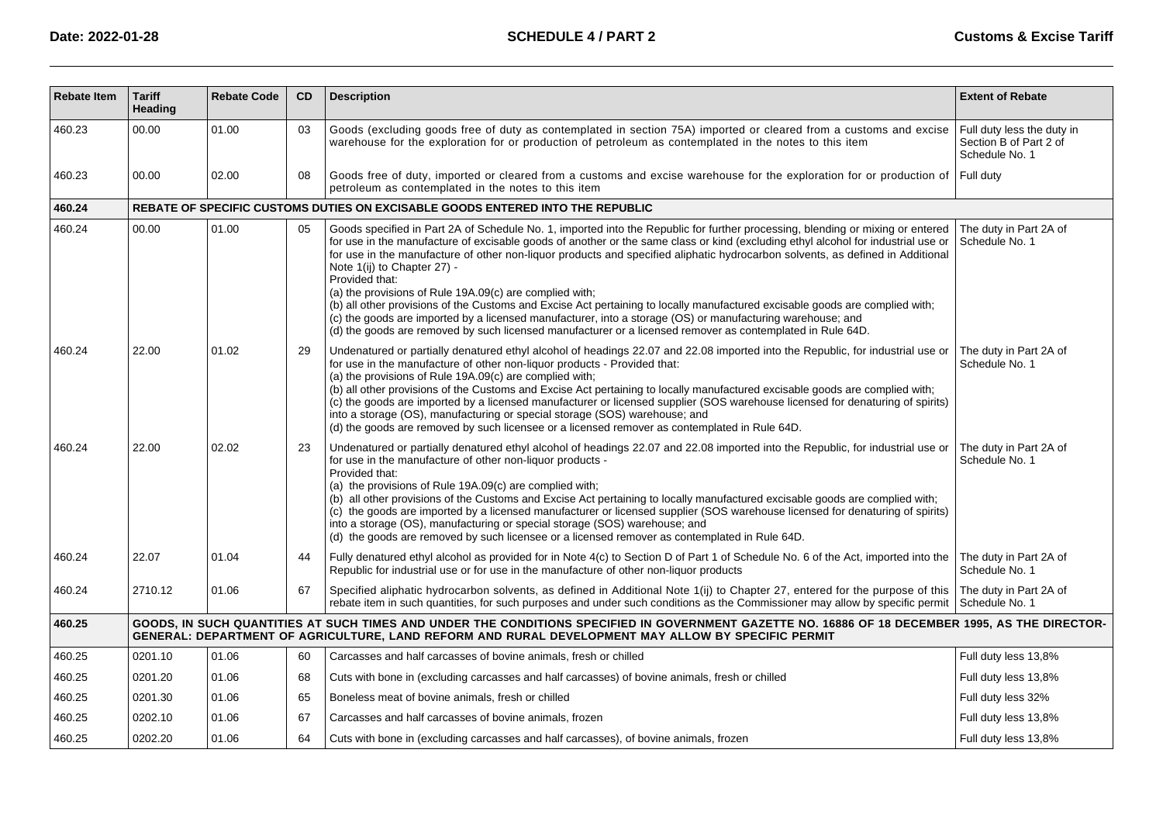| <b>Rebate Item</b> | <b>Tariff</b><br>Heading | <b>Rebate Code</b> | CD | <b>Description</b>                                                                                                                                                                                                                                                                                                                                                                                                                                                                                                                                                                                                                                                                                                                                                                                                                                                            | <b>Extent of Rebate</b>                                                |
|--------------------|--------------------------|--------------------|----|-------------------------------------------------------------------------------------------------------------------------------------------------------------------------------------------------------------------------------------------------------------------------------------------------------------------------------------------------------------------------------------------------------------------------------------------------------------------------------------------------------------------------------------------------------------------------------------------------------------------------------------------------------------------------------------------------------------------------------------------------------------------------------------------------------------------------------------------------------------------------------|------------------------------------------------------------------------|
| 460.23             | 00.00                    | 01.00              | 03 | Goods (excluding goods free of duty as contemplated in section 75A) imported or cleared from a customs and excise<br>warehouse for the exploration for or production of petroleum as contemplated in the notes to this item                                                                                                                                                                                                                                                                                                                                                                                                                                                                                                                                                                                                                                                   | Full duty less the duty in<br>Section B of Part 2 of<br>Schedule No. 1 |
| 460.23             | 00.00                    | 02.00              | 08 | Goods free of duty, imported or cleared from a customs and excise warehouse for the exploration for or production of<br>petroleum as contemplated in the notes to this item                                                                                                                                                                                                                                                                                                                                                                                                                                                                                                                                                                                                                                                                                                   | Full duty                                                              |
| 460.24             |                          |                    |    | REBATE OF SPECIFIC CUSTOMS DUTIES ON EXCISABLE GOODS ENTERED INTO THE REPUBLIC                                                                                                                                                                                                                                                                                                                                                                                                                                                                                                                                                                                                                                                                                                                                                                                                |                                                                        |
| 460.24             | 00.00                    | 01.00              | 05 | Goods specified in Part 2A of Schedule No. 1, imported into the Republic for further processing, blending or mixing or entered<br>for use in the manufacture of excisable goods of another or the same class or kind (excluding ethyl alcohol for industrial use or<br>for use in the manufacture of other non-liquor products and specified aliphatic hydrocarbon solvents, as defined in Additional<br>Note 1(ij) to Chapter 27) -<br>Provided that:<br>(a) the provisions of Rule 19A.09(c) are complied with;<br>(b) all other provisions of the Customs and Excise Act pertaining to locally manufactured excisable goods are complied with;<br>(c) the goods are imported by a licensed manufacturer, into a storage (OS) or manufacturing warehouse; and<br>(d) the goods are removed by such licensed manufacturer or a licensed remover as contemplated in Rule 64D. | The duty in Part 2A of<br>Schedule No. 1                               |
| 460.24             | 22.00                    | 01.02              | 29 | Undenatured or partially denatured ethyl alcohol of headings 22.07 and 22.08 imported into the Republic, for industrial use or<br>for use in the manufacture of other non-liquor products - Provided that:<br>(a) the provisions of Rule 19A.09(c) are complied with;<br>(b) all other provisions of the Customs and Excise Act pertaining to locally manufactured excisable goods are complied with;<br>(c) the goods are imported by a licensed manufacturer or licensed supplier (SOS warehouse licensed for denaturing of spirits)<br>into a storage (OS), manufacturing or special storage (SOS) warehouse; and<br>(d) the goods are removed by such licensee or a licensed remover as contemplated in Rule 64D.                                                                                                                                                         | The duty in Part 2A of<br>Schedule No. 1                               |
| 460.24             | 22.00                    | 02.02              | 23 | Undenatured or partially denatured ethyl alcohol of headings 22.07 and 22.08 imported into the Republic, for industrial use or<br>for use in the manufacture of other non-liquor products -<br>Provided that:<br>(a) the provisions of Rule 19A.09(c) are complied with;<br>(b) all other provisions of the Customs and Excise Act pertaining to locally manufactured excisable goods are complied with;<br>(c) the goods are imported by a licensed manufacturer or licensed supplier (SOS warehouse licensed for denaturing of spirits)<br>into a storage (OS), manufacturing or special storage (SOS) warehouse; and<br>(d) the goods are removed by such licensee or a licensed remover as contemplated in Rule 64D.                                                                                                                                                      | The duty in Part 2A of<br>Schedule No. 1                               |
| 460.24             | 22.07                    | 01.04              | 44 | Fully denatured ethyl alcohol as provided for in Note 4(c) to Section D of Part 1 of Schedule No. 6 of the Act, imported into the<br>Republic for industrial use or for use in the manufacture of other non-liquor products                                                                                                                                                                                                                                                                                                                                                                                                                                                                                                                                                                                                                                                   | The duty in Part 2A of<br>Schedule No. 1                               |
| 460.24             | 2710.12                  | 01.06              | 67 | Specified aliphatic hydrocarbon solvents, as defined in Additional Note 1(ii) to Chapter 27, entered for the purpose of this<br>rebate item in such quantities, for such purposes and under such conditions as the Commissioner may allow by specific permit                                                                                                                                                                                                                                                                                                                                                                                                                                                                                                                                                                                                                  | The duty in Part 2A of<br>Schedule No. 1                               |
| 460.25             |                          |                    |    | GOODS, IN SUCH QUANTITIES AT SUCH TIMES AND UNDER THE CONDITIONS SPECIFIED IN GOVERNMENT GAZETTE NO. 16886 OF 18 DECEMBER 1995, AS THE DIRECTOR-<br>GENERAL: DEPARTMENT OF AGRICULTURE, LAND REFORM AND RURAL DEVELOPMENT MAY ALLOW BY SPECIFIC PERMIT                                                                                                                                                                                                                                                                                                                                                                                                                                                                                                                                                                                                                        |                                                                        |
| 460.25             | 0201.10                  | 01.06              | 60 | Carcasses and half carcasses of bovine animals, fresh or chilled                                                                                                                                                                                                                                                                                                                                                                                                                                                                                                                                                                                                                                                                                                                                                                                                              | Full duty less 13,8%                                                   |
| 460.25             | 0201.20                  | 01.06              | 68 | Cuts with bone in (excluding carcasses and half carcasses) of bovine animals, fresh or chilled                                                                                                                                                                                                                                                                                                                                                                                                                                                                                                                                                                                                                                                                                                                                                                                | Full duty less 13,8%                                                   |
| 460.25             | 0201.30                  | 01.06              | 65 | Boneless meat of bovine animals, fresh or chilled                                                                                                                                                                                                                                                                                                                                                                                                                                                                                                                                                                                                                                                                                                                                                                                                                             | Full duty less 32%                                                     |
| 460.25             | 0202.10                  | 01.06              | 67 | Carcasses and half carcasses of bovine animals, frozen                                                                                                                                                                                                                                                                                                                                                                                                                                                                                                                                                                                                                                                                                                                                                                                                                        | Full duty less 13,8%                                                   |
| 460.25             | 0202.20                  | 01.06              | 64 | Cuts with bone in (excluding carcasses and half carcasses), of bovine animals, frozen                                                                                                                                                                                                                                                                                                                                                                                                                                                                                                                                                                                                                                                                                                                                                                                         | Full duty less 13,8%                                                   |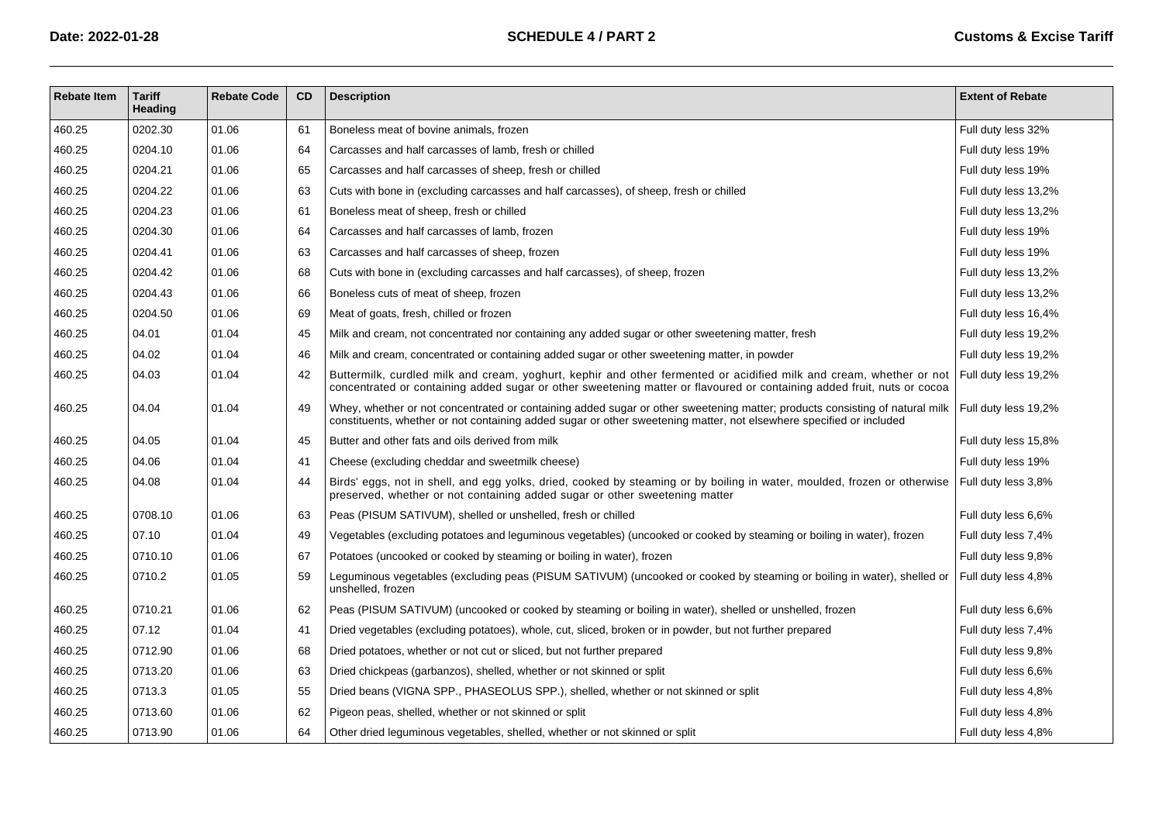| <b>Rebate Item</b> | <b>Tariff</b><br>Heading | <b>Rebate Code</b> | <b>CD</b> | <b>Description</b>                                                                                                                                                                                                                                                      | <b>Extent of Rebate</b> |
|--------------------|--------------------------|--------------------|-----------|-------------------------------------------------------------------------------------------------------------------------------------------------------------------------------------------------------------------------------------------------------------------------|-------------------------|
| 460.25             | 0202.30                  | 01.06              | 61        | Boneless meat of bovine animals, frozen                                                                                                                                                                                                                                 | Full duty less 32%      |
| 460.25             | 0204.10                  | 01.06              | 64        | Carcasses and half carcasses of lamb, fresh or chilled                                                                                                                                                                                                                  | Full duty less 19%      |
| 460.25             | 0204.21                  | 01.06              | 65        | Carcasses and half carcasses of sheep, fresh or chilled                                                                                                                                                                                                                 | Full duty less 19%      |
| 460.25             | 0204.22                  | 01.06              | 63        | Cuts with bone in (excluding carcasses and half carcasses), of sheep, fresh or chilled                                                                                                                                                                                  | Full duty less 13,2%    |
| 460.25             | 0204.23                  | 01.06              | 61        | Boneless meat of sheep, fresh or chilled                                                                                                                                                                                                                                | Full duty less 13,2%    |
| 460.25             | 0204.30                  | 01.06              | 64        | Carcasses and half carcasses of lamb, frozen                                                                                                                                                                                                                            | Full duty less 19%      |
| 460.25             | 0204.41                  | 01.06              | 63        | Carcasses and half carcasses of sheep, frozen                                                                                                                                                                                                                           | Full duty less 19%      |
| 460.25             | 0204.42                  | 01.06              | 68        | Cuts with bone in (excluding carcasses and half carcasses), of sheep, frozen                                                                                                                                                                                            | Full duty less 13,2%    |
| 460.25             | 0204.43                  | 01.06              | 66        | Boneless cuts of meat of sheep, frozen                                                                                                                                                                                                                                  | Full duty less 13,2%    |
| 460.25             | 0204.50                  | 01.06              | 69        | Meat of goats, fresh, chilled or frozen                                                                                                                                                                                                                                 | Full duty less 16,4%    |
| 460.25             | 04.01                    | 01.04              | 45        | Milk and cream, not concentrated nor containing any added sugar or other sweetening matter, fresh                                                                                                                                                                       | Full duty less 19,2%    |
| 460.25             | 04.02                    | 01.04              | 46        | Milk and cream, concentrated or containing added sugar or other sweetening matter, in powder                                                                                                                                                                            | Full duty less 19,2%    |
| 460.25             | 04.03                    | 01.04              | 42        | Buttermilk, curdled milk and cream, yoghurt, kephir and other fermented or acidified milk and cream, whether or not<br>concentrated or containing added sugar or other sweetening matter or flavoured or containing added fruit, nuts or cocoa                          | Full duty less 19,2%    |
| 460.25             | 04.04                    | 01.04              | 49        | Whey, whether or not concentrated or containing added sugar or other sweetening matter; products consisting of natural milk Full duty less 19,2%<br>constituents, whether or not containing added sugar or other sweetening matter, not elsewhere specified or included |                         |
| 460.25             | 04.05                    | 01.04              | 45        | Butter and other fats and oils derived from milk                                                                                                                                                                                                                        | Full duty less 15,8%    |
| 460.25             | 04.06                    | 01.04              | 41        | Cheese (excluding cheddar and sweetmilk cheese)                                                                                                                                                                                                                         | Full duty less 19%      |
| 460.25             | 04.08                    | 01.04              | 44        | Birds' eggs, not in shell, and egg yolks, dried, cooked by steaming or by boiling in water, moulded, frozen or otherwise<br>preserved, whether or not containing added sugar or other sweetening matter                                                                 | Full duty less 3,8%     |
| 460.25             | 0708.10                  | 01.06              | 63        | Peas (PISUM SATIVUM), shelled or unshelled, fresh or chilled                                                                                                                                                                                                            | Full duty less 6,6%     |
| 460.25             | 07.10                    | 01.04              | 49        | Vegetables (excluding potatoes and leguminous vegetables) (uncooked or cooked by steaming or boiling in water), frozen                                                                                                                                                  | Full duty less 7,4%     |
| 460.25             | 0710.10                  | 01.06              | 67        | Potatoes (uncooked or cooked by steaming or boiling in water), frozen                                                                                                                                                                                                   | Full duty less 9,8%     |
| 460.25             | 0710.2                   | 01.05              | 59        | Leguminous vegetables (excluding peas (PISUM SATIVUM) (uncooked or cooked by steaming or boiling in water), shelled or<br>unshelled, frozen                                                                                                                             | Full duty less 4,8%     |
| 460.25             | 0710.21                  | 01.06              | 62        | Peas (PISUM SATIVUM) (uncooked or cooked by steaming or boiling in water), shelled or unshelled, frozen                                                                                                                                                                 | Full duty less 6,6%     |
| 460.25             | 07.12                    | 01.04              | 41        | Dried vegetables (excluding potatoes), whole, cut, sliced, broken or in powder, but not further prepared                                                                                                                                                                | Full duty less 7,4%     |
| 460.25             | 0712.90                  | 01.06              | 68        | Dried potatoes, whether or not cut or sliced, but not further prepared                                                                                                                                                                                                  | Full duty less 9,8%     |
| 460.25             | 0713.20                  | 01.06              | 63        | Dried chickpeas (garbanzos), shelled, whether or not skinned or split                                                                                                                                                                                                   | Full duty less 6,6%     |
| 460.25             | 0713.3                   | 01.05              | 55        | Dried beans (VIGNA SPP., PHASEOLUS SPP.), shelled, whether or not skinned or split                                                                                                                                                                                      | Full duty less 4,8%     |
| 460.25             | 0713.60                  | 01.06              | 62        | Pigeon peas, shelled, whether or not skinned or split                                                                                                                                                                                                                   | Full duty less 4,8%     |
| 460.25             | 0713.90                  | 01.06              | 64        | Other dried leguminous vegetables, shelled, whether or not skinned or split                                                                                                                                                                                             | Full duty less 4,8%     |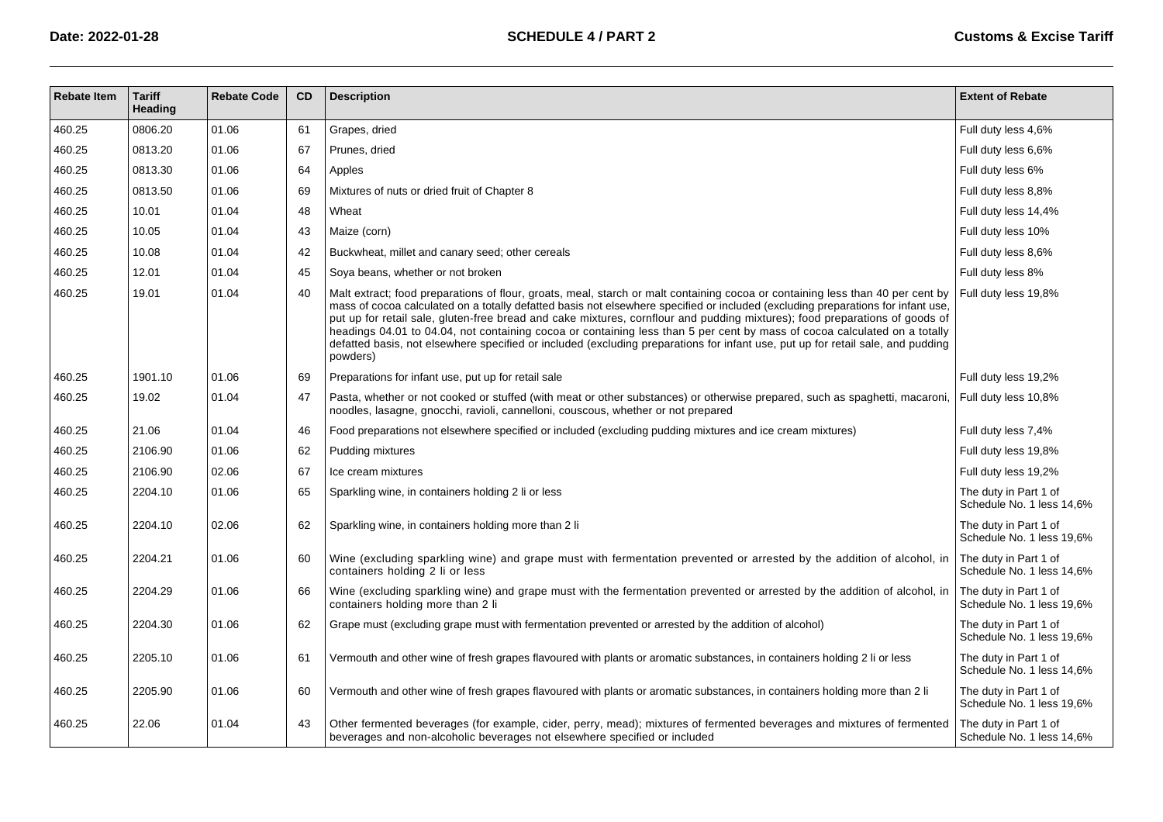| <b>Rebate Item</b> | <b>Tariff</b><br>Heading | <b>Rebate Code</b> | CD | <b>Description</b>                                                                                                                                                                                                                                                                                                                                                                                                                                                                                                                                                                                                                                                            | <b>Extent of Rebate</b>                            |
|--------------------|--------------------------|--------------------|----|-------------------------------------------------------------------------------------------------------------------------------------------------------------------------------------------------------------------------------------------------------------------------------------------------------------------------------------------------------------------------------------------------------------------------------------------------------------------------------------------------------------------------------------------------------------------------------------------------------------------------------------------------------------------------------|----------------------------------------------------|
| 460.25             | 0806.20                  | 01.06              | 61 | Grapes, dried                                                                                                                                                                                                                                                                                                                                                                                                                                                                                                                                                                                                                                                                 | Full duty less 4,6%                                |
| 460.25             | 0813.20                  | 01.06              | 67 | Prunes, dried                                                                                                                                                                                                                                                                                                                                                                                                                                                                                                                                                                                                                                                                 | Full duty less 6,6%                                |
| 460.25             | 0813.30                  | 01.06              | 64 | Apples                                                                                                                                                                                                                                                                                                                                                                                                                                                                                                                                                                                                                                                                        | Full duty less 6%                                  |
| 460.25             | 0813.50                  | 01.06              | 69 | Mixtures of nuts or dried fruit of Chapter 8                                                                                                                                                                                                                                                                                                                                                                                                                                                                                                                                                                                                                                  | Full duty less 8,8%                                |
| 460.25             | 10.01                    | 01.04              | 48 | Wheat                                                                                                                                                                                                                                                                                                                                                                                                                                                                                                                                                                                                                                                                         | Full duty less 14,4%                               |
| 460.25             | 10.05                    | 01.04              | 43 | Maize (corn)                                                                                                                                                                                                                                                                                                                                                                                                                                                                                                                                                                                                                                                                  | Full duty less 10%                                 |
| 460.25             | 10.08                    | 01.04              | 42 | Buckwheat, millet and canary seed; other cereals                                                                                                                                                                                                                                                                                                                                                                                                                                                                                                                                                                                                                              | Full duty less 8,6%                                |
| 460.25             | 12.01                    | 01.04              | 45 | Soya beans, whether or not broken                                                                                                                                                                                                                                                                                                                                                                                                                                                                                                                                                                                                                                             | Full duty less 8%                                  |
| 460.25             | 19.01                    | 01.04              | 40 | Malt extract; food preparations of flour, groats, meal, starch or malt containing cocoa or containing less than 40 per cent by<br>mass of cocoa calculated on a totally defatted basis not elsewhere specified or included (excluding preparations for infant use,<br>put up for retail sale, gluten-free bread and cake mixtures, cornflour and pudding mixtures); food preparations of goods of<br>headings 04.01 to 04.04, not containing cocoa or containing less than 5 per cent by mass of cocoa calculated on a totally<br>defatted basis, not elsewhere specified or included (excluding preparations for infant use, put up for retail sale, and pudding<br>powders) | Full duty less 19,8%                               |
| 460.25             | 1901.10                  | 01.06              | 69 | Preparations for infant use, put up for retail sale                                                                                                                                                                                                                                                                                                                                                                                                                                                                                                                                                                                                                           | Full duty less 19,2%                               |
| 460.25             | 19.02                    | 01.04              | 47 | Pasta, whether or not cooked or stuffed (with meat or other substances) or otherwise prepared, such as spaghetti, macaroni,<br>noodles, lasagne, gnocchi, ravioli, cannelloni, couscous, whether or not prepared                                                                                                                                                                                                                                                                                                                                                                                                                                                              | Full duty less 10,8%                               |
| 460.25             | 21.06                    | 01.04              | 46 | Food preparations not elsewhere specified or included (excluding pudding mixtures and ice cream mixtures)                                                                                                                                                                                                                                                                                                                                                                                                                                                                                                                                                                     | Full duty less 7,4%                                |
| 460.25             | 2106.90                  | 01.06              | 62 | Pudding mixtures                                                                                                                                                                                                                                                                                                                                                                                                                                                                                                                                                                                                                                                              | Full duty less 19,8%                               |
| 460.25             | 2106.90                  | 02.06              | 67 | Ice cream mixtures                                                                                                                                                                                                                                                                                                                                                                                                                                                                                                                                                                                                                                                            | Full duty less 19,2%                               |
| 460.25             | 2204.10                  | 01.06              | 65 | Sparkling wine, in containers holding 2 li or less                                                                                                                                                                                                                                                                                                                                                                                                                                                                                                                                                                                                                            | The duty in Part 1 of<br>Schedule No. 1 less 14,6% |
| 460.25             | 2204.10                  | 02.06              | 62 | Sparkling wine, in containers holding more than 2 li                                                                                                                                                                                                                                                                                                                                                                                                                                                                                                                                                                                                                          | The duty in Part 1 of<br>Schedule No. 1 less 19,6% |
| 460.25             | 2204.21                  | 01.06              | 60 | Wine (excluding sparkling wine) and grape must with fermentation prevented or arrested by the addition of alcohol, in<br>containers holding 2 li or less                                                                                                                                                                                                                                                                                                                                                                                                                                                                                                                      | The duty in Part 1 of<br>Schedule No. 1 less 14,6% |
| 460.25             | 2204.29                  | 01.06              | 66 | Wine (excluding sparkling wine) and grape must with the fermentation prevented or arrested by the addition of alcohol, in<br>containers holding more than 2 li                                                                                                                                                                                                                                                                                                                                                                                                                                                                                                                | The duty in Part 1 of<br>Schedule No. 1 less 19,6% |
| 460.25             | 2204.30                  | 01.06              | 62 | Grape must (excluding grape must with fermentation prevented or arrested by the addition of alcohol)                                                                                                                                                                                                                                                                                                                                                                                                                                                                                                                                                                          | The duty in Part 1 of<br>Schedule No. 1 less 19,6% |
| 460.25             | 2205.10                  | 01.06              | 61 | Vermouth and other wine of fresh grapes flavoured with plants or aromatic substances, in containers holding 2 li or less                                                                                                                                                                                                                                                                                                                                                                                                                                                                                                                                                      | The duty in Part 1 of<br>Schedule No. 1 less 14,6% |
| 460.25             | 2205.90                  | 01.06              | 60 | Vermouth and other wine of fresh grapes flavoured with plants or aromatic substances, in containers holding more than 2 li                                                                                                                                                                                                                                                                                                                                                                                                                                                                                                                                                    | The duty in Part 1 of<br>Schedule No. 1 less 19,6% |
| 460.25             | 22.06                    | 01.04              | 43 | Other fermented beverages (for example, cider, perry, mead); mixtures of fermented beverages and mixtures of fermented<br>beverages and non-alcoholic beverages not elsewhere specified or included                                                                                                                                                                                                                                                                                                                                                                                                                                                                           | The duty in Part 1 of<br>Schedule No. 1 less 14,6% |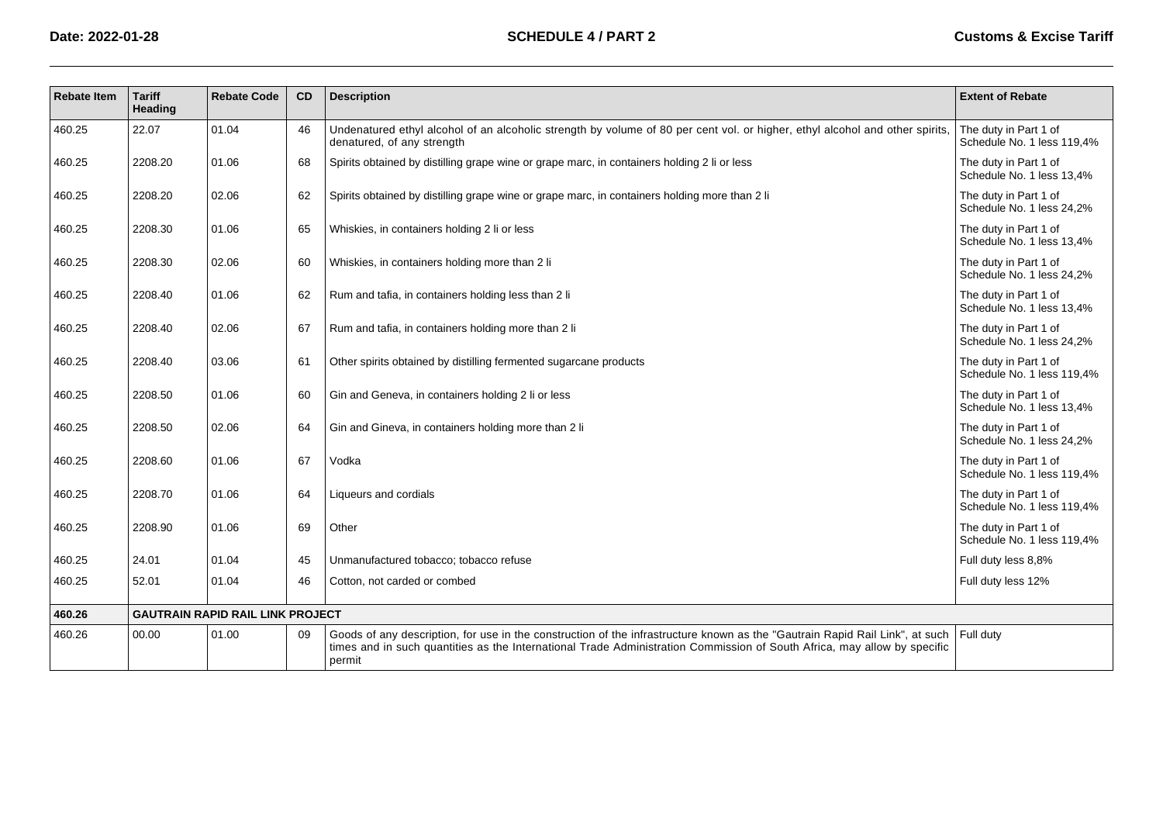| <b>Rebate Item</b> | <b>Tariff</b><br>Heading | <b>Rebate Code</b>                      | CD | <b>Description</b>                                                                                                                                                                                                                                                 | <b>Extent of Rebate</b>                             |
|--------------------|--------------------------|-----------------------------------------|----|--------------------------------------------------------------------------------------------------------------------------------------------------------------------------------------------------------------------------------------------------------------------|-----------------------------------------------------|
| 460.25             | 22.07                    | 01.04                                   | 46 | Undenatured ethyl alcohol of an alcoholic strength by volume of 80 per cent vol. or higher, ethyl alcohol and other spirits,<br>denatured, of any strength                                                                                                         | The duty in Part 1 of<br>Schedule No. 1 less 119.4% |
| 460.25             | 2208.20                  | 01.06                                   | 68 | Spirits obtained by distilling grape wine or grape marc, in containers holding 2 li or less                                                                                                                                                                        | The duty in Part 1 of<br>Schedule No. 1 less 13,4%  |
| 460.25             | 2208.20                  | 02.06                                   | 62 | Spirits obtained by distilling grape wine or grape marc, in containers holding more than 2 li                                                                                                                                                                      | The duty in Part 1 of<br>Schedule No. 1 less 24,2%  |
| 460.25             | 2208.30                  | 01.06                                   | 65 | Whiskies, in containers holding 2 li or less                                                                                                                                                                                                                       | The duty in Part 1 of<br>Schedule No. 1 less 13.4%  |
| 460.25             | 2208.30                  | 02.06                                   | 60 | Whiskies, in containers holding more than 2 li                                                                                                                                                                                                                     | The duty in Part 1 of<br>Schedule No. 1 less 24,2%  |
| 460.25             | 2208.40                  | 01.06                                   | 62 | Rum and tafia, in containers holding less than 2 li                                                                                                                                                                                                                | The duty in Part 1 of<br>Schedule No. 1 less 13.4%  |
| 460.25             | 2208.40                  | 02.06                                   | 67 | Rum and tafia, in containers holding more than 2 li                                                                                                                                                                                                                | The duty in Part 1 of<br>Schedule No. 1 less 24,2%  |
| 460.25             | 2208.40                  | 03.06                                   | 61 | Other spirits obtained by distilling fermented sugarcane products                                                                                                                                                                                                  | The duty in Part 1 of<br>Schedule No. 1 less 119,4% |
| 460.25             | 2208.50                  | 01.06                                   | 60 | Gin and Geneva, in containers holding 2 li or less                                                                                                                                                                                                                 | The duty in Part 1 of<br>Schedule No. 1 less 13,4%  |
| 460.25             | 2208.50                  | 02.06                                   | 64 | Gin and Gineva, in containers holding more than 2 li                                                                                                                                                                                                               | The duty in Part 1 of<br>Schedule No. 1 less 24.2%  |
| 460.25             | 2208.60                  | 01.06                                   | 67 | Vodka                                                                                                                                                                                                                                                              | The duty in Part 1 of<br>Schedule No. 1 less 119.4% |
| 460.25             | 2208.70                  | 01.06                                   | 64 | Liqueurs and cordials                                                                                                                                                                                                                                              | The duty in Part 1 of<br>Schedule No. 1 less 119,4% |
| 460.25             | 2208.90                  | 01.06                                   | 69 | Other                                                                                                                                                                                                                                                              | The duty in Part 1 of<br>Schedule No. 1 less 119,4% |
| 460.25             | 24.01                    | 01.04                                   | 45 | Unmanufactured tobacco; tobacco refuse                                                                                                                                                                                                                             | Full duty less 8,8%                                 |
| 460.25             | 52.01                    | 01.04                                   | 46 | Cotton, not carded or combed                                                                                                                                                                                                                                       | Full duty less 12%                                  |
| 460.26             |                          | <b>GAUTRAIN RAPID RAIL LINK PROJECT</b> |    |                                                                                                                                                                                                                                                                    |                                                     |
| 460.26             | 00.00                    | 01.00                                   | 09 | Goods of any description, for use in the construction of the infrastructure known as the "Gautrain Rapid Rail Link", at such<br>times and in such quantities as the International Trade Administration Commission of South Africa, may allow by specific<br>permit | Full duty                                           |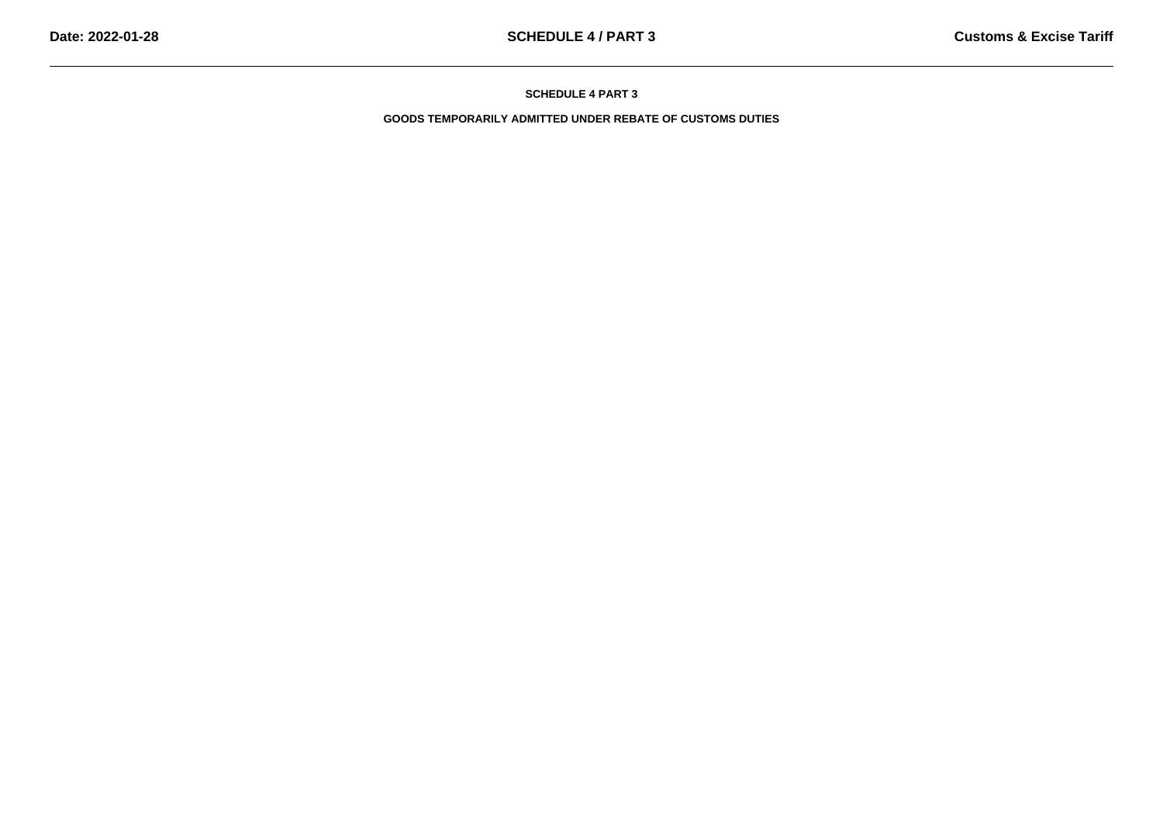**GOODS TEMPORARILY ADMITTED UNDER REBATE OF CUSTOMS DUTIES**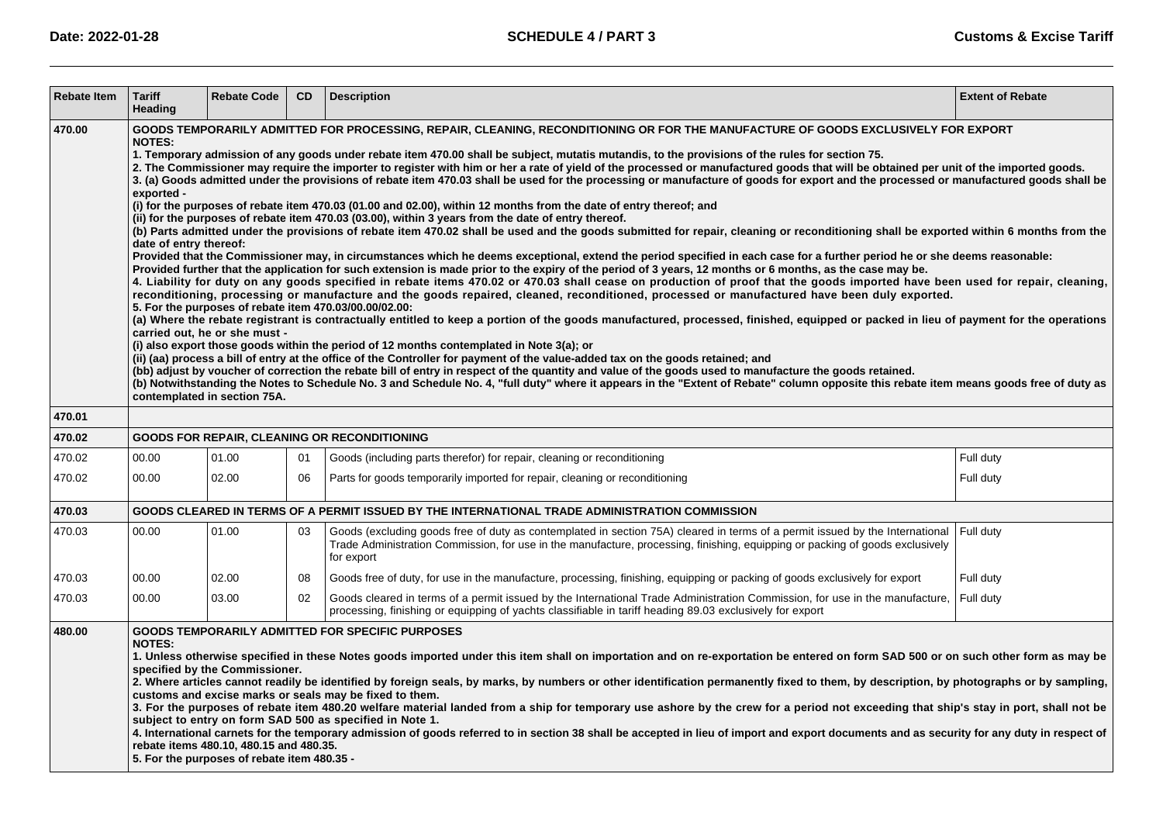| <b>Rebate Item</b> | <b>Tariff</b><br>Heading                                                                                                                                                                                                                                                                                                                                                                                                                                                                                                                                                                                                                                                                                                                                                                                                                                                                                                                                                                                                                                                                                                                                                                                                                                                                                                                                                                                                                                                                                                                                                                                                                                                                                                                                                                                                                                                                                                                                                                                                                                                                                                                                                                                                                                                                                                                                                                                                                                                                                                                                                                                                                                                                                                                   | <b>Rebate Code</b> | CD. | <b>Description</b>                                                                                                                                                                                                                                                          | <b>Extent of Rebate</b> |  |  |  |
|--------------------|--------------------------------------------------------------------------------------------------------------------------------------------------------------------------------------------------------------------------------------------------------------------------------------------------------------------------------------------------------------------------------------------------------------------------------------------------------------------------------------------------------------------------------------------------------------------------------------------------------------------------------------------------------------------------------------------------------------------------------------------------------------------------------------------------------------------------------------------------------------------------------------------------------------------------------------------------------------------------------------------------------------------------------------------------------------------------------------------------------------------------------------------------------------------------------------------------------------------------------------------------------------------------------------------------------------------------------------------------------------------------------------------------------------------------------------------------------------------------------------------------------------------------------------------------------------------------------------------------------------------------------------------------------------------------------------------------------------------------------------------------------------------------------------------------------------------------------------------------------------------------------------------------------------------------------------------------------------------------------------------------------------------------------------------------------------------------------------------------------------------------------------------------------------------------------------------------------------------------------------------------------------------------------------------------------------------------------------------------------------------------------------------------------------------------------------------------------------------------------------------------------------------------------------------------------------------------------------------------------------------------------------------------------------------------------------------------------------------------------------------|--------------------|-----|-----------------------------------------------------------------------------------------------------------------------------------------------------------------------------------------------------------------------------------------------------------------------------|-------------------------|--|--|--|
| 470.00             | GOODS TEMPORARILY ADMITTED FOR PROCESSING, REPAIR, CLEANING, RECONDITIONING OR FOR THE MANUFACTURE OF GOODS EXCLUSIVELY FOR EXPORT<br><b>NOTES:</b><br>1. Temporary admission of any goods under rebate item 470.00 shall be subject, mutatis mutandis, to the provisions of the rules for section 75.<br>2. The Commissioner may require the importer to register with him or her a rate of yield of the processed or manufactured goods that will be obtained per unit of the imported goods.<br>3. (a) Goods admitted under the provisions of rebate item 470.03 shall be used for the processing or manufacture of goods for export and the processed or manufactured goods shall be<br>exported -<br>(i) for the purposes of rebate item 470.03 (01.00 and 02.00), within 12 months from the date of entry thereof; and<br>(ii) for the purposes of rebate item 470.03 (03.00), within 3 years from the date of entry thereof.<br>(b) Parts admitted under the provisions of rebate item 470.02 shall be used and the goods submitted for repair, cleaning or reconditioning shall be exported within 6 months from the<br>date of entry thereof:<br>Provided that the Commissioner may, in circumstances which he deems exceptional, extend the period specified in each case for a further period he or she deems reasonable:<br>Provided further that the application for such extension is made prior to the expiry of the period of 3 years, 12 months or 6 months, as the case may be.<br>4. Liability for duty on any goods specified in rebate items 470.02 or 470.03 shall cease on production of proof that the goods imported have been used for repair, cleaning,<br>reconditioning, processing or manufacture and the goods repaired, cleaned, reconditioned, processed or manufactured have been duly exported.<br>5. For the purposes of rebate item 470.03/00.00/02.00:<br>(a) Where the rebate registrant is contractually entitled to keep a portion of the goods manufactured, processed, finished, equipped or packed in lieu of payment for the operations<br>carried out, he or she must -<br>(i) also export those goods within the period of 12 months contemplated in Note 3(a); or<br>(ii) (aa) process a bill of entry at the office of the Controller for payment of the value-added tax on the goods retained; and<br>(bb) adjust by voucher of correction the rebate bill of entry in respect of the quantity and value of the goods used to manufacture the goods retained.<br>(b) Notwithstanding the Notes to Schedule No. 3 and Schedule No. 4, "full duty" where it appears in the "Extent of Rebate" column opposite this rebate item means goods free of duty as<br>contemplated in section 75A. |                    |     |                                                                                                                                                                                                                                                                             |                         |  |  |  |
| 470.01             |                                                                                                                                                                                                                                                                                                                                                                                                                                                                                                                                                                                                                                                                                                                                                                                                                                                                                                                                                                                                                                                                                                                                                                                                                                                                                                                                                                                                                                                                                                                                                                                                                                                                                                                                                                                                                                                                                                                                                                                                                                                                                                                                                                                                                                                                                                                                                                                                                                                                                                                                                                                                                                                                                                                                            |                    |     |                                                                                                                                                                                                                                                                             |                         |  |  |  |
| 470.02             |                                                                                                                                                                                                                                                                                                                                                                                                                                                                                                                                                                                                                                                                                                                                                                                                                                                                                                                                                                                                                                                                                                                                                                                                                                                                                                                                                                                                                                                                                                                                                                                                                                                                                                                                                                                                                                                                                                                                                                                                                                                                                                                                                                                                                                                                                                                                                                                                                                                                                                                                                                                                                                                                                                                                            |                    |     | <b>GOODS FOR REPAIR, CLEANING OR RECONDITIONING</b>                                                                                                                                                                                                                         |                         |  |  |  |
| 470.02             | 00.00                                                                                                                                                                                                                                                                                                                                                                                                                                                                                                                                                                                                                                                                                                                                                                                                                                                                                                                                                                                                                                                                                                                                                                                                                                                                                                                                                                                                                                                                                                                                                                                                                                                                                                                                                                                                                                                                                                                                                                                                                                                                                                                                                                                                                                                                                                                                                                                                                                                                                                                                                                                                                                                                                                                                      | 01.00              | 01  | Goods (including parts therefor) for repair, cleaning or reconditioning                                                                                                                                                                                                     | Full duty               |  |  |  |
| 470.02             | 00.00                                                                                                                                                                                                                                                                                                                                                                                                                                                                                                                                                                                                                                                                                                                                                                                                                                                                                                                                                                                                                                                                                                                                                                                                                                                                                                                                                                                                                                                                                                                                                                                                                                                                                                                                                                                                                                                                                                                                                                                                                                                                                                                                                                                                                                                                                                                                                                                                                                                                                                                                                                                                                                                                                                                                      | 02.00              | 06  | Parts for goods temporarily imported for repair, cleaning or reconditioning                                                                                                                                                                                                 | Full duty               |  |  |  |
| 470.03             |                                                                                                                                                                                                                                                                                                                                                                                                                                                                                                                                                                                                                                                                                                                                                                                                                                                                                                                                                                                                                                                                                                                                                                                                                                                                                                                                                                                                                                                                                                                                                                                                                                                                                                                                                                                                                                                                                                                                                                                                                                                                                                                                                                                                                                                                                                                                                                                                                                                                                                                                                                                                                                                                                                                                            |                    |     | GOODS CLEARED IN TERMS OF A PERMIT ISSUED BY THE INTERNATIONAL TRADE ADMINISTRATION COMMISSION                                                                                                                                                                              |                         |  |  |  |
| 470.03             | 00.00                                                                                                                                                                                                                                                                                                                                                                                                                                                                                                                                                                                                                                                                                                                                                                                                                                                                                                                                                                                                                                                                                                                                                                                                                                                                                                                                                                                                                                                                                                                                                                                                                                                                                                                                                                                                                                                                                                                                                                                                                                                                                                                                                                                                                                                                                                                                                                                                                                                                                                                                                                                                                                                                                                                                      | 01.00              | 03  | Goods (excluding goods free of duty as contemplated in section 75A) cleared in terms of a permit issued by the International<br>Trade Administration Commission, for use in the manufacture, processing, finishing, equipping or packing of goods exclusively<br>for export | Full duty               |  |  |  |
| 470.03             | 00.00                                                                                                                                                                                                                                                                                                                                                                                                                                                                                                                                                                                                                                                                                                                                                                                                                                                                                                                                                                                                                                                                                                                                                                                                                                                                                                                                                                                                                                                                                                                                                                                                                                                                                                                                                                                                                                                                                                                                                                                                                                                                                                                                                                                                                                                                                                                                                                                                                                                                                                                                                                                                                                                                                                                                      | 02.00              | 08  | Goods free of duty, for use in the manufacture, processing, finishing, equipping or packing of goods exclusively for export                                                                                                                                                 | Full duty               |  |  |  |
| 470.03             | 00.00                                                                                                                                                                                                                                                                                                                                                                                                                                                                                                                                                                                                                                                                                                                                                                                                                                                                                                                                                                                                                                                                                                                                                                                                                                                                                                                                                                                                                                                                                                                                                                                                                                                                                                                                                                                                                                                                                                                                                                                                                                                                                                                                                                                                                                                                                                                                                                                                                                                                                                                                                                                                                                                                                                                                      | 03.00              | 02  | Goods cleared in terms of a permit issued by the International Trade Administration Commission, for use in the manufacture,<br>processing, finishing or equipping of yachts classifiable in tariff heading 89.03 exclusively for export                                     | Full duty               |  |  |  |
| 480.00             | <b>GOODS TEMPORARILY ADMITTED FOR SPECIFIC PURPOSES</b><br>NOTES:<br>1. Unless otherwise specified in these Notes goods imported under this item shall on importation and on re-exportation be entered on form SAD 500 or on such other form as may be<br>specified by the Commissioner.<br>2. Where articles cannot readily be identified by foreign seals, by marks, by numbers or other identification permanently fixed to them, by description, by photographs or by sampling,<br>customs and excise marks or seals may be fixed to them.<br>3. For the purposes of rebate item 480.20 welfare material landed from a ship for temporary use ashore by the crew for a period not exceeding that ship's stay in port, shall not be<br>subject to entry on form SAD 500 as specified in Note 1.<br>4. International carnets for the temporary admission of goods referred to in section 38 shall be accepted in lieu of import and export documents and as security for any duty in respect of<br>rebate items 480.10, 480.15 and 480.35.<br>5. For the purposes of rebate item 480.35 -                                                                                                                                                                                                                                                                                                                                                                                                                                                                                                                                                                                                                                                                                                                                                                                                                                                                                                                                                                                                                                                                                                                                                                                                                                                                                                                                                                                                                                                                                                                                                                                                                                                |                    |     |                                                                                                                                                                                                                                                                             |                         |  |  |  |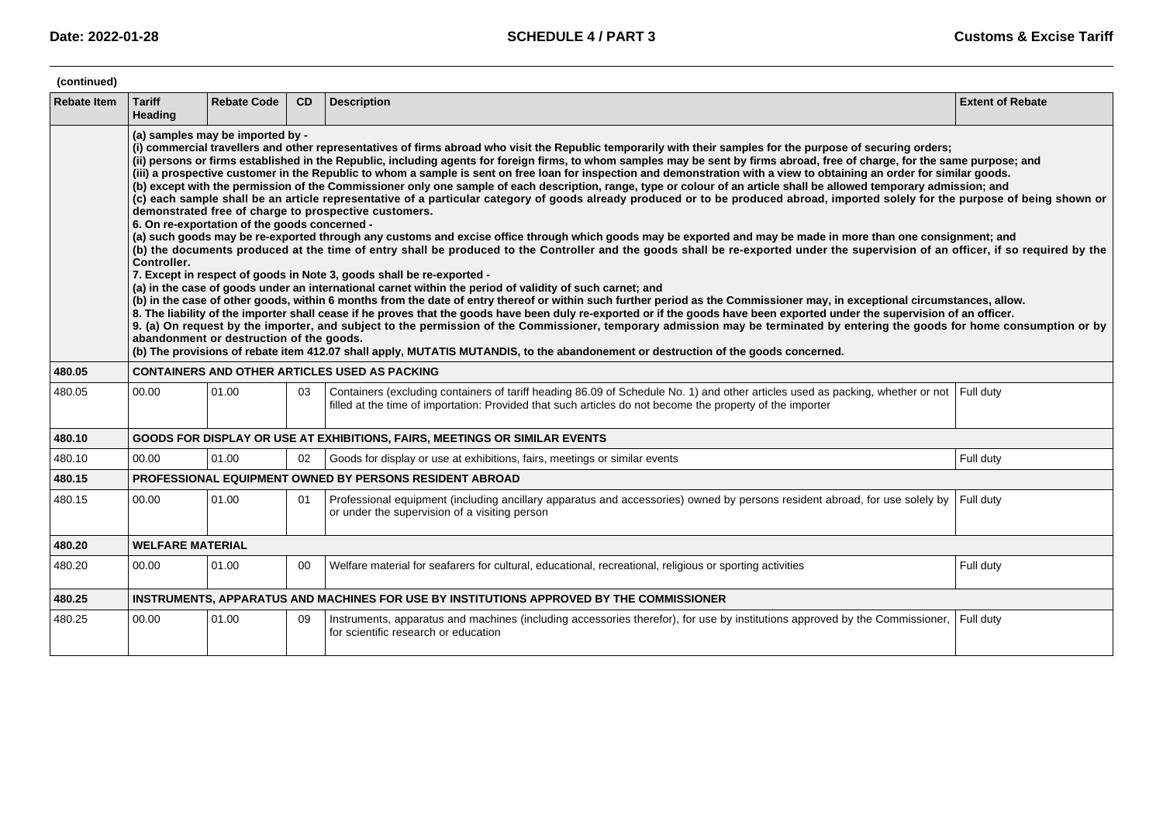| (continued)        |                                                                                                                                                                                                                                                                                                                                                                                                                                                                                                                                                                                                                                                                                                                                                                                                                                                                                                                                                                                                                                                                                                                                                                                                                                                                                                                                                                                                                                                                                                                                                                                                                                                                                                                                                                                                                                                                                                                                                                                                                                                                                                                                                                                                                                                                                                                                 |                    |           |                                                                                                                                                                                                                                                       |                         |  |  |
|--------------------|---------------------------------------------------------------------------------------------------------------------------------------------------------------------------------------------------------------------------------------------------------------------------------------------------------------------------------------------------------------------------------------------------------------------------------------------------------------------------------------------------------------------------------------------------------------------------------------------------------------------------------------------------------------------------------------------------------------------------------------------------------------------------------------------------------------------------------------------------------------------------------------------------------------------------------------------------------------------------------------------------------------------------------------------------------------------------------------------------------------------------------------------------------------------------------------------------------------------------------------------------------------------------------------------------------------------------------------------------------------------------------------------------------------------------------------------------------------------------------------------------------------------------------------------------------------------------------------------------------------------------------------------------------------------------------------------------------------------------------------------------------------------------------------------------------------------------------------------------------------------------------------------------------------------------------------------------------------------------------------------------------------------------------------------------------------------------------------------------------------------------------------------------------------------------------------------------------------------------------------------------------------------------------------------------------------------------------|--------------------|-----------|-------------------------------------------------------------------------------------------------------------------------------------------------------------------------------------------------------------------------------------------------------|-------------------------|--|--|
| <b>Rebate Item</b> | <b>Tariff</b><br>Heading                                                                                                                                                                                                                                                                                                                                                                                                                                                                                                                                                                                                                                                                                                                                                                                                                                                                                                                                                                                                                                                                                                                                                                                                                                                                                                                                                                                                                                                                                                                                                                                                                                                                                                                                                                                                                                                                                                                                                                                                                                                                                                                                                                                                                                                                                                        | <b>Rebate Code</b> | <b>CD</b> | <b>Description</b>                                                                                                                                                                                                                                    | <b>Extent of Rebate</b> |  |  |
|                    | (a) samples may be imported by -<br>(i) commercial travellers and other representatives of firms abroad who visit the Republic temporarily with their samples for the purpose of securing orders;<br>(ii) persons or firms established in the Republic, including agents for foreign firms, to whom samples may be sent by firms abroad, free of charge, for the same purpose; and<br>(iii) a prospective customer in the Republic to whom a sample is sent on free loan for inspection and demonstration with a view to obtaining an order for similar goods.<br>(b) except with the permission of the Commissioner only one sample of each description, range, type or colour of an article shall be allowed temporary admission; and<br>(c) each sample shall be an article representative of a particular category of goods already produced or to be produced abroad, imported solely for the purpose of being shown or<br>demonstrated free of charge to prospective customers.<br>6. On re-exportation of the goods concerned -<br>(a) such goods may be re-exported through any customs and excise office through which goods may be exported and may be made in more than one consignment; and<br>(b) the documents produced at the time of entry shall be produced to the Controller and the goods shall be re-exported under the supervision of an officer, if so required by the<br>Controller.<br>7. Except in respect of goods in Note 3, goods shall be re-exported -<br>(a) in the case of goods under an international carnet within the period of validity of such carnet; and<br>(b) in the case of other goods, within 6 months from the date of entry thereof or within such further period as the Commissioner may, in exceptional circumstances, allow.<br>8. The liability of the importer shall cease if he proves that the goods have been duly re-exported or if the goods have been exported under the supervision of an officer.<br>9. (a) On request by the importer, and subject to the permission of the Commissioner, temporary admission may be terminated by entering the goods for home consumption or by<br>abandonment or destruction of the goods.<br>(b) The provisions of rebate item 412.07 shall apply, MUTATIS MUTANDIS, to the abandonement or destruction of the goods concerned. |                    |           |                                                                                                                                                                                                                                                       |                         |  |  |
| 480.05             |                                                                                                                                                                                                                                                                                                                                                                                                                                                                                                                                                                                                                                                                                                                                                                                                                                                                                                                                                                                                                                                                                                                                                                                                                                                                                                                                                                                                                                                                                                                                                                                                                                                                                                                                                                                                                                                                                                                                                                                                                                                                                                                                                                                                                                                                                                                                 |                    |           | <b>CONTAINERS AND OTHER ARTICLES USED AS PACKING</b>                                                                                                                                                                                                  |                         |  |  |
| 480.05             | 00.00                                                                                                                                                                                                                                                                                                                                                                                                                                                                                                                                                                                                                                                                                                                                                                                                                                                                                                                                                                                                                                                                                                                                                                                                                                                                                                                                                                                                                                                                                                                                                                                                                                                                                                                                                                                                                                                                                                                                                                                                                                                                                                                                                                                                                                                                                                                           | 01.00              | 03        | Containers (excluding containers of tariff heading 86.09 of Schedule No. 1) and other articles used as packing, whether or not Full duty<br>filled at the time of importation: Provided that such articles do not become the property of the importer |                         |  |  |
| 480.10             | <b>GOODS FOR DISPLAY OR USE AT EXHIBITIONS, FAIRS, MEETINGS OR SIMILAR EVENTS</b>                                                                                                                                                                                                                                                                                                                                                                                                                                                                                                                                                                                                                                                                                                                                                                                                                                                                                                                                                                                                                                                                                                                                                                                                                                                                                                                                                                                                                                                                                                                                                                                                                                                                                                                                                                                                                                                                                                                                                                                                                                                                                                                                                                                                                                               |                    |           |                                                                                                                                                                                                                                                       |                         |  |  |
| 480.10             | 00.00                                                                                                                                                                                                                                                                                                                                                                                                                                                                                                                                                                                                                                                                                                                                                                                                                                                                                                                                                                                                                                                                                                                                                                                                                                                                                                                                                                                                                                                                                                                                                                                                                                                                                                                                                                                                                                                                                                                                                                                                                                                                                                                                                                                                                                                                                                                           | 01.00              | 02        | Goods for display or use at exhibitions, fairs, meetings or similar events                                                                                                                                                                            | Full duty               |  |  |
| 480.15             |                                                                                                                                                                                                                                                                                                                                                                                                                                                                                                                                                                                                                                                                                                                                                                                                                                                                                                                                                                                                                                                                                                                                                                                                                                                                                                                                                                                                                                                                                                                                                                                                                                                                                                                                                                                                                                                                                                                                                                                                                                                                                                                                                                                                                                                                                                                                 |                    |           | PROFESSIONAL EQUIPMENT OWNED BY PERSONS RESIDENT ABROAD                                                                                                                                                                                               |                         |  |  |
| 480.15             | 00.00                                                                                                                                                                                                                                                                                                                                                                                                                                                                                                                                                                                                                                                                                                                                                                                                                                                                                                                                                                                                                                                                                                                                                                                                                                                                                                                                                                                                                                                                                                                                                                                                                                                                                                                                                                                                                                                                                                                                                                                                                                                                                                                                                                                                                                                                                                                           | 01.00              | 01        | Professional equipment (including ancillary apparatus and accessories) owned by persons resident abroad, for use solely by<br>or under the supervision of a visiting person                                                                           | Full duty               |  |  |
| 480.20             | <b>WELFARE MATERIAL</b>                                                                                                                                                                                                                                                                                                                                                                                                                                                                                                                                                                                                                                                                                                                                                                                                                                                                                                                                                                                                                                                                                                                                                                                                                                                                                                                                                                                                                                                                                                                                                                                                                                                                                                                                                                                                                                                                                                                                                                                                                                                                                                                                                                                                                                                                                                         |                    |           |                                                                                                                                                                                                                                                       |                         |  |  |
| 480.20             | 00.00                                                                                                                                                                                                                                                                                                                                                                                                                                                                                                                                                                                                                                                                                                                                                                                                                                                                                                                                                                                                                                                                                                                                                                                                                                                                                                                                                                                                                                                                                                                                                                                                                                                                                                                                                                                                                                                                                                                                                                                                                                                                                                                                                                                                                                                                                                                           | 01.00              | 00        | Welfare material for seafarers for cultural, educational, recreational, religious or sporting activities                                                                                                                                              | Full duty               |  |  |
| 480.25             | INSTRUMENTS, APPARATUS AND MACHINES FOR USE BY INSTITUTIONS APPROVED BY THE COMMISSIONER                                                                                                                                                                                                                                                                                                                                                                                                                                                                                                                                                                                                                                                                                                                                                                                                                                                                                                                                                                                                                                                                                                                                                                                                                                                                                                                                                                                                                                                                                                                                                                                                                                                                                                                                                                                                                                                                                                                                                                                                                                                                                                                                                                                                                                        |                    |           |                                                                                                                                                                                                                                                       |                         |  |  |
| 480.25             | 00.00                                                                                                                                                                                                                                                                                                                                                                                                                                                                                                                                                                                                                                                                                                                                                                                                                                                                                                                                                                                                                                                                                                                                                                                                                                                                                                                                                                                                                                                                                                                                                                                                                                                                                                                                                                                                                                                                                                                                                                                                                                                                                                                                                                                                                                                                                                                           | 01.00              | 09        | Instruments, apparatus and machines (including accessories therefor), for use by institutions approved by the Commissioner, Full duty<br>for scientific research or education                                                                         |                         |  |  |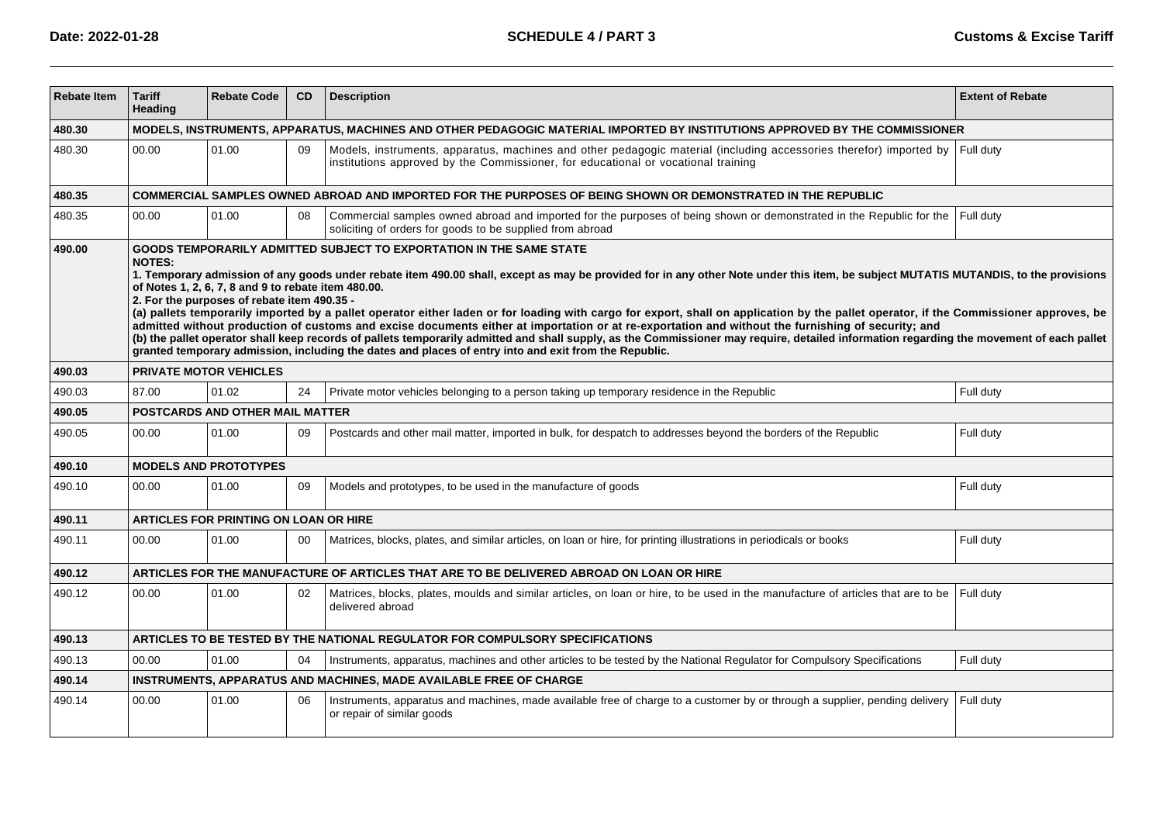| <b>Rebate Item</b> | <b>Tariff</b><br>Heading                                                                                                    | <b>Rebate Code</b>                                                                                                                                                                                                                                                                                                                                                                                                                                                                                                                                                                                                                                                                                                                                                                                                                                                                                                                                                                                                    | <b>CD</b> | <b>Description</b>                                                                                                                                                                                                | <b>Extent of Rebate</b> |  |  |
|--------------------|-----------------------------------------------------------------------------------------------------------------------------|-----------------------------------------------------------------------------------------------------------------------------------------------------------------------------------------------------------------------------------------------------------------------------------------------------------------------------------------------------------------------------------------------------------------------------------------------------------------------------------------------------------------------------------------------------------------------------------------------------------------------------------------------------------------------------------------------------------------------------------------------------------------------------------------------------------------------------------------------------------------------------------------------------------------------------------------------------------------------------------------------------------------------|-----------|-------------------------------------------------------------------------------------------------------------------------------------------------------------------------------------------------------------------|-------------------------|--|--|
| 480.30             | MODELS, INSTRUMENTS, APPARATUS, MACHINES AND OTHER PEDAGOGIC MATERIAL IMPORTED BY INSTITUTIONS APPROVED BY THE COMMISSIONER |                                                                                                                                                                                                                                                                                                                                                                                                                                                                                                                                                                                                                                                                                                                                                                                                                                                                                                                                                                                                                       |           |                                                                                                                                                                                                                   |                         |  |  |
| 480.30             | 00.00                                                                                                                       | 01.00                                                                                                                                                                                                                                                                                                                                                                                                                                                                                                                                                                                                                                                                                                                                                                                                                                                                                                                                                                                                                 | 09        | Models, instruments, apparatus, machines and other pedagogic material (including accessories therefor) imported by Full duty<br>institutions approved by the Commissioner, for educational or vocational training |                         |  |  |
| 480.35             |                                                                                                                             |                                                                                                                                                                                                                                                                                                                                                                                                                                                                                                                                                                                                                                                                                                                                                                                                                                                                                                                                                                                                                       |           | COMMERCIAL SAMPLES OWNED ABROAD AND IMPORTED FOR THE PURPOSES OF BEING SHOWN OR DEMONSTRATED IN THE REPUBLIC                                                                                                      |                         |  |  |
| 480.35             | 00.00                                                                                                                       | 01.00                                                                                                                                                                                                                                                                                                                                                                                                                                                                                                                                                                                                                                                                                                                                                                                                                                                                                                                                                                                                                 | 08        | Commercial samples owned abroad and imported for the purposes of being shown or demonstrated in the Republic for the<br>soliciting of orders for goods to be supplied from abroad                                 | Full duty               |  |  |
| 490.00             | <b>NOTES:</b>                                                                                                               | GOODS TEMPORARILY ADMITTED SUBJECT TO EXPORTATION IN THE SAME STATE<br>1. Temporary admission of any goods under rebate item 490.00 shall, except as may be provided for in any other Note under this item, be subject MUTATIS MUTANDIS, to the provisions<br>of Notes 1, 2, 6, 7, 8 and 9 to rebate item 480.00.<br>2. For the purposes of rebate item 490.35 -<br>(a) pallets temporarily imported by a pallet operator either laden or for loading with cargo for export, shall on application by the pallet operator, if the Commissioner approves, be<br>admitted without production of customs and excise documents either at importation or at re-exportation and without the furnishing of security; and<br>(b) the pallet operator shall keep records of pallets temporarily admitted and shall supply, as the Commissioner may require, detailed information regarding the movement of each pallet<br>granted temporary admission, including the dates and places of entry into and exit from the Republic. |           |                                                                                                                                                                                                                   |                         |  |  |
| 490.03             |                                                                                                                             | <b>PRIVATE MOTOR VEHICLES</b>                                                                                                                                                                                                                                                                                                                                                                                                                                                                                                                                                                                                                                                                                                                                                                                                                                                                                                                                                                                         |           |                                                                                                                                                                                                                   |                         |  |  |
| 490.03             | 87.00                                                                                                                       | 01.02                                                                                                                                                                                                                                                                                                                                                                                                                                                                                                                                                                                                                                                                                                                                                                                                                                                                                                                                                                                                                 | 24        | Private motor vehicles belonging to a person taking up temporary residence in the Republic                                                                                                                        | Full duty               |  |  |
| 490.05             | POSTCARDS AND OTHER MAIL MATTER                                                                                             |                                                                                                                                                                                                                                                                                                                                                                                                                                                                                                                                                                                                                                                                                                                                                                                                                                                                                                                                                                                                                       |           |                                                                                                                                                                                                                   |                         |  |  |
| 490.05             | 00.00                                                                                                                       | 01.00                                                                                                                                                                                                                                                                                                                                                                                                                                                                                                                                                                                                                                                                                                                                                                                                                                                                                                                                                                                                                 | 09        | Postcards and other mail matter, imported in bulk, for despatch to addresses beyond the borders of the Republic                                                                                                   | Full duty               |  |  |
| 490.10             |                                                                                                                             | <b>MODELS AND PROTOTYPES</b>                                                                                                                                                                                                                                                                                                                                                                                                                                                                                                                                                                                                                                                                                                                                                                                                                                                                                                                                                                                          |           |                                                                                                                                                                                                                   |                         |  |  |
| 490.10             | 00.00                                                                                                                       | 01.00                                                                                                                                                                                                                                                                                                                                                                                                                                                                                                                                                                                                                                                                                                                                                                                                                                                                                                                                                                                                                 | 09        | Models and prototypes, to be used in the manufacture of goods                                                                                                                                                     | Full duty               |  |  |
| 490.11             |                                                                                                                             | <b>ARTICLES FOR PRINTING ON LOAN OR HIRE</b>                                                                                                                                                                                                                                                                                                                                                                                                                                                                                                                                                                                                                                                                                                                                                                                                                                                                                                                                                                          |           |                                                                                                                                                                                                                   |                         |  |  |
| 490.11             | 00.00                                                                                                                       | 01.00                                                                                                                                                                                                                                                                                                                                                                                                                                                                                                                                                                                                                                                                                                                                                                                                                                                                                                                                                                                                                 | 00        | Matrices, blocks, plates, and similar articles, on loan or hire, for printing illustrations in periodicals or books                                                                                               | Full duty               |  |  |
| 490.12             |                                                                                                                             |                                                                                                                                                                                                                                                                                                                                                                                                                                                                                                                                                                                                                                                                                                                                                                                                                                                                                                                                                                                                                       |           | ARTICLES FOR THE MANUFACTURE OF ARTICLES THAT ARE TO BE DELIVERED ABROAD ON LOAN OR HIRE                                                                                                                          |                         |  |  |
| 490.12             | 00.00                                                                                                                       | 01.00                                                                                                                                                                                                                                                                                                                                                                                                                                                                                                                                                                                                                                                                                                                                                                                                                                                                                                                                                                                                                 | 02        | Matrices, blocks, plates, moulds and similar articles, on loan or hire, to be used in the manufacture of articles that are to be<br>delivered abroad                                                              | Full duty               |  |  |
| 490.13             | ARTICLES TO BE TESTED BY THE NATIONAL REGULATOR FOR COMPULSORY SPECIFICATIONS                                               |                                                                                                                                                                                                                                                                                                                                                                                                                                                                                                                                                                                                                                                                                                                                                                                                                                                                                                                                                                                                                       |           |                                                                                                                                                                                                                   |                         |  |  |
| 490.13             | 00.00                                                                                                                       | 01.00                                                                                                                                                                                                                                                                                                                                                                                                                                                                                                                                                                                                                                                                                                                                                                                                                                                                                                                                                                                                                 | 04        | Instruments, apparatus, machines and other articles to be tested by the National Regulator for Compulsory Specifications                                                                                          | Full duty               |  |  |
| 490.14             | INSTRUMENTS, APPARATUS AND MACHINES, MADE AVAILABLE FREE OF CHARGE                                                          |                                                                                                                                                                                                                                                                                                                                                                                                                                                                                                                                                                                                                                                                                                                                                                                                                                                                                                                                                                                                                       |           |                                                                                                                                                                                                                   |                         |  |  |
| 490.14             | 00.00                                                                                                                       | 01.00                                                                                                                                                                                                                                                                                                                                                                                                                                                                                                                                                                                                                                                                                                                                                                                                                                                                                                                                                                                                                 | 06        | Instruments, apparatus and machines, made available free of charge to a customer by or through a supplier, pending delivery<br>or repair of similar goods                                                         | Full duty               |  |  |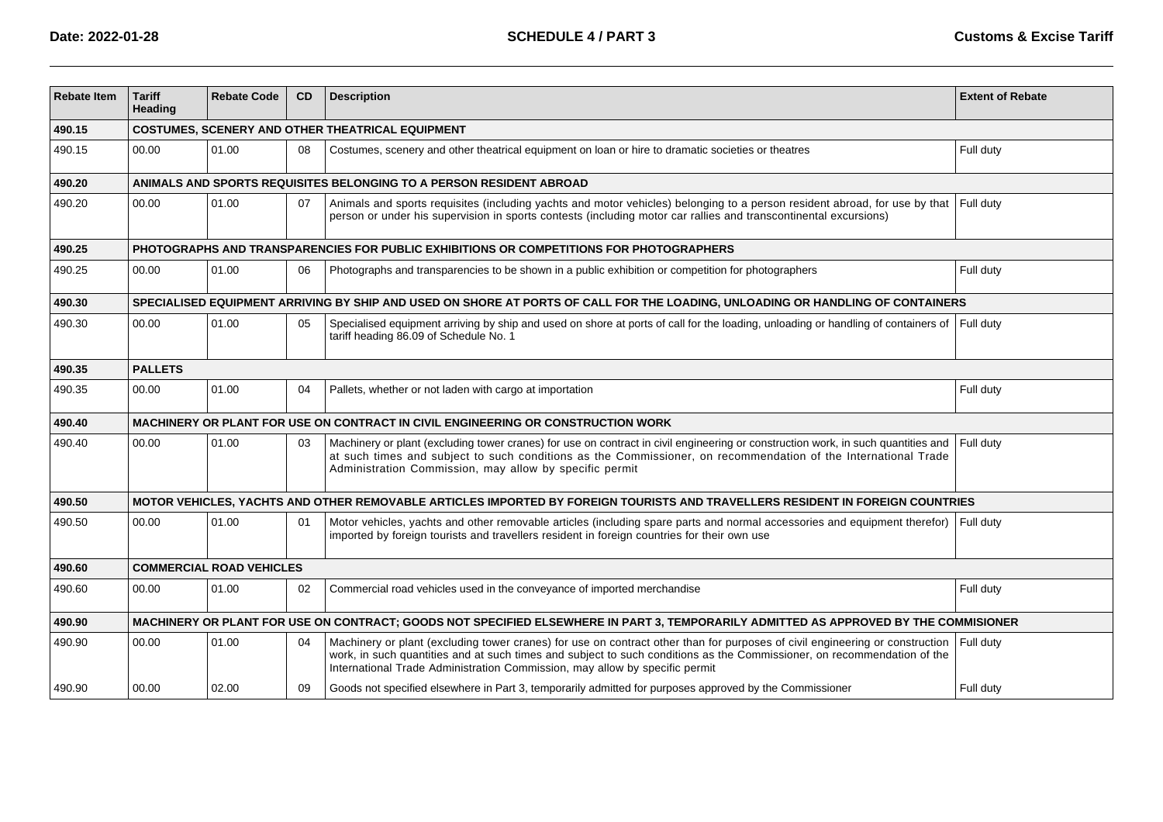| <b>Rebate Item</b> | <b>Tariff</b><br>Heading                                                                                                             | <b>Rebate Code</b> | CD | <b>Description</b>                                                                                                                                                                                                                                                                                                                     | <b>Extent of Rebate</b> |  |  |
|--------------------|--------------------------------------------------------------------------------------------------------------------------------------|--------------------|----|----------------------------------------------------------------------------------------------------------------------------------------------------------------------------------------------------------------------------------------------------------------------------------------------------------------------------------------|-------------------------|--|--|
| 490.15             | <b>COSTUMES, SCENERY AND OTHER THEATRICAL EQUIPMENT</b>                                                                              |                    |    |                                                                                                                                                                                                                                                                                                                                        |                         |  |  |
| 490.15             | 00.00                                                                                                                                | 01.00              | 08 | Costumes, scenery and other theatrical equipment on loan or hire to dramatic societies or theatres                                                                                                                                                                                                                                     | Full duty               |  |  |
| 490.20             |                                                                                                                                      |                    |    | ANIMALS AND SPORTS REQUISITES BELONGING TO A PERSON RESIDENT ABROAD                                                                                                                                                                                                                                                                    |                         |  |  |
| 490.20             | 00.00                                                                                                                                | 01.00              | 07 | Animals and sports requisites (including yachts and motor vehicles) belonging to a person resident abroad, for use by that Full duty<br>person or under his supervision in sports contests (including motor car rallies and transcontinental excursions)                                                                               |                         |  |  |
| 490.25             |                                                                                                                                      |                    |    | PHOTOGRAPHS AND TRANSPARENCIES FOR PUBLIC EXHIBITIONS OR COMPETITIONS FOR PHOTOGRAPHERS                                                                                                                                                                                                                                                |                         |  |  |
| 490.25             | 00.00                                                                                                                                | 01.00              | 06 | Photographs and transparencies to be shown in a public exhibition or competition for photographers                                                                                                                                                                                                                                     | Full duty               |  |  |
| 490.30             |                                                                                                                                      |                    |    | SPECIALISED EQUIPMENT ARRIVING BY SHIP AND USED ON SHORE AT PORTS OF CALL FOR THE LOADING, UNLOADING OR HANDLING OF CONTAINERS                                                                                                                                                                                                         |                         |  |  |
| 490.30             | 00.00                                                                                                                                | 01.00              | 05 | Specialised equipment arriving by ship and used on shore at ports of call for the loading, unloading or handling of containers of Full duty<br>tariff heading 86.09 of Schedule No. 1                                                                                                                                                  |                         |  |  |
| 490.35             | <b>PALLETS</b>                                                                                                                       |                    |    |                                                                                                                                                                                                                                                                                                                                        |                         |  |  |
| 490.35             | 00.00                                                                                                                                | 01.00              | 04 | Pallets, whether or not laden with cargo at importation                                                                                                                                                                                                                                                                                | Full duty               |  |  |
| 490.40             |                                                                                                                                      |                    |    | MACHINERY OR PLANT FOR USE ON CONTRACT IN CIVIL ENGINEERING OR CONSTRUCTION WORK                                                                                                                                                                                                                                                       |                         |  |  |
| 490.40             | 00.00                                                                                                                                | 01.00              | 03 | Machinery or plant (excluding tower cranes) for use on contract in civil engineering or construction work, in such quantities and<br>at such times and subject to such conditions as the Commissioner, on recommendation of the International Trade<br>Administration Commission, may allow by specific permit                         | Full duty               |  |  |
| 490.50             |                                                                                                                                      |                    |    | MOTOR VEHICLES, YACHTS AND OTHER REMOVABLE ARTICLES IMPORTED BY FOREIGN TOURISTS AND TRAVELLERS RESIDENT IN FOREIGN COUNTRIES                                                                                                                                                                                                          |                         |  |  |
| 490.50             | 00.00                                                                                                                                | 01.00              | 01 | Motor vehicles, yachts and other removable articles (including spare parts and normal accessories and equipment therefor)<br>imported by foreign tourists and travellers resident in foreign countries for their own use                                                                                                               | Full duty               |  |  |
| 490.60             | <b>COMMERCIAL ROAD VEHICLES</b>                                                                                                      |                    |    |                                                                                                                                                                                                                                                                                                                                        |                         |  |  |
| 490.60             | 00.00                                                                                                                                | 01.00              | 02 | Commercial road vehicles used in the conveyance of imported merchandise                                                                                                                                                                                                                                                                | Full duty               |  |  |
| 490.90             | MACHINERY OR PLANT FOR USE ON CONTRACT; GOODS NOT SPECIFIED ELSEWHERE IN PART 3, TEMPORARILY ADMITTED AS APPROVED BY THE COMMISIONER |                    |    |                                                                                                                                                                                                                                                                                                                                        |                         |  |  |
| 490.90             | 00.00                                                                                                                                | 01.00              | 04 | Machinery or plant (excluding tower cranes) for use on contract other than for purposes of civil engineering or construction<br>work, in such quantities and at such times and subject to such conditions as the Commissioner, on recommendation of the<br>International Trade Administration Commission, may allow by specific permit | Full duty               |  |  |
| 490.90             | 00.00                                                                                                                                | 02.00              | 09 | Goods not specified elsewhere in Part 3, temporarily admitted for purposes approved by the Commissioner                                                                                                                                                                                                                                | Full duty               |  |  |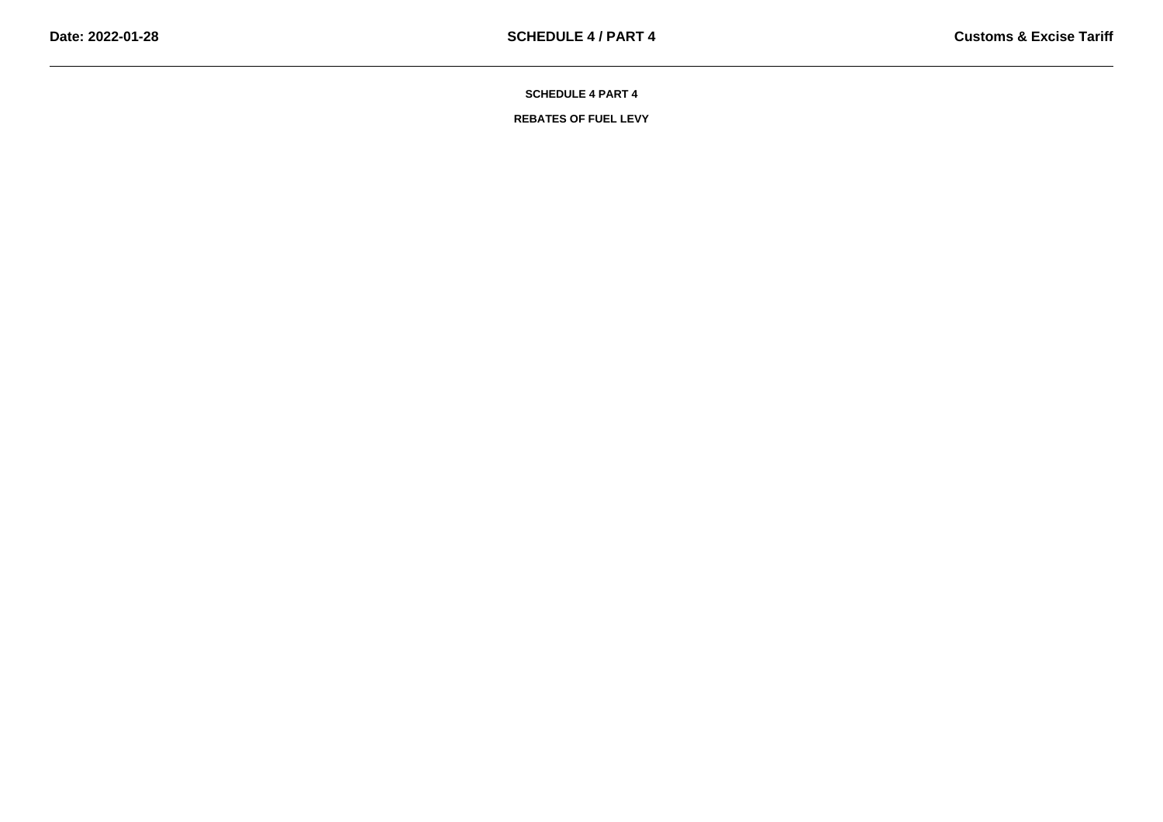**REBATES OF FUEL LEVY**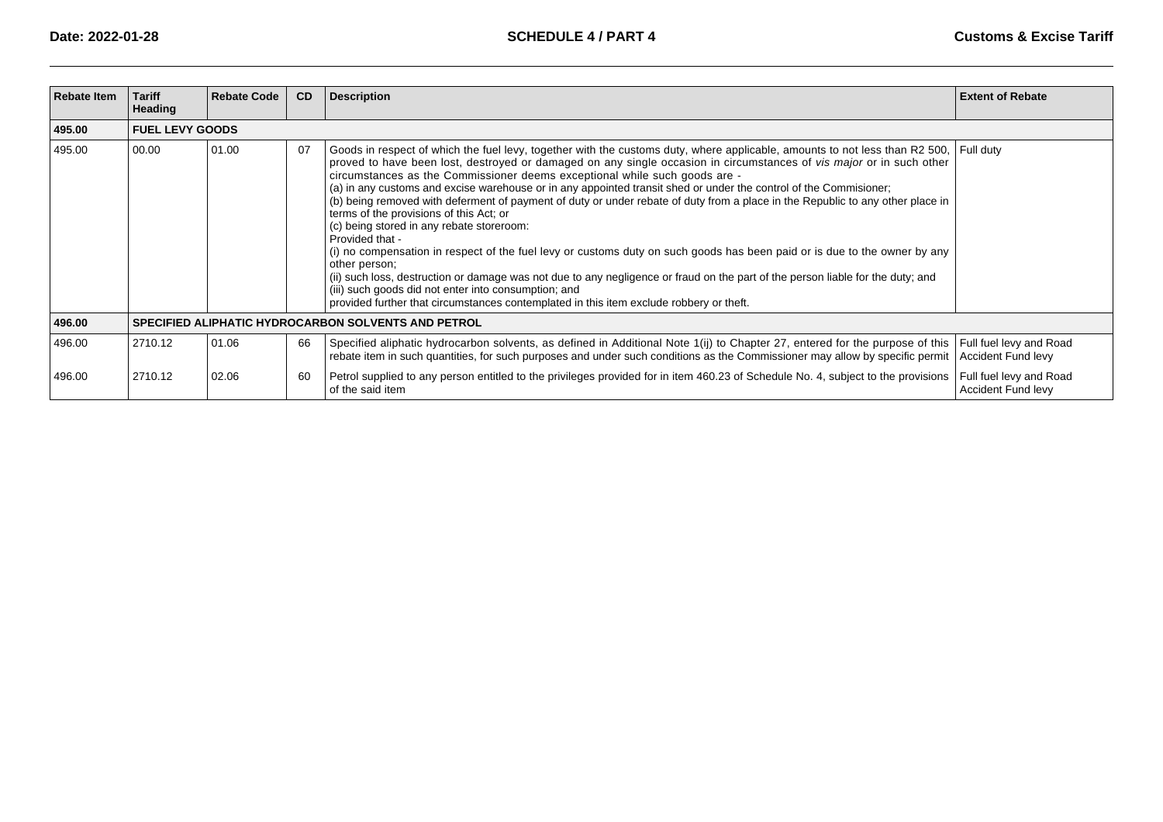| <b>Rebate Item</b> | <b>Tariff</b><br><b>Heading</b> | <b>Rebate Code</b>                                         | CD | <b>Description</b>                                                                                                                                                                                                                                                                                                                                                                                                                                                                                                                                                                                                                                                                                                                                                                                                                                                                                                                                                                                                                                                                                                                                | <b>Extent of Rebate</b>                              |  |  |  |  |
|--------------------|---------------------------------|------------------------------------------------------------|----|---------------------------------------------------------------------------------------------------------------------------------------------------------------------------------------------------------------------------------------------------------------------------------------------------------------------------------------------------------------------------------------------------------------------------------------------------------------------------------------------------------------------------------------------------------------------------------------------------------------------------------------------------------------------------------------------------------------------------------------------------------------------------------------------------------------------------------------------------------------------------------------------------------------------------------------------------------------------------------------------------------------------------------------------------------------------------------------------------------------------------------------------------|------------------------------------------------------|--|--|--|--|
| 495.00             |                                 | <b>FUEL LEVY GOODS</b>                                     |    |                                                                                                                                                                                                                                                                                                                                                                                                                                                                                                                                                                                                                                                                                                                                                                                                                                                                                                                                                                                                                                                                                                                                                   |                                                      |  |  |  |  |
| 495.00             | 00.00                           | 01.00                                                      | 07 | Goods in respect of which the fuel levy, together with the customs duty, where applicable, amounts to not less than R2 500, Full duty<br>proved to have been lost, destroyed or damaged on any single occasion in circumstances of vis major or in such other<br>circumstances as the Commissioner deems exceptional while such goods are -<br>(a) in any customs and excise warehouse or in any appointed transit shed or under the control of the Commisioner;<br>(b) being removed with deferment of payment of duty or under rebate of duty from a place in the Republic to any other place in<br>terms of the provisions of this Act; or<br>(c) being stored in any rebate storeroom:<br>Provided that -<br>(i) no compensation in respect of the fuel levy or customs duty on such goods has been paid or is due to the owner by any<br>other person:<br>(ii) such loss, destruction or damage was not due to any negligence or fraud on the part of the person liable for the duty; and<br>(iii) such goods did not enter into consumption; and<br>provided further that circumstances contemplated in this item exclude robbery or theft. |                                                      |  |  |  |  |
| 496.00             |                                 | <b>SPECIFIED ALIPHATIC HYDROCARBON SOLVENTS AND PETROL</b> |    |                                                                                                                                                                                                                                                                                                                                                                                                                                                                                                                                                                                                                                                                                                                                                                                                                                                                                                                                                                                                                                                                                                                                                   |                                                      |  |  |  |  |
| 496.00             | 2710.12                         | 01.06                                                      | 66 | Specified aliphatic hydrocarbon solvents, as defined in Additional Note 1(ij) to Chapter 27, entered for the purpose of this<br>rebate item in such quantities, for such purposes and under such conditions as the Commissioner may allow by specific permit                                                                                                                                                                                                                                                                                                                                                                                                                                                                                                                                                                                                                                                                                                                                                                                                                                                                                      | Full fuel levy and Road<br>Accident Fund levy        |  |  |  |  |
| 496.00             | 2710.12                         | 02.06                                                      | 60 | Petrol supplied to any person entitled to the privileges provided for in item 460.23 of Schedule No. 4, subject to the provisions<br>of the said item                                                                                                                                                                                                                                                                                                                                                                                                                                                                                                                                                                                                                                                                                                                                                                                                                                                                                                                                                                                             | Full fuel levy and Road<br><b>Accident Fund levy</b> |  |  |  |  |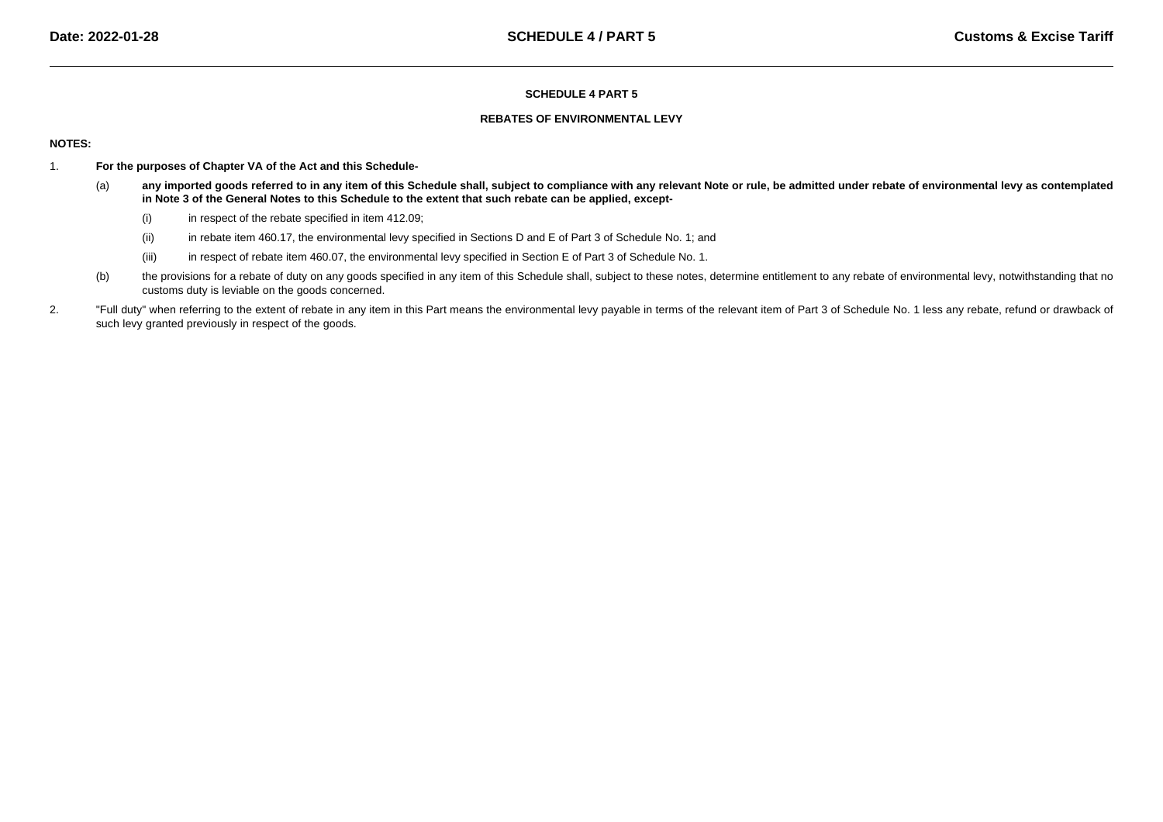### **REBATES OF ENVIRONMENTAL LEVY**

## **NOTES:**

- 1. **For the purposes of Chapter VA of the Act and this Schedule-**
	- (a) **any imported goods referred to in any item of this Schedule shall, subject to compliance with any relevant Note or rule, be admitted under rebate of environmental levy as contemplatedin Note 3 of the General Notes to this Schedule to the extent that such rebate can be applied, except-**
		- (i)in respect of the rebate specified in item 412.09;
		- (ii)in rebate item 460.17, the environmental levy specified in Sections D and E of Part 3 of Schedule No. 1; and
		- (iii)in respect of rebate item 460.07, the environmental levy specified in Section E of Part 3 of Schedule No. 1.
	- (b)the provisions for a rebate of duty on any goods specified in any item of this Schedule shall, subject to these notes, determine entitlement to any rebate of environmental levy, notwithstanding that no customs duty is leviable on the goods concerned.
- 2."Full duty" when referring to the extent of rebate in any item in this Part means the environmental levy payable in terms of the relevant item of Part 3 of Schedule No. 1 less any rebate, refund or drawback of such levy granted previously in respect of the goods.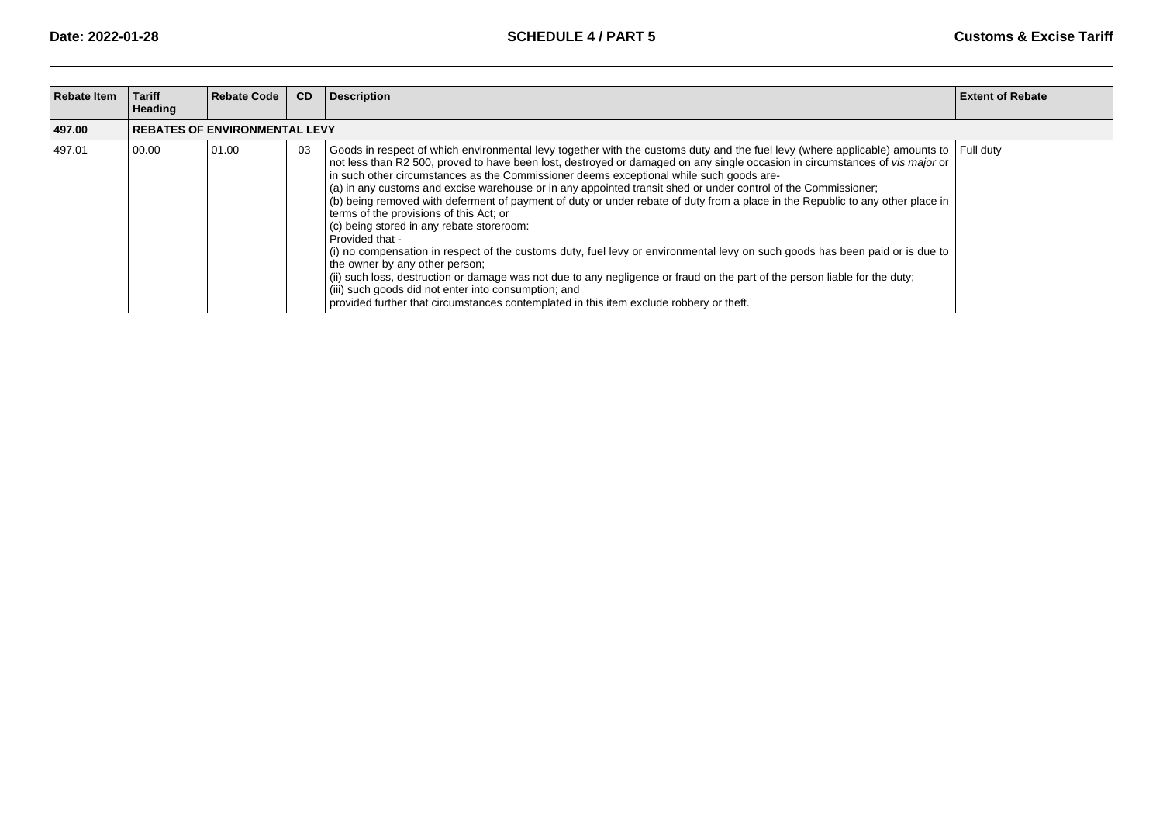| <b>Rebate Item</b> | <b>Tariff</b><br>Heading | <b>Rebate Code</b>                   | CD | <b>Description</b>                                                                                                                                                                                                                                                                                                                                                                                                                                                                                                                                                                                                                                                                                                                                                                                                                                                                                                                                                                                                                                                                                                                                                                  | <b>Extent of Rebate</b> |
|--------------------|--------------------------|--------------------------------------|----|-------------------------------------------------------------------------------------------------------------------------------------------------------------------------------------------------------------------------------------------------------------------------------------------------------------------------------------------------------------------------------------------------------------------------------------------------------------------------------------------------------------------------------------------------------------------------------------------------------------------------------------------------------------------------------------------------------------------------------------------------------------------------------------------------------------------------------------------------------------------------------------------------------------------------------------------------------------------------------------------------------------------------------------------------------------------------------------------------------------------------------------------------------------------------------------|-------------------------|
| 497.00             |                          | <b>REBATES OF ENVIRONMENTAL LEVY</b> |    |                                                                                                                                                                                                                                                                                                                                                                                                                                                                                                                                                                                                                                                                                                                                                                                                                                                                                                                                                                                                                                                                                                                                                                                     |                         |
| 497.01             | 00.00                    | 01.00                                | 03 | Goods in respect of which environmental levy together with the customs duty and the fuel levy (where applicable) amounts to Full duty<br>not less than R2 500, proved to have been lost, destroyed or damaged on any single occasion in circumstances of vis major or<br>in such other circumstances as the Commissioner deems exceptional while such goods are-<br>(a) in any customs and excise warehouse or in any appointed transit shed or under control of the Commissioner;<br>(b) being removed with deferment of payment of duty or under rebate of duty from a place in the Republic to any other place in<br>terms of the provisions of this Act; or<br>(c) being stored in any rebate storeroom:<br>Provided that -<br>(i) no compensation in respect of the customs duty, fuel levy or environmental levy on such goods has been paid or is due to<br>the owner by any other person;<br>(ii) such loss, destruction or damage was not due to any negligence or fraud on the part of the person liable for the duty;<br>(iii) such goods did not enter into consumption; and<br>provided further that circumstances contemplated in this item exclude robbery or theft. |                         |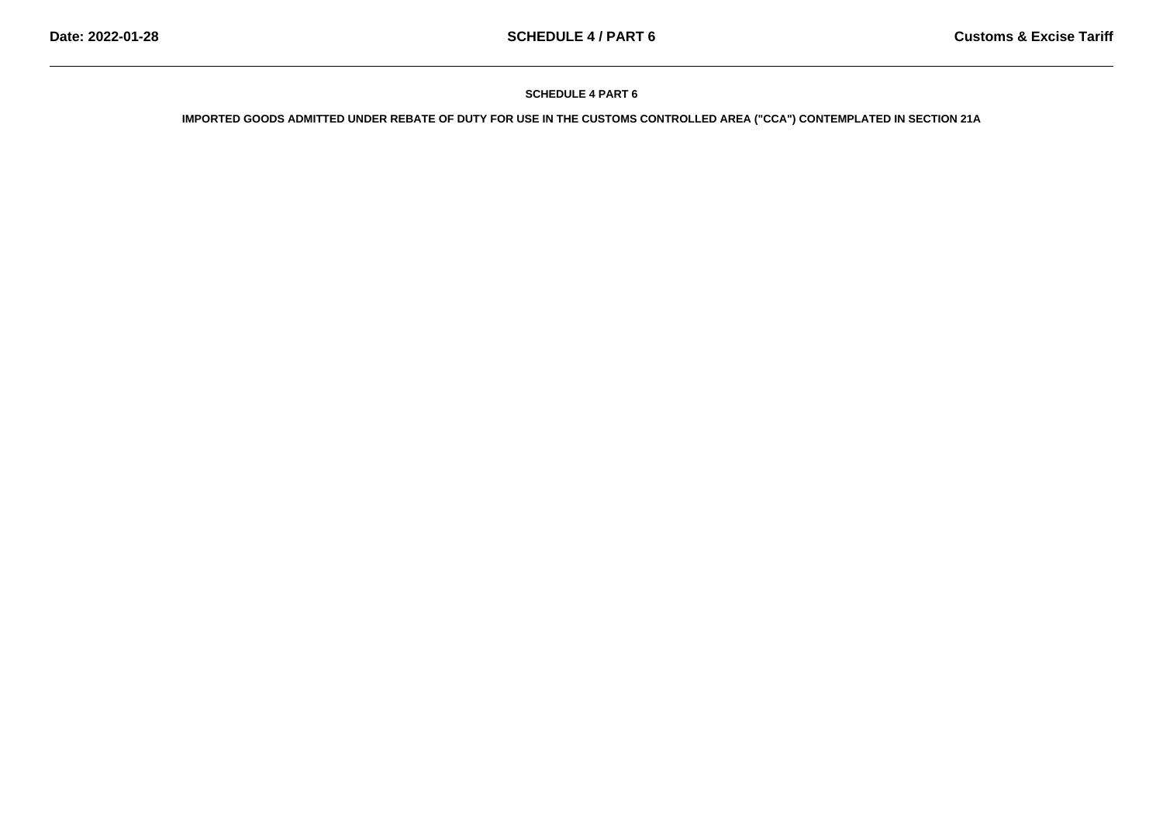**IMPORTED GOODS ADMITTED UNDER REBATE OF DUTY FOR USE IN THE CUSTOMS CONTROLLED AREA ("CCA") CONTEMPLATED IN SECTION 21A**